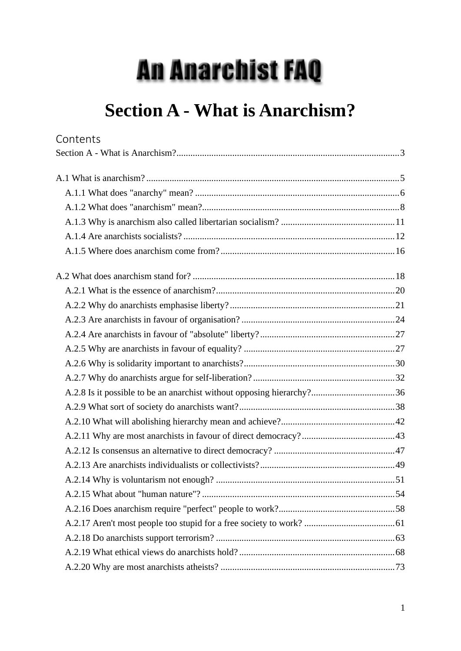# **An Anarchist FAQ**

# **Section A - What is Anarchism?**

| Contents |  |
|----------|--|
|          |  |
|          |  |
|          |  |
|          |  |
|          |  |
|          |  |
|          |  |
|          |  |
|          |  |
|          |  |
|          |  |
|          |  |
|          |  |
|          |  |
|          |  |
|          |  |
|          |  |
|          |  |
|          |  |
|          |  |
|          |  |
|          |  |
|          |  |
|          |  |
|          |  |
|          |  |
|          |  |
|          |  |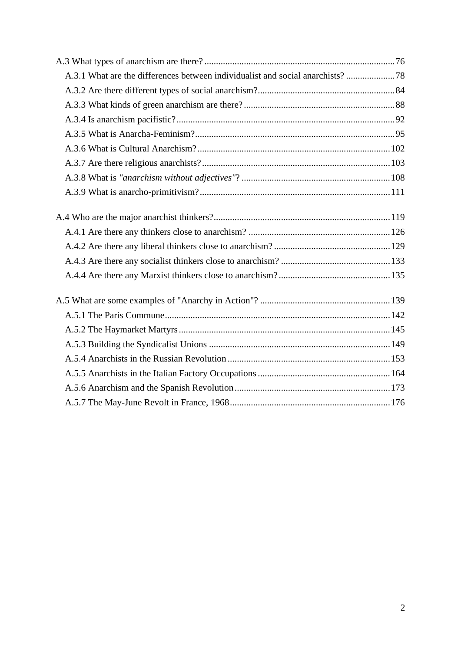| A.3.1 What are the differences between individualist and social anarchists? 78 |  |
|--------------------------------------------------------------------------------|--|
|                                                                                |  |
|                                                                                |  |
|                                                                                |  |
|                                                                                |  |
|                                                                                |  |
|                                                                                |  |
|                                                                                |  |
|                                                                                |  |
|                                                                                |  |
|                                                                                |  |
|                                                                                |  |
|                                                                                |  |
|                                                                                |  |
|                                                                                |  |
|                                                                                |  |
|                                                                                |  |
|                                                                                |  |
|                                                                                |  |
|                                                                                |  |
|                                                                                |  |
|                                                                                |  |
|                                                                                |  |
|                                                                                |  |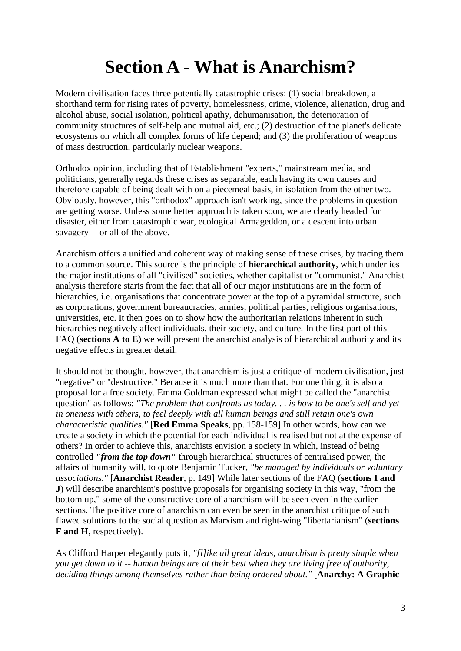## **Section A - What is Anarchism?**

<span id="page-2-0"></span>Modern civilisation faces three potentially catastrophic crises: (1) social breakdown, a shorthand term for rising rates of poverty, homelessness, crime, violence, alienation, drug and alcohol abuse, social isolation, political apathy, dehumanisation, the deterioration of community structures of self-help and mutual aid, etc.; (2) destruction of the planet's delicate ecosystems on which all complex forms of life depend; and (3) the proliferation of weapons of mass destruction, particularly nuclear weapons.

Orthodox opinion, including that of Establishment "experts," mainstream media, and politicians, generally regards these crises as separable, each having its own causes and therefore capable of being dealt with on a piecemeal basis, in isolation from the other two. Obviously, however, this "orthodox" approach isn't working, since the problems in question are getting worse. Unless some better approach is taken soon, we are clearly headed for disaster, either from catastrophic war, ecological Armageddon, or a descent into urban savagery -- or all of the above.

Anarchism offers a unified and coherent way of making sense of these crises, by tracing them to a common source. This source is the principle of **hierarchical authority**, which underlies the major institutions of all "civilised" societies, whether capitalist or "communist." Anarchist analysis therefore starts from the fact that all of our major institutions are in the form of hierarchies, i.e. organisations that concentrate power at the top of a pyramidal structure, such as corporations, government bureaucracies, armies, political parties, religious organisations, universities, etc. It then goes on to show how the authoritarian relations inherent in such hierarchies negatively affect individuals, their society, and culture. In the first part of this FAQ (**sections A to E**) we will present the anarchist analysis of hierarchical authority and its negative effects in greater detail.

It should not be thought, however, that anarchism is just a critique of modern civilisation, just "negative" or "destructive." Because it is much more than that. For one thing, it is also a proposal for a free society. Emma Goldman expressed what might be called the "anarchist question" as follows: *"The problem that confronts us today. . . is how to be one's self and yet in oneness with others, to feel deeply with all human beings and still retain one's own characteristic qualities."* [**Red Emma Speaks**, pp. 158-159] In other words, how can we create a society in which the potential for each individual is realised but not at the expense of others? In order to achieve this, anarchists envision a society in which, instead of being controlled *"from the top down"* through hierarchical structures of centralised power, the affairs of humanity will, to quote Benjamin Tucker, *"be managed by individuals or voluntary associations."* [**Anarchist Reader**, p. 149] While later sections of the FAQ (**sections I and J**) will describe anarchism's positive proposals for organising society in this way, "from the bottom up," some of the constructive core of anarchism will be seen even in the earlier sections. The positive core of anarchism can even be seen in the anarchist critique of such flawed solutions to the social question as Marxism and right-wing "libertarianism" (**sections F and H**, respectively).

As Clifford Harper elegantly puts it, *"[l]ike all great ideas, anarchism is pretty simple when you get down to it -- human beings are at their best when they are living free of authority, deciding things among themselves rather than being ordered about."* [**Anarchy: A Graphic**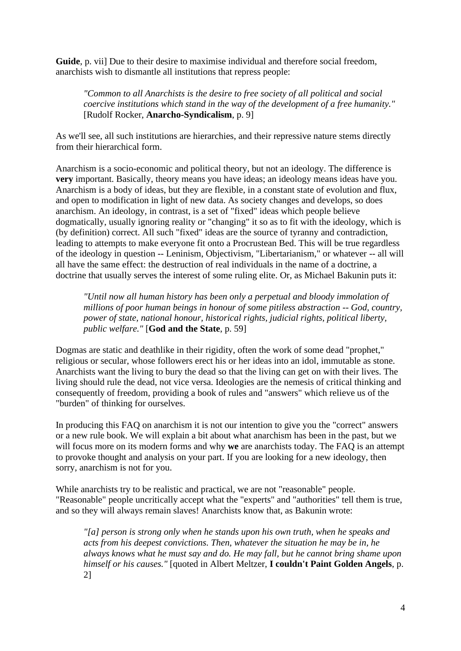**Guide**, p. vii] Due to their desire to maximise individual and therefore social freedom, anarchists wish to dismantle all institutions that repress people:

*"Common to all Anarchists is the desire to free society of all political and social coercive institutions which stand in the way of the development of a free humanity."* [Rudolf Rocker, **Anarcho-Syndicalism**, p. 9]

As we'll see, all such institutions are hierarchies, and their repressive nature stems directly from their hierarchical form.

Anarchism is a socio-economic and political theory, but not an ideology. The difference is **very** important. Basically, theory means you have ideas; an ideology means ideas have you. Anarchism is a body of ideas, but they are flexible, in a constant state of evolution and flux, and open to modification in light of new data. As society changes and develops, so does anarchism. An ideology, in contrast, is a set of "fixed" ideas which people believe dogmatically, usually ignoring reality or "changing" it so as to fit with the ideology, which is (by definition) correct. All such "fixed" ideas are the source of tyranny and contradiction, leading to attempts to make everyone fit onto a Procrustean Bed. This will be true regardless of the ideology in question -- Leninism, Objectivism, "Libertarianism," or whatever -- all will all have the same effect: the destruction of real individuals in the name of a doctrine, a doctrine that usually serves the interest of some ruling elite. Or, as Michael Bakunin puts it:

*"Until now all human history has been only a perpetual and bloody immolation of millions of poor human beings in honour of some pitiless abstraction -- God, country, power of state, national honour, historical rights, judicial rights, political liberty, public welfare."* [**God and the State**, p. 59]

Dogmas are static and deathlike in their rigidity, often the work of some dead "prophet," religious or secular, whose followers erect his or her ideas into an idol, immutable as stone. Anarchists want the living to bury the dead so that the living can get on with their lives. The living should rule the dead, not vice versa. Ideologies are the nemesis of critical thinking and consequently of freedom, providing a book of rules and "answers" which relieve us of the "burden" of thinking for ourselves.

In producing this FAQ on anarchism it is not our intention to give you the "correct" answers or a new rule book. We will explain a bit about what anarchism has been in the past, but we will focus more on its modern forms and why **we** are anarchists today. The FAQ is an attempt to provoke thought and analysis on your part. If you are looking for a new ideology, then sorry, anarchism is not for you.

While anarchists try to be realistic and practical, we are not "reasonable" people. "Reasonable" people uncritically accept what the "experts" and "authorities" tell them is true, and so they will always remain slaves! Anarchists know that, as Bakunin wrote:

*"[a] person is strong only when he stands upon his own truth, when he speaks and acts from his deepest convictions. Then, whatever the situation he may be in, he always knows what he must say and do. He may fall, but he cannot bring shame upon himself or his causes."* [quoted in Albert Meltzer, **I couldn't Paint Golden Angels**, p. 2]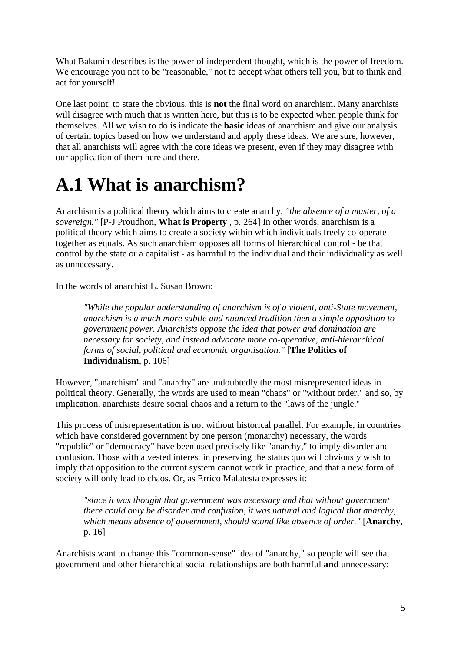What Bakunin describes is the power of independent thought, which is the power of freedom. We encourage you not to be "reasonable," not to accept what others tell you, but to think and act for yourself!

One last point: to state the obvious, this is **not** the final word on anarchism. Many anarchists will disagree with much that is written here, but this is to be expected when people think for themselves. All we wish to do is indicate the **basic** ideas of anarchism and give our analysis of certain topics based on how we understand and apply these ideas. We are sure, however, that all anarchists will agree with the core ideas we present, even if they may disagree with our application of them here and there.

### <span id="page-4-0"></span>**A.1 What is anarchism?**

Anarchism is a political theory which aims to create anarchy, *"the absence of a master, of a sovereign."* [P-J Proudhon, **What is Property** , p. 264] In other words, anarchism is a political theory which aims to create a society within which individuals freely co-operate together as equals. As such anarchism opposes all forms of hierarchical control - be that control by the state or a capitalist - as harmful to the individual and their individuality as well as unnecessary.

In the words of anarchist L. Susan Brown:

*"While the popular understanding of anarchism is of a violent, anti-State movement, anarchism is a much more subtle and nuanced tradition then a simple opposition to government power. Anarchists oppose the idea that power and domination are necessary for society, and instead advocate more co-operative, anti-hierarchical forms of social, political and economic organisation."* [**The Politics of Individualism**, p. 106]

However, "anarchism" and "anarchy" are undoubtedly the most misrepresented ideas in political theory. Generally, the words are used to mean "chaos" or "without order," and so, by implication, anarchists desire social chaos and a return to the "laws of the jungle."

This process of misrepresentation is not without historical parallel. For example, in countries which have considered government by one person (monarchy) necessary, the words "republic" or "democracy" have been used precisely like "anarchy," to imply disorder and confusion. Those with a vested interest in preserving the status quo will obviously wish to imply that opposition to the current system cannot work in practice, and that a new form of society will only lead to chaos. Or, as Errico Malatesta expresses it:

*"since it was thought that government was necessary and that without government there could only be disorder and confusion, it was natural and logical that anarchy, which means absence of government, should sound like absence of order."* [**Anarchy**, p. 16]

Anarchists want to change this "common-sense" idea of "anarchy," so people will see that government and other hierarchical social relationships are both harmful **and** unnecessary: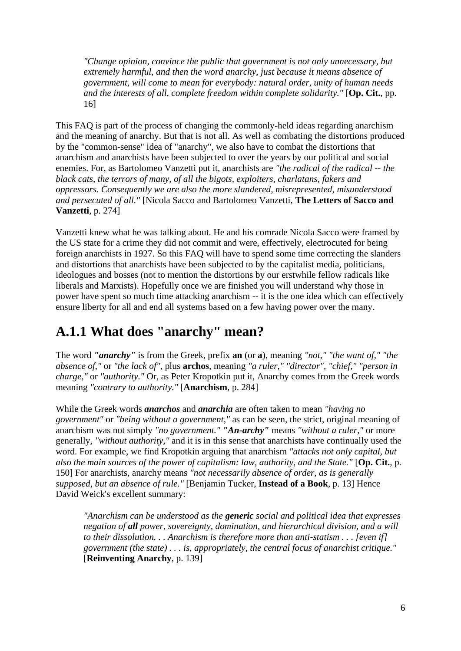*"Change opinion, convince the public that government is not only unnecessary, but extremely harmful, and then the word anarchy, just because it means absence of government, will come to mean for everybody: natural order, unity of human needs and the interests of all, complete freedom within complete solidarity."* [**Op. Cit.**, pp. 16]

This FAQ is part of the process of changing the commonly-held ideas regarding anarchism and the meaning of anarchy. But that is not all. As well as combating the distortions produced by the "common-sense" idea of "anarchy", we also have to combat the distortions that anarchism and anarchists have been subjected to over the years by our political and social enemies. For, as Bartolomeo Vanzetti put it, anarchists are *"the radical of the radical -- the black cats, the terrors of many, of all the bigots, exploiters, charlatans, fakers and oppressors. Consequently we are also the more slandered, misrepresented, misunderstood and persecuted of all."* [Nicola Sacco and Bartolomeo Vanzetti, **The Letters of Sacco and Vanzetti**, p. 274]

Vanzetti knew what he was talking about. He and his comrade Nicola Sacco were framed by the US state for a crime they did not commit and were, effectively, electrocuted for being foreign anarchists in 1927. So this FAQ will have to spend some time correcting the slanders and distortions that anarchists have been subjected to by the capitalist media, politicians, ideologues and bosses (not to mention the distortions by our erstwhile fellow radicals like liberals and Marxists). Hopefully once we are finished you will understand why those in power have spent so much time attacking anarchism -- it is the one idea which can effectively ensure liberty for all and end all systems based on a few having power over the many.

#### <span id="page-5-0"></span>**A.1.1 What does "anarchy" mean?**

The word *"anarchy"* is from the Greek, prefix **an** (or **a**), meaning *"not," "the want of," "the absence of,"* or *"the lack of"*, plus **archos**, meaning *"a ruler," "director", "chief," "person in charge,"* or *"authority."* Or, as Peter Kropotkin put it, Anarchy comes from the Greek words meaning *"contrary to authority."* [**Anarchism**, p. 284]

While the Greek words *anarchos* and *anarchia* are often taken to mean *"having no government"* or *"being without a government,"* as can be seen, the strict, original meaning of anarchism was not simply *"no government." "An-archy"* means *"without a ruler,"* or more generally, *"without authority,"* and it is in this sense that anarchists have continually used the word. For example, we find Kropotkin arguing that anarchism *"attacks not only capital, but also the main sources of the power of capitalism: law, authority, and the State."* [**Op. Cit.**, p. 150] For anarchists, anarchy means *"not necessarily absence of order, as is generally supposed, but an absence of rule."* [Benjamin Tucker, **Instead of a Book**, p. 13] Hence David Weick's excellent summary:

*"Anarchism can be understood as the generic social and political idea that expresses negation of all power, sovereignty, domination, and hierarchical division, and a will to their dissolution. . . Anarchism is therefore more than anti-statism . . . [even if] government (the state) . . . is, appropriately, the central focus of anarchist critique."* [**Reinventing Anarchy**, p. 139]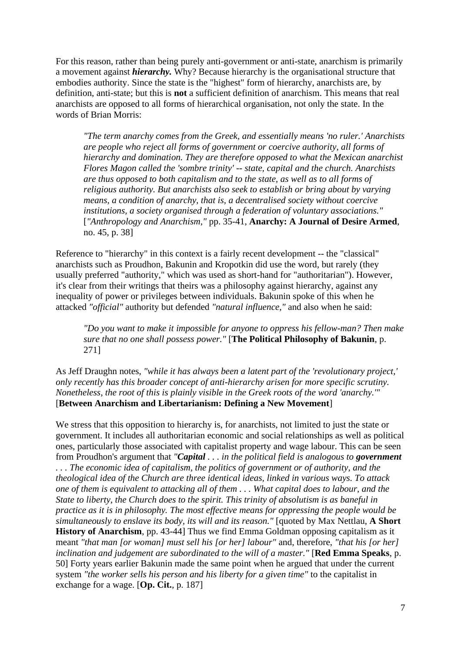For this reason, rather than being purely anti-government or anti-state, anarchism is primarily a movement against *hierarchy.* Why? Because hierarchy is the organisational structure that embodies authority. Since the state is the "highest" form of hierarchy, anarchists are, by definition, anti-state; but this is **not** a sufficient definition of anarchism. This means that real anarchists are opposed to all forms of hierarchical organisation, not only the state. In the words of Brian Morris:

*"The term anarchy comes from the Greek, and essentially means 'no ruler.' Anarchists are people who reject all forms of government or coercive authority, all forms of hierarchy and domination. They are therefore opposed to what the Mexican anarchist Flores Magon called the 'sombre trinity' -- state, capital and the church. Anarchists are thus opposed to both capitalism and to the state, as well as to all forms of religious authority. But anarchists also seek to establish or bring about by varying means, a condition of anarchy, that is, a decentralised society without coercive institutions, a society organised through a federation of voluntary associations."* [*"Anthropology and Anarchism,"* pp. 35-41, **Anarchy: A Journal of Desire Armed**, no. 45, p. 38]

Reference to "hierarchy" in this context is a fairly recent development -- the "classical" anarchists such as Proudhon, Bakunin and Kropotkin did use the word, but rarely (they usually preferred "authority," which was used as short-hand for "authoritarian"). However, it's clear from their writings that theirs was a philosophy against hierarchy, against any inequality of power or privileges between individuals. Bakunin spoke of this when he attacked *"official"* authority but defended *"natural influence,"* and also when he said:

*"Do you want to make it impossible for anyone to oppress his fellow-man? Then make sure that no one shall possess power."* [**The Political Philosophy of Bakunin**, p. 271]

As Jeff Draughn notes, *"while it has always been a latent part of the 'revolutionary project,' only recently has this broader concept of anti-hierarchy arisen for more specific scrutiny. Nonetheless, the root of this is plainly visible in the Greek roots of the word 'anarchy.'"* [**Between Anarchism and Libertarianism: Defining a New Movement**]

We stress that this opposition to hierarchy is, for anarchists, not limited to just the state or government. It includes all authoritarian economic and social relationships as well as political ones, particularly those associated with capitalist property and wage labour. This can be seen from Proudhon's argument that *"Capital . . . in the political field is analogous to government . . . The economic idea of capitalism, the politics of government or of authority, and the theological idea of the Church are three identical ideas, linked in various ways. To attack one of them is equivalent to attacking all of them . . . What capital does to labour, and the State to liberty, the Church does to the spirit. This trinity of absolutism is as baneful in practice as it is in philosophy. The most effective means for oppressing the people would be simultaneously to enslave its body, its will and its reason."* [quoted by Max Nettlau, **A Short History of Anarchism**, pp. 43-44] Thus we find Emma Goldman opposing capitalism as it meant *"that man [or woman] must sell his [or her] labour"* and, therefore, *"that his [or her] inclination and judgement are subordinated to the will of a master."* [**Red Emma Speaks**, p. 50] Forty years earlier Bakunin made the same point when he argued that under the current system *"the worker sells his person and his liberty for a given time"* to the capitalist in exchange for a wage. [**Op. Cit.**, p. 187]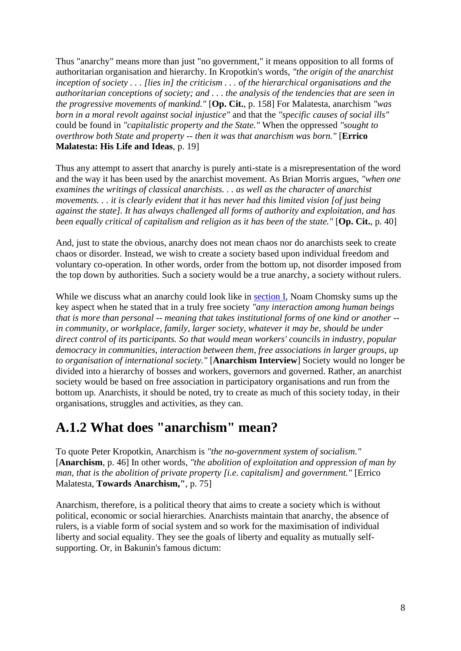Thus "anarchy" means more than just "no government," it means opposition to all forms of authoritarian organisation and hierarchy. In Kropotkin's words, *"the origin of the anarchist inception of society . . . [lies in] the criticism . . . of the hierarchical organisations and the authoritarian conceptions of society; and . . . the analysis of the tendencies that are seen in the progressive movements of mankind."* [**Op. Cit.**, p. 158] For Malatesta, anarchism *"was born in a moral revolt against social injustice"* and that the *"specific causes of social ills"* could be found in *"capitalistic property and the State."* When the oppressed *"sought to overthrow both State and property -- then it was that anarchism was born."* [**Errico Malatesta: His Life and Ideas**, p. 19]

Thus any attempt to assert that anarchy is purely anti-state is a misrepresentation of the word and the way it has been used by the anarchist movement. As Brian Morris argues, *"when one examines the writings of classical anarchists. . . as well as the character of anarchist movements. . . it is clearly evident that it has never had this limited vision [of just being against the state]. It has always challenged all forms of authority and exploitation, and has been equally critical of capitalism and religion as it has been of the state."* [**Op. Cit.**, p. 40]

And, just to state the obvious, anarchy does not mean chaos nor do anarchists seek to create chaos or disorder. Instead, we wish to create a society based upon individual freedom and voluntary co-operation. In other words, order from the bottom up, not disorder imposed from the top down by authorities. Such a society would be a true anarchy, a society without rulers.

While we discuss what an anarchy could look like in [section I,](sectionI.html) Noam Chomsky sums up the key aspect when he stated that in a truly free society *"any interaction among human beings that is more than personal -- meaning that takes institutional forms of one kind or another - in community, or workplace, family, larger society, whatever it may be, should be under direct control of its participants. So that would mean workers' councils in industry, popular democracy in communities, interaction between them, free associations in larger groups, up to organisation of international society."* [**Anarchism Interview**] Society would no longer be divided into a hierarchy of bosses and workers, governors and governed. Rather, an anarchist society would be based on free association in participatory organisations and run from the bottom up. Anarchists, it should be noted, try to create as much of this society today, in their organisations, struggles and activities, as they can.

### <span id="page-7-0"></span>**A.1.2 What does "anarchism" mean?**

To quote Peter Kropotkin, Anarchism is *"the no-government system of socialism."* [**Anarchism**, p. 46] In other words, *"the abolition of exploitation and oppression of man by man, that is the abolition of private property [i.e. capitalism] and government."* [Errico Malatesta, **Towards Anarchism,"**, p. 75]

Anarchism, therefore, is a political theory that aims to create a society which is without political, economic or social hierarchies. Anarchists maintain that anarchy, the absence of rulers, is a viable form of social system and so work for the maximisation of individual liberty and social equality. They see the goals of liberty and equality as mutually selfsupporting. Or, in Bakunin's famous dictum: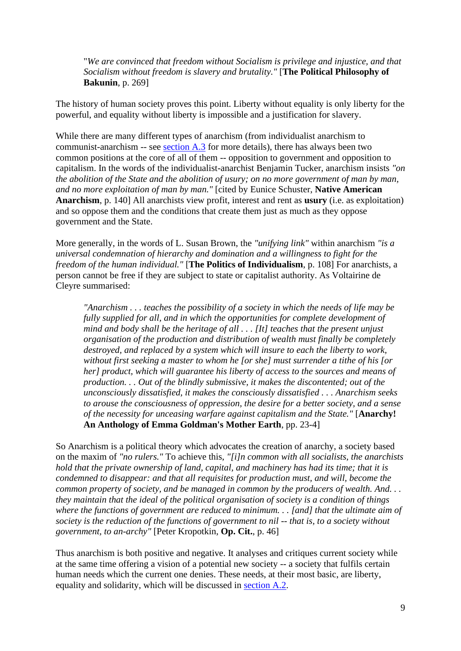"*We are convinced that freedom without Socialism is privilege and injustice, and that Socialism without freedom is slavery and brutality."* [**The Political Philosophy of Bakunin**, p. 269]

The history of human society proves this point. Liberty without equality is only liberty for the powerful, and equality without liberty is impossible and a justification for slavery.

While there are many different types of anarchism (from individualist anarchism to communist-anarchism -- see section  $A.3$  for more details), there has always been two common positions at the core of all of them -- opposition to government and opposition to capitalism. In the words of the individualist-anarchist Benjamin Tucker, anarchism insists *"on the abolition of the State and the abolition of usury; on no more government of man by man, and no more exploitation of man by man."* [cited by Eunice Schuster, **Native American Anarchism**, p. 140] All anarchists view profit, interest and rent as **usury** (i.e. as exploitation) and so oppose them and the conditions that create them just as much as they oppose government and the State.

More generally, in the words of L. Susan Brown, the *"unifying link"* within anarchism *"is a universal condemnation of hierarchy and domination and a willingness to fight for the freedom of the human individual."* [**The Politics of Individualism**, p. 108] For anarchists, a person cannot be free if they are subject to state or capitalist authority. As Voltairine de Cleyre summarised:

*"Anarchism . . . teaches the possibility of a society in which the needs of life may be fully supplied for all, and in which the opportunities for complete development of mind and body shall be the heritage of all . . . [It] teaches that the present unjust organisation of the production and distribution of wealth must finally be completely destroyed, and replaced by a system which will insure to each the liberty to work, without first seeking a master to whom he [or she] must surrender a tithe of his [or her] product, which will guarantee his liberty of access to the sources and means of production. . . Out of the blindly submissive, it makes the discontented; out of the unconsciously dissatisfied, it makes the consciously dissatisfied . . . Anarchism seeks to arouse the consciousness of oppression, the desire for a better society, and a sense of the necessity for unceasing warfare against capitalism and the State."* [**Anarchy! An Anthology of Emma Goldman's Mother Earth**, pp. 23-4]

So Anarchism is a political theory which advocates the creation of anarchy, a society based on the maxim of *"no rulers."* To achieve this, *"[i]n common with all socialists, the anarchists hold that the private ownership of land, capital, and machinery has had its time; that it is condemned to disappear: and that all requisites for production must, and will, become the common property of society, and be managed in common by the producers of wealth. And. . . they maintain that the ideal of the political organisation of society is a condition of things where the functions of government are reduced to minimum. . . [and] that the ultimate aim of society is the reduction of the functions of government to nil -- that is, to a society without government, to an-archy"* [Peter Kropotkin, **Op. Cit.**, p. 46]

Thus anarchism is both positive and negative. It analyses and critiques current society while at the same time offering a vision of a potential new society -- a society that fulfils certain human needs which the current one denies. These needs, at their most basic, are liberty, equality and solidarity, which will be discussed in [section A.2.](sectionA.html#seca2)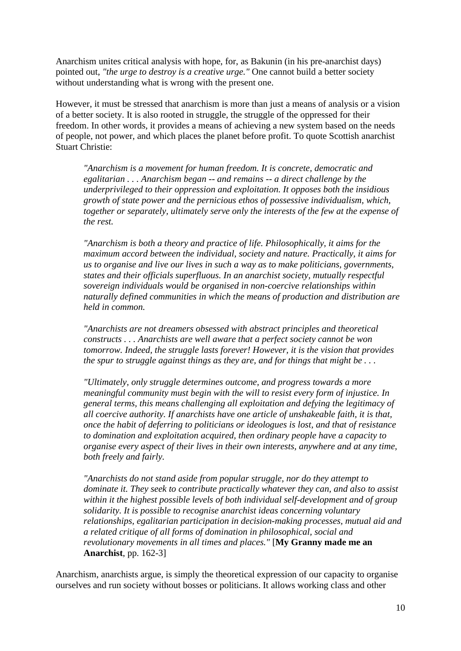Anarchism unites critical analysis with hope, for, as Bakunin (in his pre-anarchist days) pointed out, *"the urge to destroy is a creative urge."* One cannot build a better society without understanding what is wrong with the present one.

However, it must be stressed that anarchism is more than just a means of analysis or a vision of a better society. It is also rooted in struggle, the struggle of the oppressed for their freedom. In other words, it provides a means of achieving a new system based on the needs of people, not power, and which places the planet before profit. To quote Scottish anarchist Stuart Christie:

*"Anarchism is a movement for human freedom. It is concrete, democratic and egalitarian . . . Anarchism began -- and remains -- a direct challenge by the underprivileged to their oppression and exploitation. It opposes both the insidious growth of state power and the pernicious ethos of possessive individualism, which, together or separately, ultimately serve only the interests of the few at the expense of the rest.*

*"Anarchism is both a theory and practice of life. Philosophically, it aims for the maximum accord between the individual, society and nature. Practically, it aims for us to organise and live our lives in such a way as to make politicians, governments, states and their officials superfluous. In an anarchist society, mutually respectful sovereign individuals would be organised in non-coercive relationships within naturally defined communities in which the means of production and distribution are held in common.*

*"Anarchists are not dreamers obsessed with abstract principles and theoretical constructs . . . Anarchists are well aware that a perfect society cannot be won tomorrow. Indeed, the struggle lasts forever! However, it is the vision that provides the spur to struggle against things as they are, and for things that might be . . .*

*"Ultimately, only struggle determines outcome, and progress towards a more meaningful community must begin with the will to resist every form of injustice. In general terms, this means challenging all exploitation and defying the legitimacy of all coercive authority. If anarchists have one article of unshakeable faith, it is that, once the habit of deferring to politicians or ideologues is lost, and that of resistance to domination and exploitation acquired, then ordinary people have a capacity to organise every aspect of their lives in their own interests, anywhere and at any time, both freely and fairly.*

*"Anarchists do not stand aside from popular struggle, nor do they attempt to dominate it. They seek to contribute practically whatever they can, and also to assist within it the highest possible levels of both individual self-development and of group solidarity. It is possible to recognise anarchist ideas concerning voluntary relationships, egalitarian participation in decision-making processes, mutual aid and a related critique of all forms of domination in philosophical, social and revolutionary movements in all times and places."* [**My Granny made me an Anarchist**, pp. 162-3]

Anarchism, anarchists argue, is simply the theoretical expression of our capacity to organise ourselves and run society without bosses or politicians. It allows working class and other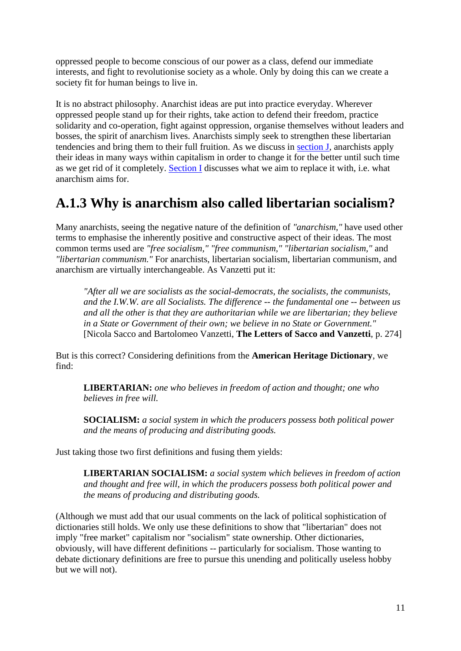oppressed people to become conscious of our power as a class, defend our immediate interests, and fight to revolutionise society as a whole. Only by doing this can we create a society fit for human beings to live in.

It is no abstract philosophy. Anarchist ideas are put into practice everyday. Wherever oppressed people stand up for their rights, take action to defend their freedom, practice solidarity and co-operation, fight against oppression, organise themselves without leaders and bosses, the spirit of anarchism lives. Anarchists simply seek to strengthen these libertarian tendencies and bring them to their full fruition. As we discuss in [section J,](sectionJ.html) anarchists apply their ideas in many ways within capitalism in order to change it for the better until such time as we get rid of it completely. [Section I](sectionI.html) discusses what we aim to replace it with, i.e. what anarchism aims for.

### <span id="page-10-0"></span>**A.1.3 Why is anarchism also called libertarian socialism?**

Many anarchists, seeing the negative nature of the definition of *"anarchism,"* have used other terms to emphasise the inherently positive and constructive aspect of their ideas. The most common terms used are *"free socialism," "free communism," "libertarian socialism,"* and *"libertarian communism."* For anarchists, libertarian socialism, libertarian communism, and anarchism are virtually interchangeable. As Vanzetti put it:

*"After all we are socialists as the social-democrats, the socialists, the communists, and the I.W.W. are all Socialists. The difference -- the fundamental one -- between us and all the other is that they are authoritarian while we are libertarian; they believe in a State or Government of their own; we believe in no State or Government."* [Nicola Sacco and Bartolomeo Vanzetti, **The Letters of Sacco and Vanzetti**, p. 274]

But is this correct? Considering definitions from the **American Heritage Dictionary**, we find:

**LIBERTARIAN:** *one who believes in freedom of action and thought; one who believes in free will.*

**SOCIALISM:** *a social system in which the producers possess both political power and the means of producing and distributing goods.*

Just taking those two first definitions and fusing them yields:

**LIBERTARIAN SOCIALISM:** *a social system which believes in freedom of action and thought and free will, in which the producers possess both political power and the means of producing and distributing goods.*

(Although we must add that our usual comments on the lack of political sophistication of dictionaries still holds. We only use these definitions to show that "libertarian" does not imply "free market" capitalism nor "socialism" state ownership. Other dictionaries, obviously, will have different definitions -- particularly for socialism. Those wanting to debate dictionary definitions are free to pursue this unending and politically useless hobby but we will not).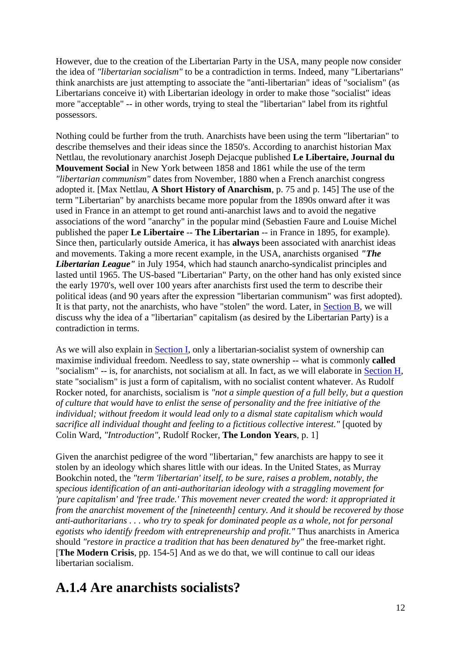However, due to the creation of the Libertarian Party in the USA, many people now consider the idea of *"libertarian socialism"* to be a contradiction in terms. Indeed, many "Libertarians" think anarchists are just attempting to associate the "anti-libertarian" ideas of "socialism" (as Libertarians conceive it) with Libertarian ideology in order to make those "socialist" ideas more "acceptable" -- in other words, trying to steal the "libertarian" label from its rightful possessors.

Nothing could be further from the truth. Anarchists have been using the term "libertarian" to describe themselves and their ideas since the 1850's. According to anarchist historian Max Nettlau, the revolutionary anarchist Joseph Dejacque published **Le Libertaire, Journal du Mouvement Social** in New York between 1858 and 1861 while the use of the term *"libertarian communism"* dates from November, 1880 when a French anarchist congress adopted it. [Max Nettlau, **A Short History of Anarchism**, p. 75 and p. 145] The use of the term "Libertarian" by anarchists became more popular from the 1890s onward after it was used in France in an attempt to get round anti-anarchist laws and to avoid the negative associations of the word "anarchy" in the popular mind (Sebastien Faure and Louise Michel published the paper **Le Libertaire** -- **The Libertarian** -- in France in 1895, for example). Since then, particularly outside America, it has **always** been associated with anarchist ideas and movements. Taking a more recent example, in the USA, anarchists organised *"The Libertarian League"* in July 1954, which had staunch anarcho-syndicalist principles and lasted until 1965. The US-based "Libertarian" Party, on the other hand has only existed since the early 1970's, well over 100 years after anarchists first used the term to describe their political ideas (and 90 years after the expression "libertarian communism" was first adopted). It is that party, not the anarchists, who have "stolen" the word. Later, in [Section B,](sectionB.html) we will discuss why the idea of a "libertarian" capitalism (as desired by the Libertarian Party) is a contradiction in terms.

As we will also explain in [Section I,](sectionI.html) only a libertarian-socialist system of ownership can maximise individual freedom. Needless to say, state ownership -- what is commonly **called** "socialism" -- is, for anarchists, not socialism at all. In fact, as we will elaborate in [Section H,](sectionH.html) state "socialism" is just a form of capitalism, with no socialist content whatever. As Rudolf Rocker noted, for anarchists, socialism is *"not a simple question of a full belly, but a question of culture that would have to enlist the sense of personality and the free initiative of the individual; without freedom it would lead only to a dismal state capitalism which would sacrifice all individual thought and feeling to a fictitious collective interest."* [quoted by Colin Ward, *"Introduction"*, Rudolf Rocker, **The London Years**, p. 1]

Given the anarchist pedigree of the word "libertarian," few anarchists are happy to see it stolen by an ideology which shares little with our ideas. In the United States, as Murray Bookchin noted, the *"term 'libertarian' itself, to be sure, raises a problem, notably, the specious identification of an anti-authoritarian ideology with a straggling movement for 'pure capitalism' and 'free trade.' This movement never created the word: it appropriated it from the anarchist movement of the [nineteenth] century. And it should be recovered by those anti-authoritarians . . . who try to speak for dominated people as a whole, not for personal egotists who identify freedom with entrepreneurship and profit."* Thus anarchists in America should *"restore in practice a tradition that has been denatured by"* the free-market right. [**The Modern Crisis**, pp. 154-5] And as we do that, we will continue to call our ideas libertarian socialism.

#### <span id="page-11-0"></span>**A.1.4 Are anarchists socialists?**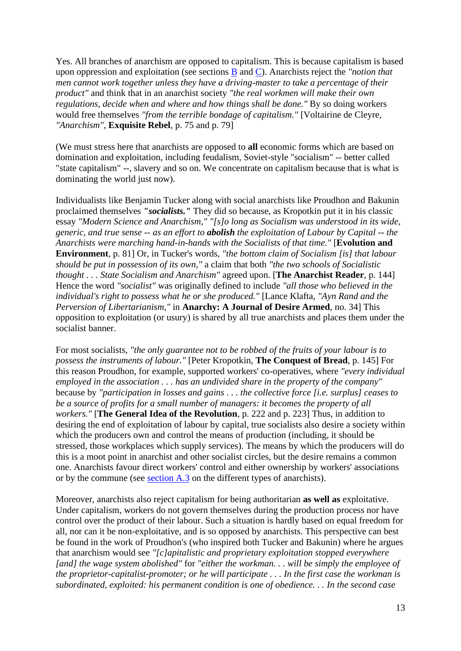Yes. All branches of anarchism are opposed to capitalism. This is because capitalism is based upon oppression and exploitation (see sections [B](sectionB.html) and [C\)](sectionC.html). Anarchists reject the *"notion that men cannot work together unless they have a driving-master to take a percentage of their product"* and think that in an anarchist society *"the real workmen will make their own regulations, decide when and where and how things shall be done."* By so doing workers would free themselves *"from the terrible bondage of capitalism."* [Voltairine de Cleyre, *"Anarchism"*, **Exquisite Rebel**, p. 75 and p. 79]

(We must stress here that anarchists are opposed to **all** economic forms which are based on domination and exploitation, including feudalism, Soviet-style "socialism" -- better called "state capitalism" --, slavery and so on. We concentrate on capitalism because that is what is dominating the world just now).

Individualists like Benjamin Tucker along with social anarchists like Proudhon and Bakunin proclaimed themselves *"socialists."* They did so because, as Kropotkin put it in his classic essay *"Modern Science and Anarchism," "[s]o long as Socialism was understood in its wide, generic, and true sense -- as an effort to abolish the exploitation of Labour by Capital -- the Anarchists were marching hand-in-hands with the Socialists of that time."* [**Evolution and Environment**, p. 81] Or, in Tucker's words, *"the bottom claim of Socialism [is] that labour should be put in possession of its own,"* a claim that both *"the two schools of Socialistic thought . . . State Socialism and Anarchism"* agreed upon. [**The Anarchist Reader**, p. 144] Hence the word *"socialist"* was originally defined to include *"all those who believed in the individual's right to possess what he or she produced."* [Lance Klafta, *"Ayn Rand and the Perversion of Libertarianism,"* in **Anarchy: A Journal of Desire Armed**, no. 34] This opposition to exploitation (or usury) is shared by all true anarchists and places them under the socialist banner.

For most socialists, *"the only guarantee not to be robbed of the fruits of your labour is to possess the instruments of labour."* [Peter Kropotkin, **The Conquest of Bread**, p. 145] For this reason Proudhon, for example, supported workers' co-operatives, where *"every individual employed in the association . . . has an undivided share in the property of the company"* because by *"participation in losses and gains . . . the collective force [i.e. surplus] ceases to be a source of profits for a small number of managers: it becomes the property of all workers."* [**The General Idea of the Revolution**, p. 222 and p. 223] Thus, in addition to desiring the end of exploitation of labour by capital, true socialists also desire a society within which the producers own and control the means of production (including, it should be stressed, those workplaces which supply services). The means by which the producers will do this is a moot point in anarchist and other socialist circles, but the desire remains a common one. Anarchists favour direct workers' control and either ownership by workers' associations or by the commune (see [section A.3](sectionA.html#seca3) on the different types of anarchists).

Moreover, anarchists also reject capitalism for being authoritarian **as well as** exploitative. Under capitalism, workers do not govern themselves during the production process nor have control over the product of their labour. Such a situation is hardly based on equal freedom for all, nor can it be non-exploitative, and is so opposed by anarchists. This perspective can best be found in the work of Proudhon's (who inspired both Tucker and Bakunin) where he argues that anarchism would see *"[c]apitalistic and proprietary exploitation stopped everywhere [and] the wage system abolished"* for *"either the workman. . . will be simply the employee of the proprietor-capitalist-promoter; or he will participate . . . In the first case the workman is subordinated, exploited: his permanent condition is one of obedience. . . In the second case*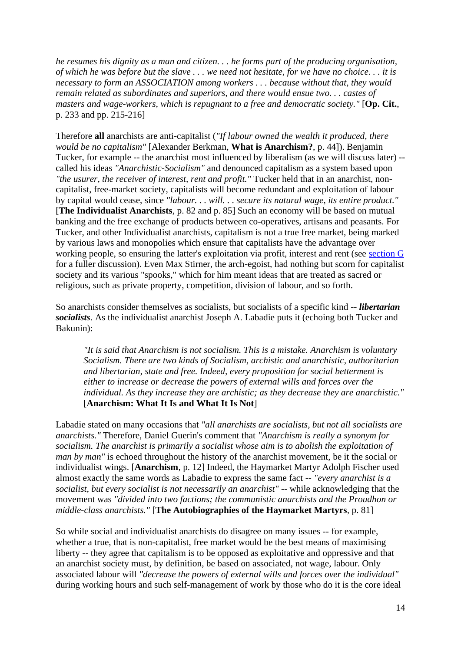*he resumes his dignity as a man and citizen. . . he forms part of the producing organisation, of which he was before but the slave . . . we need not hesitate, for we have no choice. . . it is necessary to form an ASSOCIATION among workers . . . because without that, they would remain related as subordinates and superiors, and there would ensue two. . . castes of masters and wage-workers, which is repugnant to a free and democratic society."* [**Op. Cit.**, p. 233 and pp. 215-216]

Therefore **all** anarchists are anti-capitalist (*"If labour owned the wealth it produced, there would be no capitalism"* [Alexander Berkman, **What is Anarchism?**, p. 44]). Benjamin Tucker, for example -- the anarchist most influenced by liberalism (as we will discuss later) - called his ideas *"Anarchistic-Socialism"* and denounced capitalism as a system based upon *"the usurer, the receiver of interest, rent and profit."* Tucker held that in an anarchist, noncapitalist, free-market society, capitalists will become redundant and exploitation of labour by capital would cease, since *"labour. . . will. . . secure its natural wage, its entire product."* [**The Individualist Anarchists**, p. 82 and p. 85] Such an economy will be based on mutual banking and the free exchange of products between co-operatives, artisans and peasants. For Tucker, and other Individualist anarchists, capitalism is not a true free market, being marked by various laws and monopolies which ensure that capitalists have the advantage over working people, so ensuring the latter's exploitation via profit, interest and rent (see [section G](sectionG.html) for a fuller discussion). Even Max Stirner, the arch-egoist, had nothing but scorn for capitalist society and its various "spooks," which for him meant ideas that are treated as sacred or religious, such as private property, competition, division of labour, and so forth.

So anarchists consider themselves as socialists, but socialists of a specific kind -- *libertarian socialists*. As the individualist anarchist Joseph A. Labadie puts it (echoing both Tucker and Bakunin):

*"It is said that Anarchism is not socialism. This is a mistake. Anarchism is voluntary Socialism. There are two kinds of Socialism, archistic and anarchistic, authoritarian and libertarian, state and free. Indeed, every proposition for social betterment is either to increase or decrease the powers of external wills and forces over the individual. As they increase they are archistic; as they decrease they are anarchistic."* [**Anarchism: What It Is and What It Is Not**]

Labadie stated on many occasions that *"all anarchists are socialists, but not all socialists are anarchists."* Therefore, Daniel Guerin's comment that *"Anarchism is really a synonym for socialism. The anarchist is primarily a socialist whose aim is to abolish the exploitation of man by man"* is echoed throughout the history of the anarchist movement, be it the social or individualist wings. [**Anarchism**, p. 12] Indeed, the Haymarket Martyr Adolph Fischer used almost exactly the same words as Labadie to express the same fact -- *"every anarchist is a socialist, but every socialist is not necessarily an anarchist"* -- while acknowledging that the movement was *"divided into two factions; the communistic anarchists and the Proudhon or middle-class anarchists."* [**The Autobiographies of the Haymarket Martyrs**, p. 81]

So while social and individualist anarchists do disagree on many issues -- for example, whether a true, that is non-capitalist, free market would be the best means of maximising liberty -- they agree that capitalism is to be opposed as exploitative and oppressive and that an anarchist society must, by definition, be based on associated, not wage, labour. Only associated labour will *"decrease the powers of external wills and forces over the individual"* during working hours and such self-management of work by those who do it is the core ideal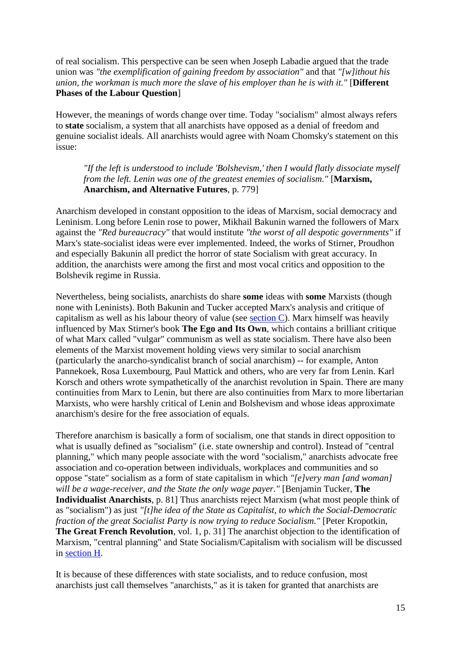of real socialism. This perspective can be seen when Joseph Labadie argued that the trade union was *"the exemplification of gaining freedom by association"* and that *"[w]ithout his union, the workman is much more the slave of his employer than he is with it."* [**Different Phases of the Labour Question**]

However, the meanings of words change over time. Today "socialism" almost always refers to **state** socialism, a system that all anarchists have opposed as a denial of freedom and genuine socialist ideals. All anarchists would agree with Noam Chomsky's statement on this issue:

*"If the left is understood to include 'Bolshevism,' then I would flatly dissociate myself from the left. Lenin was one of the greatest enemies of socialism."* [**Marxism, Anarchism, and Alternative Futures**, p. 779]

Anarchism developed in constant opposition to the ideas of Marxism, social democracy and Leninism. Long before Lenin rose to power, Mikhail Bakunin warned the followers of Marx against the *"Red bureaucracy"* that would institute *"the worst of all despotic governments"* if Marx's state-socialist ideas were ever implemented. Indeed, the works of Stirner, Proudhon and especially Bakunin all predict the horror of state Socialism with great accuracy. In addition, the anarchists were among the first and most vocal critics and opposition to the Bolshevik regime in Russia.

Nevertheless, being socialists, anarchists do share **some** ideas with **some** Marxists (though none with Leninists). Both Bakunin and Tucker accepted Marx's analysis and critique of capitalism as well as his labour theory of value (see [section C\)](sectionC.html). Marx himself was heavily influenced by Max Stirner's book **The Ego and Its Own**, which contains a brilliant critique of what Marx called "vulgar" communism as well as state socialism. There have also been elements of the Marxist movement holding views very similar to social anarchism (particularly the anarcho-syndicalist branch of social anarchism) -- for example, Anton Pannekoek, Rosa Luxembourg, Paul Mattick and others, who are very far from Lenin. Karl Korsch and others wrote sympathetically of the anarchist revolution in Spain. There are many continuities from Marx to Lenin, but there are also continuities from Marx to more libertarian Marxists, who were harshly critical of Lenin and Bolshevism and whose ideas approximate anarchism's desire for the free association of equals.

Therefore anarchism is basically a form of socialism, one that stands in direct opposition to what is usually defined as "socialism" (i.e. state ownership and control). Instead of "central planning," which many people associate with the word "socialism," anarchists advocate free association and co-operation between individuals, workplaces and communities and so oppose "state" socialism as a form of state capitalism in which *"[e]very man [and woman] will be a wage-receiver, and the State the only wage payer."* [Benjamin Tucker, **The Individualist Anarchists**, p. 81] Thus anarchists reject Marxism (what most people think of as "socialism") as just *"[t]he idea of the State as Capitalist, to which the Social-Democratic fraction of the great Socialist Party is now trying to reduce Socialism."* [Peter Kropotkin, **The Great French Revolution**, vol. 1, p. 31] The anarchist objection to the identification of Marxism, "central planning" and State Socialism/Capitalism with socialism will be discussed in [section H.](sectionH.html)

It is because of these differences with state socialists, and to reduce confusion, most anarchists just call themselves "anarchists," as it is taken for granted that anarchists are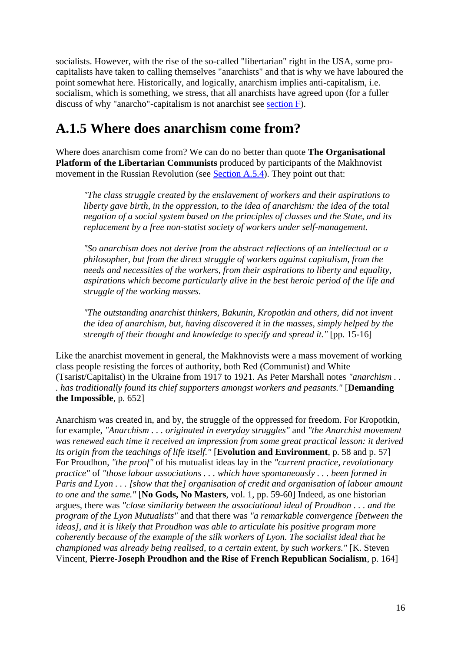socialists. However, with the rise of the so-called "libertarian" right in the USA, some procapitalists have taken to calling themselves "anarchists" and that is why we have laboured the point somewhat here. Historically, and logically, anarchism implies anti-capitalism, i.e. socialism, which is something, we stress, that all anarchists have agreed upon (for a fuller discuss of why "anarcho"-capitalism is not anarchist see [section F\)](sectionF.html).

### <span id="page-15-0"></span>**A.1.5 Where does anarchism come from?**

Where does anarchism come from? We can do no better than quote **The Organisational Platform of the Libertarian Communists** produced by participants of the Makhnovist movement in the Russian Revolution (see [Section A.5.4\)](sectionA.html#seca54). They point out that:

*"The class struggle created by the enslavement of workers and their aspirations to liberty gave birth, in the oppression, to the idea of anarchism: the idea of the total negation of a social system based on the principles of classes and the State, and its replacement by a free non-statist society of workers under self-management.*

*"So anarchism does not derive from the abstract reflections of an intellectual or a philosopher, but from the direct struggle of workers against capitalism, from the needs and necessities of the workers, from their aspirations to liberty and equality, aspirations which become particularly alive in the best heroic period of the life and struggle of the working masses.*

*"The outstanding anarchist thinkers, Bakunin, Kropotkin and others, did not invent the idea of anarchism, but, having discovered it in the masses, simply helped by the strength of their thought and knowledge to specify and spread it."* [pp. 15-16]

Like the anarchist movement in general, the Makhnovists were a mass movement of working class people resisting the forces of authority, both Red (Communist) and White (Tsarist/Capitalist) in the Ukraine from 1917 to 1921. As Peter Marshall notes *"anarchism . . . has traditionally found its chief supporters amongst workers and peasants."* [**Demanding the Impossible**, p. 652]

Anarchism was created in, and by, the struggle of the oppressed for freedom. For Kropotkin, for example, *"Anarchism . . . originated in everyday struggles"* and *"the Anarchist movement was renewed each time it received an impression from some great practical lesson: it derived its origin from the teachings of life itself."* [**Evolution and Environment**, p. 58 and p. 57] For Proudhon, *"the proof"* of his mutualist ideas lay in the *"current practice, revolutionary practice"* of *"those labour associations . . . which have spontaneously . . . been formed in Paris and Lyon . . . [show that the] organisation of credit and organisation of labour amount to one and the same."* [**No Gods, No Masters**, vol. 1, pp. 59-60] Indeed, as one historian argues, there was *"close similarity between the associational ideal of Proudhon . . . and the program of the Lyon Mutualists"* and that there was *"a remarkable convergence [between the ideas], and it is likely that Proudhon was able to articulate his positive program more coherently because of the example of the silk workers of Lyon. The socialist ideal that he championed was already being realised, to a certain extent, by such workers."* [K. Steven Vincent, **Pierre-Joseph Proudhon and the Rise of French Republican Socialism**, p. 164]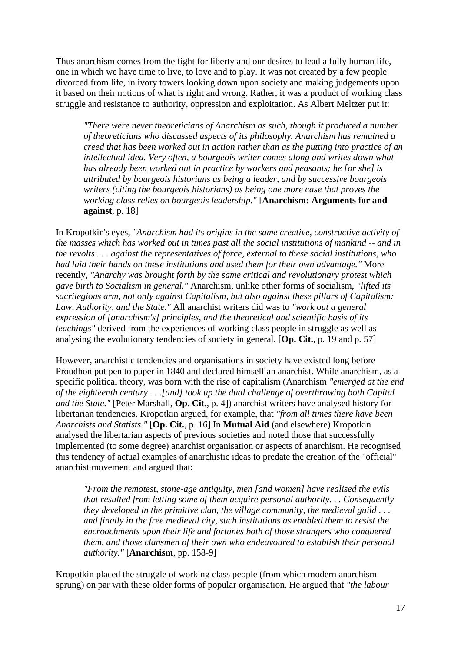Thus anarchism comes from the fight for liberty and our desires to lead a fully human life, one in which we have time to live, to love and to play. It was not created by a few people divorced from life, in ivory towers looking down upon society and making judgements upon it based on their notions of what is right and wrong. Rather, it was a product of working class struggle and resistance to authority, oppression and exploitation. As Albert Meltzer put it:

*"There were never theoreticians of Anarchism as such, though it produced a number of theoreticians who discussed aspects of its philosophy. Anarchism has remained a creed that has been worked out in action rather than as the putting into practice of an intellectual idea. Very often, a bourgeois writer comes along and writes down what has already been worked out in practice by workers and peasants; he [or she] is attributed by bourgeois historians as being a leader, and by successive bourgeois writers (citing the bourgeois historians) as being one more case that proves the working class relies on bourgeois leadership."* [**Anarchism: Arguments for and against**, p. 18]

In Kropotkin's eyes, *"Anarchism had its origins in the same creative, constructive activity of the masses which has worked out in times past all the social institutions of mankind -- and in the revolts . . . against the representatives of force, external to these social institutions, who had laid their hands on these institutions and used them for their own advantage."* More recently, *"Anarchy was brought forth by the same critical and revolutionary protest which gave birth to Socialism in general."* Anarchism, unlike other forms of socialism, *"lifted its sacrilegious arm, not only against Capitalism, but also against these pillars of Capitalism: Law, Authority, and the State."* All anarchist writers did was to *"work out a general expression of [anarchism's] principles, and the theoretical and scientific basis of its teachings"* derived from the experiences of working class people in struggle as well as analysing the evolutionary tendencies of society in general. [**Op. Cit.**, p. 19 and p. 57]

However, anarchistic tendencies and organisations in society have existed long before Proudhon put pen to paper in 1840 and declared himself an anarchist. While anarchism, as a specific political theory, was born with the rise of capitalism (Anarchism *"emerged at the end of the eighteenth century . . .[and] took up the dual challenge of overthrowing both Capital and the State."* [Peter Marshall, **Op. Cit.**, p. 4]) anarchist writers have analysed history for libertarian tendencies. Kropotkin argued, for example, that *"from all times there have been Anarchists and Statists."* [**Op. Cit.**, p. 16] In **Mutual Aid** (and elsewhere) Kropotkin analysed the libertarian aspects of previous societies and noted those that successfully implemented (to some degree) anarchist organisation or aspects of anarchism. He recognised this tendency of actual examples of anarchistic ideas to predate the creation of the "official" anarchist movement and argued that:

*"From the remotest, stone-age antiquity, men [and women] have realised the evils that resulted from letting some of them acquire personal authority. . . Consequently they developed in the primitive clan, the village community, the medieval guild . . . and finally in the free medieval city, such institutions as enabled them to resist the encroachments upon their life and fortunes both of those strangers who conquered them, and those clansmen of their own who endeavoured to establish their personal authority."* [**Anarchism**, pp. 158-9]

Kropotkin placed the struggle of working class people (from which modern anarchism sprung) on par with these older forms of popular organisation. He argued that *"the labour*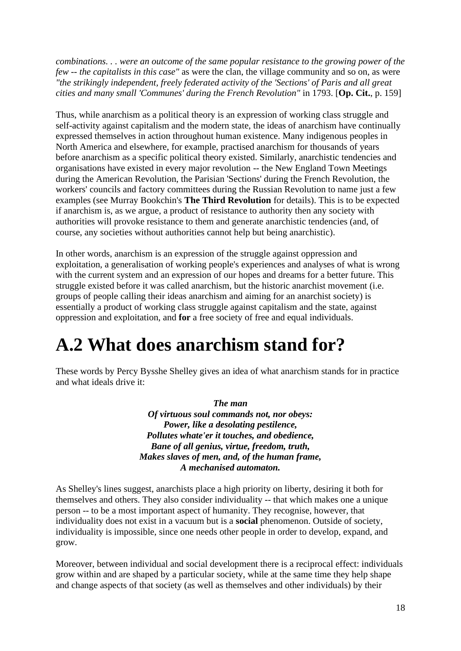*combinations. . . were an outcome of the same popular resistance to the growing power of the few -- the capitalists in this case"* as were the clan, the village community and so on, as were *"the strikingly independent, freely federated activity of the 'Sections' of Paris and all great cities and many small 'Communes' during the French Revolution"* in 1793. [**Op. Cit.**, p. 159]

Thus, while anarchism as a political theory is an expression of working class struggle and self-activity against capitalism and the modern state, the ideas of anarchism have continually expressed themselves in action throughout human existence. Many indigenous peoples in North America and elsewhere, for example, practised anarchism for thousands of years before anarchism as a specific political theory existed. Similarly, anarchistic tendencies and organisations have existed in every major revolution -- the New England Town Meetings during the American Revolution, the Parisian 'Sections' during the French Revolution, the workers' councils and factory committees during the Russian Revolution to name just a few examples (see Murray Bookchin's **The Third Revolution** for details). This is to be expected if anarchism is, as we argue, a product of resistance to authority then any society with authorities will provoke resistance to them and generate anarchistic tendencies (and, of course, any societies without authorities cannot help but being anarchistic).

In other words, anarchism is an expression of the struggle against oppression and exploitation, a generalisation of working people's experiences and analyses of what is wrong with the current system and an expression of our hopes and dreams for a better future. This struggle existed before it was called anarchism, but the historic anarchist movement (i.e. groups of people calling their ideas anarchism and aiming for an anarchist society) is essentially a product of working class struggle against capitalism and the state, against oppression and exploitation, and **for** a free society of free and equal individuals.

### <span id="page-17-0"></span>**A.2 What does anarchism stand for?**

These words by Percy Bysshe Shelley gives an idea of what anarchism stands for in practice and what ideals drive it:

*The man* 

*Of virtuous soul commands not, nor obeys: Power, like a desolating pestilence, Pollutes whate'er it touches, and obedience, Bane of all genius, virtue, freedom, truth, Makes slaves of men, and, of the human frame, A mechanised automaton.*

As Shelley's lines suggest, anarchists place a high priority on liberty, desiring it both for themselves and others. They also consider individuality -- that which makes one a unique person -- to be a most important aspect of humanity. They recognise, however, that individuality does not exist in a vacuum but is a **social** phenomenon. Outside of society, individuality is impossible, since one needs other people in order to develop, expand, and grow.

Moreover, between individual and social development there is a reciprocal effect: individuals grow within and are shaped by a particular society, while at the same time they help shape and change aspects of that society (as well as themselves and other individuals) by their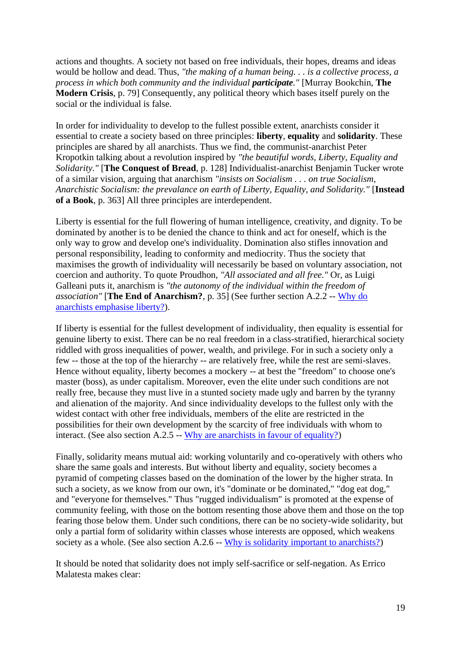actions and thoughts. A society not based on free individuals, their hopes, dreams and ideas would be hollow and dead. Thus, *"the making of a human being. . . is a collective process, a process in which both community and the individual participate."* [Murray Bookchin, **The Modern Crisis**, p. 79] Consequently, any political theory which bases itself purely on the social or the individual is false.

In order for individuality to develop to the fullest possible extent, anarchists consider it essential to create a society based on three principles: **liberty**, **equality** and **solidarity**. These principles are shared by all anarchists. Thus we find, the communist-anarchist Peter Kropotkin talking about a revolution inspired by *"the beautiful words, Liberty, Equality and Solidarity."* [**The Conquest of Bread**, p. 128] Individualist-anarchist Benjamin Tucker wrote of a similar vision, arguing that anarchism *"insists on Socialism . . . on true Socialism, Anarchistic Socialism: the prevalance on earth of Liberty, Equality, and Solidarity."* [**Instead of a Book**, p. 363] All three principles are interdependent.

Liberty is essential for the full flowering of human intelligence, creativity, and dignity. To be dominated by another is to be denied the chance to think and act for oneself, which is the only way to grow and develop one's individuality. Domination also stifles innovation and personal responsibility, leading to conformity and mediocrity. Thus the society that maximises the growth of individuality will necessarily be based on voluntary association, not coercion and authority. To quote Proudhon, *"All associated and all free."* Or, as Luigi Galleani puts it, anarchism is *"the autonomy of the individual within the freedom of association"* [**The End of Anarchism?**, p. 35] (See further section A.2.2 -- [Why do](sectionA.html#seca22)  [anarchists emphasise liberty?\)](sectionA.html#seca22).

If liberty is essential for the fullest development of individuality, then equality is essential for genuine liberty to exist. There can be no real freedom in a class-stratified, hierarchical society riddled with gross inequalities of power, wealth, and privilege. For in such a society only a few -- those at the top of the hierarchy -- are relatively free, while the rest are semi-slaves. Hence without equality, liberty becomes a mockery -- at best the "freedom" to choose one's master (boss), as under capitalism. Moreover, even the elite under such conditions are not really free, because they must live in a stunted society made ugly and barren by the tyranny and alienation of the majority. And since individuality develops to the fullest only with the widest contact with other free individuals, members of the elite are restricted in the possibilities for their own development by the scarcity of free individuals with whom to interact. (See also section A.2.5 -- [Why are anarchists in favour of equality?\)](sectionA.html#seca25)

Finally, solidarity means mutual aid: working voluntarily and co-operatively with others who share the same goals and interests. But without liberty and equality, society becomes a pyramid of competing classes based on the domination of the lower by the higher strata. In such a society, as we know from our own, it's "dominate or be dominated," "dog eat dog," and "everyone for themselves." Thus "rugged individualism" is promoted at the expense of community feeling, with those on the bottom resenting those above them and those on the top fearing those below them. Under such conditions, there can be no society-wide solidarity, but only a partial form of solidarity within classes whose interests are opposed, which weakens society as a whole. (See also section A.2.6 -- [Why is solidarity important to anarchists?\)](sectionA.html#seca26)

It should be noted that solidarity does not imply self-sacrifice or self-negation. As Errico Malatesta makes clear: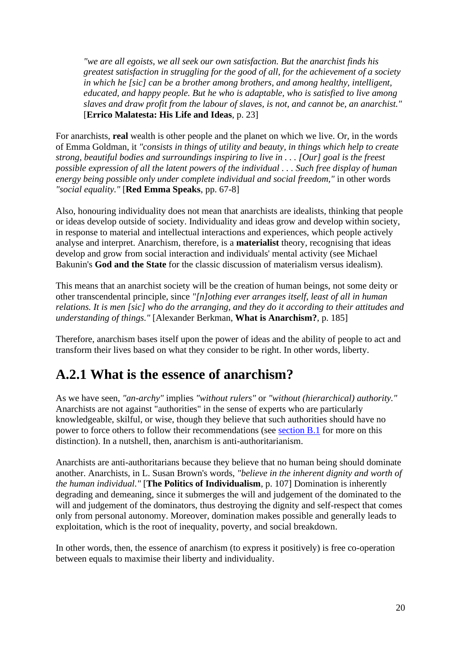*"we are all egoists, we all seek our own satisfaction. But the anarchist finds his greatest satisfaction in struggling for the good of all, for the achievement of a society in which he [sic] can be a brother among brothers, and among healthy, intelligent, educated, and happy people. But he who is adaptable, who is satisfied to live among slaves and draw profit from the labour of slaves, is not, and cannot be, an anarchist."* [**Errico Malatesta: His Life and Ideas**, p. 23]

For anarchists, **real** wealth is other people and the planet on which we live. Or, in the words of Emma Goldman, it *"consists in things of utility and beauty, in things which help to create strong, beautiful bodies and surroundings inspiring to live in . . . [Our] goal is the freest possible expression of all the latent powers of the individual . . . Such free display of human energy being possible only under complete individual and social freedom,"* in other words *"social equality."* [**Red Emma Speaks**, pp. 67-8]

Also, honouring individuality does not mean that anarchists are idealists, thinking that people or ideas develop outside of society. Individuality and ideas grow and develop within society, in response to material and intellectual interactions and experiences, which people actively analyse and interpret. Anarchism, therefore, is a **materialist** theory, recognising that ideas develop and grow from social interaction and individuals' mental activity (see Michael Bakunin's **God and the State** for the classic discussion of materialism versus idealism).

This means that an anarchist society will be the creation of human beings, not some deity or other transcendental principle, since *"[n]othing ever arranges itself, least of all in human relations. It is men [sic] who do the arranging, and they do it according to their attitudes and understanding of things."* [Alexander Berkman, **What is Anarchism?**, p. 185]

Therefore, anarchism bases itself upon the power of ideas and the ability of people to act and transform their lives based on what they consider to be right. In other words, liberty.

#### <span id="page-19-0"></span>**A.2.1 What is the essence of anarchism?**

As we have seen, *"an-archy"* implies *"without rulers"* or *"without (hierarchical) authority."* Anarchists are not against "authorities" in the sense of experts who are particularly knowledgeable, skilful, or wise, though they believe that such authorities should have no power to force others to follow their recommendations (see [section B.1](sectionB.html#secB1) for more on this distinction). In a nutshell, then, anarchism is anti-authoritarianism.

Anarchists are anti-authoritarians because they believe that no human being should dominate another. Anarchists, in L. Susan Brown's words, *"believe in the inherent dignity and worth of the human individual."* [**The Politics of Individualism**, p. 107] Domination is inherently degrading and demeaning, since it submerges the will and judgement of the dominated to the will and judgement of the dominators, thus destroying the dignity and self-respect that comes only from personal autonomy. Moreover, domination makes possible and generally leads to exploitation, which is the root of inequality, poverty, and social breakdown.

In other words, then, the essence of anarchism (to express it positively) is free co-operation between equals to maximise their liberty and individuality.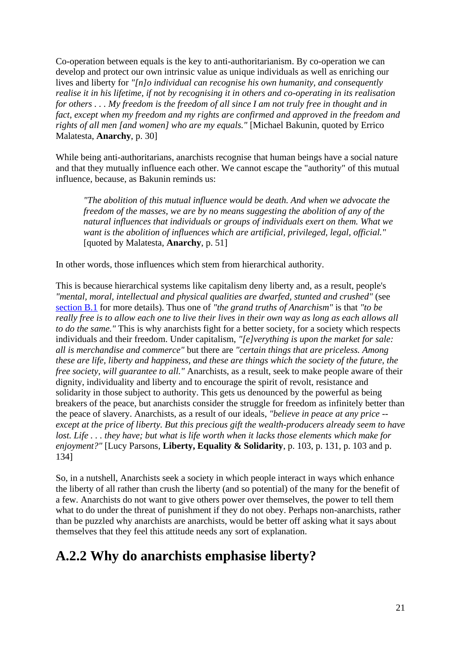Co-operation between equals is the key to anti-authoritarianism. By co-operation we can develop and protect our own intrinsic value as unique individuals as well as enriching our lives and liberty for *"[n]o individual can recognise his own humanity, and consequently realise it in his lifetime, if not by recognising it in others and co-operating in its realisation for others . . . My freedom is the freedom of all since I am not truly free in thought and in fact, except when my freedom and my rights are confirmed and approved in the freedom and rights of all men [and women] who are my equals."* [Michael Bakunin, quoted by Errico Malatesta, **Anarchy**, p. 30]

While being anti-authoritarians, anarchists recognise that human beings have a social nature and that they mutually influence each other. We cannot escape the "authority" of this mutual influence, because, as Bakunin reminds us:

*"The abolition of this mutual influence would be death. And when we advocate the freedom of the masses, we are by no means suggesting the abolition of any of the natural influences that individuals or groups of individuals exert on them. What we want is the abolition of influences which are artificial, privileged, legal, official."* [quoted by Malatesta, **Anarchy**, p. 51]

In other words, those influences which stem from hierarchical authority.

This is because hierarchical systems like capitalism deny liberty and, as a result, people's *"mental, moral, intellectual and physical qualities are dwarfed, stunted and crushed"* (see [section B.1](sectionB.html#secb1) for more details). Thus one of *"the grand truths of Anarchism"* is that *"to be really free is to allow each one to live their lives in their own way as long as each allows all to do the same."* This is why anarchists fight for a better society, for a society which respects individuals and their freedom. Under capitalism, *"[e]verything is upon the market for sale: all is merchandise and commerce"* but there are *"certain things that are priceless. Among these are life, liberty and happiness, and these are things which the society of the future, the free society, will guarantee to all."* Anarchists, as a result, seek to make people aware of their dignity, individuality and liberty and to encourage the spirit of revolt, resistance and solidarity in those subject to authority. This gets us denounced by the powerful as being breakers of the peace, but anarchists consider the struggle for freedom as infinitely better than the peace of slavery. Anarchists, as a result of our ideals, *"believe in peace at any price - except at the price of liberty. But this precious gift the wealth-producers already seem to have lost. Life . . . they have; but what is life worth when it lacks those elements which make for enjoyment?"* [Lucy Parsons, **Liberty, Equality & Solidarity**, p. 103, p. 131, p. 103 and p. 134]

So, in a nutshell, Anarchists seek a society in which people interact in ways which enhance the liberty of all rather than crush the liberty (and so potential) of the many for the benefit of a few. Anarchists do not want to give others power over themselves, the power to tell them what to do under the threat of punishment if they do not obey. Perhaps non-anarchists, rather than be puzzled why anarchists are anarchists, would be better off asking what it says about themselves that they feel this attitude needs any sort of explanation.

### <span id="page-20-0"></span>**A.2.2 Why do anarchists emphasise liberty?**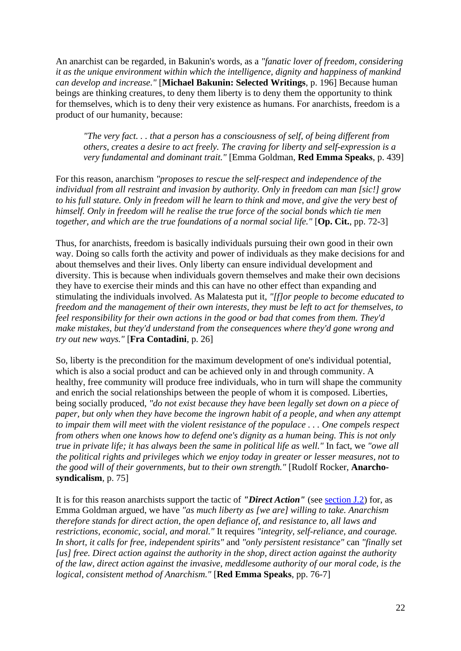An anarchist can be regarded, in Bakunin's words, as a *"fanatic lover of freedom, considering it as the unique environment within which the intelligence, dignity and happiness of mankind can develop and increase."* [**Michael Bakunin: Selected Writings**, p. 196] Because human beings are thinking creatures, to deny them liberty is to deny them the opportunity to think for themselves, which is to deny their very existence as humans. For anarchists, freedom is a product of our humanity, because:

*"The very fact. . . that a person has a consciousness of self, of being different from others, creates a desire to act freely. The craving for liberty and self-expression is a very fundamental and dominant trait."* [Emma Goldman, **Red Emma Speaks**, p. 439]

For this reason, anarchism *"proposes to rescue the self-respect and independence of the individual from all restraint and invasion by authority. Only in freedom can man [sic!] grow to his full stature. Only in freedom will he learn to think and move, and give the very best of himself. Only in freedom will he realise the true force of the social bonds which tie men together, and which are the true foundations of a normal social life."* [**Op. Cit.**, pp. 72-3]

Thus, for anarchists, freedom is basically individuals pursuing their own good in their own way. Doing so calls forth the activity and power of individuals as they make decisions for and about themselves and their lives. Only liberty can ensure individual development and diversity. This is because when individuals govern themselves and make their own decisions they have to exercise their minds and this can have no other effect than expanding and stimulating the individuals involved. As Malatesta put it, *"[f]or people to become educated to freedom and the management of their own interests, they must be left to act for themselves, to feel responsibility for their own actions in the good or bad that comes from them. They'd make mistakes, but they'd understand from the consequences where they'd gone wrong and try out new ways."* [**Fra Contadini**, p. 26]

So, liberty is the precondition for the maximum development of one's individual potential, which is also a social product and can be achieved only in and through community. A healthy, free community will produce free individuals, who in turn will shape the community and enrich the social relationships between the people of whom it is composed. Liberties, being socially produced, *"do not exist because they have been legally set down on a piece of paper, but only when they have become the ingrown habit of a people, and when any attempt to impair them will meet with the violent resistance of the populace . . . One compels respect from others when one knows how to defend one's dignity as a human being. This is not only true in private life; it has always been the same in political life as well."* In fact, we *"owe all the political rights and privileges which we enjoy today in greater or lesser measures, not to the good will of their governments, but to their own strength."* [Rudolf Rocker, **Anarchosyndicalism**, p. 75]

It is for this reason anarchists support the tactic of *"Direct Action"* (see [section J.2\)](sectionJ.html#secj2) for, as Emma Goldman argued, we have *"as much liberty as [we are] willing to take. Anarchism therefore stands for direct action, the open defiance of, and resistance to, all laws and restrictions, economic, social, and moral."* It requires *"integrity, self-reliance, and courage. In short, it calls for free, independent spirits"* and *"only persistent resistance"* can *"finally set [us] free. Direct action against the authority in the shop, direct action against the authority of the law, direct action against the invasive, meddlesome authority of our moral code, is the logical, consistent method of Anarchism."* [**Red Emma Speaks**, pp. 76-7]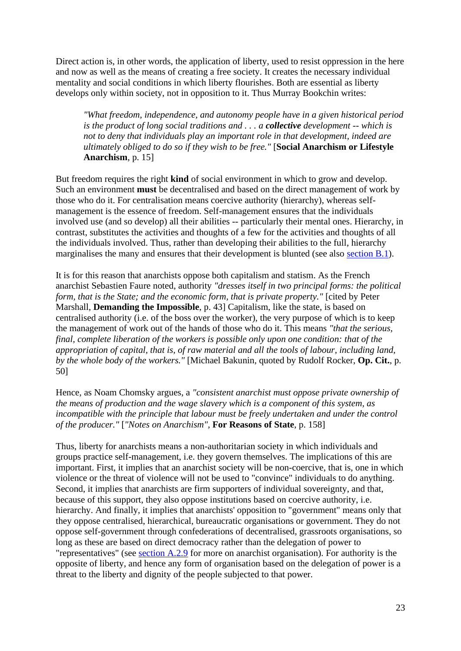Direct action is, in other words, the application of liberty, used to resist oppression in the here and now as well as the means of creating a free society. It creates the necessary individual mentality and social conditions in which liberty flourishes. Both are essential as liberty develops only within society, not in opposition to it. Thus Murray Bookchin writes:

*"What freedom, independence, and autonomy people have in a given historical period is the product of long social traditions and . . . a collective development -- which is not to deny that individuals play an important role in that development, indeed are ultimately obliged to do so if they wish to be free."* [**Social Anarchism or Lifestyle Anarchism**, p. 15]

But freedom requires the right **kind** of social environment in which to grow and develop. Such an environment **must** be decentralised and based on the direct management of work by those who do it. For centralisation means coercive authority (hierarchy), whereas selfmanagement is the essence of freedom. Self-management ensures that the individuals involved use (and so develop) all their abilities -- particularly their mental ones. Hierarchy, in contrast, substitutes the activities and thoughts of a few for the activities and thoughts of all the individuals involved. Thus, rather than developing their abilities to the full, hierarchy marginalises the many and ensures that their development is blunted (see also [section B.1\)](sectionB.html#secb1).

It is for this reason that anarchists oppose both capitalism and statism. As the French anarchist Sebastien Faure noted, authority *"dresses itself in two principal forms: the political form, that is the State; and the economic form, that is private property."* [cited by Peter Marshall, **Demanding the Impossible**, p. 43] Capitalism, like the state, is based on centralised authority (i.e. of the boss over the worker), the very purpose of which is to keep the management of work out of the hands of those who do it. This means *"that the serious, final, complete liberation of the workers is possible only upon one condition: that of the appropriation of capital, that is, of raw material and all the tools of labour, including land, by the whole body of the workers."* [Michael Bakunin, quoted by Rudolf Rocker, **Op. Cit.**, p. 50]

Hence, as Noam Chomsky argues, a *"consistent anarchist must oppose private ownership of the means of production and the wage slavery which is a component of this system, as incompatible with the principle that labour must be freely undertaken and under the control of the producer."* [*"Notes on Anarchism"*, **For Reasons of State**, p. 158]

Thus, liberty for anarchists means a non-authoritarian society in which individuals and groups practice self-management, i.e. they govern themselves. The implications of this are important. First, it implies that an anarchist society will be non-coercive, that is, one in which violence or the threat of violence will not be used to "convince" individuals to do anything. Second, it implies that anarchists are firm supporters of individual sovereignty, and that, because of this support, they also oppose institutions based on coercive authority, i.e. hierarchy. And finally, it implies that anarchists' opposition to "government" means only that they oppose centralised, hierarchical, bureaucratic organisations or government. They do not oppose self-government through confederations of decentralised, grassroots organisations, so long as these are based on direct democracy rather than the delegation of power to "representatives" (see [section A.2.9](sectionA.html#seca29) for more on anarchist organisation). For authority is the opposite of liberty, and hence any form of organisation based on the delegation of power is a threat to the liberty and dignity of the people subjected to that power.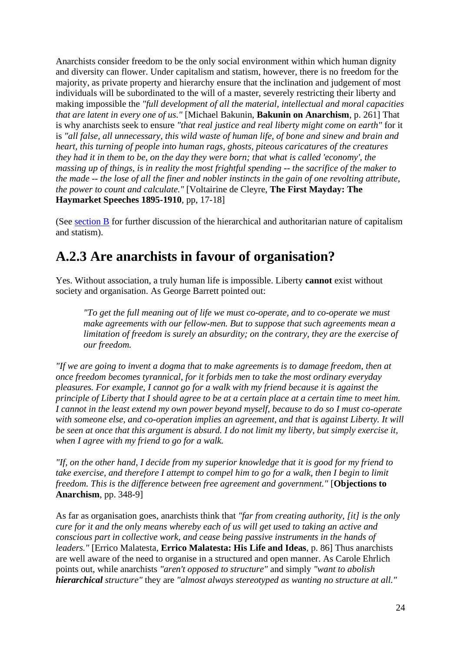Anarchists consider freedom to be the only social environment within which human dignity and diversity can flower. Under capitalism and statism, however, there is no freedom for the majority, as private property and hierarchy ensure that the inclination and judgement of most individuals will be subordinated to the will of a master, severely restricting their liberty and making impossible the *"full development of all the material, intellectual and moral capacities that are latent in every one of us."* [Michael Bakunin, **Bakunin on Anarchism**, p. 261] That is why anarchists seek to ensure *"that real justice and real liberty might come on earth"* for it is *"all false, all unnecessary, this wild waste of human life, of bone and sinew and brain and heart, this turning of people into human rags, ghosts, piteous caricatures of the creatures they had it in them to be, on the day they were born; that what is called 'economy', the massing up of things, is in reality the most frightful spending -- the sacrifice of the maker to the made -- the lose of all the finer and nobler instincts in the gain of one revolting attribute, the power to count and calculate."* [Voltairine de Cleyre, **The First Mayday: The Haymarket Speeches 1895-1910**, pp, 17-18]

(See [section B](sectionB.html) for further discussion of the hierarchical and authoritarian nature of capitalism and statism).

#### <span id="page-23-0"></span>**A.2.3 Are anarchists in favour of organisation?**

Yes. Without association, a truly human life is impossible. Liberty **cannot** exist without society and organisation. As George Barrett pointed out:

*"To get the full meaning out of life we must co-operate, and to co-operate we must make agreements with our fellow-men. But to suppose that such agreements mean a limitation of freedom is surely an absurdity; on the contrary, they are the exercise of our freedom.* 

*"If we are going to invent a dogma that to make agreements is to damage freedom, then at once freedom becomes tyrannical, for it forbids men to take the most ordinary everyday pleasures. For example, I cannot go for a walk with my friend because it is against the principle of Liberty that I should agree to be at a certain place at a certain time to meet him. I cannot in the least extend my own power beyond myself, because to do so I must co-operate with someone else, and co-operation implies an agreement, and that is against Liberty. It will be seen at once that this argument is absurd. I do not limit my liberty, but simply exercise it, when I agree with my friend to go for a walk.* 

*"If, on the other hand, I decide from my superior knowledge that it is good for my friend to take exercise, and therefore I attempt to compel him to go for a walk, then I begin to limit freedom. This is the difference between free agreement and government."* [**Objections to Anarchism**, pp. 348-9]

As far as organisation goes, anarchists think that *"far from creating authority, [it] is the only cure for it and the only means whereby each of us will get used to taking an active and conscious part in collective work, and cease being passive instruments in the hands of leaders."* [Errico Malatesta, **Errico Malatesta: His Life and Ideas**, p. 86] Thus anarchists are well aware of the need to organise in a structured and open manner. As Carole Ehrlich points out, while anarchists *"aren't opposed to structure"* and simply *"want to abolish hierarchical structure"* they are *"almost always stereotyped as wanting no structure at all."*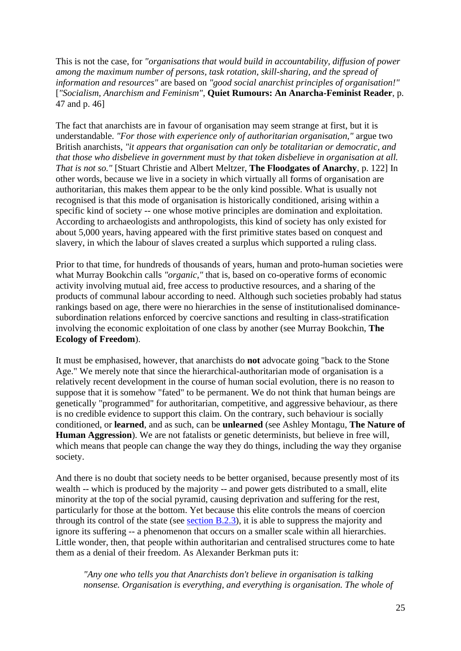This is not the case, for *"organisations that would build in accountability, diffusion of power among the maximum number of persons, task rotation, skill-sharing, and the spread of information and resources"* are based on *"good social anarchist principles of organisation!"* [*"Socialism, Anarchism and Feminism"*, **Quiet Rumours: An Anarcha-Feminist Reader**, p. 47 and p. 46]

The fact that anarchists are in favour of organisation may seem strange at first, but it is understandable. *"For those with experience only of authoritarian organisation,"* argue two British anarchists, *"it appears that organisation can only be totalitarian or democratic, and that those who disbelieve in government must by that token disbelieve in organisation at all. That is not so."* [Stuart Christie and Albert Meltzer, **The Floodgates of Anarchy**, p. 122] In other words, because we live in a society in which virtually all forms of organisation are authoritarian, this makes them appear to be the only kind possible. What is usually not recognised is that this mode of organisation is historically conditioned, arising within a specific kind of society -- one whose motive principles are domination and exploitation. According to archaeologists and anthropologists, this kind of society has only existed for about 5,000 years, having appeared with the first primitive states based on conquest and slavery, in which the labour of slaves created a surplus which supported a ruling class.

Prior to that time, for hundreds of thousands of years, human and proto-human societies were what Murray Bookchin calls *"organic,"* that is, based on co-operative forms of economic activity involving mutual aid, free access to productive resources, and a sharing of the products of communal labour according to need. Although such societies probably had status rankings based on age, there were no hierarchies in the sense of institutionalised dominancesubordination relations enforced by coercive sanctions and resulting in class-stratification involving the economic exploitation of one class by another (see Murray Bookchin, **The Ecology of Freedom**).

It must be emphasised, however, that anarchists do **not** advocate going "back to the Stone Age." We merely note that since the hierarchical-authoritarian mode of organisation is a relatively recent development in the course of human social evolution, there is no reason to suppose that it is somehow "fated" to be permanent. We do not think that human beings are genetically "programmed" for authoritarian, competitive, and aggressive behaviour, as there is no credible evidence to support this claim. On the contrary, such behaviour is socially conditioned, or **learned**, and as such, can be **unlearned** (see Ashley Montagu, **The Nature of Human Aggression**). We are not fatalists or genetic determinists, but believe in free will, which means that people can change the way they do things, including the way they organise society.

And there is no doubt that society needs to be better organised, because presently most of its wealth -- which is produced by the majority -- and power gets distributed to a small, elite minority at the top of the social pyramid, causing deprivation and suffering for the rest, particularly for those at the bottom. Yet because this elite controls the means of coercion through its control of the state (see section  $B(2.3)$ , it is able to suppress the majority and ignore its suffering -- a phenomenon that occurs on a smaller scale within all hierarchies. Little wonder, then, that people within authoritarian and centralised structures come to hate them as a denial of their freedom. As Alexander Berkman puts it:

*"Any one who tells you that Anarchists don't believe in organisation is talking nonsense. Organisation is everything, and everything is organisation. The whole of*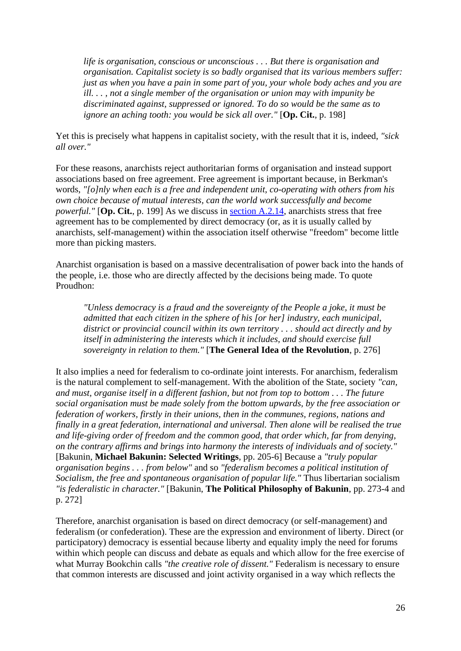*life is organisation, conscious or unconscious . . . But there is organisation and organisation. Capitalist society is so badly organised that its various members suffer: just as when you have a pain in some part of you, your whole body aches and you are ill. . . , not a single member of the organisation or union may with impunity be discriminated against, suppressed or ignored. To do so would be the same as to ignore an aching tooth: you would be sick all over."* [**Op. Cit.**, p. 198]

Yet this is precisely what happens in capitalist society, with the result that it is, indeed, *"sick all over."*

For these reasons, anarchists reject authoritarian forms of organisation and instead support associations based on free agreement. Free agreement is important because, in Berkman's words, *"[o]nly when each is a free and independent unit, co-operating with others from his own choice because of mutual interests, can the world work successfully and become powerful."* [**Op. Cit.**, p. 199] As we discuss in [section A.2.14,](sectionA.html#seca214) anarchists stress that free agreement has to be complemented by direct democracy (or, as it is usually called by anarchists, self-management) within the association itself otherwise "freedom" become little more than picking masters.

Anarchist organisation is based on a massive decentralisation of power back into the hands of the people, i.e. those who are directly affected by the decisions being made. To quote Proudhon:

*"Unless democracy is a fraud and the sovereignty of the People a joke, it must be admitted that each citizen in the sphere of his [or her] industry, each municipal, district or provincial council within its own territory . . . should act directly and by itself in administering the interests which it includes, and should exercise full sovereignty in relation to them."* [**The General Idea of the Revolution**, p. 276]

It also implies a need for federalism to co-ordinate joint interests. For anarchism, federalism is the natural complement to self-management. With the abolition of the State, society *"can, and must, organise itself in a different fashion, but not from top to bottom . . . The future social organisation must be made solely from the bottom upwards, by the free association or federation of workers, firstly in their unions, then in the communes, regions, nations and finally in a great federation, international and universal. Then alone will be realised the true and life-giving order of freedom and the common good, that order which, far from denying, on the contrary affirms and brings into harmony the interests of individuals and of society."* [Bakunin, **Michael Bakunin: Selected Writings**, pp. 205-6] Because a *"truly popular organisation begins . . . from below"* and so *"federalism becomes a political institution of Socialism, the free and spontaneous organisation of popular life."* Thus libertarian socialism *"is federalistic in character."* [Bakunin, **The Political Philosophy of Bakunin**, pp. 273-4 and p. 272]

Therefore, anarchist organisation is based on direct democracy (or self-management) and federalism (or confederation). These are the expression and environment of liberty. Direct (or participatory) democracy is essential because liberty and equality imply the need for forums within which people can discuss and debate as equals and which allow for the free exercise of what Murray Bookchin calls *"the creative role of dissent."* Federalism is necessary to ensure that common interests are discussed and joint activity organised in a way which reflects the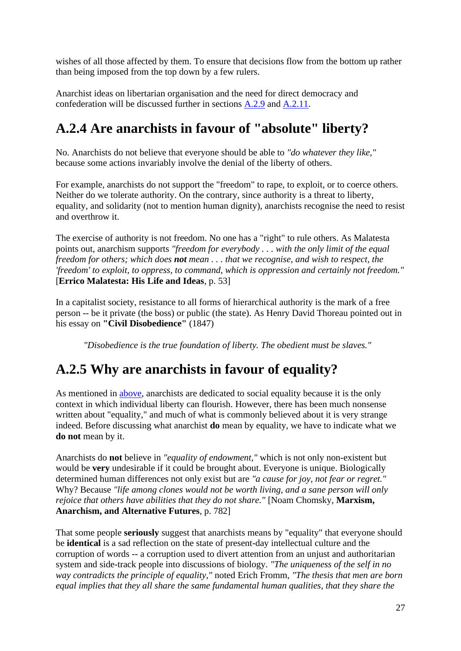wishes of all those affected by them. To ensure that decisions flow from the bottom up rather than being imposed from the top down by a few rulers.

Anarchist ideas on libertarian organisation and the need for direct democracy and confederation will be discussed further in sections [A.2.9](sectionA.html#seca29) and [A.2.11.](sectionA.html#seca211)

### <span id="page-26-0"></span>**A.2.4 Are anarchists in favour of "absolute" liberty?**

No. Anarchists do not believe that everyone should be able to *"do whatever they like,"* because some actions invariably involve the denial of the liberty of others.

For example, anarchists do not support the "freedom" to rape, to exploit, or to coerce others. Neither do we tolerate authority. On the contrary, since authority is a threat to liberty, equality, and solidarity (not to mention human dignity), anarchists recognise the need to resist and overthrow it.

The exercise of authority is not freedom. No one has a "right" to rule others. As Malatesta points out, anarchism supports *"freedom for everybody . . . with the only limit of the equal freedom for others; which does not mean . . . that we recognise, and wish to respect, the 'freedom' to exploit, to oppress, to command, which is oppression and certainly not freedom."*  [**Errico Malatesta: His Life and Ideas**, p. 53]

In a capitalist society, resistance to all forms of hierarchical authority is the mark of a free person -- be it private (the boss) or public (the state). As Henry David Thoreau pointed out in his essay on **"Civil Disobedience"** (1847)

*"Disobedience is the true foundation of liberty. The obedient must be slaves."*

#### <span id="page-26-1"></span>**A.2.5 Why are anarchists in favour of equality?**

As mentioned in [above,](sectionA.html#seca2) anarchists are dedicated to social equality because it is the only context in which individual liberty can flourish. However, there has been much nonsense written about "equality," and much of what is commonly believed about it is very strange indeed. Before discussing what anarchist **do** mean by equality, we have to indicate what we **do not** mean by it.

Anarchists do **not** believe in *"equality of endowment,"* which is not only non-existent but would be **very** undesirable if it could be brought about. Everyone is unique. Biologically determined human differences not only exist but are *"a cause for joy, not fear or regret."* Why? Because *"life among clones would not be worth living, and a sane person will only rejoice that others have abilities that they do not share."* [Noam Chomsky, **Marxism, Anarchism, and Alternative Futures**, p. 782]

That some people **seriously** suggest that anarchists means by "equality" that everyone should be **identical** is a sad reflection on the state of present-day intellectual culture and the corruption of words -- a corruption used to divert attention from an unjust and authoritarian system and side-track people into discussions of biology. *"The uniqueness of the self in no way contradicts the principle of equality,"* noted Erich Fromm, *"The thesis that men are born equal implies that they all share the same fundamental human qualities, that they share the*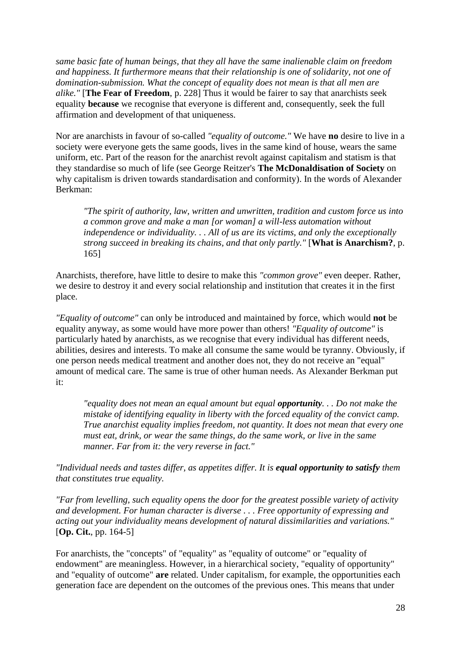*same basic fate of human beings, that they all have the same inalienable claim on freedom and happiness. It furthermore means that their relationship is one of solidarity, not one of domination-submission. What the concept of equality does not mean is that all men are alike."* [**The Fear of Freedom**, p. 228] Thus it would be fairer to say that anarchists seek equality **because** we recognise that everyone is different and, consequently, seek the full affirmation and development of that uniqueness.

Nor are anarchists in favour of so-called *"equality of outcome."* We have **no** desire to live in a society were everyone gets the same goods, lives in the same kind of house, wears the same uniform, etc. Part of the reason for the anarchist revolt against capitalism and statism is that they standardise so much of life (see George Reitzer's **The McDonaldisation of Society** on why capitalism is driven towards standardisation and conformity). In the words of Alexander Berkman:

*"The spirit of authority, law, written and unwritten, tradition and custom force us into a common grove and make a man [or woman] a will-less automation without independence or individuality. . . All of us are its victims, and only the exceptionally strong succeed in breaking its chains, and that only partly."* [**What is Anarchism?**, p. 165]

Anarchists, therefore, have little to desire to make this *"common grove"* even deeper. Rather, we desire to destroy it and every social relationship and institution that creates it in the first place.

*"Equality of outcome"* can only be introduced and maintained by force, which would **not** be equality anyway, as some would have more power than others! *"Equality of outcome"* is particularly hated by anarchists, as we recognise that every individual has different needs, abilities, desires and interests. To make all consume the same would be tyranny. Obviously, if one person needs medical treatment and another does not, they do not receive an "equal" amount of medical care. The same is true of other human needs. As Alexander Berkman put it:

*"equality does not mean an equal amount but equal opportunity. . . Do not make the mistake of identifying equality in liberty with the forced equality of the convict camp. True anarchist equality implies freedom, not quantity. It does not mean that every one must eat, drink, or wear the same things, do the same work, or live in the same manner. Far from it: the very reverse in fact."* 

*"Individual needs and tastes differ, as appetites differ. It is equal opportunity to satisfy them that constitutes true equality.* 

*"Far from levelling, such equality opens the door for the greatest possible variety of activity and development. For human character is diverse . . . Free opportunity of expressing and acting out your individuality means development of natural dissimilarities and variations."* [**Op. Cit.**, pp. 164-5]

For anarchists, the "concepts" of "equality" as "equality of outcome" or "equality of endowment" are meaningless. However, in a hierarchical society, "equality of opportunity" and "equality of outcome" **are** related. Under capitalism, for example, the opportunities each generation face are dependent on the outcomes of the previous ones. This means that under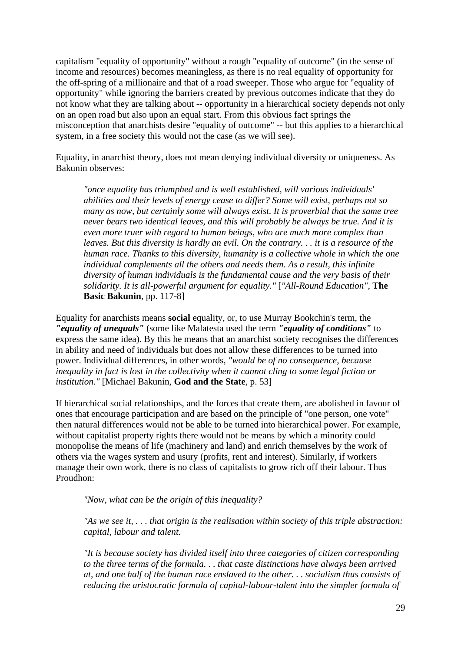capitalism "equality of opportunity" without a rough "equality of outcome" (in the sense of income and resources) becomes meaningless, as there is no real equality of opportunity for the off-spring of a millionaire and that of a road sweeper. Those who argue for "equality of opportunity" while ignoring the barriers created by previous outcomes indicate that they do not know what they are talking about -- opportunity in a hierarchical society depends not only on an open road but also upon an equal start. From this obvious fact springs the misconception that anarchists desire "equality of outcome" -- but this applies to a hierarchical system, in a free society this would not the case (as we will see).

Equality, in anarchist theory, does not mean denying individual diversity or uniqueness. As Bakunin observes:

*"once equality has triumphed and is well established, will various individuals' abilities and their levels of energy cease to differ? Some will exist, perhaps not so many as now, but certainly some will always exist. It is proverbial that the same tree never bears two identical leaves, and this will probably be always be true. And it is even more truer with regard to human beings, who are much more complex than leaves. But this diversity is hardly an evil. On the contrary. . . it is a resource of the human race. Thanks to this diversity, humanity is a collective whole in which the one individual complements all the others and needs them. As a result, this infinite diversity of human individuals is the fundamental cause and the very basis of their solidarity. It is all-powerful argument for equality."* [*"All-Round Education"*, **The Basic Bakunin**, pp. 117-8]

Equality for anarchists means **social** equality, or, to use Murray Bookchin's term, the *"equality of unequals"* (some like Malatesta used the term *"equality of conditions"* to express the same idea). By this he means that an anarchist society recognises the differences in ability and need of individuals but does not allow these differences to be turned into power. Individual differences, in other words, *"would be of no consequence, because inequality in fact is lost in the collectivity when it cannot cling to some legal fiction or institution."* [Michael Bakunin, **God and the State**, p. 53]

If hierarchical social relationships, and the forces that create them, are abolished in favour of ones that encourage participation and are based on the principle of "one person, one vote" then natural differences would not be able to be turned into hierarchical power. For example, without capitalist property rights there would not be means by which a minority could monopolise the means of life (machinery and land) and enrich themselves by the work of others via the wages system and usury (profits, rent and interest). Similarly, if workers manage their own work, there is no class of capitalists to grow rich off their labour. Thus Proudhon:

*"Now, what can be the origin of this inequality?* 

*"As we see it, . . . that origin is the realisation within society of this triple abstraction: capital, labour and talent.* 

*"It is because society has divided itself into three categories of citizen corresponding to the three terms of the formula. . . that caste distinctions have always been arrived at, and one half of the human race enslaved to the other. . . socialism thus consists of reducing the aristocratic formula of capital-labour-talent into the simpler formula of*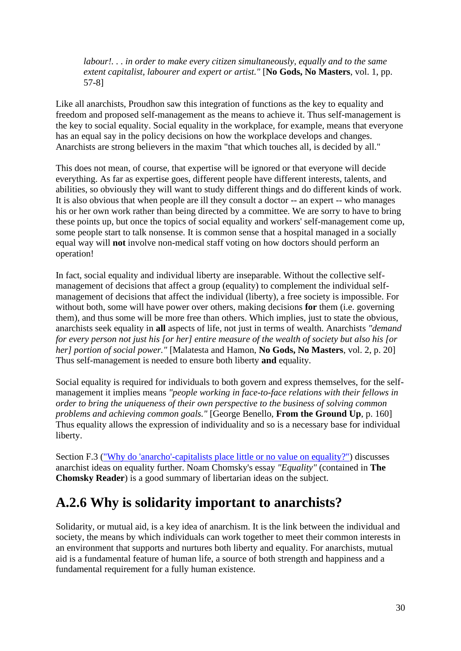*labour!. . . in order to make every citizen simultaneously, equally and to the same extent capitalist, labourer and expert or artist."* [**No Gods, No Masters**, vol. 1, pp. 57-8]

Like all anarchists, Proudhon saw this integration of functions as the key to equality and freedom and proposed self-management as the means to achieve it. Thus self-management is the key to social equality. Social equality in the workplace, for example, means that everyone has an equal say in the policy decisions on how the workplace develops and changes. Anarchists are strong believers in the maxim "that which touches all, is decided by all."

This does not mean, of course, that expertise will be ignored or that everyone will decide everything. As far as expertise goes, different people have different interests, talents, and abilities, so obviously they will want to study different things and do different kinds of work. It is also obvious that when people are ill they consult a doctor -- an expert -- who manages his or her own work rather than being directed by a committee. We are sorry to have to bring these points up, but once the topics of social equality and workers' self-management come up, some people start to talk nonsense. It is common sense that a hospital managed in a socially equal way will **not** involve non-medical staff voting on how doctors should perform an operation!

In fact, social equality and individual liberty are inseparable. Without the collective selfmanagement of decisions that affect a group (equality) to complement the individual selfmanagement of decisions that affect the individual (liberty), a free society is impossible. For without both, some will have power over others, making decisions **for** them (i.e. governing them), and thus some will be more free than others. Which implies, just to state the obvious, anarchists seek equality in **all** aspects of life, not just in terms of wealth. Anarchists *"demand for every person not just his [or her] entire measure of the wealth of society but also his [or her] portion of social power."* [Malatesta and Hamon, **No Gods, No Masters**, vol. 2, p. 20] Thus self-management is needed to ensure both liberty **and** equality.

Social equality is required for individuals to both govern and express themselves, for the selfmanagement it implies means *"people working in face-to-face relations with their fellows in order to bring the uniqueness of their own perspective to the business of solving common problems and achieving common goals."* [George Benello, **From the Ground Up**, p. 160] Thus equality allows the expression of individuality and so is a necessary base for individual liberty.

Section F.3 [\("Why do 'anarcho'-capitalists place little or no value on equality?"\)](sectionF.html#secf3) discusses anarchist ideas on equality further. Noam Chomsky's essay *"Equality"* (contained in **The Chomsky Reader**) is a good summary of libertarian ideas on the subject.

#### <span id="page-29-0"></span>**A.2.6 Why is solidarity important to anarchists?**

Solidarity, or mutual aid, is a key idea of anarchism. It is the link between the individual and society, the means by which individuals can work together to meet their common interests in an environment that supports and nurtures both liberty and equality. For anarchists, mutual aid is a fundamental feature of human life, a source of both strength and happiness and a fundamental requirement for a fully human existence.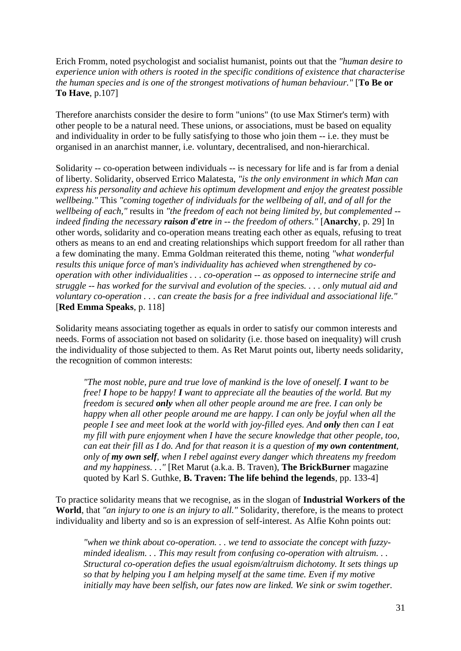Erich Fromm, noted psychologist and socialist humanist, points out that the *"human desire to experience union with others is rooted in the specific conditions of existence that characterise the human species and is one of the strongest motivations of human behaviour."* [**To Be or To Have**, p.107]

Therefore anarchists consider the desire to form "unions" (to use Max Stirner's term) with other people to be a natural need. These unions, or associations, must be based on equality and individuality in order to be fully satisfying to those who join them -- i.e. they must be organised in an anarchist manner, i.e. voluntary, decentralised, and non-hierarchical.

Solidarity -- co-operation between individuals -- is necessary for life and is far from a denial of liberty. Solidarity, observed Errico Malatesta, *"is the only environment in which Man can express his personality and achieve his optimum development and enjoy the greatest possible wellbeing."* This *"coming together of individuals for the wellbeing of all, and of all for the wellbeing of each,"* results in *"the freedom of each not being limited by, but complemented - indeed finding the necessary raison d'etre in -- the freedom of others."* [**Anarchy**, p. 29] In other words, solidarity and co-operation means treating each other as equals, refusing to treat others as means to an end and creating relationships which support freedom for all rather than a few dominating the many. Emma Goldman reiterated this theme, noting *"what wonderful results this unique force of man's individuality has achieved when strengthened by cooperation with other individualities . . . co-operation -- as opposed to internecine strife and struggle -- has worked for the survival and evolution of the species. . . . only mutual aid and voluntary co-operation . . . can create the basis for a free individual and associational life."* [**Red Emma Speaks**, p. 118]

Solidarity means associating together as equals in order to satisfy our common interests and needs. Forms of association not based on solidarity (i.e. those based on inequality) will crush the individuality of those subjected to them. As Ret Marut points out, liberty needs solidarity, the recognition of common interests:

*"The most noble, pure and true love of mankind is the love of oneself. I want to be free! I hope to be happy! I want to appreciate all the beauties of the world. But my freedom is secured only when all other people around me are free. I can only be happy when all other people around me are happy. I can only be joyful when all the people I see and meet look at the world with joy-filled eyes. And only then can I eat my fill with pure enjoyment when I have the secure knowledge that other people, too, can eat their fill as I do. And for that reason it is a question of <i>my own contentment*, *only of my own self, when I rebel against every danger which threatens my freedom and my happiness. . ."* [Ret Marut (a.k.a. B. Traven), **The BrickBurner** magazine quoted by Karl S. Guthke, **B. Traven: The life behind the legends**, pp. 133-4]

To practice solidarity means that we recognise, as in the slogan of **Industrial Workers of the World**, that *"an injury to one is an injury to all."* Solidarity, therefore, is the means to protect individuality and liberty and so is an expression of self-interest. As Alfie Kohn points out:

*"when we think about co-operation. . . we tend to associate the concept with fuzzyminded idealism. . . This may result from confusing co-operation with altruism. . . Structural co-operation defies the usual egoism/altruism dichotomy. It sets things up so that by helping you I am helping myself at the same time. Even if my motive initially may have been selfish, our fates now are linked. We sink or swim together.*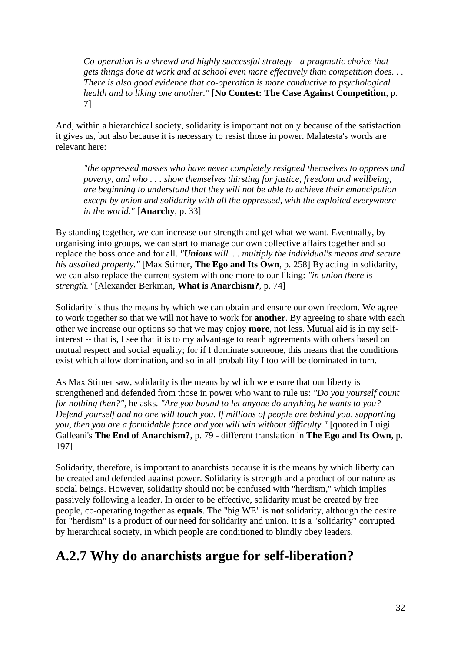*Co-operation is a shrewd and highly successful strategy - a pragmatic choice that gets things done at work and at school even more effectively than competition does. . . There is also good evidence that co-operation is more conductive to psychological health and to liking one another."* [**No Contest: The Case Against Competition**, p. 7]

And, within a hierarchical society, solidarity is important not only because of the satisfaction it gives us, but also because it is necessary to resist those in power. Malatesta's words are relevant here:

*"the oppressed masses who have never completely resigned themselves to oppress and poverty, and who . . . show themselves thirsting for justice, freedom and wellbeing, are beginning to understand that they will not be able to achieve their emancipation except by union and solidarity with all the oppressed, with the exploited everywhere in the world."* [**Anarchy**, p. 33]

By standing together, we can increase our strength and get what we want. Eventually, by organising into groups, we can start to manage our own collective affairs together and so replace the boss once and for all. *"Unions will. . . multiply the individual's means and secure his assailed property."* [Max Stirner, **The Ego and Its Own**, p. 258] By acting in solidarity, we can also replace the current system with one more to our liking: *"in union there is strength."* [Alexander Berkman, **What is Anarchism?**, p. 74]

Solidarity is thus the means by which we can obtain and ensure our own freedom. We agree to work together so that we will not have to work for **another**. By agreeing to share with each other we increase our options so that we may enjoy **more**, not less. Mutual aid is in my selfinterest -- that is, I see that it is to my advantage to reach agreements with others based on mutual respect and social equality; for if I dominate someone, this means that the conditions exist which allow domination, and so in all probability I too will be dominated in turn.

As Max Stirner saw, solidarity is the means by which we ensure that our liberty is strengthened and defended from those in power who want to rule us: *"Do you yourself count for nothing then?"*, he asks. *"Are you bound to let anyone do anything he wants to you? Defend yourself and no one will touch you. If millions of people are behind you, supporting you, then you are a formidable force and you will win without difficulty."* [quoted in Luigi Galleani's **The End of Anarchism?**, p. 79 - different translation in **The Ego and Its Own**, p. 197]

Solidarity, therefore, is important to anarchists because it is the means by which liberty can be created and defended against power. Solidarity is strength and a product of our nature as social beings. However, solidarity should not be confused with "herdism," which implies passively following a leader. In order to be effective, solidarity must be created by free people, co-operating together as **equals**. The "big WE" is **not** solidarity, although the desire for "herdism" is a product of our need for solidarity and union. It is a "solidarity" corrupted by hierarchical society, in which people are conditioned to blindly obey leaders.

#### <span id="page-31-0"></span>**A.2.7 Why do anarchists argue for self-liberation?**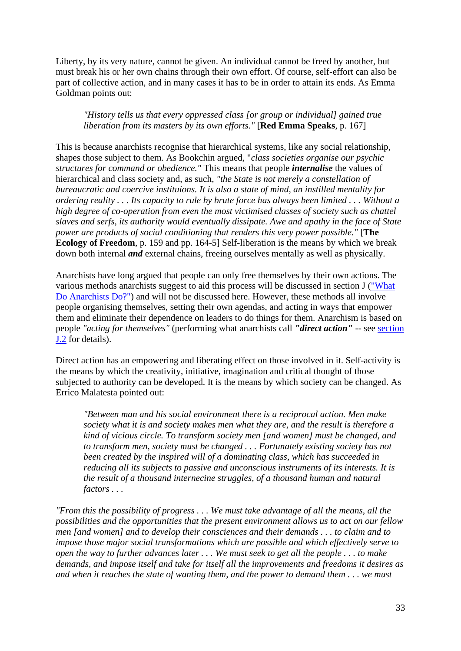Liberty, by its very nature, cannot be given. An individual cannot be freed by another, but must break his or her own chains through their own effort. Of course, self-effort can also be part of collective action, and in many cases it has to be in order to attain its ends. As Emma Goldman points out:

#### *"History tells us that every oppressed class [or group or individual] gained true liberation from its masters by its own efforts."* [**Red Emma Speaks**, p. 167]

This is because anarchists recognise that hierarchical systems, like any social relationship, shapes those subject to them. As Bookchin argued, "*class societies organise our psychic structures for command or obedience."* This means that people *internalise* the values of hierarchical and class society and, as such, *"the State is not merely a constellation of bureaucratic and coercive instituions. It is also a state of mind, an instilled mentality for ordering reality . . . Its capacity to rule by brute force has always been limited . . . Without a high degree of co-operation from even the most victimised classes of society such as chattel slaves and serfs, its authority would eventually dissipate. Awe and apathy in the face of State power are products of social conditioning that renders this very power possible."* [**The Ecology of Freedom**, p. 159 and pp. 164-5] Self-liberation is the means by which we break down both internal *and* external chains, freeing ourselves mentally as well as physically.

Anarchists have long argued that people can only free themselves by their own actions. The various methods anarchists suggest to aid this process will be discussed in section J [\("What](sectionJ.html)  [Do Anarchists Do?"\)](sectionJ.html) and will not be discussed here. However, these methods all involve people organising themselves, setting their own agendas, and acting in ways that empower them and eliminate their dependence on leaders to do things for them. Anarchism is based on people *"acting for themselves"* (performing what anarchists call *"direct action"* -- see [section](sectionJ.html#secj2)  [J.2](sectionJ.html#secj2) for details).

Direct action has an empowering and liberating effect on those involved in it. Self-activity is the means by which the creativity, initiative, imagination and critical thought of those subjected to authority can be developed. It is the means by which society can be changed. As Errico Malatesta pointed out:

*"Between man and his social environment there is a reciprocal action. Men make society what it is and society makes men what they are, and the result is therefore a kind of vicious circle. To transform society men [and women] must be changed, and to transform men, society must be changed . . . Fortunately existing society has not been created by the inspired will of a dominating class, which has succeeded in reducing all its subjects to passive and unconscious instruments of its interests. It is the result of a thousand internecine struggles, of a thousand human and natural factors . . .* 

*"From this the possibility of progress . . . We must take advantage of all the means, all the possibilities and the opportunities that the present environment allows us to act on our fellow men [and women] and to develop their consciences and their demands . . . to claim and to impose those major social transformations which are possible and which effectively serve to open the way to further advances later . . . We must seek to get all the people . . . to make demands, and impose itself and take for itself all the improvements and freedoms it desires as and when it reaches the state of wanting them, and the power to demand them . . . we must*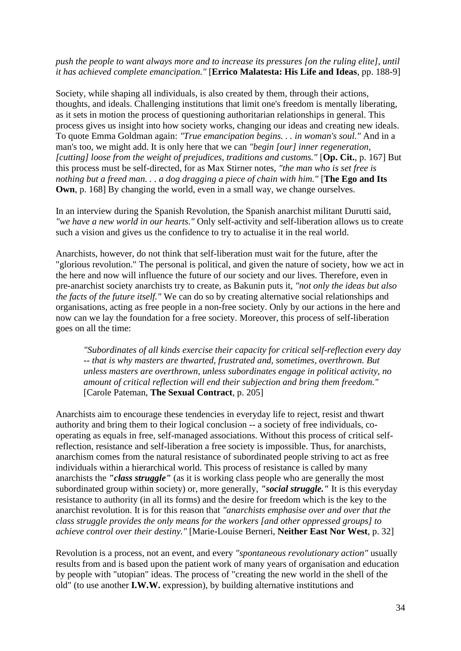#### *push the people to want always more and to increase its pressures [on the ruling elite], until it has achieved complete emancipation."* [**Errico Malatesta: His Life and Ideas**, pp. 188-9]

Society, while shaping all individuals, is also created by them, through their actions, thoughts, and ideals. Challenging institutions that limit one's freedom is mentally liberating, as it sets in motion the process of questioning authoritarian relationships in general. This process gives us insight into how society works, changing our ideas and creating new ideals. To quote Emma Goldman again: *"True emancipation begins. . . in woman's soul."* And in a man's too, we might add. It is only here that we can *"begin [our] inner regeneration, [cutting] loose from the weight of prejudices, traditions and customs."* [**Op. Cit.**, p. 167] But this process must be self-directed, for as Max Stirner notes, *"the man who is set free is nothing but a freed man. . . a dog dragging a piece of chain with him."* [**The Ego and Its Own**, p. 168] By changing the world, even in a small way, we change ourselves.

In an interview during the Spanish Revolution, the Spanish anarchist militant Durutti said, *"we have a new world in our hearts."* Only self-activity and self-liberation allows us to create such a vision and gives us the confidence to try to actualise it in the real world.

Anarchists, however, do not think that self-liberation must wait for the future, after the "glorious revolution." The personal is political, and given the nature of society, how we act in the here and now will influence the future of our society and our lives. Therefore, even in pre-anarchist society anarchists try to create, as Bakunin puts it, *"not only the ideas but also the facts of the future itself."* We can do so by creating alternative social relationships and organisations, acting as free people in a non-free society. Only by our actions in the here and now can we lay the foundation for a free society. Moreover, this process of self-liberation goes on all the time:

*"Subordinates of all kinds exercise their capacity for critical self-reflection every day -- that is why masters are thwarted, frustrated and, sometimes, overthrown. But unless masters are overthrown, unless subordinates engage in political activity, no amount of critical reflection will end their subjection and bring them freedom."* [Carole Pateman, **The Sexual Contract**, p. 205]

Anarchists aim to encourage these tendencies in everyday life to reject, resist and thwart authority and bring them to their logical conclusion -- a society of free individuals, cooperating as equals in free, self-managed associations. Without this process of critical selfreflection, resistance and self-liberation a free society is impossible. Thus, for anarchists, anarchism comes from the natural resistance of subordinated people striving to act as free individuals within a hierarchical world. This process of resistance is called by many anarchists the *"class struggle"* (as it is working class people who are generally the most subordinated group within society) or, more generally, *"social struggle."* It is this everyday resistance to authority (in all its forms) and the desire for freedom which is the key to the anarchist revolution. It is for this reason that *"anarchists emphasise over and over that the class struggle provides the only means for the workers [and other oppressed groups] to achieve control over their destiny."* [Marie-Louise Berneri, **Neither East Nor West**, p. 32]

Revolution is a process, not an event, and every *"spontaneous revolutionary action"* usually results from and is based upon the patient work of many years of organisation and education by people with "utopian" ideas. The process of "creating the new world in the shell of the old" (to use another **I.W.W.** expression), by building alternative institutions and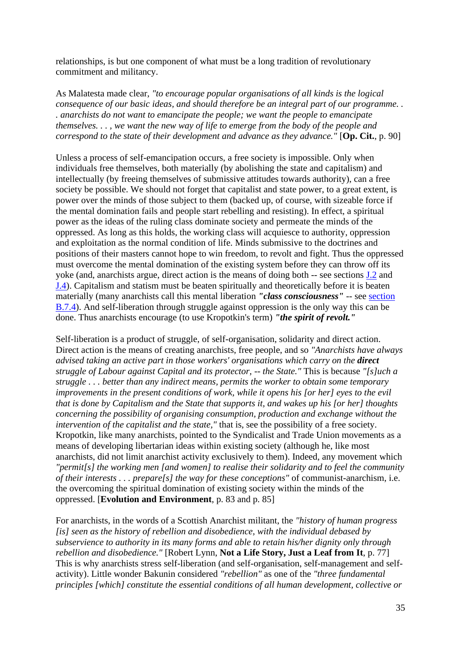relationships, is but one component of what must be a long tradition of revolutionary commitment and militancy.

As Malatesta made clear, *"to encourage popular organisations of all kinds is the logical consequence of our basic ideas, and should therefore be an integral part of our programme. . . anarchists do not want to emancipate the people; we want the people to emancipate themselves. . . , we want the new way of life to emerge from the body of the people and correspond to the state of their development and advance as they advance."* [**Op. Cit.**, p. 90]

Unless a process of self-emancipation occurs, a free society is impossible. Only when individuals free themselves, both materially (by abolishing the state and capitalism) and intellectually (by freeing themselves of submissive attitudes towards authority), can a free society be possible. We should not forget that capitalist and state power, to a great extent, is power over the minds of those subject to them (backed up, of course, with sizeable force if the mental domination fails and people start rebelling and resisting). In effect, a spiritual power as the ideas of the ruling class dominate society and permeate the minds of the oppressed. As long as this holds, the working class will acquiesce to authority, oppression and exploitation as the normal condition of life. Minds submissive to the doctrines and positions of their masters cannot hope to win freedom, to revolt and fight. Thus the oppressed must overcome the mental domination of the existing system before they can throw off its yoke (and, anarchists argue, direct action is the means of doing both -- see sections [J.2](sectionJ.html#secj2) and [J.4\)](sectionJ.html#secj4). Capitalism and statism must be beaten spiritually and theoretically before it is beaten materially (many anarchists call this mental liberation *"class consciousness"* -- see [section](sectionB.html#secb7#secb74)  [B.7.4\)](sectionB.html#secb7#secb74). And self-liberation through struggle against oppression is the only way this can be done. Thus anarchists encourage (to use Kropotkin's term) *"the spirit of revolt."*

Self-liberation is a product of struggle, of self-organisation, solidarity and direct action. Direct action is the means of creating anarchists, free people, and so *"Anarchists have always advised taking an active part in those workers' organisations which carry on the direct struggle of Labour against Capital and its protector, -- the State."* This is because *"[s]uch a struggle . . . better than any indirect means, permits the worker to obtain some temporary improvements in the present conditions of work, while it opens his [or her] eyes to the evil that is done by Capitalism and the State that supports it, and wakes up his [or her] thoughts concerning the possibility of organising consumption, production and exchange without the intervention of the capitalist and the state,"* that is, see the possibility of a free society. Kropotkin, like many anarchists, pointed to the Syndicalist and Trade Union movements as a means of developing libertarian ideas within existing society (although he, like most anarchists, did not limit anarchist activity exclusively to them). Indeed, any movement which *"permit[s] the working men [and women] to realise their solidarity and to feel the community of their interests . . . prepare[s] the way for these conceptions"* of communist-anarchism, i.e. the overcoming the spiritual domination of existing society within the minds of the oppressed. [**Evolution and Environment**, p. 83 and p. 85]

For anarchists, in the words of a Scottish Anarchist militant, the *"history of human progress [is] seen as the history of rebellion and disobedience, with the individual debased by subservience to authority in its many forms and able to retain his/her dignity only through rebellion and disobedience."* [Robert Lynn, **Not a Life Story, Just a Leaf from It**, p. 77] This is why anarchists stress self-liberation (and self-organisation, self-management and selfactivity). Little wonder Bakunin considered *"rebellion"* as one of the *"three fundamental principles [which] constitute the essential conditions of all human development, collective or*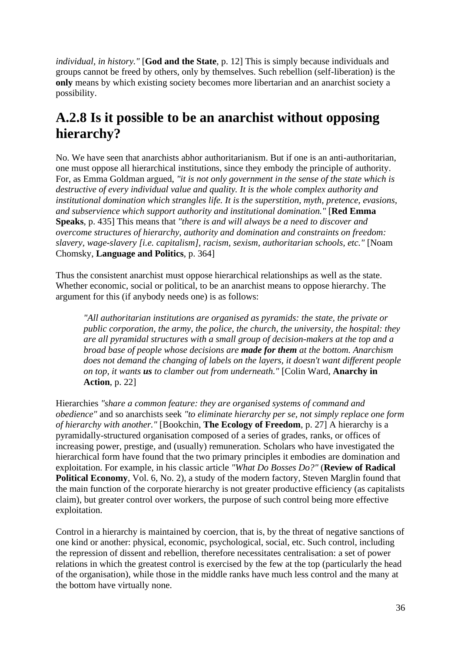*individual, in history."* [**God and the State**, p. 12] This is simply because individuals and groups cannot be freed by others, only by themselves. Such rebellion (self-liberation) is the **only** means by which existing society becomes more libertarian and an anarchist society a possibility.

#### <span id="page-35-0"></span>**A.2.8 Is it possible to be an anarchist without opposing hierarchy?**

No. We have seen that anarchists abhor authoritarianism. But if one is an anti-authoritarian, one must oppose all hierarchical institutions, since they embody the principle of authority. For, as Emma Goldman argued, *"it is not only government in the sense of the state which is destructive of every individual value and quality. It is the whole complex authority and institutional domination which strangles life. It is the superstition, myth, pretence, evasions, and subservience which support authority and institutional domination."* [**Red Emma Speaks**, p. 435] This means that *"there is and will always be a need to discover and overcome structures of hierarchy, authority and domination and constraints on freedom: slavery, wage-slavery [i.e. capitalism], racism, sexism, authoritarian schools, etc."* [Noam Chomsky, **Language and Politics**, p. 364]

Thus the consistent anarchist must oppose hierarchical relationships as well as the state. Whether economic, social or political, to be an anarchist means to oppose hierarchy. The argument for this (if anybody needs one) is as follows:

*"All authoritarian institutions are organised as pyramids: the state, the private or public corporation, the army, the police, the church, the university, the hospital: they are all pyramidal structures with a small group of decision-makers at the top and a broad base of people whose decisions are made for them at the bottom. Anarchism does not demand the changing of labels on the layers, it doesn't want different people on top, it wants us to clamber out from underneath."* [Colin Ward, **Anarchy in Action**, p. 22]

Hierarchies *"share a common feature: they are organised systems of command and obedience"* and so anarchists seek *"to eliminate hierarchy per se, not simply replace one form of hierarchy with another."* [Bookchin, **The Ecology of Freedom**, p. 27] A hierarchy is a pyramidally-structured organisation composed of a series of grades, ranks, or offices of increasing power, prestige, and (usually) remuneration. Scholars who have investigated the hierarchical form have found that the two primary principles it embodies are domination and exploitation. For example, in his classic article *"What Do Bosses Do?"* (**Review of Radical Political Economy,** Vol. 6, No. 2), a study of the modern factory, Steven Marglin found that the main function of the corporate hierarchy is not greater productive efficiency (as capitalists claim), but greater control over workers, the purpose of such control being more effective exploitation.

Control in a hierarchy is maintained by coercion, that is, by the threat of negative sanctions of one kind or another: physical, economic, psychological, social, etc. Such control, including the repression of dissent and rebellion, therefore necessitates centralisation: a set of power relations in which the greatest control is exercised by the few at the top (particularly the head of the organisation), while those in the middle ranks have much less control and the many at the bottom have virtually none.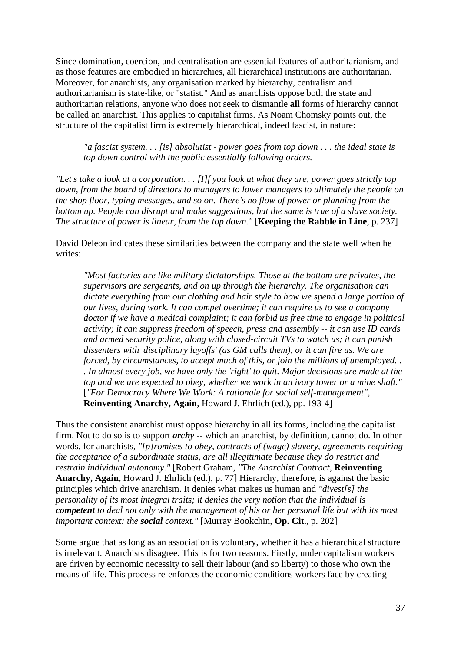Since domination, coercion, and centralisation are essential features of authoritarianism, and as those features are embodied in hierarchies, all hierarchical institutions are authoritarian. Moreover, for anarchists, any organisation marked by hierarchy, centralism and authoritarianism is state-like, or "statist." And as anarchists oppose both the state and authoritarian relations, anyone who does not seek to dismantle **all** forms of hierarchy cannot be called an anarchist. This applies to capitalist firms. As Noam Chomsky points out, the structure of the capitalist firm is extremely hierarchical, indeed fascist, in nature:

*"a fascist system. . . [is] absolutist - power goes from top down . . . the ideal state is top down control with the public essentially following orders.* 

*"Let's take a look at a corporation. . . [I]f you look at what they are, power goes strictly top down, from the board of directors to managers to lower managers to ultimately the people on the shop floor, typing messages, and so on. There's no flow of power or planning from the bottom up. People can disrupt and make suggestions, but the same is true of a slave society. The structure of power is linear, from the top down."* [**Keeping the Rabble in Line**, p. 237]

David Deleon indicates these similarities between the company and the state well when he writes:

*"Most factories are like military dictatorships. Those at the bottom are privates, the supervisors are sergeants, and on up through the hierarchy. The organisation can dictate everything from our clothing and hair style to how we spend a large portion of our lives, during work. It can compel overtime; it can require us to see a company doctor if we have a medical complaint; it can forbid us free time to engage in political activity; it can suppress freedom of speech, press and assembly -- it can use ID cards and armed security police, along with closed-circuit TVs to watch us; it can punish dissenters with 'disciplinary layoffs' (as GM calls them), or it can fire us. We are forced, by circumstances, to accept much of this, or join the millions of unemployed. . . In almost every job, we have only the 'right' to quit. Major decisions are made at the top and we are expected to obey, whether we work in an ivory tower or a mine shaft."* [*"For Democracy Where We Work: A rationale for social self-management"*, **Reinventing Anarchy, Again**, Howard J. Ehrlich (ed.), pp. 193-4]

Thus the consistent anarchist must oppose hierarchy in all its forms, including the capitalist firm. Not to do so is to support *archy* -- which an anarchist, by definition, cannot do. In other words, for anarchists, *"[p]romises to obey, contracts of (wage) slavery, agreements requiring the acceptance of a subordinate status, are all illegitimate because they do restrict and restrain individual autonomy."* [Robert Graham, *"The Anarchist Contract*, **Reinventing Anarchy, Again**, Howard J. Ehrlich (ed.), p. 77] Hierarchy, therefore, is against the basic principles which drive anarchism. It denies what makes us human and *"divest[s] the personality of its most integral traits; it denies the very notion that the individual is competent to deal not only with the management of his or her personal life but with its most important context: the social context."* [Murray Bookchin, **Op. Cit.**, p. 202]

Some argue that as long as an association is voluntary, whether it has a hierarchical structure is irrelevant. Anarchists disagree. This is for two reasons. Firstly, under capitalism workers are driven by economic necessity to sell their labour (and so liberty) to those who own the means of life. This process re-enforces the economic conditions workers face by creating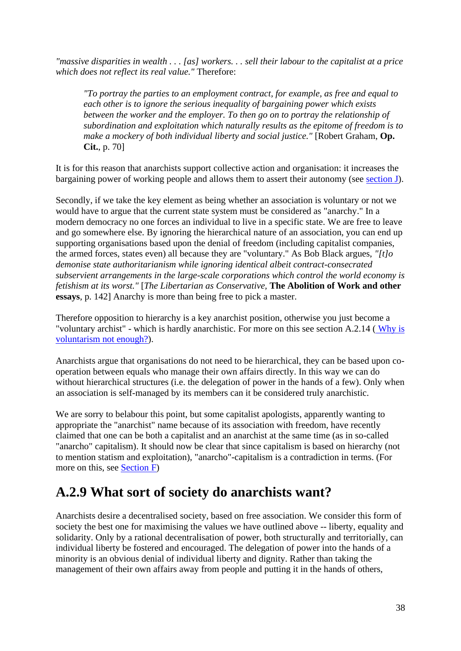*"massive disparities in wealth . . . [as] workers. . . sell their labour to the capitalist at a price which does not reflect its real value."* Therefore:

*"To portray the parties to an employment contract, for example, as free and equal to each other is to ignore the serious inequality of bargaining power which exists between the worker and the employer. To then go on to portray the relationship of subordination and exploitation which naturally results as the epitome of freedom is to make a mockery of both individual liberty and social justice."* [Robert Graham, **Op. Cit.**, p. 70]

It is for this reason that anarchists support collective action and organisation: it increases the bargaining power of working people and allows them to assert their autonomy (see [section J\)](sectionJ.html).

Secondly, if we take the key element as being whether an association is voluntary or not we would have to argue that the current state system must be considered as "anarchy." In a modern democracy no one forces an individual to live in a specific state. We are free to leave and go somewhere else. By ignoring the hierarchical nature of an association, you can end up supporting organisations based upon the denial of freedom (including capitalist companies, the armed forces, states even) all because they are "voluntary." As Bob Black argues, *"[t]o demonise state authoritarianism while ignoring identical albeit contract-consecrated subservient arrangements in the large-scale corporations which control the world economy is fetishism at its worst."* [*The Libertarian as Conservative,* **The Abolition of Work and other essays**, p. 142] Anarchy is more than being free to pick a master.

Therefore opposition to hierarchy is a key anarchist position, otherwise you just become a "voluntary archist" - which is hardly anarchistic. For more on this see section A.2.14 ( [Why is](sectionA.html#seca214)  [voluntarism not enough?\)](sectionA.html#seca214).

Anarchists argue that organisations do not need to be hierarchical, they can be based upon cooperation between equals who manage their own affairs directly. In this way we can do without hierarchical structures (i.e. the delegation of power in the hands of a few). Only when an association is self-managed by its members can it be considered truly anarchistic.

We are sorry to belabour this point, but some capitalist apologists, apparently wanting to appropriate the "anarchist" name because of its association with freedom, have recently claimed that one can be both a capitalist and an anarchist at the same time (as in so-called "anarcho" capitalism). It should now be clear that since capitalism is based on hierarchy (not to mention statism and exploitation), "anarcho"-capitalism is a contradiction in terms. (For more on this, see [Section F\)](sectionF.html)

#### **A.2.9 What sort of society do anarchists want?**

Anarchists desire a decentralised society, based on free association. We consider this form of society the best one for maximising the values we have outlined above -- liberty, equality and solidarity. Only by a rational decentralisation of power, both structurally and territorially, can individual liberty be fostered and encouraged. The delegation of power into the hands of a minority is an obvious denial of individual liberty and dignity. Rather than taking the management of their own affairs away from people and putting it in the hands of others,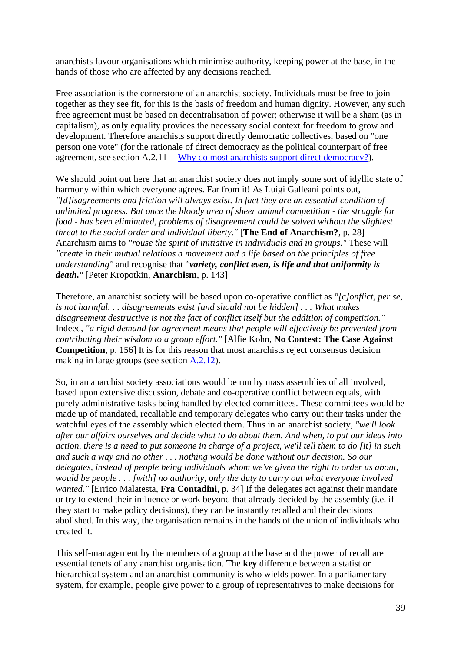anarchists favour organisations which minimise authority, keeping power at the base, in the hands of those who are affected by any decisions reached.

Free association is the cornerstone of an anarchist society. Individuals must be free to join together as they see fit, for this is the basis of freedom and human dignity. However, any such free agreement must be based on decentralisation of power; otherwise it will be a sham (as in capitalism), as only equality provides the necessary social context for freedom to grow and development. Therefore anarchists support directly democratic collectives, based on "one person one vote" (for the rationale of direct democracy as the political counterpart of free agreement, see section A.2.11 -- [Why do most anarchists support direct democracy?\)](sectionA.html#seca211).

We should point out here that an anarchist society does not imply some sort of idyllic state of harmony within which everyone agrees. Far from it! As Luigi Galleani points out, *"[d]isagreements and friction will always exist. In fact they are an essential condition of unlimited progress. But once the bloody area of sheer animal competition - the struggle for food - has been eliminated, problems of disagreement could be solved without the slightest threat to the social order and individual liberty."* [**The End of Anarchism?**, p. 28] Anarchism aims to *"rouse the spirit of initiative in individuals and in groups."* These will *"create in their mutual relations a movement and a life based on the principles of free understanding"* and recognise that *"variety, conflict even, is life and that uniformity is death."* [Peter Kropotkin, **Anarchism**, p. 143]

Therefore, an anarchist society will be based upon co-operative conflict as *"[c]onflict, per se, is not harmful. . . disagreements exist [and should not be hidden] . . . What makes disagreement destructive is not the fact of conflict itself but the addition of competition."* Indeed, *"a rigid demand for agreement means that people will effectively be prevented from contributing their wisdom to a group effort."* [Alfie Kohn, **No Contest: The Case Against Competition**, p. 156] It is for this reason that most anarchists reject consensus decision making in large groups (see section [A.2.12\)](sectionA.html#seca212).

So, in an anarchist society associations would be run by mass assemblies of all involved, based upon extensive discussion, debate and co-operative conflict between equals, with purely administrative tasks being handled by elected committees. These committees would be made up of mandated, recallable and temporary delegates who carry out their tasks under the watchful eyes of the assembly which elected them. Thus in an anarchist society, *"we'll look after our affairs ourselves and decide what to do about them. And when, to put our ideas into action, there is a need to put someone in charge of a project, we'll tell them to do [it] in such and such a way and no other . . . nothing would be done without our decision. So our delegates, instead of people being individuals whom we've given the right to order us about, would be people . . . [with] no authority, only the duty to carry out what everyone involved wanted."* [Errico Malatesta, **Fra Contadini**, p. 34] If the delegates act against their mandate or try to extend their influence or work beyond that already decided by the assembly (i.e. if they start to make policy decisions), they can be instantly recalled and their decisions abolished. In this way, the organisation remains in the hands of the union of individuals who created it.

This self-management by the members of a group at the base and the power of recall are essential tenets of any anarchist organisation. The **key** difference between a statist or hierarchical system and an anarchist community is who wields power. In a parliamentary system, for example, people give power to a group of representatives to make decisions for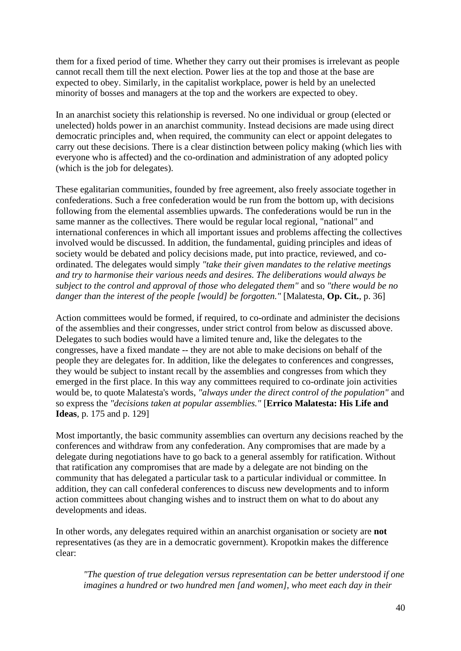them for a fixed period of time. Whether they carry out their promises is irrelevant as people cannot recall them till the next election. Power lies at the top and those at the base are expected to obey. Similarly, in the capitalist workplace, power is held by an unelected minority of bosses and managers at the top and the workers are expected to obey.

In an anarchist society this relationship is reversed. No one individual or group (elected or unelected) holds power in an anarchist community. Instead decisions are made using direct democratic principles and, when required, the community can elect or appoint delegates to carry out these decisions. There is a clear distinction between policy making (which lies with everyone who is affected) and the co-ordination and administration of any adopted policy (which is the job for delegates).

These egalitarian communities, founded by free agreement, also freely associate together in confederations. Such a free confederation would be run from the bottom up, with decisions following from the elemental assemblies upwards. The confederations would be run in the same manner as the collectives. There would be regular local regional, "national" and international conferences in which all important issues and problems affecting the collectives involved would be discussed. In addition, the fundamental, guiding principles and ideas of society would be debated and policy decisions made, put into practice, reviewed, and coordinated. The delegates would simply *"take their given mandates to the relative meetings and try to harmonise their various needs and desires. The deliberations would always be subject to the control and approval of those who delegated them"* and so *"there would be no danger than the interest of the people [would] be forgotten."* [Malatesta, **Op. Cit.**, p. 36]

Action committees would be formed, if required, to co-ordinate and administer the decisions of the assemblies and their congresses, under strict control from below as discussed above. Delegates to such bodies would have a limited tenure and, like the delegates to the congresses, have a fixed mandate -- they are not able to make decisions on behalf of the people they are delegates for. In addition, like the delegates to conferences and congresses, they would be subject to instant recall by the assemblies and congresses from which they emerged in the first place. In this way any committees required to co-ordinate join activities would be, to quote Malatesta's words, *"always under the direct control of the population"* and so express the *"decisions taken at popular assemblies."* [**Errico Malatesta: His Life and Ideas**, p. 175 and p. 129]

Most importantly, the basic community assemblies can overturn any decisions reached by the conferences and withdraw from any confederation. Any compromises that are made by a delegate during negotiations have to go back to a general assembly for ratification. Without that ratification any compromises that are made by a delegate are not binding on the community that has delegated a particular task to a particular individual or committee. In addition, they can call confederal conferences to discuss new developments and to inform action committees about changing wishes and to instruct them on what to do about any developments and ideas.

In other words, any delegates required within an anarchist organisation or society are **not** representatives (as they are in a democratic government). Kropotkin makes the difference clear:

*"The question of true delegation versus representation can be better understood if one imagines a hundred or two hundred men [and women], who meet each day in their*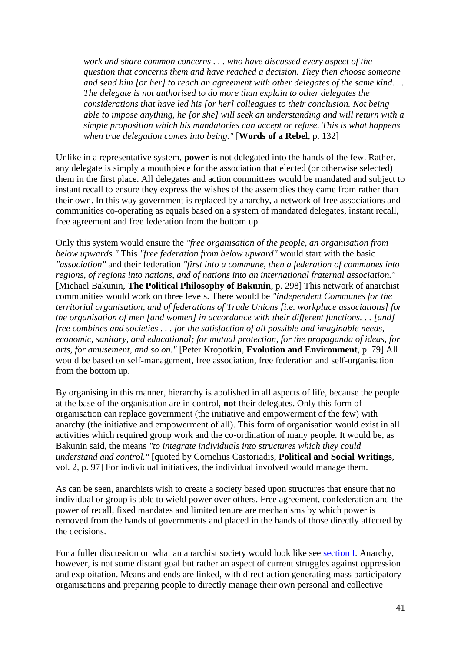*work and share common concerns . . . who have discussed every aspect of the question that concerns them and have reached a decision. They then choose someone and send him [or her] to reach an agreement with other delegates of the same kind. . . The delegate is not authorised to do more than explain to other delegates the considerations that have led his [or her] colleagues to their conclusion. Not being able to impose anything, he [or she] will seek an understanding and will return with a simple proposition which his mandatories can accept or refuse. This is what happens when true delegation comes into being."* [**Words of a Rebel**, p. 132]

Unlike in a representative system, **power** is not delegated into the hands of the few. Rather, any delegate is simply a mouthpiece for the association that elected (or otherwise selected) them in the first place. All delegates and action committees would be mandated and subject to instant recall to ensure they express the wishes of the assemblies they came from rather than their own. In this way government is replaced by anarchy, a network of free associations and communities co-operating as equals based on a system of mandated delegates, instant recall, free agreement and free federation from the bottom up.

Only this system would ensure the *"free organisation of the people, an organisation from below upwards."* This *"free federation from below upward"* would start with the basic *"association"* and their federation *"first into a commune, then a federation of communes into regions, of regions into nations, and of nations into an international fraternal association."* [Michael Bakunin, **The Political Philosophy of Bakunin**, p. 298] This network of anarchist communities would work on three levels. There would be *"independent Communes for the territorial organisation, and of federations of Trade Unions [i.e. workplace associations] for the organisation of men [and women] in accordance with their different functions. . . [and] free combines and societies . . . for the satisfaction of all possible and imaginable needs, economic, sanitary, and educational; for mutual protection, for the propaganda of ideas, for arts, for amusement, and so on."* [Peter Kropotkin, **Evolution and Environment**, p. 79] All would be based on self-management, free association, free federation and self-organisation from the bottom up.

By organising in this manner, hierarchy is abolished in all aspects of life, because the people at the base of the organisation are in control, **not** their delegates. Only this form of organisation can replace government (the initiative and empowerment of the few) with anarchy (the initiative and empowerment of all). This form of organisation would exist in all activities which required group work and the co-ordination of many people. It would be, as Bakunin said, the means *"to integrate individuals into structures which they could understand and control."* [quoted by Cornelius Castoriadis, **Political and Social Writings**, vol. 2, p. 97] For individual initiatives, the individual involved would manage them.

As can be seen, anarchists wish to create a society based upon structures that ensure that no individual or group is able to wield power over others. Free agreement, confederation and the power of recall, fixed mandates and limited tenure are mechanisms by which power is removed from the hands of governments and placed in the hands of those directly affected by the decisions.

For a fuller discussion on what an anarchist society would look like see [section I.](sectionI.html) Anarchy, however, is not some distant goal but rather an aspect of current struggles against oppression and exploitation. Means and ends are linked, with direct action generating mass participatory organisations and preparing people to directly manage their own personal and collective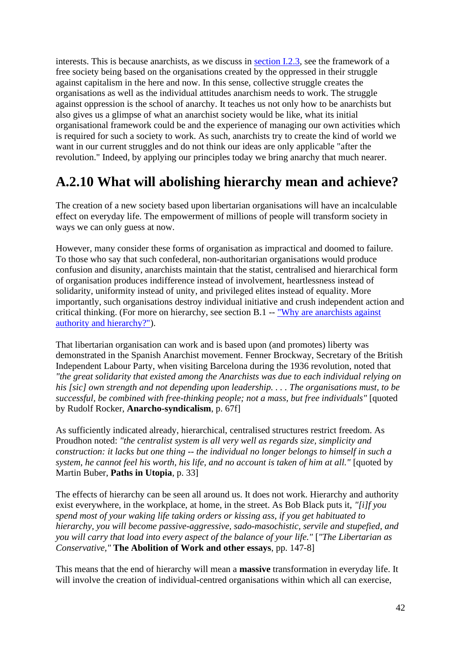interests. This is because anarchists, as we discuss in [section I.2.3,](sectionI.html#seci23) see the framework of a free society being based on the organisations created by the oppressed in their struggle against capitalism in the here and now. In this sense, collective struggle creates the organisations as well as the individual attitudes anarchism needs to work. The struggle against oppression is the school of anarchy. It teaches us not only how to be anarchists but also gives us a glimpse of what an anarchist society would be like, what its initial organisational framework could be and the experience of managing our own activities which is required for such a society to work. As such, anarchists try to create the kind of world we want in our current struggles and do not think our ideas are only applicable "after the revolution." Indeed, by applying our principles today we bring anarchy that much nearer.

# **A.2.10 What will abolishing hierarchy mean and achieve?**

The creation of a new society based upon libertarian organisations will have an incalculable effect on everyday life. The empowerment of millions of people will transform society in ways we can only guess at now.

However, many consider these forms of organisation as impractical and doomed to failure. To those who say that such confederal, non-authoritarian organisations would produce confusion and disunity, anarchists maintain that the statist, centralised and hierarchical form of organisation produces indifference instead of involvement, heartlessness instead of solidarity, uniformity instead of unity, and privileged elites instead of equality. More importantly, such organisations destroy individual initiative and crush independent action and critical thinking. (For more on hierarchy, see section B.1 -- ["Why are anarchists against](sectionB.html#secb1)  [authority and hierarchy?"\)](sectionB.html#secb1).

That libertarian organisation can work and is based upon (and promotes) liberty was demonstrated in the Spanish Anarchist movement. Fenner Brockway, Secretary of the British Independent Labour Party, when visiting Barcelona during the 1936 revolution, noted that *"the great solidarity that existed among the Anarchists was due to each individual relying on his [sic] own strength and not depending upon leadership. . . . The organisations must, to be successful, be combined with free-thinking people; not a mass, but free individuals"* [quoted by Rudolf Rocker, **Anarcho-syndicalism**, p. 67f]

As sufficiently indicated already, hierarchical, centralised structures restrict freedom. As Proudhon noted: *"the centralist system is all very well as regards size, simplicity and construction: it lacks but one thing -- the individual no longer belongs to himself in such a system, he cannot feel his worth, his life, and no account is taken of him at all."* [quoted by Martin Buber, **Paths in Utopia**, p. 33]

The effects of hierarchy can be seen all around us. It does not work. Hierarchy and authority exist everywhere, in the workplace, at home, in the street. As Bob Black puts it, *"[i]f you spend most of your waking life taking orders or kissing ass, if you get habituated to hierarchy, you will become passive-aggressive, sado-masochistic, servile and stupefied, and you will carry that load into every aspect of the balance of your life."* [*"The Libertarian as Conservative,"* **The Abolition of Work and other essays**, pp. 147-8]

This means that the end of hierarchy will mean a **massive** transformation in everyday life. It will involve the creation of individual-centred organisations within which all can exercise,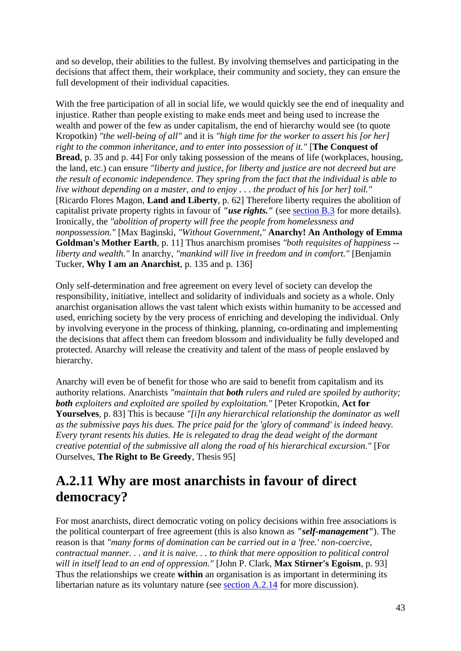and so develop, their abilities to the fullest. By involving themselves and participating in the decisions that affect them, their workplace, their community and society, they can ensure the full development of their individual capacities.

With the free participation of all in social life, we would quickly see the end of inequality and injustice. Rather than people existing to make ends meet and being used to increase the wealth and power of the few as under capitalism, the end of hierarchy would see (to quote Kropotkin) *"the well-being of all"* and it is *"high time for the worker to assert his [or her] right to the common inheritance, and to enter into possession of it."* [**The Conquest of Bread**, p. 35 and p. 44] For only taking possession of the means of life (workplaces, housing, the land, etc.) can ensure *"liberty and justice, for liberty and justice are not decreed but are the result of economic independence. They spring from the fact that the individual is able to live without depending on a master, and to enjoy . . . the product of his [or her] toil."* [Ricardo Flores Magon, **Land and Liberty**, p. 62] Therefore liberty requires the abolition of capitalist private property rights in favour of *"use rights."* (see [section B.3](sectionB.html#secb3) for more details). Ironically, the *"abolition of property will free the people from homelessness and nonpossession."* [Max Baginski, *"Without Government,"* **Anarchy! An Anthology of Emma Goldman's Mother Earth**, p. 11] Thus anarchism promises *"both requisites of happiness - liberty and wealth."* In anarchy, *"mankind will live in freedom and in comfort."* [Benjamin Tucker, **Why I am an Anarchist**, p. 135 and p. 136]

Only self-determination and free agreement on every level of society can develop the responsibility, initiative, intellect and solidarity of individuals and society as a whole. Only anarchist organisation allows the vast talent which exists within humanity to be accessed and used, enriching society by the very process of enriching and developing the individual. Only by involving everyone in the process of thinking, planning, co-ordinating and implementing the decisions that affect them can freedom blossom and individuality be fully developed and protected. Anarchy will release the creativity and talent of the mass of people enslaved by hierarchy.

Anarchy will even be of benefit for those who are said to benefit from capitalism and its authority relations. Anarchists *"maintain that both rulers and ruled are spoiled by authority; both exploiters and exploited are spoiled by exploitation."* [Peter Kropotkin, **Act for Yourselves**, p. 83] This is because *"[i]n any hierarchical relationship the dominator as well as the submissive pays his dues. The price paid for the 'glory of command' is indeed heavy. Every tyrant resents his duties. He is relegated to drag the dead weight of the dormant creative potential of the submissive all along the road of his hierarchical excursion."* [For Ourselves, **The Right to Be Greedy**, Thesis 95]

# **A.2.11 Why are most anarchists in favour of direct democracy?**

For most anarchists, direct democratic voting on policy decisions within free associations is the political counterpart of free agreement (this is also known as *"self-management"*). The reason is that *"many forms of domination can be carried out in a 'free.' non-coercive, contractual manner. . . and it is naive. . . to think that mere opposition to political control will in itself lead to an end of oppression."* [John P. Clark, **Max Stirner's Egoism**, p. 93] Thus the relationships we create **within** an organisation is as important in determining its libertarian nature as its voluntary nature (see [section A.2.14](sectionA.html#seca214) for more discussion).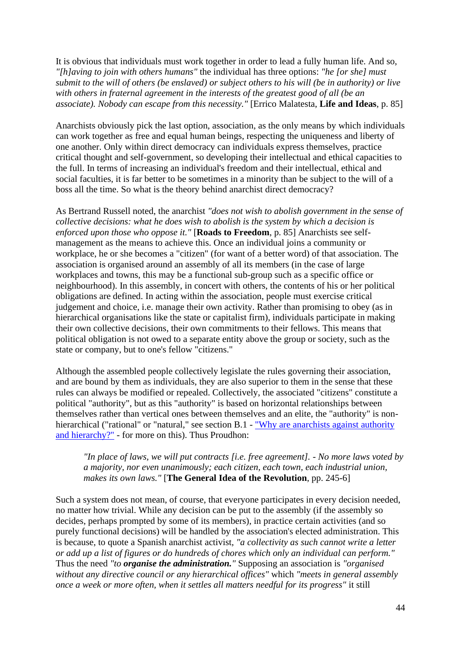It is obvious that individuals must work together in order to lead a fully human life. And so, *"[h]aving to join with others humans"* the individual has three options: *"he [or she] must submit to the will of others (be enslaved) or subject others to his will (be in authority) or live with others in fraternal agreement in the interests of the greatest good of all (be an associate). Nobody can escape from this necessity."* [Errico Malatesta, **Life and Ideas**, p. 85]

Anarchists obviously pick the last option, association, as the only means by which individuals can work together as free and equal human beings, respecting the uniqueness and liberty of one another. Only within direct democracy can individuals express themselves, practice critical thought and self-government, so developing their intellectual and ethical capacities to the full. In terms of increasing an individual's freedom and their intellectual, ethical and social faculties, it is far better to be sometimes in a minority than be subject to the will of a boss all the time. So what is the theory behind anarchist direct democracy?

As Bertrand Russell noted, the anarchist *"does not wish to abolish government in the sense of collective decisions: what he does wish to abolish is the system by which a decision is enforced upon those who oppose it."* [**Roads to Freedom**, p. 85] Anarchists see selfmanagement as the means to achieve this. Once an individual joins a community or workplace, he or she becomes a "citizen" (for want of a better word) of that association. The association is organised around an assembly of all its members (in the case of large workplaces and towns, this may be a functional sub-group such as a specific office or neighbourhood). In this assembly, in concert with others, the contents of his or her political obligations are defined. In acting within the association, people must exercise critical judgement and choice, i.e. manage their own activity. Rather than promising to obey (as in hierarchical organisations like the state or capitalist firm), individuals participate in making their own collective decisions, their own commitments to their fellows. This means that political obligation is not owed to a separate entity above the group or society, such as the state or company, but to one's fellow "citizens."

Although the assembled people collectively legislate the rules governing their association, and are bound by them as individuals, they are also superior to them in the sense that these rules can always be modified or repealed. Collectively, the associated "citizens" constitute a political "authority", but as this "authority" is based on horizontal relationships between themselves rather than vertical ones between themselves and an elite, the "authority" is nonhierarchical ("rational" or "natural," see section B.1 - "Why are anarchists against authority [and hierarchy?"](sectionB.html#secb1) - for more on this). Thus Proudhon:

*"In place of laws, we will put contracts [i.e. free agreement]. - No more laws voted by a majority, nor even unanimously; each citizen, each town, each industrial union, makes its own laws."* [**The General Idea of the Revolution**, pp. 245-6]

Such a system does not mean, of course, that everyone participates in every decision needed, no matter how trivial. While any decision can be put to the assembly (if the assembly so decides, perhaps prompted by some of its members), in practice certain activities (and so purely functional decisions) will be handled by the association's elected administration. This is because, to quote a Spanish anarchist activist, *"a collectivity as such cannot write a letter or add up a list of figures or do hundreds of chores which only an individual can perform."* Thus the need *"to organise the administration."* Supposing an association is *"organised without any directive council or any hierarchical offices"* which *"meets in general assembly once a week or more often, when it settles all matters needful for its progress"* it still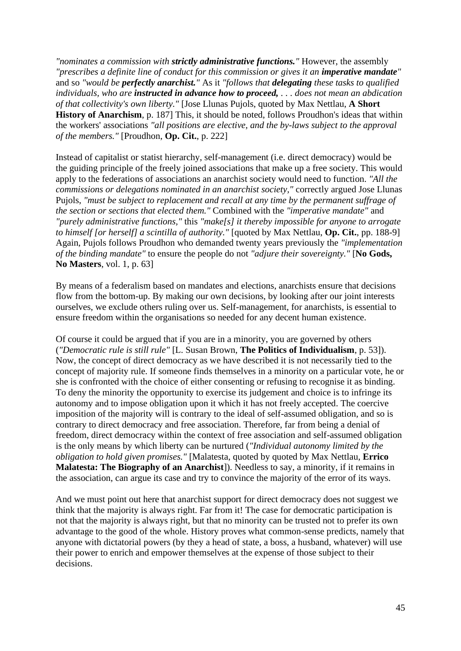*"nominates a commission with strictly administrative functions."* However, the assembly *"prescribes a definite line of conduct for this commission or gives it an imperative mandate"* and so *"would be perfectly anarchist."* As it *"follows that delegating these tasks to qualified individuals, who are instructed in advance how to proceed, . . . does not mean an abdication of that collectivity's own liberty."* [Jose Llunas Pujols, quoted by Max Nettlau, **A Short History of Anarchism**, p. 187] This, it should be noted, follows Proudhon's ideas that within the workers' associations *"all positions are elective, and the by-laws subject to the approval of the members."* [Proudhon, **Op. Cit.**, p. 222]

Instead of capitalist or statist hierarchy, self-management (i.e. direct democracy) would be the guiding principle of the freely joined associations that make up a free society. This would apply to the federations of associations an anarchist society would need to function. *"All the commissions or delegations nominated in an anarchist society,"* correctly argued Jose Llunas Pujols, *"must be subject to replacement and recall at any time by the permanent suffrage of the section or sections that elected them."* Combined with the *"imperative mandate"* and *"purely administrative functions,"* this *"make[s] it thereby impossible for anyone to arrogate to himself [or herself] a scintilla of authority."* [quoted by Max Nettlau, **Op. Cit.**, pp. 188-9] Again, Pujols follows Proudhon who demanded twenty years previously the *"implementation of the binding mandate"* to ensure the people do not *"adjure their sovereignty."* [**No Gods, No Masters**, vol. 1, p. 63]

By means of a federalism based on mandates and elections, anarchists ensure that decisions flow from the bottom-up. By making our own decisions, by looking after our joint interests ourselves, we exclude others ruling over us. Self-management, for anarchists, is essential to ensure freedom within the organisations so needed for any decent human existence.

Of course it could be argued that if you are in a minority, you are governed by others (*"Democratic rule is still rule"* [L. Susan Brown, **The Politics of Individualism**, p. 53]). Now, the concept of direct democracy as we have described it is not necessarily tied to the concept of majority rule. If someone finds themselves in a minority on a particular vote, he or she is confronted with the choice of either consenting or refusing to recognise it as binding. To deny the minority the opportunity to exercise its judgement and choice is to infringe its autonomy and to impose obligation upon it which it has not freely accepted. The coercive imposition of the majority will is contrary to the ideal of self-assumed obligation, and so is contrary to direct democracy and free association. Therefore, far from being a denial of freedom, direct democracy within the context of free association and self-assumed obligation is the only means by which liberty can be nurtured (*"Individual autonomy limited by the obligation to hold given promises."* [Malatesta, quoted by quoted by Max Nettlau, **Errico Malatesta: The Biography of an Anarchist**]). Needless to say, a minority, if it remains in the association, can argue its case and try to convince the majority of the error of its ways.

And we must point out here that anarchist support for direct democracy does not suggest we think that the majority is always right. Far from it! The case for democratic participation is not that the majority is always right, but that no minority can be trusted not to prefer its own advantage to the good of the whole. History proves what common-sense predicts, namely that anyone with dictatorial powers (by they a head of state, a boss, a husband, whatever) will use their power to enrich and empower themselves at the expense of those subject to their decisions.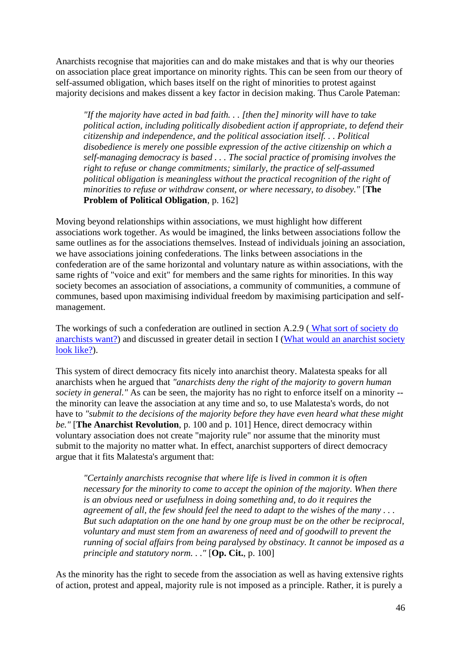Anarchists recognise that majorities can and do make mistakes and that is why our theories on association place great importance on minority rights. This can be seen from our theory of self-assumed obligation, which bases itself on the right of minorities to protest against majority decisions and makes dissent a key factor in decision making. Thus Carole Pateman:

*"If the majority have acted in bad faith. . . [then the] minority will have to take political action, including politically disobedient action if appropriate, to defend their citizenship and independence, and the political association itself. . . Political disobedience is merely one possible expression of the active citizenship on which a self-managing democracy is based . . . The social practice of promising involves the right to refuse or change commitments; similarly, the practice of self-assumed political obligation is meaningless without the practical recognition of the right of minorities to refuse or withdraw consent, or where necessary, to disobey."* [**The Problem of Political Obligation**, p. 162]

Moving beyond relationships within associations, we must highlight how different associations work together. As would be imagined, the links between associations follow the same outlines as for the associations themselves. Instead of individuals joining an association, we have associations joining confederations. The links between associations in the confederation are of the same horizontal and voluntary nature as within associations, with the same rights of "voice and exit" for members and the same rights for minorities. In this way society becomes an association of associations, a community of communities, a commune of communes, based upon maximising individual freedom by maximising participation and selfmanagement.

The workings of such a confederation are outlined in section A.2.9 ( [What sort of society do](sectionA.html#seca29)  [anarchists want?\)](sectionA.html#seca29) and discussed in greater detail in section I [\(What would an anarchist society](sectionI.html)  [look like?\)](sectionI.html).

This system of direct democracy fits nicely into anarchist theory. Malatesta speaks for all anarchists when he argued that *"anarchists deny the right of the majority to govern human society in general."* As can be seen, the majority has no right to enforce itself on a minority - the minority can leave the association at any time and so, to use Malatesta's words, do not have to *"submit to the decisions of the majority before they have even heard what these might be."* [**The Anarchist Revolution**, p. 100 and p. 101] Hence, direct democracy within voluntary association does not create "majority rule" nor assume that the minority must submit to the majority no matter what. In effect, anarchist supporters of direct democracy argue that it fits Malatesta's argument that:

*"Certainly anarchists recognise that where life is lived in common it is often necessary for the minority to come to accept the opinion of the majority. When there is an obvious need or usefulness in doing something and, to do it requires the agreement of all, the few should feel the need to adapt to the wishes of the many . . . But such adaptation on the one hand by one group must be on the other be reciprocal, voluntary and must stem from an awareness of need and of goodwill to prevent the running of social affairs from being paralysed by obstinacy. It cannot be imposed as a principle and statutory norm. . ."* [**Op. Cit.**, p. 100]

As the minority has the right to secede from the association as well as having extensive rights of action, protest and appeal, majority rule is not imposed as a principle. Rather, it is purely a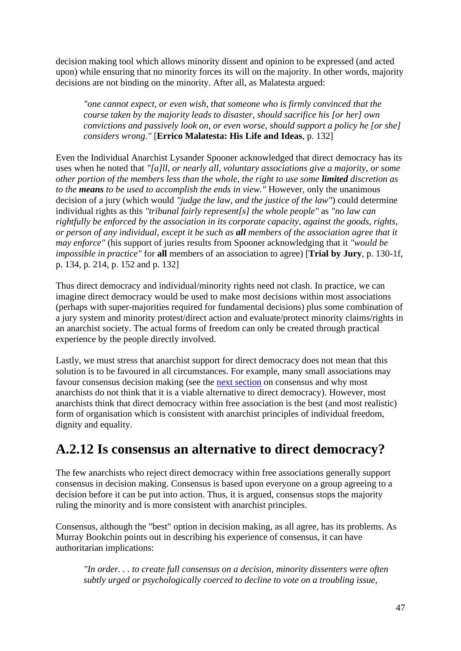decision making tool which allows minority dissent and opinion to be expressed (and acted upon) while ensuring that no minority forces its will on the majority. In other words, majority decisions are not binding on the minority. After all, as Malatesta argued:

*"one cannot expect, or even wish, that someone who is firmly convinced that the course taken by the majority leads to disaster, should sacrifice his [or her] own convictions and passively look on, or even worse, should support a policy he [or she] considers wrong."* [**Errico Malatesta: His Life and Ideas**, p. 132]

Even the Individual Anarchist Lysander Spooner acknowledged that direct democracy has its uses when he noted that *"[a]ll, or nearly all, voluntary associations give a majority, or some other portion of the members less than the whole, the right to use some limited discretion as to the means to be used to accomplish the ends in view."* However, only the unanimous decision of a jury (which would *"judge the law, and the justice of the law"*) could determine individual rights as this *"tribunal fairly represent[s] the whole people"* as *"no law can rightfully be enforced by the association in its corporate capacity, against the goods, rights, or person of any individual, except it be such as all members of the association agree that it may enforce"* (his support of juries results from Spooner acknowledging that it *"would be impossible in practice"* for **all** members of an association to agree) [**Trial by Jury**, p. 130-1f, p. 134, p. 214, p. 152 and p. 132]

Thus direct democracy and individual/minority rights need not clash. In practice, we can imagine direct democracy would be used to make most decisions within most associations (perhaps with super-majorities required for fundamental decisions) plus some combination of a jury system and minority protest/direct action and evaluate/protect minority claims/rights in an anarchist society. The actual forms of freedom can only be created through practical experience by the people directly involved.

Lastly, we must stress that anarchist support for direct democracy does not mean that this solution is to be favoured in all circumstances. For example, many small associations may favour consensus decision making (see the [next section](sectionA.html#seca212) on consensus and why most anarchists do not think that it is a viable alternative to direct democracy). However, most anarchists think that direct democracy within free association is the best (and most realistic) form of organisation which is consistent with anarchist principles of individual freedom, dignity and equality.

# **A.2.12 Is consensus an alternative to direct democracy?**

The few anarchists who reject direct democracy within free associations generally support consensus in decision making. Consensus is based upon everyone on a group agreeing to a decision before it can be put into action. Thus, it is argued, consensus stops the majority ruling the minority and is more consistent with anarchist principles.

Consensus, although the "best" option in decision making, as all agree, has its problems. As Murray Bookchin points out in describing his experience of consensus, it can have authoritarian implications:

*"In order. . . to create full consensus on a decision, minority dissenters were often subtly urged or psychologically coerced to decline to vote on a troubling issue,*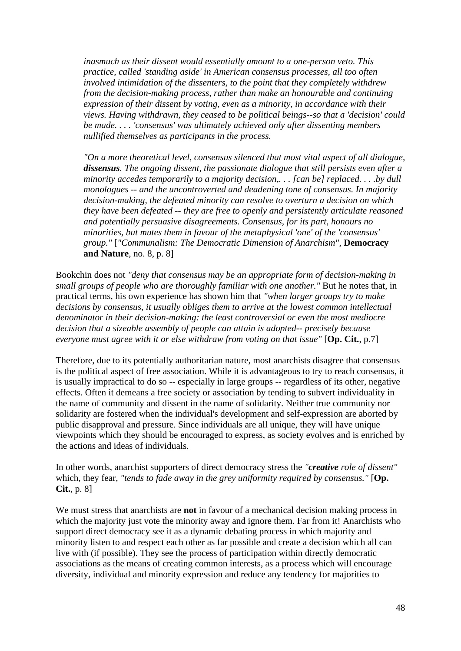*inasmuch as their dissent would essentially amount to a one-person veto. This practice, called 'standing aside' in American consensus processes, all too often involved intimidation of the dissenters, to the point that they completely withdrew from the decision-making process, rather than make an honourable and continuing expression of their dissent by voting, even as a minority, in accordance with their views. Having withdrawn, they ceased to be political beings--so that a 'decision' could be made. . . . 'consensus' was ultimately achieved only after dissenting members nullified themselves as participants in the process.*

*"On a more theoretical level, consensus silenced that most vital aspect of all dialogue, dissensus. The ongoing dissent, the passionate dialogue that still persists even after a minority accedes temporarily to a majority decision,. . . [can be] replaced. . . .by dull monologues -- and the uncontroverted and deadening tone of consensus. In majority decision-making, the defeated minority can resolve to overturn a decision on which they have been defeated -- they are free to openly and persistently articulate reasoned and potentially persuasive disagreements. Consensus, for its part, honours no minorities, but mutes them in favour of the metaphysical 'one' of the 'consensus' group."* [*"Communalism: The Democratic Dimension of Anarchism"*, **Democracy and Nature**, no. 8, p. 8]

Bookchin does not *"deny that consensus may be an appropriate form of decision-making in small groups of people who are thoroughly familiar with one another."* But he notes that, in practical terms, his own experience has shown him that *"when larger groups try to make decisions by consensus, it usually obliges them to arrive at the lowest common intellectual denominator in their decision-making: the least controversial or even the most mediocre decision that a sizeable assembly of people can attain is adopted-- precisely because everyone must agree with it or else withdraw from voting on that issue"* [**Op. Cit.**, p.7]

Therefore, due to its potentially authoritarian nature, most anarchists disagree that consensus is the political aspect of free association. While it is advantageous to try to reach consensus, it is usually impractical to do so -- especially in large groups -- regardless of its other, negative effects. Often it demeans a free society or association by tending to subvert individuality in the name of community and dissent in the name of solidarity. Neither true community nor solidarity are fostered when the individual's development and self-expression are aborted by public disapproval and pressure. Since individuals are all unique, they will have unique viewpoints which they should be encouraged to express, as society evolves and is enriched by the actions and ideas of individuals.

In other words, anarchist supporters of direct democracy stress the *"creative role of dissent"* which, they fear, *"tends to fade away in the grey uniformity required by consensus."* [**Op. Cit.**, p. 8]

We must stress that anarchists are **not** in favour of a mechanical decision making process in which the majority just vote the minority away and ignore them. Far from it! Anarchists who support direct democracy see it as a dynamic debating process in which majority and minority listen to and respect each other as far possible and create a decision which all can live with (if possible). They see the process of participation within directly democratic associations as the means of creating common interests, as a process which will encourage diversity, individual and minority expression and reduce any tendency for majorities to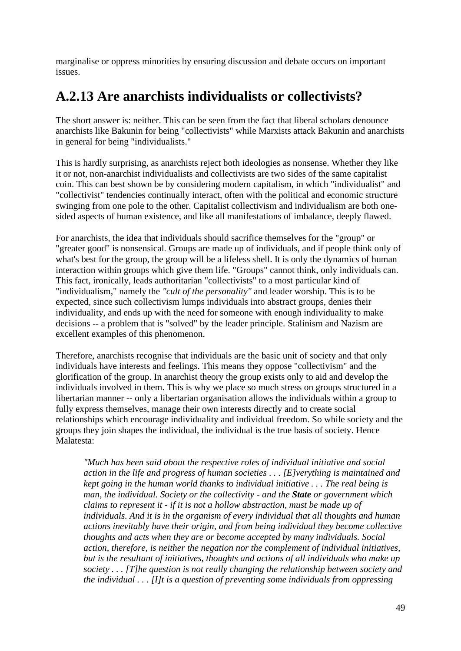marginalise or oppress minorities by ensuring discussion and debate occurs on important issues.

# **A.2.13 Are anarchists individualists or collectivists?**

The short answer is: neither. This can be seen from the fact that liberal scholars denounce anarchists like Bakunin for being "collectivists" while Marxists attack Bakunin and anarchists in general for being "individualists."

This is hardly surprising, as anarchists reject both ideologies as nonsense. Whether they like it or not, non-anarchist individualists and collectivists are two sides of the same capitalist coin. This can best shown be by considering modern capitalism, in which "individualist" and "collectivist" tendencies continually interact, often with the political and economic structure swinging from one pole to the other. Capitalist collectivism and individualism are both onesided aspects of human existence, and like all manifestations of imbalance, deeply flawed.

For anarchists, the idea that individuals should sacrifice themselves for the "group" or "greater good" is nonsensical. Groups are made up of individuals, and if people think only of what's best for the group, the group will be a lifeless shell. It is only the dynamics of human interaction within groups which give them life. "Groups" cannot think, only individuals can. This fact, ironically, leads authoritarian "collectivists" to a most particular kind of "individualism," namely the *"cult of the personality"* and leader worship. This is to be expected, since such collectivism lumps individuals into abstract groups, denies their individuality, and ends up with the need for someone with enough individuality to make decisions -- a problem that is "solved" by the leader principle. Stalinism and Nazism are excellent examples of this phenomenon.

Therefore, anarchists recognise that individuals are the basic unit of society and that only individuals have interests and feelings. This means they oppose "collectivism" and the glorification of the group. In anarchist theory the group exists only to aid and develop the individuals involved in them. This is why we place so much stress on groups structured in a libertarian manner -- only a libertarian organisation allows the individuals within a group to fully express themselves, manage their own interests directly and to create social relationships which encourage individuality and individual freedom. So while society and the groups they join shapes the individual, the individual is the true basis of society. Hence Malatesta:

*"Much has been said about the respective roles of individual initiative and social action in the life and progress of human societies . . . [E]verything is maintained and kept going in the human world thanks to individual initiative . . . The real being is man, the individual. Society or the collectivity - and the State or government which claims to represent it - if it is not a hollow abstraction, must be made up of individuals. And it is in the organism of every individual that all thoughts and human actions inevitably have their origin, and from being individual they become collective thoughts and acts when they are or become accepted by many individuals. Social action, therefore, is neither the negation nor the complement of individual initiatives, but is the resultant of initiatives, thoughts and actions of all individuals who make up society . . . [T]he question is not really changing the relationship between society and the individual . . . [I]t is a question of preventing some individuals from oppressing*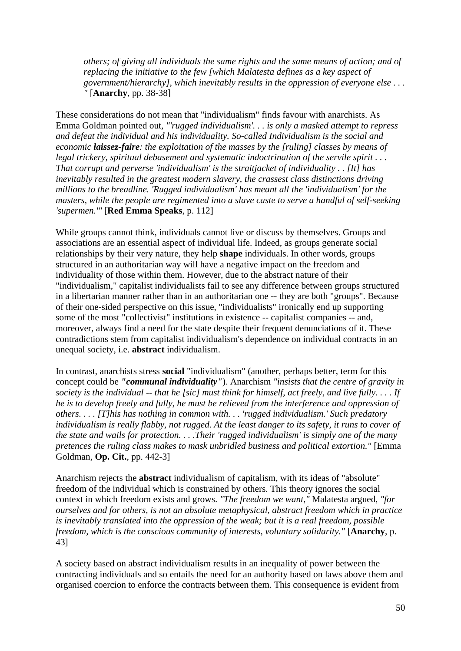*others; of giving all individuals the same rights and the same means of action; and of replacing the initiative to the few [which Malatesta defines as a key aspect of government/hierarchy], which inevitably results in the oppression of everyone else . . . "* [**Anarchy**, pp. 38-38]

These considerations do not mean that "individualism" finds favour with anarchists. As Emma Goldman pointed out, *"'rugged individualism'. . . is only a masked attempt to repress and defeat the individual and his individuality. So-called Individualism is the social and economic laissez-faire: the exploitation of the masses by the [ruling] classes by means of legal trickery, spiritual debasement and systematic indoctrination of the servile spirit . . . That corrupt and perverse 'individualism' is the straitjacket of individuality . . [It] has inevitably resulted in the greatest modern slavery, the crassest class distinctions driving millions to the breadline. 'Rugged individualism' has meant all the 'individualism' for the masters, while the people are regimented into a slave caste to serve a handful of self-seeking 'supermen.'"* [**Red Emma Speaks**, p. 112]

While groups cannot think, individuals cannot live or discuss by themselves. Groups and associations are an essential aspect of individual life. Indeed, as groups generate social relationships by their very nature, they help **shape** individuals. In other words, groups structured in an authoritarian way will have a negative impact on the freedom and individuality of those within them. However, due to the abstract nature of their "individualism," capitalist individualists fail to see any difference between groups structured in a libertarian manner rather than in an authoritarian one -- they are both "groups". Because of their one-sided perspective on this issue, "individualists" ironically end up supporting some of the most "collectivist" institutions in existence -- capitalist companies -- and, moreover, always find a need for the state despite their frequent denunciations of it. These contradictions stem from capitalist individualism's dependence on individual contracts in an unequal society, i.e. **abstract** individualism.

In contrast, anarchists stress **social** "individualism" (another, perhaps better, term for this concept could be *"communal individuality"*). Anarchism *"insists that the centre of gravity in society is the individual -- that he [sic] must think for himself, act freely, and live fully. . . . If he is to develop freely and fully, he must be relieved from the interference and oppression of others. . . . [T]his has nothing in common with. . . 'rugged individualism.' Such predatory individualism is really flabby, not rugged. At the least danger to its safety, it runs to cover of the state and wails for protection. . . .Their 'rugged individualism' is simply one of the many pretences the ruling class makes to mask unbridled business and political extortion."* [Emma Goldman, **Op. Cit.**, pp. 442-3]

Anarchism rejects the **abstract** individualism of capitalism, with its ideas of "absolute" freedom of the individual which is constrained by others. This theory ignores the social context in which freedom exists and grows. *"The freedom we want,"* Malatesta argued, *"for ourselves and for others, is not an absolute metaphysical, abstract freedom which in practice is inevitably translated into the oppression of the weak; but it is a real freedom, possible freedom, which is the conscious community of interests, voluntary solidarity."* [**Anarchy**, p. 43]

A society based on abstract individualism results in an inequality of power between the contracting individuals and so entails the need for an authority based on laws above them and organised coercion to enforce the contracts between them. This consequence is evident from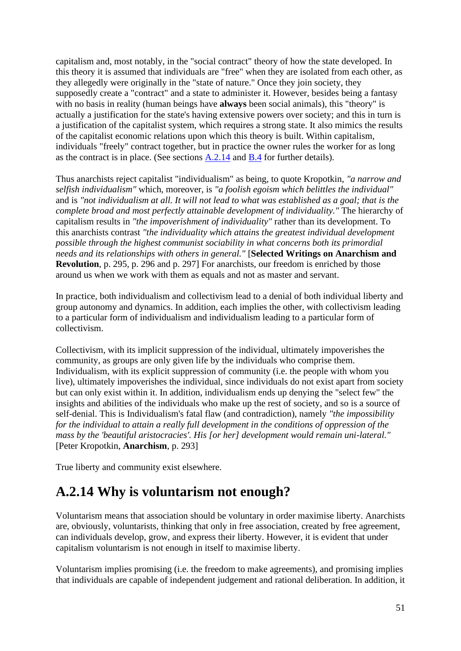capitalism and, most notably, in the "social contract" theory of how the state developed. In this theory it is assumed that individuals are "free" when they are isolated from each other, as they allegedly were originally in the "state of nature." Once they join society, they supposedly create a "contract" and a state to administer it. However, besides being a fantasy with no basis in reality (human beings have **always** been social animals), this "theory" is actually a justification for the state's having extensive powers over society; and this in turn is a justification of the capitalist system, which requires a strong state. It also mimics the results of the capitalist economic relations upon which this theory is built. Within capitalism, individuals "freely" contract together, but in practice the owner rules the worker for as long as the contract is in place. (See sections [A.2.14](sectionA.html#seca214) and [B.4](sectionB.html#secb4) for further details).

Thus anarchists reject capitalist "individualism" as being, to quote Kropotkin, *"a narrow and selfish individualism"* which, moreover, is *"a foolish egoism which belittles the individual"* and is *"not individualism at all. It will not lead to what was established as a goal; that is the complete broad and most perfectly attainable development of individuality."* The hierarchy of capitalism results in *"the impoverishment of individuality"* rather than its development. To this anarchists contrast *"the individuality which attains the greatest individual development possible through the highest communist sociability in what concerns both its primordial needs and its relationships with others in general."* [**Selected Writings on Anarchism and Revolution**, p. 295, p. 296 and p. 297] For anarchists, our freedom is enriched by those around us when we work with them as equals and not as master and servant.

In practice, both individualism and collectivism lead to a denial of both individual liberty and group autonomy and dynamics. In addition, each implies the other, with collectivism leading to a particular form of individualism and individualism leading to a particular form of collectivism.

Collectivism, with its implicit suppression of the individual, ultimately impoverishes the community, as groups are only given life by the individuals who comprise them. Individualism, with its explicit suppression of community (i.e. the people with whom you live), ultimately impoverishes the individual, since individuals do not exist apart from society but can only exist within it. In addition, individualism ends up denying the "select few" the insights and abilities of the individuals who make up the rest of society, and so is a source of self-denial. This is Individualism's fatal flaw (and contradiction), namely *"the impossibility for the individual to attain a really full development in the conditions of oppression of the mass by the 'beautiful aristocracies'. His [or her] development would remain uni-lateral."* [Peter Kropotkin, **Anarchism**, p. 293]

True liberty and community exist elsewhere.

#### **A.2.14 Why is voluntarism not enough?**

Voluntarism means that association should be voluntary in order maximise liberty. Anarchists are, obviously, voluntarists, thinking that only in free association, created by free agreement, can individuals develop, grow, and express their liberty. However, it is evident that under capitalism voluntarism is not enough in itself to maximise liberty.

Voluntarism implies promising (i.e. the freedom to make agreements), and promising implies that individuals are capable of independent judgement and rational deliberation. In addition, it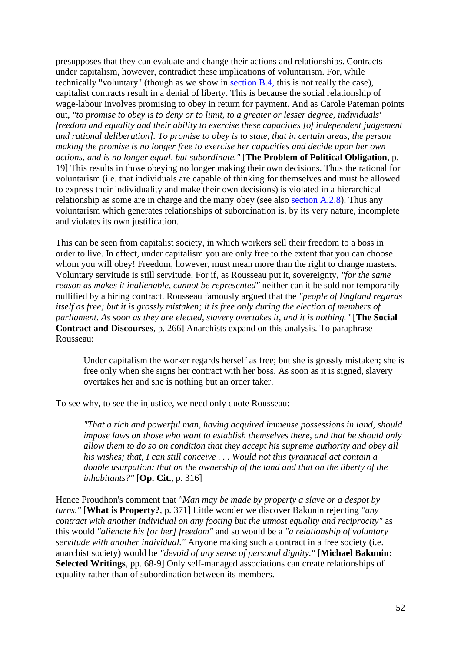presupposes that they can evaluate and change their actions and relationships. Contracts under capitalism, however, contradict these implications of voluntarism. For, while technically "voluntary" (though as we show in [section B.4,](sectionB.html#secb4) this is not really the case), capitalist contracts result in a denial of liberty. This is because the social relationship of wage-labour involves promising to obey in return for payment. And as Carole Pateman points out, *"to promise to obey is to deny or to limit, to a greater or lesser degree, individuals' freedom and equality and their ability to exercise these capacities [of independent judgement and rational deliberation]. To promise to obey is to state, that in certain areas, the person making the promise is no longer free to exercise her capacities and decide upon her own actions, and is no longer equal, but subordinate."* [**The Problem of Political Obligation**, p. 19] This results in those obeying no longer making their own decisions. Thus the rational for voluntarism (i.e. that individuals are capable of thinking for themselves and must be allowed to express their individuality and make their own decisions) is violated in a hierarchical relationship as some are in charge and the many obey (see also [section A.2.8\)](sectionA.html#seca28). Thus any voluntarism which generates relationships of subordination is, by its very nature, incomplete and violates its own justification.

This can be seen from capitalist society, in which workers sell their freedom to a boss in order to live. In effect, under capitalism you are only free to the extent that you can choose whom you will obey! Freedom, however, must mean more than the right to change masters. Voluntary servitude is still servitude. For if, as Rousseau put it, sovereignty, *"for the same reason as makes it inalienable, cannot be represented"* neither can it be sold nor temporarily nullified by a hiring contract. Rousseau famously argued that the *"people of England regards itself as free; but it is grossly mistaken; it is free only during the election of members of parliament. As soon as they are elected, slavery overtakes it, and it is nothing."* [**The Social Contract and Discourses**, p. 266] Anarchists expand on this analysis. To paraphrase Rousseau:

Under capitalism the worker regards herself as free; but she is grossly mistaken; she is free only when she signs her contract with her boss. As soon as it is signed, slavery overtakes her and she is nothing but an order taker.

To see why, to see the injustice, we need only quote Rousseau:

*"That a rich and powerful man, having acquired immense possessions in land, should impose laws on those who want to establish themselves there, and that he should only allow them to do so on condition that they accept his supreme authority and obey all his wishes; that, I can still conceive . . . Would not this tyrannical act contain a double usurpation: that on the ownership of the land and that on the liberty of the inhabitants?"* [**Op. Cit.**, p. 316]

Hence Proudhon's comment that *"Man may be made by property a slave or a despot by turns."* [**What is Property?**, p. 371] Little wonder we discover Bakunin rejecting *"any contract with another individual on any footing but the utmost equality and reciprocity"* as this would *"alienate his [or her] freedom"* and so would be a *"a relationship of voluntary servitude with another individual."* Anyone making such a contract in a free society (i.e. anarchist society) would be *"devoid of any sense of personal dignity."* [**Michael Bakunin: Selected Writings**, pp. 68-9] Only self-managed associations can create relationships of equality rather than of subordination between its members.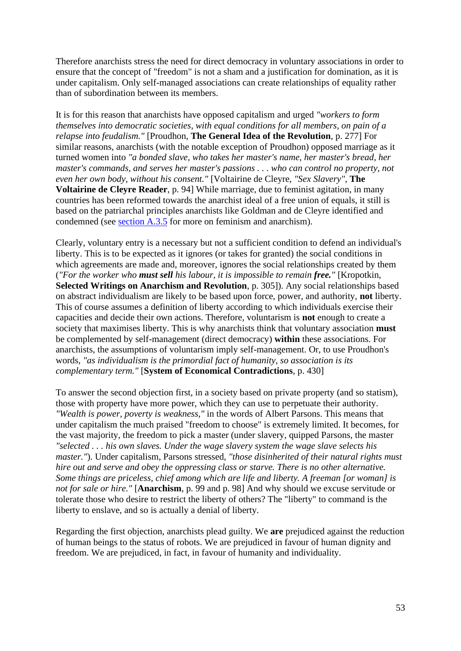Therefore anarchists stress the need for direct democracy in voluntary associations in order to ensure that the concept of "freedom" is not a sham and a justification for domination, as it is under capitalism. Only self-managed associations can create relationships of equality rather than of subordination between its members.

It is for this reason that anarchists have opposed capitalism and urged *"workers to form themselves into democratic societies, with equal conditions for all members, on pain of a relapse into feudalism."* [Proudhon, **The General Idea of the Revolution**, p. 277] For similar reasons, anarchists (with the notable exception of Proudhon) opposed marriage as it turned women into *"a bonded slave, who takes her master's name, her master's bread, her master's commands, and serves her master's passions . . . who can control no property, not even her own body, without his consent."* [Voltairine de Cleyre, *"Sex Slavery"*, **The Voltairine de Cleyre Reader**, p. 94] While marriage, due to feminist agitation, in many countries has been reformed towards the anarchist ideal of a free union of equals, it still is based on the patriarchal principles anarchists like Goldman and de Cleyre identified and condemned (see [section A.3.5](sectionA.html#seca35) for more on feminism and anarchism).

Clearly, voluntary entry is a necessary but not a sufficient condition to defend an individual's liberty. This is to be expected as it ignores (or takes for granted) the social conditions in which agreements are made and, moreover, ignores the social relationships created by them (*"For the worker who must sell his labour, it is impossible to remain free."* [Kropotkin, **Selected Writings on Anarchism and Revolution**, p. 305]). Any social relationships based on abstract individualism are likely to be based upon force, power, and authority, **not** liberty. This of course assumes a definition of liberty according to which individuals exercise their capacities and decide their own actions. Therefore, voluntarism is **not** enough to create a society that maximises liberty. This is why anarchists think that voluntary association **must** be complemented by self-management (direct democracy) **within** these associations. For anarchists, the assumptions of voluntarism imply self-management. Or, to use Proudhon's words, *"as individualism is the primordial fact of humanity, so association is its complementary term."* [**System of Economical Contradictions**, p. 430]

To answer the second objection first, in a society based on private property (and so statism), those with property have more power, which they can use to perpetuate their authority. *"Wealth is power, poverty is weakness,"* in the words of Albert Parsons. This means that under capitalism the much praised "freedom to choose" is extremely limited. It becomes, for the vast majority, the freedom to pick a master (under slavery, quipped Parsons, the master *"selected . . . his own slaves. Under the wage slavery system the wage slave selects his master."*). Under capitalism, Parsons stressed, *"those disinherited of their natural rights must hire out and serve and obey the oppressing class or starve. There is no other alternative. Some things are priceless, chief among which are life and liberty. A freeman [or woman] is not for sale or hire."* [**Anarchism**, p. 99 and p. 98] And why should we excuse servitude or tolerate those who desire to restrict the liberty of others? The "liberty" to command is the liberty to enslave, and so is actually a denial of liberty.

Regarding the first objection, anarchists plead guilty. We **are** prejudiced against the reduction of human beings to the status of robots. We are prejudiced in favour of human dignity and freedom. We are prejudiced, in fact, in favour of humanity and individuality.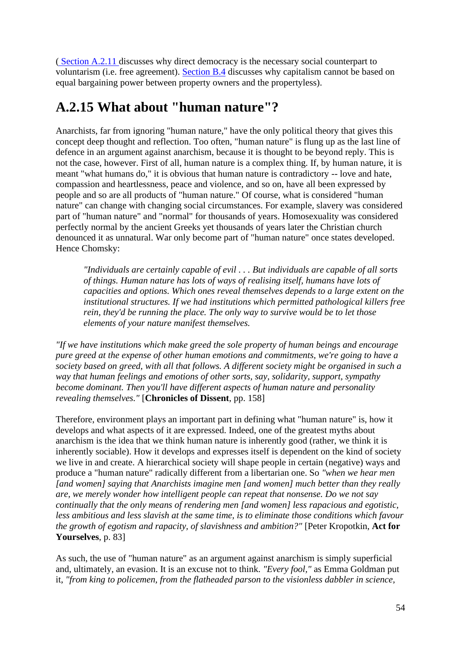( [Section A.2.11 d](sectionA.html#seca211)iscusses why direct democracy is the necessary social counterpart to voluntarism (i.e. free agreement). [Section B.4](sectionB.html#secb4) discusses why capitalism cannot be based on equal bargaining power between property owners and the propertyless).

#### **A.2.15 What about "human nature"?**

Anarchists, far from ignoring "human nature," have the only political theory that gives this concept deep thought and reflection. Too often, "human nature" is flung up as the last line of defence in an argument against anarchism, because it is thought to be beyond reply. This is not the case, however. First of all, human nature is a complex thing. If, by human nature, it is meant "what humans do," it is obvious that human nature is contradictory -- love and hate, compassion and heartlessness, peace and violence, and so on, have all been expressed by people and so are all products of "human nature." Of course, what is considered "human nature" can change with changing social circumstances. For example, slavery was considered part of "human nature" and "normal" for thousands of years. Homosexuality was considered perfectly normal by the ancient Greeks yet thousands of years later the Christian church denounced it as unnatural. War only become part of "human nature" once states developed. Hence Chomsky:

*"Individuals are certainly capable of evil . . . But individuals are capable of all sorts of things. Human nature has lots of ways of realising itself, humans have lots of capacities and options. Which ones reveal themselves depends to a large extent on the institutional structures. If we had institutions which permitted pathological killers free rein, they'd be running the place. The only way to survive would be to let those elements of your nature manifest themselves.* 

*"If we have institutions which make greed the sole property of human beings and encourage pure greed at the expense of other human emotions and commitments, we're going to have a society based on greed, with all that follows. A different society might be organised in such a way that human feelings and emotions of other sorts, say, solidarity, support, sympathy become dominant. Then you'll have different aspects of human nature and personality revealing themselves."* [**Chronicles of Dissent**, pp. 158]

Therefore, environment plays an important part in defining what "human nature" is, how it develops and what aspects of it are expressed. Indeed, one of the greatest myths about anarchism is the idea that we think human nature is inherently good (rather, we think it is inherently sociable). How it develops and expresses itself is dependent on the kind of society we live in and create. A hierarchical society will shape people in certain (negative) ways and produce a "human nature" radically different from a libertarian one. So *"when we hear men [and women] saying that Anarchists imagine men [and women] much better than they really are, we merely wonder how intelligent people can repeat that nonsense. Do we not say continually that the only means of rendering men [and women] less rapacious and egotistic, less ambitious and less slavish at the same time, is to eliminate those conditions which favour the growth of egotism and rapacity, of slavishness and ambition?"* [Peter Kropotkin, **Act for Yourselves**, p. 83]

As such, the use of "human nature" as an argument against anarchism is simply superficial and, ultimately, an evasion. It is an excuse not to think. *"Every fool,"* as Emma Goldman put it, *"from king to policemen, from the flatheaded parson to the visionless dabbler in science,*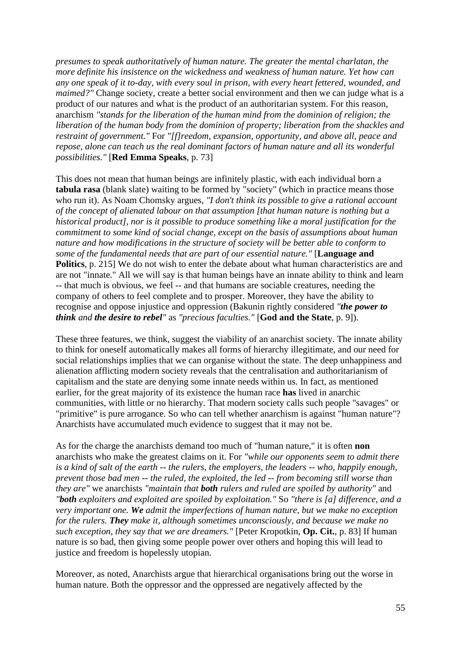*presumes to speak authoritatively of human nature. The greater the mental charlatan, the more definite his insistence on the wickedness and weakness of human nature. Yet how can any one speak of it to-day, with every soul in prison, with every heart fettered, wounded, and maimed?"* Change society, create a better social environment and then we can judge what is a product of our natures and what is the product of an authoritarian system. For this reason, anarchism *"stands for the liberation of the human mind from the dominion of religion; the liberation of the human body from the dominion of property; liberation from the shackles and restraint of government."* For *"[f]reedom, expansion, opportunity, and above all, peace and repose, alone can teach us the real dominant factors of human nature and all its wonderful possibilities."* [**Red Emma Speaks**, p. 73]

This does not mean that human beings are infinitely plastic, with each individual born a **tabula rasa** (blank slate) waiting to be formed by "society" (which in practice means those who run it). As Noam Chomsky argues, *"I don't think its possible to give a rational account of the concept of alienated labour on that assumption [that human nature is nothing but a historical product], nor is it possible to produce something like a moral justification for the commitment to some kind of social change, except on the basis of assumptions about human nature and how modifications in the structure of society will be better able to conform to some of the fundamental needs that are part of our essential nature."* [**Language and Politics**, p. 215] We do not wish to enter the debate about what human characteristics are and are not "innate." All we will say is that human beings have an innate ability to think and learn -- that much is obvious, we feel -- and that humans are sociable creatures, needing the company of others to feel complete and to prosper. Moreover, they have the ability to recognise and oppose injustice and oppression (Bakunin rightly considered *"the power to think and the desire to rebel"* as *"precious faculties."* [**God and the State**, p. 9]).

These three features, we think, suggest the viability of an anarchist society. The innate ability to think for oneself automatically makes all forms of hierarchy illegitimate, and our need for social relationships implies that we can organise without the state. The deep unhappiness and alienation afflicting modern society reveals that the centralisation and authoritarianism of capitalism and the state are denying some innate needs within us. In fact, as mentioned earlier, for the great majority of its existence the human race **has** lived in anarchic communities, with little or no hierarchy. That modern society calls such people "savages" or "primitive" is pure arrogance. So who can tell whether anarchism is against "human nature"? Anarchists have accumulated much evidence to suggest that it may not be.

As for the charge the anarchists demand too much of "human nature," it is often **non** anarchists who make the greatest claims on it. For *"while our opponents seem to admit there is a kind of salt of the earth -- the rulers, the employers, the leaders -- who, happily enough, prevent those bad men -- the ruled, the exploited, the led -- from becoming still worse than they are"* we anarchists *"maintain that both rulers and ruled are spoiled by authority"* and *"both exploiters and exploited are spoiled by exploitation."* So *"there is [a] difference, and a very important one. We admit the imperfections of human nature, but we make no exception for the rulers. They make it, although sometimes unconsciously, and because we make no such exception, they say that we are dreamers."* [Peter Kropotkin, **Op. Cit.**, p. 83] If human nature is so bad, then giving some people power over others and hoping this will lead to justice and freedom is hopelessly utopian.

Moreover, as noted, Anarchists argue that hierarchical organisations bring out the worse in human nature. Both the oppressor and the oppressed are negatively affected by the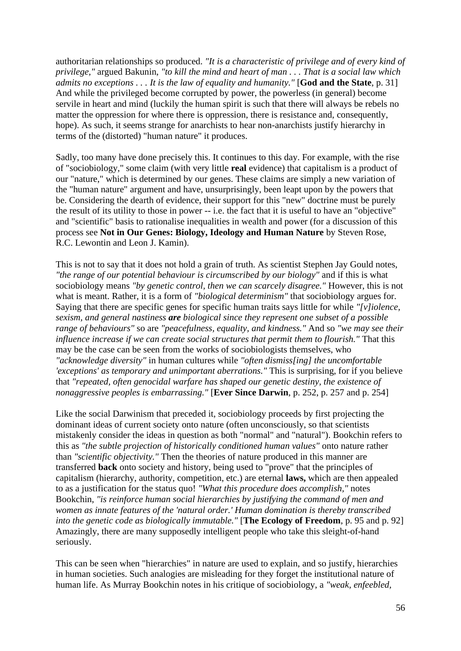authoritarian relationships so produced. *"It is a characteristic of privilege and of every kind of privilege,"* argued Bakunin, *"to kill the mind and heart of man . . . That is a social law which admits no exceptions . . . It is the law of equality and humanity."* [**God and the State**, p. 31] And while the privileged become corrupted by power, the powerless (in general) become servile in heart and mind (luckily the human spirit is such that there will always be rebels no matter the oppression for where there is oppression, there is resistance and, consequently, hope). As such, it seems strange for anarchists to hear non-anarchists justify hierarchy in terms of the (distorted) "human nature" it produces.

Sadly, too many have done precisely this. It continues to this day. For example, with the rise of "sociobiology," some claim (with very little **real** evidence) that capitalism is a product of our "nature," which is determined by our genes. These claims are simply a new variation of the "human nature" argument and have, unsurprisingly, been leapt upon by the powers that be. Considering the dearth of evidence, their support for this "new" doctrine must be purely the result of its utility to those in power -- i.e. the fact that it is useful to have an "objective" and "scientific" basis to rationalise inequalities in wealth and power (for a discussion of this process see **Not in Our Genes: Biology, Ideology and Human Nature** by Steven Rose, R.C. Lewontin and Leon J. Kamin).

This is not to say that it does not hold a grain of truth. As scientist Stephen Jay Gould notes, *"the range of our potential behaviour is circumscribed by our biology"* and if this is what sociobiology means *"by genetic control, then we can scarcely disagree."* However, this is not what is meant. Rather, it is a form of *"biological determinism"* that sociobiology argues for. Saying that there are specific genes for specific human traits says little for while *"[v]iolence, sexism, and general nastiness are biological since they represent one subset of a possible range of behaviours"* so are *"peacefulness, equality, and kindness."* And so *"we may see their influence increase if we can create social structures that permit them to flourish."* That this may be the case can be seen from the works of sociobiologists themselves, who *"acknowledge diversity"* in human cultures while *"often dismiss[ing] the uncomfortable 'exceptions' as temporary and unimportant aberrations."* This is surprising, for if you believe that *"repeated, often genocidal warfare has shaped our genetic destiny, the existence of nonaggressive peoples is embarrassing."* [**Ever Since Darwin**, p. 252, p. 257 and p. 254]

Like the social Darwinism that preceded it, sociobiology proceeds by first projecting the dominant ideas of current society onto nature (often unconsciously, so that scientists mistakenly consider the ideas in question as both "normal" and "natural"). Bookchin refers to this as *"the subtle projection of historically conditioned human values"* onto nature rather than *"scientific objectivity."* Then the theories of nature produced in this manner are transferred **back** onto society and history, being used to "prove" that the principles of capitalism (hierarchy, authority, competition, etc.) are eternal **laws,** which are then appealed to as a justification for the status quo! *"What this procedure does accomplish,"* notes Bookchin, *"is reinforce human social hierarchies by justifying the command of men and women as innate features of the 'natural order.' Human domination is thereby transcribed into the genetic code as biologically immutable."* [**The Ecology of Freedom**, p. 95 and p. 92] Amazingly, there are many supposedly intelligent people who take this sleight-of-hand seriously.

This can be seen when "hierarchies" in nature are used to explain, and so justify, hierarchies in human societies. Such analogies are misleading for they forget the institutional nature of human life. As Murray Bookchin notes in his critique of sociobiology, a *"weak, enfeebled,*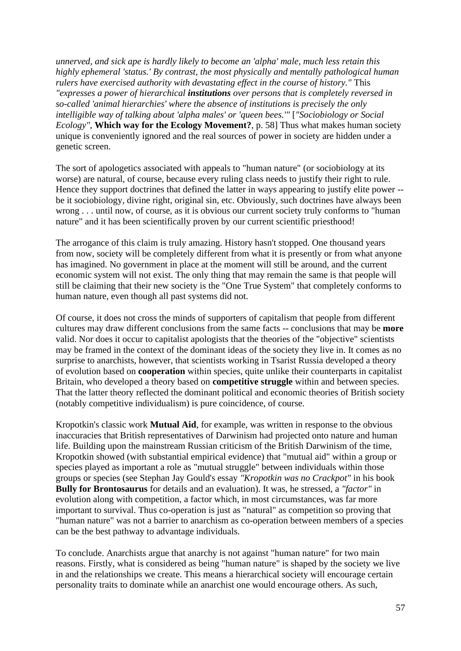*unnerved, and sick ape is hardly likely to become an 'alpha' male, much less retain this highly ephemeral 'status.' By contrast, the most physically and mentally pathological human rulers have exercised authority with devastating effect in the course of history."* This *"expresses a power of hierarchical institutions over persons that is completely reversed in so-called 'animal hierarchies' where the absence of institutions is precisely the only intelligible way of talking about 'alpha males' or 'queen bees.'"* [*"Sociobiology or Social Ecology"*, **Which way for the Ecology Movement?**, p. 58] Thus what makes human society unique is conveniently ignored and the real sources of power in society are hidden under a genetic screen.

The sort of apologetics associated with appeals to "human nature" (or sociobiology at its worse) are natural, of course, because every ruling class needs to justify their right to rule. Hence they support doctrines that defined the latter in ways appearing to justify elite power - be it sociobiology, divine right, original sin, etc. Obviously, such doctrines have always been wrong . . . until now, of course, as it is obvious our current society truly conforms to "human nature" and it has been scientifically proven by our current scientific priesthood!

The arrogance of this claim is truly amazing. History hasn't stopped. One thousand years from now, society will be completely different from what it is presently or from what anyone has imagined. No government in place at the moment will still be around, and the current economic system will not exist. The only thing that may remain the same is that people will still be claiming that their new society is the "One True System" that completely conforms to human nature, even though all past systems did not.

Of course, it does not cross the minds of supporters of capitalism that people from different cultures may draw different conclusions from the same facts -- conclusions that may be **more** valid. Nor does it occur to capitalist apologists that the theories of the "objective" scientists may be framed in the context of the dominant ideas of the society they live in. It comes as no surprise to anarchists, however, that scientists working in Tsarist Russia developed a theory of evolution based on **cooperation** within species, quite unlike their counterparts in capitalist Britain, who developed a theory based on **competitive struggle** within and between species. That the latter theory reflected the dominant political and economic theories of British society (notably competitive individualism) is pure coincidence, of course.

Kropotkin's classic work **Mutual Aid**, for example, was written in response to the obvious inaccuracies that British representatives of Darwinism had projected onto nature and human life. Building upon the mainstream Russian criticism of the British Darwinism of the time, Kropotkin showed (with substantial empirical evidence) that "mutual aid" within a group or species played as important a role as "mutual struggle" between individuals within those groups or species (see Stephan Jay Gould's essay *"Kropotkin was no Crackpot"* in his book **Bully for Brontosaurus** for details and an evaluation). It was, he stressed, a *"factor"* in evolution along with competition, a factor which, in most circumstances, was far more important to survival. Thus co-operation is just as "natural" as competition so proving that "human nature" was not a barrier to anarchism as co-operation between members of a species can be the best pathway to advantage individuals.

To conclude. Anarchists argue that anarchy is not against "human nature" for two main reasons. Firstly, what is considered as being "human nature" is shaped by the society we live in and the relationships we create. This means a hierarchical society will encourage certain personality traits to dominate while an anarchist one would encourage others. As such,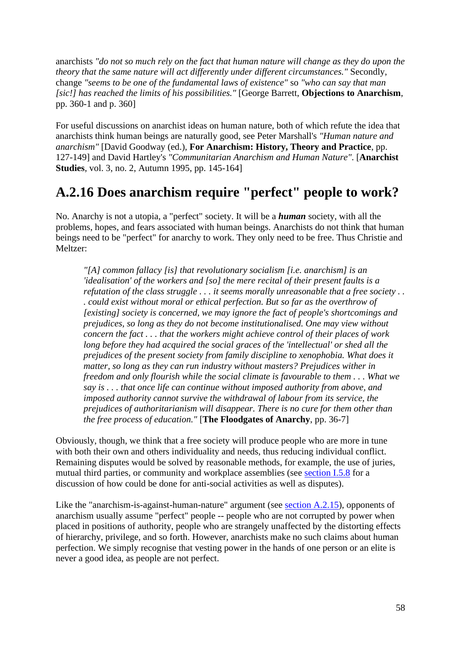anarchists *"do not so much rely on the fact that human nature will change as they do upon the theory that the same nature will act differently under different circumstances."* Secondly, change *"seems to be one of the fundamental laws of existence"* so *"who can say that man [sic!] has reached the limits of his possibilities."* [George Barrett, **Objections to Anarchism**, pp. 360-1 and p. 360]

For useful discussions on anarchist ideas on human nature, both of which refute the idea that anarchists think human beings are naturally good, see Peter Marshall's *"Human nature and anarchism"* [David Goodway (ed.), **For Anarchism: History, Theory and Practice**, pp. 127-149] and David Hartley's *"Communitarian Anarchism and Human Nature"*. [**Anarchist Studies**, vol. 3, no. 2, Autumn 1995, pp. 145-164]

# **A.2.16 Does anarchism require "perfect" people to work?**

No. Anarchy is not a utopia, a "perfect" society. It will be a *human* society, with all the problems, hopes, and fears associated with human beings. Anarchists do not think that human beings need to be "perfect" for anarchy to work. They only need to be free. Thus Christie and Meltzer:

*"[A] common fallacy [is] that revolutionary socialism [i.e. anarchism] is an 'idealisation' of the workers and [so] the mere recital of their present faults is a refutation of the class struggle . . . it seems morally unreasonable that a free society . . . could exist without moral or ethical perfection. But so far as the overthrow of [existing] society is concerned, we may ignore the fact of people's shortcomings and prejudices, so long as they do not become institutionalised. One may view without concern the fact . . . that the workers might achieve control of their places of work long before they had acquired the social graces of the 'intellectual' or shed all the prejudices of the present society from family discipline to xenophobia. What does it matter, so long as they can run industry without masters? Prejudices wither in freedom and only flourish while the social climate is favourable to them . . . What we say is . . . that once life can continue without imposed authority from above, and imposed authority cannot survive the withdrawal of labour from its service, the prejudices of authoritarianism will disappear. There is no cure for them other than the free process of education."* [**The Floodgates of Anarchy**, pp. 36-7]

Obviously, though, we think that a free society will produce people who are more in tune with both their own and others individuality and needs, thus reducing individual conflict. Remaining disputes would be solved by reasonable methods, for example, the use of juries, mutual third parties, or community and workplace assemblies (see [section I.5.8](sectionI.html#seci58) for a discussion of how could be done for anti-social activities as well as disputes).

Like the "anarchism-is-against-human-nature" argument (see [section A.2.15\)](sectionA.html#seca215), opponents of anarchism usually assume "perfect" people -- people who are not corrupted by power when placed in positions of authority, people who are strangely unaffected by the distorting effects of hierarchy, privilege, and so forth. However, anarchists make no such claims about human perfection. We simply recognise that vesting power in the hands of one person or an elite is never a good idea, as people are not perfect.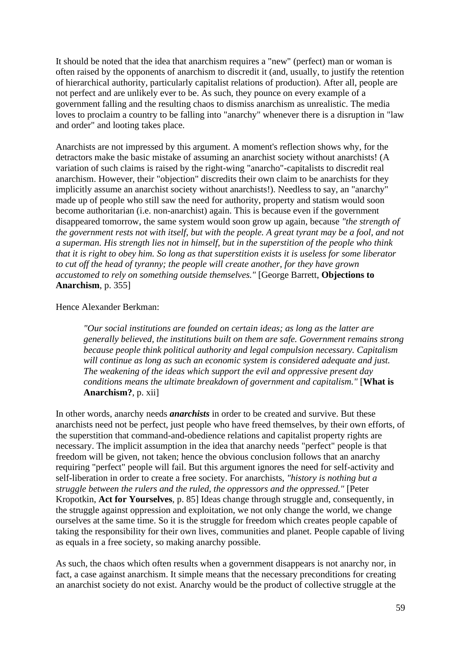It should be noted that the idea that anarchism requires a "new" (perfect) man or woman is often raised by the opponents of anarchism to discredit it (and, usually, to justify the retention of hierarchical authority, particularly capitalist relations of production). After all, people are not perfect and are unlikely ever to be. As such, they pounce on every example of a government falling and the resulting chaos to dismiss anarchism as unrealistic. The media loves to proclaim a country to be falling into "anarchy" whenever there is a disruption in "law and order" and looting takes place.

Anarchists are not impressed by this argument. A moment's reflection shows why, for the detractors make the basic mistake of assuming an anarchist society without anarchists! (A variation of such claims is raised by the right-wing "anarcho"-capitalists to discredit real anarchism. However, their "objection" discredits their own claim to be anarchists for they implicitly assume an anarchist society without anarchists!). Needless to say, an "anarchy" made up of people who still saw the need for authority, property and statism would soon become authoritarian (i.e. non-anarchist) again. This is because even if the government disappeared tomorrow, the same system would soon grow up again, because *"the strength of the government rests not with itself, but with the people. A great tyrant may be a fool, and not a superman. His strength lies not in himself, but in the superstition of the people who think that it is right to obey him. So long as that superstition exists it is useless for some liberator to cut off the head of tyranny; the people will create another, for they have grown accustomed to rely on something outside themselves."* [George Barrett, **Objections to Anarchism**, p. 355]

#### Hence Alexander Berkman:

*"Our social institutions are founded on certain ideas; as long as the latter are generally believed, the institutions built on them are safe. Government remains strong because people think political authority and legal compulsion necessary. Capitalism will continue as long as such an economic system is considered adequate and just. The weakening of the ideas which support the evil and oppressive present day conditions means the ultimate breakdown of government and capitalism."* [**What is Anarchism?**, p. xii]

In other words, anarchy needs *anarchists* in order to be created and survive. But these anarchists need not be perfect, just people who have freed themselves, by their own efforts, of the superstition that command-and-obedience relations and capitalist property rights are necessary. The implicit assumption in the idea that anarchy needs "perfect" people is that freedom will be given, not taken; hence the obvious conclusion follows that an anarchy requiring "perfect" people will fail. But this argument ignores the need for self-activity and self-liberation in order to create a free society. For anarchists, *"history is nothing but a struggle between the rulers and the ruled, the oppressors and the oppressed."* [Peter Kropotkin, **Act for Yourselves**, p. 85] Ideas change through struggle and, consequently, in the struggle against oppression and exploitation, we not only change the world, we change ourselves at the same time. So it is the struggle for freedom which creates people capable of taking the responsibility for their own lives, communities and planet. People capable of living as equals in a free society, so making anarchy possible.

As such, the chaos which often results when a government disappears is not anarchy nor, in fact, a case against anarchism. It simple means that the necessary preconditions for creating an anarchist society do not exist. Anarchy would be the product of collective struggle at the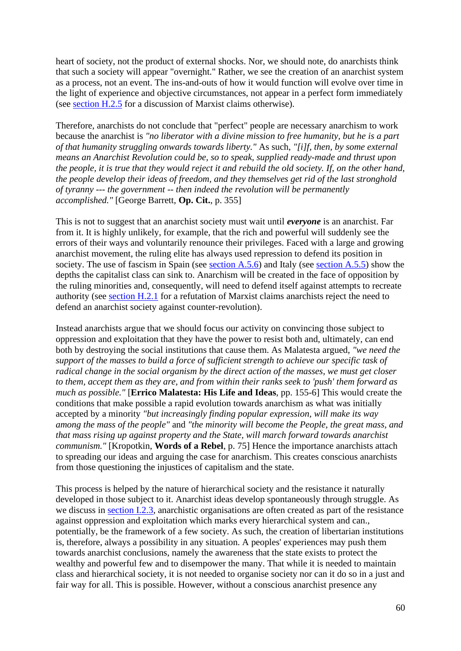heart of society, not the product of external shocks. Nor, we should note, do anarchists think that such a society will appear "overnight." Rather, we see the creation of an anarchist system as a process, not an event. The ins-and-outs of how it would function will evolve over time in the light of experience and objective circumstances, not appear in a perfect form immediately (see [section H.2.5](sectionH.html#sech25) for a discussion of Marxist claims otherwise).

Therefore, anarchists do not conclude that "perfect" people are necessary anarchism to work because the anarchist is *"no liberator with a divine mission to free humanity, but he is a part of that humanity struggling onwards towards liberty."* As such, *"[i]f, then, by some external means an Anarchist Revolution could be, so to speak, supplied ready-made and thrust upon the people, it is true that they would reject it and rebuild the old society. If, on the other hand, the people develop their ideas of freedom, and they themselves get rid of the last stronghold of tyranny --- the government -- then indeed the revolution will be permanently accomplished."* [George Barrett, **Op. Cit.**, p. 355]

This is not to suggest that an anarchist society must wait until *everyone* is an anarchist. Far from it. It is highly unlikely, for example, that the rich and powerful will suddenly see the errors of their ways and voluntarily renounce their privileges. Faced with a large and growing anarchist movement, the ruling elite has always used repression to defend its position in society. The use of fascism in Spain (see [section A.5.6\)](sectionA.html#seca56) and Italy (see [section A.5.5\)](sectionA.html#seca55) show the depths the capitalist class can sink to. Anarchism will be created in the face of opposition by the ruling minorities and, consequently, will need to defend itself against attempts to recreate authority (see [section H.2.1](sectionH.html#sech21) for a refutation of Marxist claims anarchists reject the need to defend an anarchist society against counter-revolution).

Instead anarchists argue that we should focus our activity on convincing those subject to oppression and exploitation that they have the power to resist both and, ultimately, can end both by destroying the social institutions that cause them. As Malatesta argued, *"we need the support of the masses to build a force of sufficient strength to achieve our specific task of radical change in the social organism by the direct action of the masses, we must get closer to them, accept them as they are, and from within their ranks seek to 'push' them forward as much as possible."* [**Errico Malatesta: His Life and Ideas**, pp. 155-6] This would create the conditions that make possible a rapid evolution towards anarchism as what was initially accepted by a minority *"but increasingly finding popular expression, will make its way among the mass of the people"* and *"the minority will become the People, the great mass, and that mass rising up against property and the State, will march forward towards anarchist communism."* [Kropotkin, **Words of a Rebel**, p. 75] Hence the importance anarchists attach to spreading our ideas and arguing the case for anarchism. This creates conscious anarchists from those questioning the injustices of capitalism and the state.

This process is helped by the nature of hierarchical society and the resistance it naturally developed in those subject to it. Anarchist ideas develop spontaneously through struggle. As we discuss in [section I.2.3,](sectionI.html#seci23) anarchistic organisations are often created as part of the resistance against oppression and exploitation which marks every hierarchical system and can., potentially, be the framework of a few society. As such, the creation of libertarian institutions is, therefore, always a possibility in any situation. A peoples' experiences may push them towards anarchist conclusions, namely the awareness that the state exists to protect the wealthy and powerful few and to disempower the many. That while it is needed to maintain class and hierarchical society, it is not needed to organise society nor can it do so in a just and fair way for all. This is possible. However, without a conscious anarchist presence any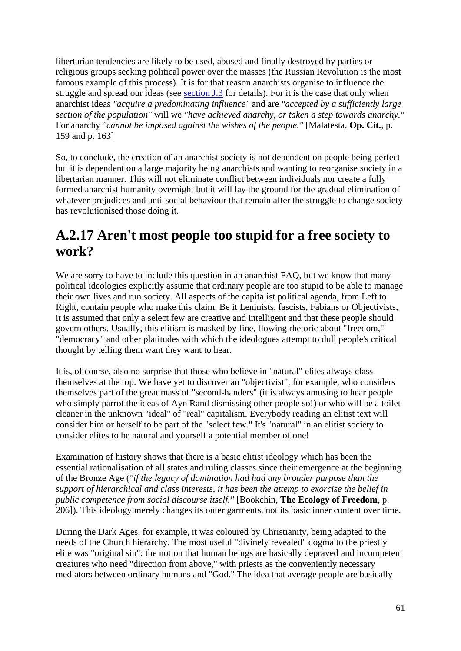libertarian tendencies are likely to be used, abused and finally destroyed by parties or religious groups seeking political power over the masses (the Russian Revolution is the most famous example of this process). It is for that reason anarchists organise to influence the struggle and spread our ideas (see [section J.3](sectionJ.html#secj3) for details). For it is the case that only when anarchist ideas *"acquire a predominating influence"* and are *"accepted by a sufficiently large section of the population"* will we *"have achieved anarchy, or taken a step towards anarchy."* For anarchy *"cannot be imposed against the wishes of the people."* [Malatesta, **Op. Cit.**, p. 159 and p. 163]

So, to conclude, the creation of an anarchist society is not dependent on people being perfect but it is dependent on a large majority being anarchists and wanting to reorganise society in a libertarian manner. This will not eliminate conflict between individuals nor create a fully formed anarchist humanity overnight but it will lay the ground for the gradual elimination of whatever prejudices and anti-social behaviour that remain after the struggle to change society has revolutionised those doing it.

#### **A.2.17 Aren't most people too stupid for a free society to work?**

We are sorry to have to include this question in an anarchist FAQ, but we know that many political ideologies explicitly assume that ordinary people are too stupid to be able to manage their own lives and run society. All aspects of the capitalist political agenda, from Left to Right, contain people who make this claim. Be it Leninists, fascists, Fabians or Objectivists, it is assumed that only a select few are creative and intelligent and that these people should govern others. Usually, this elitism is masked by fine, flowing rhetoric about "freedom," "democracy" and other platitudes with which the ideologues attempt to dull people's critical thought by telling them want they want to hear.

It is, of course, also no surprise that those who believe in "natural" elites always class themselves at the top. We have yet to discover an "objectivist", for example, who considers themselves part of the great mass of "second-handers" (it is always amusing to hear people who simply parrot the ideas of Ayn Rand dismissing other people so!) or who will be a toilet cleaner in the unknown "ideal" of "real" capitalism. Everybody reading an elitist text will consider him or herself to be part of the "select few." It's "natural" in an elitist society to consider elites to be natural and yourself a potential member of one!

Examination of history shows that there is a basic elitist ideology which has been the essential rationalisation of all states and ruling classes since their emergence at the beginning of the Bronze Age (*"if the legacy of domination had had any broader purpose than the support of hierarchical and class interests, it has been the attemp to exorcise the belief in public competence from social discourse itself."* [Bookchin, **The Ecology of Freedom**, p. 206]). This ideology merely changes its outer garments, not its basic inner content over time.

During the Dark Ages, for example, it was coloured by Christianity, being adapted to the needs of the Church hierarchy. The most useful "divinely revealed" dogma to the priestly elite was "original sin": the notion that human beings are basically depraved and incompetent creatures who need "direction from above," with priests as the conveniently necessary mediators between ordinary humans and "God." The idea that average people are basically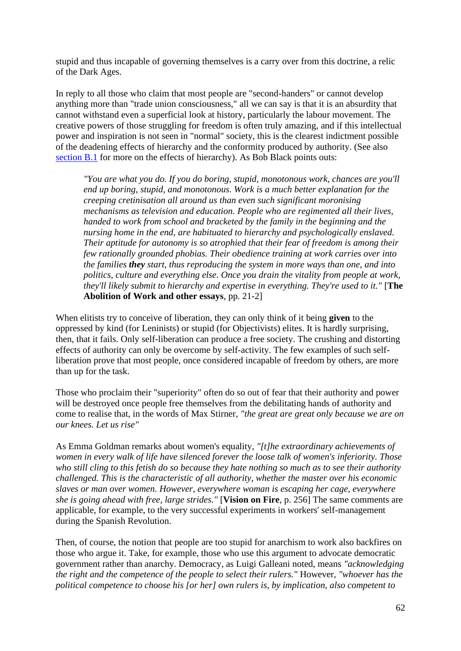stupid and thus incapable of governing themselves is a carry over from this doctrine, a relic of the Dark Ages.

In reply to all those who claim that most people are "second-handers" or cannot develop anything more than "trade union consciousness," all we can say is that it is an absurdity that cannot withstand even a superficial look at history, particularly the labour movement. The creative powers of those struggling for freedom is often truly amazing, and if this intellectual power and inspiration is not seen in "normal" society, this is the clearest indictment possible of the deadening effects of hierarchy and the conformity produced by authority. (See also [section B.1](sectionB.html#secb1) for more on the effects of hierarchy). As Bob Black points outs:

*"You are what you do. If you do boring, stupid, monotonous work, chances are you'll end up boring, stupid, and monotonous. Work is a much better explanation for the creeping cretinisation all around us than even such significant moronising mechanisms as television and education. People who are regimented all their lives, handed to work from school and bracketed by the family in the beginning and the nursing home in the end, are habituated to hierarchy and psychologically enslaved. Their aptitude for autonomy is so atrophied that their fear of freedom is among their few rationally grounded phobias. Their obedience training at work carries over into the families they start, thus reproducing the system in more ways than one, and into politics, culture and everything else. Once you drain the vitality from people at work, they'll likely submit to hierarchy and expertise in everything. They're used to it."* [**The Abolition of Work and other essays**, pp. 21-2]

When elitists try to conceive of liberation, they can only think of it being **given** to the oppressed by kind (for Leninists) or stupid (for Objectivists) elites. It is hardly surprising, then, that it fails. Only self-liberation can produce a free society. The crushing and distorting effects of authority can only be overcome by self-activity. The few examples of such selfliberation prove that most people, once considered incapable of freedom by others, are more than up for the task.

Those who proclaim their "superiority" often do so out of fear that their authority and power will be destroyed once people free themselves from the debilitating hands of authority and come to realise that, in the words of Max Stirner, *"the great are great only because we are on our knees. Let us rise"*

As Emma Goldman remarks about women's equality, *"[t]he extraordinary achievements of women in every walk of life have silenced forever the loose talk of women's inferiority. Those who still cling to this fetish do so because they hate nothing so much as to see their authority challenged. This is the characteristic of all authority, whether the master over his economic slaves or man over women. However, everywhere woman is escaping her cage, everywhere she is going ahead with free, large strides."* [**Vision on Fire**, p. 256] The same comments are applicable, for example, to the very successful experiments in workers' self-management during the Spanish Revolution.

Then, of course, the notion that people are too stupid for anarchism to work also backfires on those who argue it. Take, for example, those who use this argument to advocate democratic government rather than anarchy. Democracy, as Luigi Galleani noted, means *"acknowledging the right and the competence of the people to select their rulers."* However, *"whoever has the political competence to choose his [or her] own rulers is, by implication, also competent to*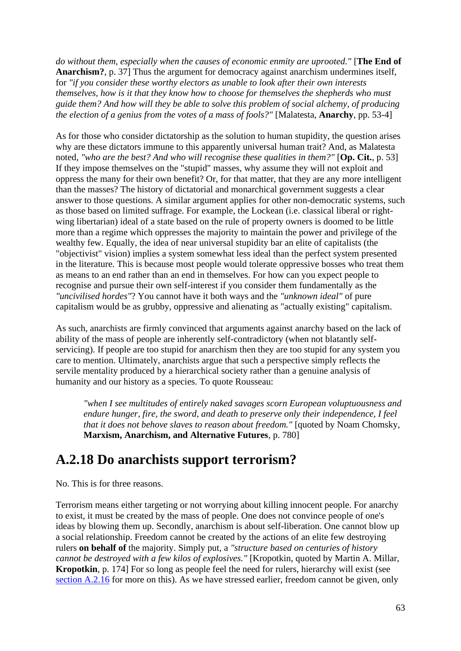*do without them, especially when the causes of economic enmity are uprooted."* [**The End of Anarchism?**, p. 37] Thus the argument for democracy against anarchism undermines itself, for *"if you consider these worthy electors as unable to look after their own interests themselves, how is it that they know how to choose for themselves the shepherds who must guide them? And how will they be able to solve this problem of social alchemy, of producing the election of a genius from the votes of a mass of fools?"* [Malatesta, **Anarchy**, pp. 53-4]

As for those who consider dictatorship as the solution to human stupidity, the question arises why are these dictators immune to this apparently universal human trait? And, as Malatesta noted, *"who are the best? And who will recognise these qualities in them?"* [**Op. Cit.**, p. 53] If they impose themselves on the "stupid" masses, why assume they will not exploit and oppress the many for their own benefit? Or, for that matter, that they are any more intelligent than the masses? The history of dictatorial and monarchical government suggests a clear answer to those questions. A similar argument applies for other non-democratic systems, such as those based on limited suffrage. For example, the Lockean (i.e. classical liberal or rightwing libertarian) ideal of a state based on the rule of property owners is doomed to be little more than a regime which oppresses the majority to maintain the power and privilege of the wealthy few. Equally, the idea of near universal stupidity bar an elite of capitalists (the "objectivist" vision) implies a system somewhat less ideal than the perfect system presented in the literature. This is because most people would tolerate oppressive bosses who treat them as means to an end rather than an end in themselves. For how can you expect people to recognise and pursue their own self-interest if you consider them fundamentally as the *"uncivilised hordes"*? You cannot have it both ways and the *"unknown ideal"* of pure capitalism would be as grubby, oppressive and alienating as "actually existing" capitalism.

As such, anarchists are firmly convinced that arguments against anarchy based on the lack of ability of the mass of people are inherently self-contradictory (when not blatantly selfservicing). If people are too stupid for anarchism then they are too stupid for any system you care to mention. Ultimately, anarchists argue that such a perspective simply reflects the servile mentality produced by a hierarchical society rather than a genuine analysis of humanity and our history as a species. To quote Rousseau:

*"when I see multitudes of entirely naked savages scorn European voluptuousness and endure hunger, fire, the sword, and death to preserve only their independence, I feel that it does not behove slaves to reason about freedom."* [quoted by Noam Chomsky, **Marxism, Anarchism, and Alternative Futures**, p. 780]

#### **A.2.18 Do anarchists support terrorism?**

No. This is for three reasons.

Terrorism means either targeting or not worrying about killing innocent people. For anarchy to exist, it must be created by the mass of people. One does not convince people of one's ideas by blowing them up. Secondly, anarchism is about self-liberation. One cannot blow up a social relationship. Freedom cannot be created by the actions of an elite few destroying rulers **on behalf of** the majority. Simply put, a *"structure based on centuries of history cannot be destroyed with a few kilos of explosives."* [Kropotkin, quoted by Martin A. Millar, **Kropotkin**, p. 174] For so long as people feel the need for rulers, hierarchy will exist (see [section A.2.16](sectionA.html#seca216) for more on this). As we have stressed earlier, freedom cannot be given, only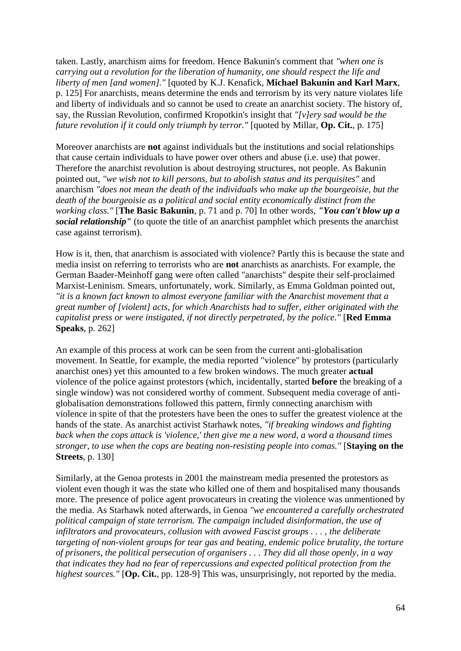taken. Lastly, anarchism aims for freedom. Hence Bakunin's comment that *"when one is carrying out a revolution for the liberation of humanity, one should respect the life and liberty of men [and women]."* [quoted by K.J. Kenafick, **Michael Bakunin and Karl Marx**, p. 125] For anarchists, means determine the ends and terrorism by its very nature violates life and liberty of individuals and so cannot be used to create an anarchist society. The history of, say, the Russian Revolution, confirmed Kropotkin's insight that *"[v]ery sad would be the future revolution if it could only triumph by terror."* [quoted by Millar, **Op. Cit.**, p. 175]

Moreover anarchists are **not** against individuals but the institutions and social relationships that cause certain individuals to have power over others and abuse (i.e. use) that power. Therefore the anarchist revolution is about destroying structures, not people. As Bakunin pointed out, *"we wish not to kill persons, but to abolish status and its perquisites"* and anarchism *"does not mean the death of the individuals who make up the bourgeoisie, but the death of the bourgeoisie as a political and social entity economically distinct from the working class."* [**The Basic Bakunin**, p. 71 and p. 70] In other words, *"You can't blow up a social relationship"* (to quote the title of an anarchist pamphlet which presents the anarchist case against terrorism).

How is it, then, that anarchism is associated with violence? Partly this is because the state and media insist on referring to terrorists who are **not** anarchists as anarchists. For example, the German Baader-Meinhoff gang were often called "anarchists" despite their self-proclaimed Marxist-Leninism. Smears, unfortunately, work. Similarly, as Emma Goldman pointed out, *"it is a known fact known to almost everyone familiar with the Anarchist movement that a great number of [violent] acts, for which Anarchists had to suffer, either originated with the capitalist press or were instigated, if not directly perpetrated, by the police."* [**Red Emma Speaks**, p. 262]

An example of this process at work can be seen from the current anti-globalisation movement. In Seattle, for example, the media reported "violence" by protestors (particularly anarchist ones) yet this amounted to a few broken windows. The much greater **actual** violence of the police against protestors (which, incidentally, started **before** the breaking of a single window) was not considered worthy of comment. Subsequent media coverage of antiglobalisation demonstrations followed this pattern, firmly connecting anarchism with violence in spite of that the protesters have been the ones to suffer the greatest violence at the hands of the state. As anarchist activist Starhawk notes, *"if breaking windows and fighting back when the cops attack is 'violence,' then give me a new word, a word a thousand times stronger, to use when the cops are beating non-resisting people into comas."* [**Staying on the Streets**, p. 130]

Similarly, at the Genoa protests in 2001 the mainstream media presented the protestors as violent even though it was the state who killed one of them and hospitalised many thousands more. The presence of police agent provocateurs in creating the violence was unmentioned by the media. As Starhawk noted afterwards, in Genoa *"we encountered a carefully orchestrated political campaign of state terrorism. The campaign included disinformation, the use of infiltrators and provocateurs, collusion with avowed Fascist groups . . . , the deliberate targeting of non-violent groups for tear gas and beating, endemic police brutality, the torture of prisoners, the political persecution of organisers . . . They did all those openly, in a way that indicates they had no fear of repercussions and expected political protection from the highest sources."* [**Op. Cit.**, pp. 128-9] This was, unsurprisingly, not reported by the media.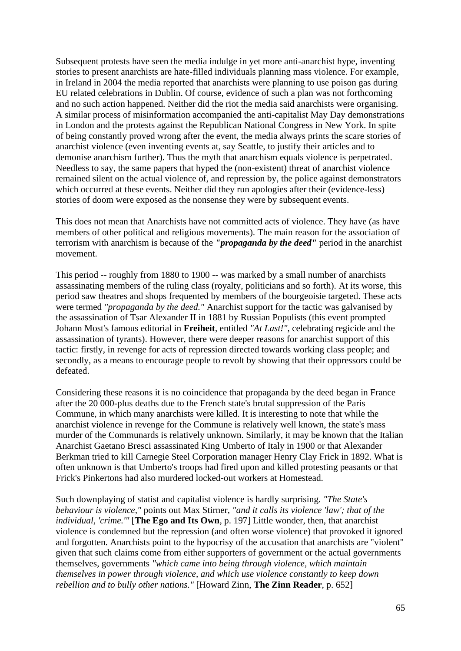Subsequent protests have seen the media indulge in yet more anti-anarchist hype, inventing stories to present anarchists are hate-filled individuals planning mass violence. For example, in Ireland in 2004 the media reported that anarchists were planning to use poison gas during EU related celebrations in Dublin. Of course, evidence of such a plan was not forthcoming and no such action happened. Neither did the riot the media said anarchists were organising. A similar process of misinformation accompanied the anti-capitalist May Day demonstrations in London and the protests against the Republican National Congress in New York. In spite of being constantly proved wrong after the event, the media always prints the scare stories of anarchist violence (even inventing events at, say Seattle, to justify their articles and to demonise anarchism further). Thus the myth that anarchism equals violence is perpetrated. Needless to say, the same papers that hyped the (non-existent) threat of anarchist violence remained silent on the actual violence of, and repression by, the police against demonstrators which occurred at these events. Neither did they run apologies after their (evidence-less) stories of doom were exposed as the nonsense they were by subsequent events.

This does not mean that Anarchists have not committed acts of violence. They have (as have members of other political and religious movements). The main reason for the association of terrorism with anarchism is because of the *"propaganda by the deed"* period in the anarchist movement.

This period -- roughly from 1880 to 1900 -- was marked by a small number of anarchists assassinating members of the ruling class (royalty, politicians and so forth). At its worse, this period saw theatres and shops frequented by members of the bourgeoisie targeted. These acts were termed *"propaganda by the deed."* Anarchist support for the tactic was galvanised by the assassination of Tsar Alexander II in 1881 by Russian Populists (this event prompted Johann Most's famous editorial in **Freiheit**, entitled *"At Last!"*, celebrating regicide and the assassination of tyrants). However, there were deeper reasons for anarchist support of this tactic: firstly, in revenge for acts of repression directed towards working class people; and secondly, as a means to encourage people to revolt by showing that their oppressors could be defeated.

Considering these reasons it is no coincidence that propaganda by the deed began in France after the 20 000-plus deaths due to the French state's brutal suppression of the Paris Commune, in which many anarchists were killed. It is interesting to note that while the anarchist violence in revenge for the Commune is relatively well known, the state's mass murder of the Communards is relatively unknown. Similarly, it may be known that the Italian Anarchist Gaetano Bresci assassinated King Umberto of Italy in 1900 or that Alexander Berkman tried to kill Carnegie Steel Corporation manager Henry Clay Frick in 1892. What is often unknown is that Umberto's troops had fired upon and killed protesting peasants or that Frick's Pinkertons had also murdered locked-out workers at Homestead.

Such downplaying of statist and capitalist violence is hardly surprising. *"The State's behaviour is violence,"* points out Max Stirner, *"and it calls its violence 'law'; that of the individual, 'crime.'"* [**The Ego and Its Own**, p. 197] Little wonder, then, that anarchist violence is condemned but the repression (and often worse violence) that provoked it ignored and forgotten. Anarchists point to the hypocrisy of the accusation that anarchists are "violent" given that such claims come from either supporters of government or the actual governments themselves, governments *"which came into being through violence, which maintain themselves in power through violence, and which use violence constantly to keep down rebellion and to bully other nations."* [Howard Zinn, **The Zinn Reader**, p. 652]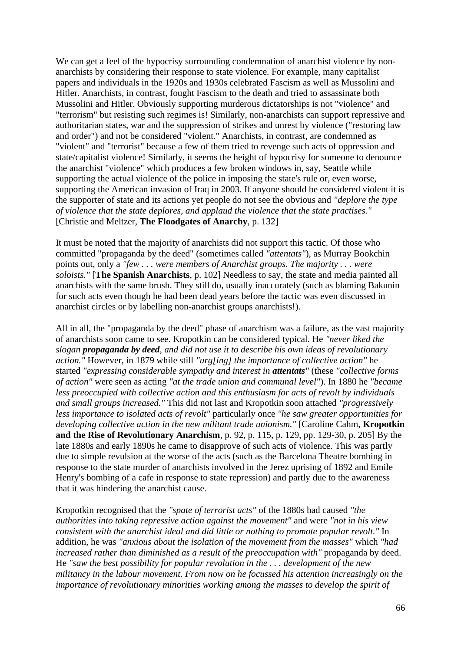We can get a feel of the hypocrisy surrounding condemnation of anarchist violence by nonanarchists by considering their response to state violence. For example, many capitalist papers and individuals in the 1920s and 1930s celebrated Fascism as well as Mussolini and Hitler. Anarchists, in contrast, fought Fascism to the death and tried to assassinate both Mussolini and Hitler. Obviously supporting murderous dictatorships is not "violence" and "terrorism" but resisting such regimes is! Similarly, non-anarchists can support repressive and authoritarian states, war and the suppression of strikes and unrest by violence ("restoring law and order") and not be considered "violent." Anarchists, in contrast, are condemned as "violent" and "terrorist" because a few of them tried to revenge such acts of oppression and state/capitalist violence! Similarly, it seems the height of hypocrisy for someone to denounce the anarchist "violence" which produces a few broken windows in, say, Seattle while supporting the actual violence of the police in imposing the state's rule or, even worse, supporting the American invasion of Iraq in 2003. If anyone should be considered violent it is the supporter of state and its actions yet people do not see the obvious and *"deplore the type of violence that the state deplores, and applaud the violence that the state practises."* [Christie and Meltzer, **The Floodgates of Anarchy**, p. 132]

It must be noted that the majority of anarchists did not support this tactic. Of those who committed "propaganda by the deed" (sometimes called *"attentats"*), as Murray Bookchin points out, only a *"few . . . were members of Anarchist groups. The majority . . . were soloists."* [**The Spanish Anarchists**, p. 102] Needless to say, the state and media painted all anarchists with the same brush. They still do, usually inaccurately (such as blaming Bakunin for such acts even though he had been dead years before the tactic was even discussed in anarchist circles or by labelling non-anarchist groups anarchists!).

All in all, the "propaganda by the deed" phase of anarchism was a failure, as the vast majority of anarchists soon came to see. Kropotkin can be considered typical. He *"never liked the slogan propaganda by deed, and did not use it to describe his own ideas of revolutionary action."* However, in 1879 while still *"urg[ing] the importance of collective action"* he started *"expressing considerable sympathy and interest in attentats"* (these *"collective forms of action"* were seen as acting *"at the trade union and communal level"*). In 1880 he *"became less preoccupied with collective action and this enthusiasm for acts of revolt by individuals and small groups increased."* This did not last and Kropotkin soon attached *"progressively less importance to isolated acts of revolt"* particularly once *"he saw greater opportunities for developing collective action in the new militant trade unionism."* [Caroline Cahm, **Kropotkin and the Rise of Revolutionary Anarchism**, p. 92, p. 115, p. 129, pp. 129-30, p. 205] By the late 1880s and early 1890s he came to disapprove of such acts of violence. This was partly due to simple revulsion at the worse of the acts (such as the Barcelona Theatre bombing in response to the state murder of anarchists involved in the Jerez uprising of 1892 and Emile Henry's bombing of a cafe in response to state repression) and partly due to the awareness that it was hindering the anarchist cause.

Kropotkin recognised that the *"spate of terrorist acts"* of the 1880s had caused *"the authorities into taking repressive action against the movement"* and were *"not in his view consistent with the anarchist ideal and did little or nothing to promote popular revolt."* In addition, he was *"anxious about the isolation of the movement from the masses"* which *"had increased rather than diminished as a result of the preoccupation with"* propaganda by deed. He *"saw the best possibility for popular revolution in the . . . development of the new militancy in the labour movement. From now on he focussed his attention increasingly on the importance of revolutionary minorities working among the masses to develop the spirit of*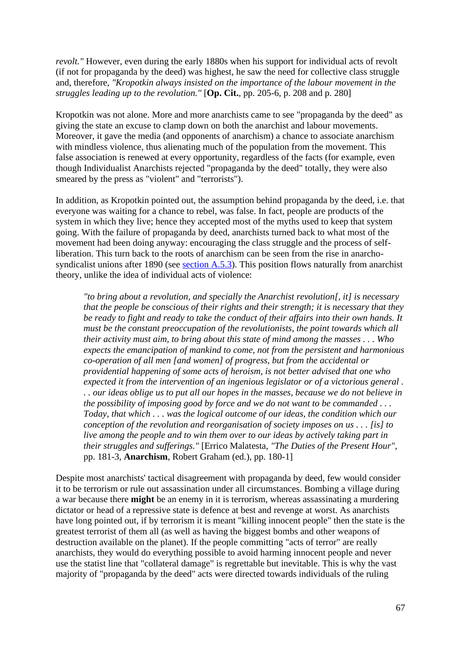*revolt.*" However, even during the early 1880s when his support for individual acts of revolt (if not for propaganda by the deed) was highest, he saw the need for collective class struggle and, therefore, *"Kropotkin always insisted on the importance of the labour movement in the struggles leading up to the revolution."* [**Op. Cit.**, pp. 205-6, p. 208 and p. 280]

Kropotkin was not alone. More and more anarchists came to see "propaganda by the deed" as giving the state an excuse to clamp down on both the anarchist and labour movements. Moreover, it gave the media (and opponents of anarchism) a chance to associate anarchism with mindless violence, thus alienating much of the population from the movement. This false association is renewed at every opportunity, regardless of the facts (for example, even though Individualist Anarchists rejected "propaganda by the deed" totally, they were also smeared by the press as "violent" and "terrorists").

In addition, as Kropotkin pointed out, the assumption behind propaganda by the deed, i.e. that everyone was waiting for a chance to rebel, was false. In fact, people are products of the system in which they live; hence they accepted most of the myths used to keep that system going. With the failure of propaganda by deed, anarchists turned back to what most of the movement had been doing anyway: encouraging the class struggle and the process of selfliberation. This turn back to the roots of anarchism can be seen from the rise in anarchosyndicalist unions after 1890 (see [section A.5.3\)](sectionA.html#seca53). This position flows naturally from anarchist theory, unlike the idea of individual acts of violence:

*"to bring about a revolution, and specially the Anarchist revolution[, it] is necessary that the people be conscious of their rights and their strength; it is necessary that they be ready to fight and ready to take the conduct of their affairs into their own hands. It must be the constant preoccupation of the revolutionists, the point towards which all their activity must aim, to bring about this state of mind among the masses . . . Who expects the emancipation of mankind to come, not from the persistent and harmonious co-operation of all men [and women] of progress, but from the accidental or providential happening of some acts of heroism, is not better advised that one who expected it from the intervention of an ingenious legislator or of a victorious general . . . our ideas oblige us to put all our hopes in the masses, because we do not believe in the possibility of imposing good by force and we do not want to be commanded . . . Today, that which . . . was the logical outcome of our ideas, the condition which our conception of the revolution and reorganisation of society imposes on us . . . [is] to live among the people and to win them over to our ideas by actively taking part in their struggles and sufferings."* [Errico Malatesta, *"The Duties of the Present Hour"*, pp. 181-3, **Anarchism**, Robert Graham (ed.), pp. 180-1]

Despite most anarchists' tactical disagreement with propaganda by deed, few would consider it to be terrorism or rule out assassination under all circumstances. Bombing a village during a war because there **might** be an enemy in it is terrorism, whereas assassinating a murdering dictator or head of a repressive state is defence at best and revenge at worst. As anarchists have long pointed out, if by terrorism it is meant "killing innocent people" then the state is the greatest terrorist of them all (as well as having the biggest bombs and other weapons of destruction available on the planet). If the people committing "acts of terror" are really anarchists, they would do everything possible to avoid harming innocent people and never use the statist line that "collateral damage" is regrettable but inevitable. This is why the vast majority of "propaganda by the deed" acts were directed towards individuals of the ruling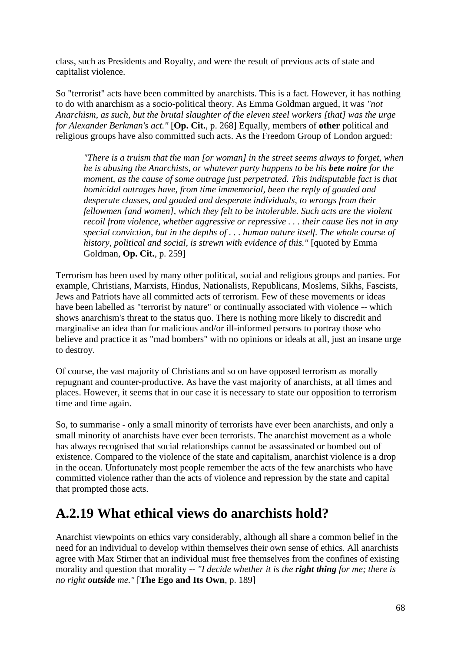class, such as Presidents and Royalty, and were the result of previous acts of state and capitalist violence.

So "terrorist" acts have been committed by anarchists. This is a fact. However, it has nothing to do with anarchism as a socio-political theory. As Emma Goldman argued, it was *"not Anarchism, as such, but the brutal slaughter of the eleven steel workers [that] was the urge for Alexander Berkman's act."* [**Op. Cit.**, p. 268] Equally, members of **other** political and religious groups have also committed such acts. As the Freedom Group of London argued:

*"There is a truism that the man [or woman] in the street seems always to forget, when he is abusing the Anarchists, or whatever party happens to be his bete noire for the moment, as the cause of some outrage just perpetrated. This indisputable fact is that homicidal outrages have, from time immemorial, been the reply of goaded and desperate classes, and goaded and desperate individuals, to wrongs from their fellowmen [and women], which they felt to be intolerable. Such acts are the violent recoil from violence, whether aggressive or repressive . . . their cause lies not in any special conviction, but in the depths of . . . human nature itself. The whole course of history, political and social, is strewn with evidence of this."* [quoted by Emma Goldman, **Op. Cit.**, p. 259]

Terrorism has been used by many other political, social and religious groups and parties. For example, Christians, Marxists, Hindus, Nationalists, Republicans, Moslems, Sikhs, Fascists, Jews and Patriots have all committed acts of terrorism. Few of these movements or ideas have been labelled as "terrorist by nature" or continually associated with violence -- which shows anarchism's threat to the status quo. There is nothing more likely to discredit and marginalise an idea than for malicious and/or ill-informed persons to portray those who believe and practice it as "mad bombers" with no opinions or ideals at all, just an insane urge to destroy.

Of course, the vast majority of Christians and so on have opposed terrorism as morally repugnant and counter-productive. As have the vast majority of anarchists, at all times and places. However, it seems that in our case it is necessary to state our opposition to terrorism time and time again.

So, to summarise - only a small minority of terrorists have ever been anarchists, and only a small minority of anarchists have ever been terrorists. The anarchist movement as a whole has always recognised that social relationships cannot be assassinated or bombed out of existence. Compared to the violence of the state and capitalism, anarchist violence is a drop in the ocean. Unfortunately most people remember the acts of the few anarchists who have committed violence rather than the acts of violence and repression by the state and capital that prompted those acts.

# **A.2.19 What ethical views do anarchists hold?**

Anarchist viewpoints on ethics vary considerably, although all share a common belief in the need for an individual to develop within themselves their own sense of ethics. All anarchists agree with Max Stirner that an individual must free themselves from the confines of existing morality and question that morality -- *"I decide whether it is the right thing for me; there is no right outside me."* [**The Ego and Its Own**, p. 189]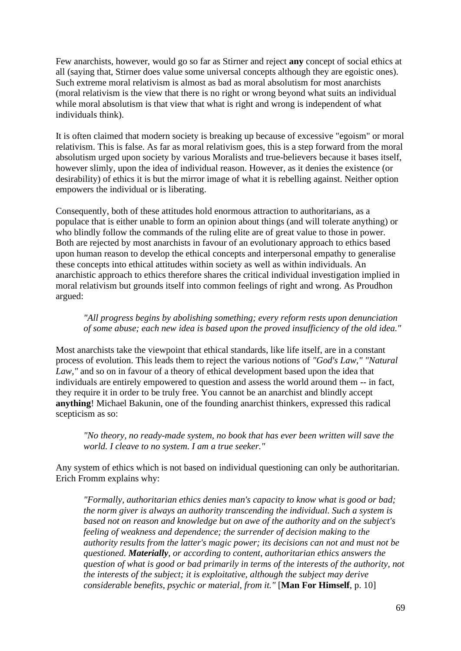Few anarchists, however, would go so far as Stirner and reject **any** concept of social ethics at all (saying that, Stirner does value some universal concepts although they are egoistic ones). Such extreme moral relativism is almost as bad as moral absolutism for most anarchists (moral relativism is the view that there is no right or wrong beyond what suits an individual while moral absolutism is that view that what is right and wrong is independent of what individuals think).

It is often claimed that modern society is breaking up because of excessive "egoism" or moral relativism. This is false. As far as moral relativism goes, this is a step forward from the moral absolutism urged upon society by various Moralists and true-believers because it bases itself, however slimly, upon the idea of individual reason. However, as it denies the existence (or desirability) of ethics it is but the mirror image of what it is rebelling against. Neither option empowers the individual or is liberating.

Consequently, both of these attitudes hold enormous attraction to authoritarians, as a populace that is either unable to form an opinion about things (and will tolerate anything) or who blindly follow the commands of the ruling elite are of great value to those in power. Both are rejected by most anarchists in favour of an evolutionary approach to ethics based upon human reason to develop the ethical concepts and interpersonal empathy to generalise these concepts into ethical attitudes within society as well as within individuals. An anarchistic approach to ethics therefore shares the critical individual investigation implied in moral relativism but grounds itself into common feelings of right and wrong. As Proudhon argued:

*"All progress begins by abolishing something; every reform rests upon denunciation of some abuse; each new idea is based upon the proved insufficiency of the old idea."*

Most anarchists take the viewpoint that ethical standards, like life itself, are in a constant process of evolution. This leads them to reject the various notions of *"God's Law," "Natural Law,"* and so on in favour of a theory of ethical development based upon the idea that individuals are entirely empowered to question and assess the world around them -- in fact, they require it in order to be truly free. You cannot be an anarchist and blindly accept **anything**! Michael Bakunin, one of the founding anarchist thinkers, expressed this radical scepticism as so:

*"No theory, no ready-made system, no book that has ever been written will save the world. I cleave to no system. I am a true seeker."*

Any system of ethics which is not based on individual questioning can only be authoritarian. Erich Fromm explains why:

*"Formally, authoritarian ethics denies man's capacity to know what is good or bad; the norm giver is always an authority transcending the individual. Such a system is based not on reason and knowledge but on awe of the authority and on the subject's feeling of weakness and dependence; the surrender of decision making to the authority results from the latter's magic power; its decisions can not and must not be questioned. Materially, or according to content, authoritarian ethics answers the question of what is good or bad primarily in terms of the interests of the authority, not the interests of the subject; it is exploitative, although the subject may derive considerable benefits, psychic or material, from it."* [**Man For Himself**, p. 10]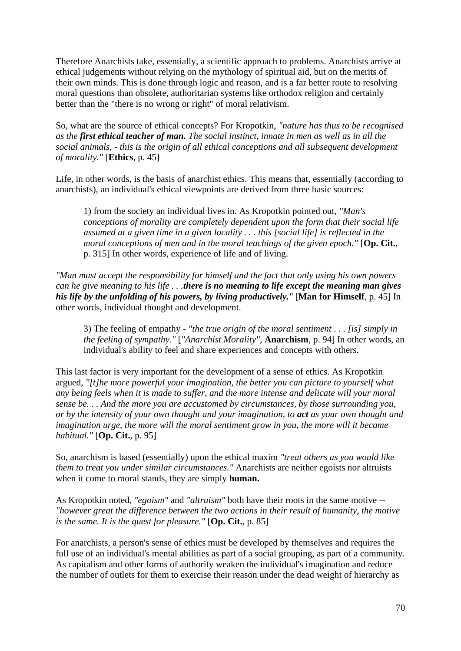Therefore Anarchists take, essentially, a scientific approach to problems. Anarchists arrive at ethical judgements without relying on the mythology of spiritual aid, but on the merits of their own minds. This is done through logic and reason, and is a far better route to resolving moral questions than obsolete, authoritarian systems like orthodox religion and certainly better than the "there is no wrong or right" of moral relativism.

So, what are the source of ethical concepts? For Kropotkin, *"nature has thus to be recognised as the first ethical teacher of man. The social instinct, innate in men as well as in all the social animals, - this is the origin of all ethical conceptions and all subsequent development of morality."* [**Ethics**, p. 45]

Life, in other words, is the basis of anarchist ethics. This means that, essentially (according to anarchists), an individual's ethical viewpoints are derived from three basic sources:

1) from the society an individual lives in. As Kropotkin pointed out, *"Man's conceptions of morality are completely dependent upon the form that their social life assumed at a given time in a given locality . . . this [social life] is reflected in the moral conceptions of men and in the moral teachings of the given epoch."* [**Op. Cit.**, p. 315] In other words, experience of life and of living.

*"Man must accept the responsibility for himself and the fact that only using his own powers can he give meaning to his life . . .there is no meaning to life except the meaning man gives his life by the unfolding of his powers, by living productively."* [**Man for Himself**, p. 45] In other words, individual thought and development.

3) The feeling of empathy - *"the true origin of the moral sentiment . . . [is] simply in the feeling of sympathy."* [*"Anarchist Morality"*, **Anarchism**, p. 94] In other words, an individual's ability to feel and share experiences and concepts with others.

This last factor is very important for the development of a sense of ethics. As Kropotkin argued, *"[t]he more powerful your imagination, the better you can picture to yourself what any being feels when it is made to suffer, and the more intense and delicate will your moral sense be. . . And the more you are accustomed by circumstances, by those surrounding you, or by the intensity of your own thought and your imagination, to act as your own thought and imagination urge, the more will the moral sentiment grow in you, the more will it became habitual."* [**Op. Cit.**, p. 95]

So, anarchism is based (essentially) upon the ethical maxim *"treat others as you would like them to treat you under similar circumstances."* Anarchists are neither egoists nor altruists when it come to moral stands, they are simply **human.**

As Kropotkin noted, *"egoism"* and *"altruism"* both have their roots in the same motive -- *"however great the difference between the two actions in their result of humanity, the motive is the same. It is the quest for pleasure."* [**Op. Cit.**, p. 85]

For anarchists, a person's sense of ethics must be developed by themselves and requires the full use of an individual's mental abilities as part of a social grouping, as part of a community. As capitalism and other forms of authority weaken the individual's imagination and reduce the number of outlets for them to exercise their reason under the dead weight of hierarchy as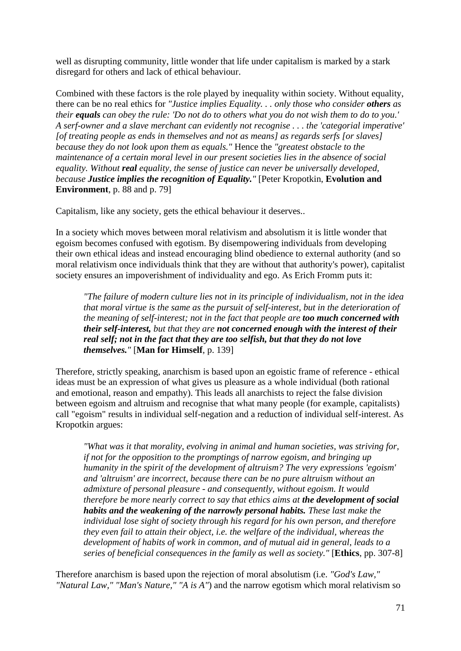well as disrupting community, little wonder that life under capitalism is marked by a stark disregard for others and lack of ethical behaviour.

Combined with these factors is the role played by inequality within society. Without equality, there can be no real ethics for *"Justice implies Equality. . . only those who consider others as their equals can obey the rule: 'Do not do to others what you do not wish them to do to you.' A serf-owner and a slave merchant can evidently not recognise . . . the 'categorial imperative' [of treating people as ends in themselves and not as means] as regards serfs [or slaves] because they do not look upon them as equals."* Hence the *"greatest obstacle to the maintenance of a certain moral level in our present societies lies in the absence of social equality. Without real equality, the sense of justice can never be universally developed, because Justice implies the recognition of Equality."* [Peter Kropotkin, **Evolution and Environment**, p. 88 and p. 79]

Capitalism, like any society, gets the ethical behaviour it deserves..

In a society which moves between moral relativism and absolutism it is little wonder that egoism becomes confused with egotism. By disempowering individuals from developing their own ethical ideas and instead encouraging blind obedience to external authority (and so moral relativism once individuals think that they are without that authority's power), capitalist society ensures an impoverishment of individuality and ego. As Erich Fromm puts it:

*"The failure of modern culture lies not in its principle of individualism, not in the idea that moral virtue is the same as the pursuit of self-interest, but in the deterioration of the meaning of self-interest; not in the fact that people are too much concerned with their self-interest, but that they are not concerned enough with the interest of their real self; not in the fact that they are too selfish, but that they do not love themselves."* [**Man for Himself**, p. 139]

Therefore, strictly speaking, anarchism is based upon an egoistic frame of reference - ethical ideas must be an expression of what gives us pleasure as a whole individual (both rational and emotional, reason and empathy). This leads all anarchists to reject the false division between egoism and altruism and recognise that what many people (for example, capitalists) call "egoism" results in individual self-negation and a reduction of individual self-interest. As Kropotkin argues:

*"What was it that morality, evolving in animal and human societies, was striving for, if not for the opposition to the promptings of narrow egoism, and bringing up humanity in the spirit of the development of altruism? The very expressions 'egoism' and 'altruism' are incorrect, because there can be no pure altruism without an admixture of personal pleasure - and consequently, without egoism. It would therefore be more nearly correct to say that ethics aims at the development of social habits and the weakening of the narrowly personal habits. These last make the individual lose sight of society through his regard for his own person, and therefore they even fail to attain their object, i.e. the welfare of the individual, whereas the development of habits of work in common, and of mutual aid in general, leads to a series of beneficial consequences in the family as well as society."* [**Ethics**, pp. 307-8]

Therefore anarchism is based upon the rejection of moral absolutism (i.e. *"God's Law," "Natural Law," "Man's Nature," "A is A"*) and the narrow egotism which moral relativism so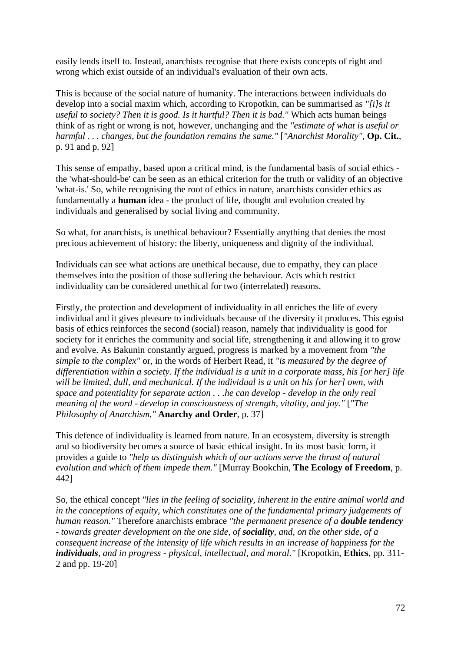easily lends itself to. Instead, anarchists recognise that there exists concepts of right and wrong which exist outside of an individual's evaluation of their own acts.

This is because of the social nature of humanity. The interactions between individuals do develop into a social maxim which, according to Kropotkin, can be summarised as *"[i]s it useful to society? Then it is good. Is it hurtful? Then it is bad."* Which acts human beings think of as right or wrong is not, however, unchanging and the *"estimate of what is useful or harmful . . . changes, but the foundation remains the same."* [*"Anarchist Morality"*, **Op. Cit.**, p. 91 and p. 92]

This sense of empathy, based upon a critical mind, is the fundamental basis of social ethics the 'what-should-be' can be seen as an ethical criterion for the truth or validity of an objective 'what-is.' So, while recognising the root of ethics in nature, anarchists consider ethics as fundamentally a **human** idea - the product of life, thought and evolution created by individuals and generalised by social living and community.

So what, for anarchists, is unethical behaviour? Essentially anything that denies the most precious achievement of history: the liberty, uniqueness and dignity of the individual.

Individuals can see what actions are unethical because, due to empathy, they can place themselves into the position of those suffering the behaviour. Acts which restrict individuality can be considered unethical for two (interrelated) reasons.

Firstly, the protection and development of individuality in all enriches the life of every individual and it gives pleasure to individuals because of the diversity it produces. This egoist basis of ethics reinforces the second (social) reason, namely that individuality is good for society for it enriches the community and social life, strengthening it and allowing it to grow and evolve. As Bakunin constantly argued, progress is marked by a movement from *"the simple to the complex"* or, in the words of Herbert Read, it *"is measured by the degree of differentiation within a society. If the individual is a unit in a corporate mass, his [or her] life will be limited, dull, and mechanical. If the individual is a unit on his [or her] own, with space and potentiality for separate action . . .he can develop - develop in the only real meaning of the word - develop in consciousness of strength, vitality, and joy."* [*"The Philosophy of Anarchism,"* **Anarchy and Order**, p. 37]

This defence of individuality is learned from nature. In an ecosystem, diversity is strength and so biodiversity becomes a source of basic ethical insight. In its most basic form, it provides a guide to *"help us distinguish which of our actions serve the thrust of natural evolution and which of them impede them."* [Murray Bookchin, **The Ecology of Freedom**, p. 442]

So, the ethical concept *"lies in the feeling of sociality, inherent in the entire animal world and in the conceptions of equity, which constitutes one of the fundamental primary judgements of human reason."* Therefore anarchists embrace *"the permanent presence of a double tendency - towards greater development on the one side, of sociality, and, on the other side, of a consequent increase of the intensity of life which results in an increase of happiness for the individuals, and in progress - physical, intellectual, and moral."* [Kropotkin, **Ethics**, pp. 311- 2 and pp. 19-20]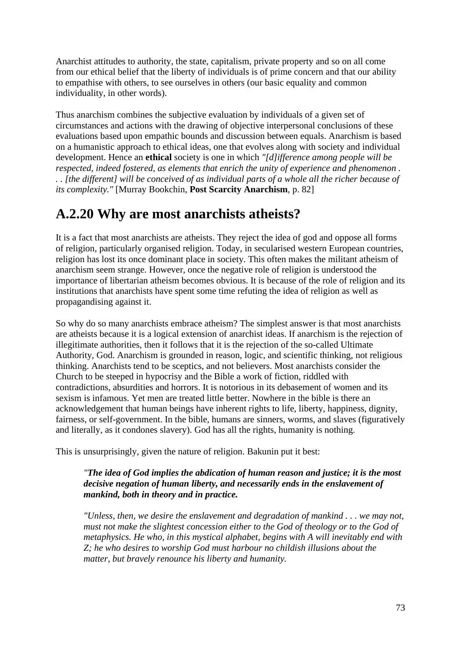Anarchist attitudes to authority, the state, capitalism, private property and so on all come from our ethical belief that the liberty of individuals is of prime concern and that our ability to empathise with others, to see ourselves in others (our basic equality and common individuality, in other words).

Thus anarchism combines the subjective evaluation by individuals of a given set of circumstances and actions with the drawing of objective interpersonal conclusions of these evaluations based upon empathic bounds and discussion between equals. Anarchism is based on a humanistic approach to ethical ideas, one that evolves along with society and individual development. Hence an **ethical** society is one in which *"[d]ifference among people will be respected, indeed fostered, as elements that enrich the unity of experience and phenomenon . . . [the different] will be conceived of as individual parts of a whole all the richer because of its complexity."* [Murray Bookchin, **Post Scarcity Anarchism**, p. 82]

# **A.2.20 Why are most anarchists atheists?**

It is a fact that most anarchists are atheists. They reject the idea of god and oppose all forms of religion, particularly organised religion. Today, in secularised western European countries, religion has lost its once dominant place in society. This often makes the militant atheism of anarchism seem strange. However, once the negative role of religion is understood the importance of libertarian atheism becomes obvious. It is because of the role of religion and its institutions that anarchists have spent some time refuting the idea of religion as well as propagandising against it.

So why do so many anarchists embrace atheism? The simplest answer is that most anarchists are atheists because it is a logical extension of anarchist ideas. If anarchism is the rejection of illegitimate authorities, then it follows that it is the rejection of the so-called Ultimate Authority, God. Anarchism is grounded in reason, logic, and scientific thinking, not religious thinking. Anarchists tend to be sceptics, and not believers. Most anarchists consider the Church to be steeped in hypocrisy and the Bible a work of fiction, riddled with contradictions, absurdities and horrors. It is notorious in its debasement of women and its sexism is infamous. Yet men are treated little better. Nowhere in the bible is there an acknowledgement that human beings have inherent rights to life, liberty, happiness, dignity, fairness, or self-government. In the bible, humans are sinners, worms, and slaves (figuratively and literally, as it condones slavery). God has all the rights, humanity is nothing.

This is unsurprisingly, given the nature of religion. Bakunin put it best:

#### *"The idea of God implies the abdication of human reason and justice; it is the most decisive negation of human liberty, and necessarily ends in the enslavement of mankind, both in theory and in practice.*

*"Unless, then, we desire the enslavement and degradation of mankind . . . we may not, must not make the slightest concession either to the God of theology or to the God of metaphysics. He who, in this mystical alphabet, begins with A will inevitably end with Z; he who desires to worship God must harbour no childish illusions about the matter, but bravely renounce his liberty and humanity.*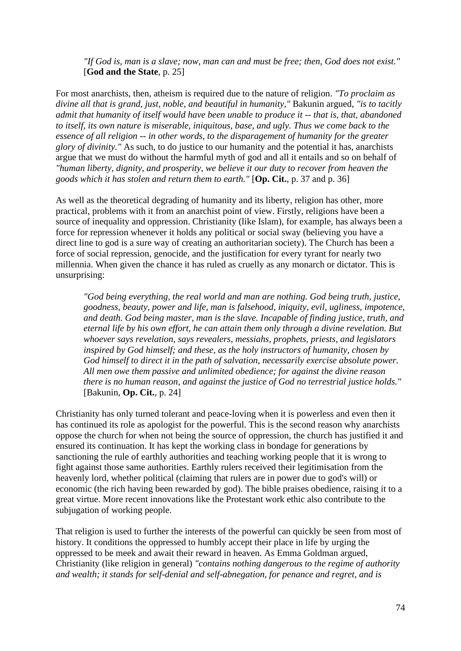*"If God is, man is a slave; now, man can and must be free; then, God does not exist."* [**God and the State**, p. 25]

For most anarchists, then, atheism is required due to the nature of religion. *"To proclaim as divine all that is grand, just, noble, and beautiful in humanity,"* Bakunin argued, *"is to tacitly admit that humanity of itself would have been unable to produce it -- that is, that, abandoned to itself, its own nature is miserable, iniquitous, base, and ugly. Thus we come back to the essence of all religion -- in other words, to the disparagement of humanity for the greater glory of divinity."* As such, to do justice to our humanity and the potential it has, anarchists argue that we must do without the harmful myth of god and all it entails and so on behalf of *"human liberty, dignity, and prosperity, we believe it our duty to recover from heaven the goods which it has stolen and return them to earth."* [**Op. Cit.**, p. 37 and p. 36]

As well as the theoretical degrading of humanity and its liberty, religion has other, more practical, problems with it from an anarchist point of view. Firstly, religions have been a source of inequality and oppression. Christianity (like Islam), for example, has always been a force for repression whenever it holds any political or social sway (believing you have a direct line to god is a sure way of creating an authoritarian society). The Church has been a force of social repression, genocide, and the justification for every tyrant for nearly two millennia. When given the chance it has ruled as cruelly as any monarch or dictator. This is unsurprising:

*"God being everything, the real world and man are nothing. God being truth, justice, goodness, beauty, power and life, man is falsehood, iniquity, evil, ugliness, impotence, and death. God being master, man is the slave. Incapable of finding justice, truth, and eternal life by his own effort, he can attain them only through a divine revelation. But whoever says revelation, says revealers, messiahs, prophets, priests, and legislators inspired by God himself; and these, as the holy instructors of humanity, chosen by God himself to direct it in the path of salvation, necessarily exercise absolute power. All men owe them passive and unlimited obedience; for against the divine reason there is no human reason, and against the justice of God no terrestrial justice holds."* [Bakunin, **Op. Cit.**, p. 24]

Christianity has only turned tolerant and peace-loving when it is powerless and even then it has continued its role as apologist for the powerful. This is the second reason why anarchists oppose the church for when not being the source of oppression, the church has justified it and ensured its continuation. It has kept the working class in bondage for generations by sanctioning the rule of earthly authorities and teaching working people that it is wrong to fight against those same authorities. Earthly rulers received their legitimisation from the heavenly lord, whether political (claiming that rulers are in power due to god's will) or economic (the rich having been rewarded by god). The bible praises obedience, raising it to a great virtue. More recent innovations like the Protestant work ethic also contribute to the subjugation of working people.

That religion is used to further the interests of the powerful can quickly be seen from most of history. It conditions the oppressed to humbly accept their place in life by urging the oppressed to be meek and await their reward in heaven. As Emma Goldman argued, Christianity (like religion in general) *"contains nothing dangerous to the regime of authority and wealth; it stands for self-denial and self-abnegation, for penance and regret, and is*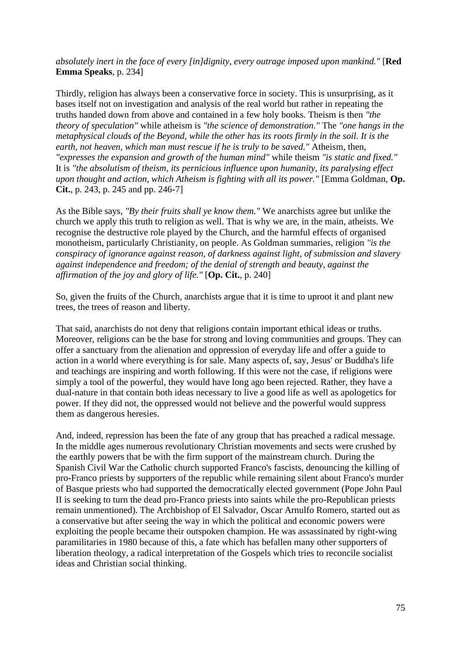#### *absolutely inert in the face of every [in]dignity, every outrage imposed upon mankind."* [**Red Emma Speaks**, p. 234]

Thirdly, religion has always been a conservative force in society. This is unsurprising, as it bases itself not on investigation and analysis of the real world but rather in repeating the truths handed down from above and contained in a few holy books. Theism is then *"the theory of speculation"* while atheism is *"the science of demonstration."* The *"one hangs in the metaphysical clouds of the Beyond, while the other has its roots firmly in the soil. It is the earth, not heaven, which man must rescue if he is truly to be saved."* Atheism, then, *"expresses the expansion and growth of the human mind"* while theism *"is static and fixed."* It is *"the absolutism of theism, its pernicious influence upon humanity, its paralysing effect upon thought and action, which Atheism is fighting with all its power."* [Emma Goldman, **Op. Cit.**, p. 243, p. 245 and pp. 246-7]

As the Bible says, *"By their fruits shall ye know them."* We anarchists agree but unlike the church we apply this truth to religion as well. That is why we are, in the main, atheists. We recognise the destructive role played by the Church, and the harmful effects of organised monotheism, particularly Christianity, on people. As Goldman summaries, religion *"is the conspiracy of ignorance against reason, of darkness against light, of submission and slavery against independence and freedom; of the denial of strength and beauty, against the affirmation of the joy and glory of life."* [**Op. Cit.**, p. 240]

So, given the fruits of the Church, anarchists argue that it is time to uproot it and plant new trees, the trees of reason and liberty.

That said, anarchists do not deny that religions contain important ethical ideas or truths. Moreover, religions can be the base for strong and loving communities and groups. They can offer a sanctuary from the alienation and oppression of everyday life and offer a guide to action in a world where everything is for sale. Many aspects of, say, Jesus' or Buddha's life and teachings are inspiring and worth following. If this were not the case, if religions were simply a tool of the powerful, they would have long ago been rejected. Rather, they have a dual-nature in that contain both ideas necessary to live a good life as well as apologetics for power. If they did not, the oppressed would not believe and the powerful would suppress them as dangerous heresies.

And, indeed, repression has been the fate of any group that has preached a radical message. In the middle ages numerous revolutionary Christian movements and sects were crushed by the earthly powers that be with the firm support of the mainstream church. During the Spanish Civil War the Catholic church supported Franco's fascists, denouncing the killing of pro-Franco priests by supporters of the republic while remaining silent about Franco's murder of Basque priests who had supported the democratically elected government (Pope John Paul II is seeking to turn the dead pro-Franco priests into saints while the pro-Republican priests remain unmentioned). The Archbishop of El Salvador, Oscar Arnulfo Romero, started out as a conservative but after seeing the way in which the political and economic powers were exploiting the people became their outspoken champion. He was assassinated by right-wing paramilitaries in 1980 because of this, a fate which has befallen many other supporters of liberation theology, a radical interpretation of the Gospels which tries to reconcile socialist ideas and Christian social thinking.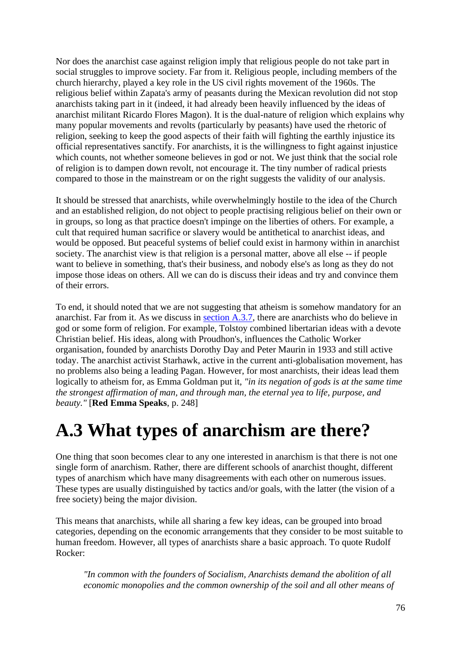Nor does the anarchist case against religion imply that religious people do not take part in social struggles to improve society. Far from it. Religious people, including members of the church hierarchy, played a key role in the US civil rights movement of the 1960s. The religious belief within Zapata's army of peasants during the Mexican revolution did not stop anarchists taking part in it (indeed, it had already been heavily influenced by the ideas of anarchist militant Ricardo Flores Magon). It is the dual-nature of religion which explains why many popular movements and revolts (particularly by peasants) have used the rhetoric of religion, seeking to keep the good aspects of their faith will fighting the earthly injustice its official representatives sanctify. For anarchists, it is the willingness to fight against injustice which counts, not whether someone believes in god or not. We just think that the social role of religion is to dampen down revolt, not encourage it. The tiny number of radical priests compared to those in the mainstream or on the right suggests the validity of our analysis.

It should be stressed that anarchists, while overwhelmingly hostile to the idea of the Church and an established religion, do not object to people practising religious belief on their own or in groups, so long as that practice doesn't impinge on the liberties of others. For example, a cult that required human sacrifice or slavery would be antithetical to anarchist ideas, and would be opposed. But peaceful systems of belief could exist in harmony within in anarchist society. The anarchist view is that religion is a personal matter, above all else -- if people want to believe in something, that's their business, and nobody else's as long as they do not impose those ideas on others. All we can do is discuss their ideas and try and convince them of their errors.

To end, it should noted that we are not suggesting that atheism is somehow mandatory for an anarchist. Far from it. As we discuss in [section A.3.7,](sectionA.html#seca37) there are anarchists who do believe in god or some form of religion. For example, Tolstoy combined libertarian ideas with a devote Christian belief. His ideas, along with Proudhon's, influences the Catholic Worker organisation, founded by anarchists Dorothy Day and Peter Maurin in 1933 and still active today. The anarchist activist Starhawk, active in the current anti-globalisation movement, has no problems also being a leading Pagan. However, for most anarchists, their ideas lead them logically to atheism for, as Emma Goldman put it, *"in its negation of gods is at the same time the strongest affirmation of man, and through man, the eternal yea to life, purpose, and beauty."* [**Red Emma Speaks**, p. 248]

# **A.3 What types of anarchism are there?**

One thing that soon becomes clear to any one interested in anarchism is that there is not one single form of anarchism. Rather, there are different schools of anarchist thought, different types of anarchism which have many disagreements with each other on numerous issues. These types are usually distinguished by tactics and/or goals, with the latter (the vision of a free society) being the major division.

This means that anarchists, while all sharing a few key ideas, can be grouped into broad categories, depending on the economic arrangements that they consider to be most suitable to human freedom. However, all types of anarchists share a basic approach. To quote Rudolf Rocker:

*"In common with the founders of Socialism, Anarchists demand the abolition of all economic monopolies and the common ownership of the soil and all other means of*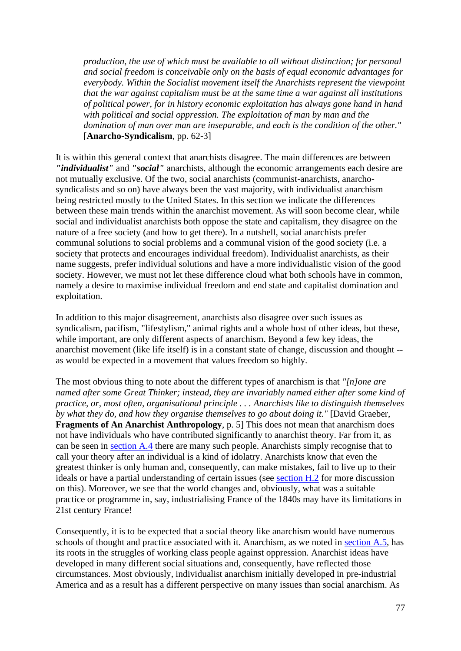*production, the use of which must be available to all without distinction; for personal and social freedom is conceivable only on the basis of equal economic advantages for everybody. Within the Socialist movement itself the Anarchists represent the viewpoint that the war against capitalism must be at the same time a war against all institutions of political power, for in history economic exploitation has always gone hand in hand with political and social oppression. The exploitation of man by man and the domination of man over man are inseparable, and each is the condition of the other."* [**Anarcho-Syndicalism**, pp. 62-3]

It is within this general context that anarchists disagree. The main differences are between *"individualist"* and *"social"* anarchists, although the economic arrangements each desire are not mutually exclusive. Of the two, social anarchists (communist-anarchists, anarchosyndicalists and so on) have always been the vast majority, with individualist anarchism being restricted mostly to the United States. In this section we indicate the differences between these main trends within the anarchist movement. As will soon become clear, while social and individualist anarchists both oppose the state and capitalism, they disagree on the nature of a free society (and how to get there). In a nutshell, social anarchists prefer communal solutions to social problems and a communal vision of the good society (i.e. a society that protects and encourages individual freedom). Individualist anarchists, as their name suggests, prefer individual solutions and have a more individualistic vision of the good society. However, we must not let these difference cloud what both schools have in common, namely a desire to maximise individual freedom and end state and capitalist domination and exploitation.

In addition to this major disagreement, anarchists also disagree over such issues as syndicalism, pacifism, "lifestylism," animal rights and a whole host of other ideas, but these, while important, are only different aspects of anarchism. Beyond a few key ideas, the anarchist movement (like life itself) is in a constant state of change, discussion and thought - as would be expected in a movement that values freedom so highly.

The most obvious thing to note about the different types of anarchism is that *"[n]one are named after some Great Thinker; instead, they are invariably named either after some kind of practice, or, most often, organisational principle . . . Anarchists like to distinguish themselves by what they do, and how they organise themselves to go about doing it."* [David Graeber, **Fragments of An Anarchist Anthropology**, p. 5] This does not mean that anarchism does not have individuals who have contributed significantly to anarchist theory. Far from it, as can be seen in [section A.4](sectionA.html#seca4) there are many such people. Anarchists simply recognise that to call your theory after an individual is a kind of idolatry. Anarchists know that even the greatest thinker is only human and, consequently, can make mistakes, fail to live up to their ideals or have a partial understanding of certain issues (see [section H.2](sectionH.html#sech2) for more discussion on this). Moreover, we see that the world changes and, obviously, what was a suitable practice or programme in, say, industrialising France of the 1840s may have its limitations in 21st century France!

Consequently, it is to be expected that a social theory like anarchism would have numerous schools of thought and practice associated with it. Anarchism, as we noted in [section A.5,](sectionA.html#seca5) has its roots in the struggles of working class people against oppression. Anarchist ideas have developed in many different social situations and, consequently, have reflected those circumstances. Most obviously, individualist anarchism initially developed in pre-industrial America and as a result has a different perspective on many issues than social anarchism. As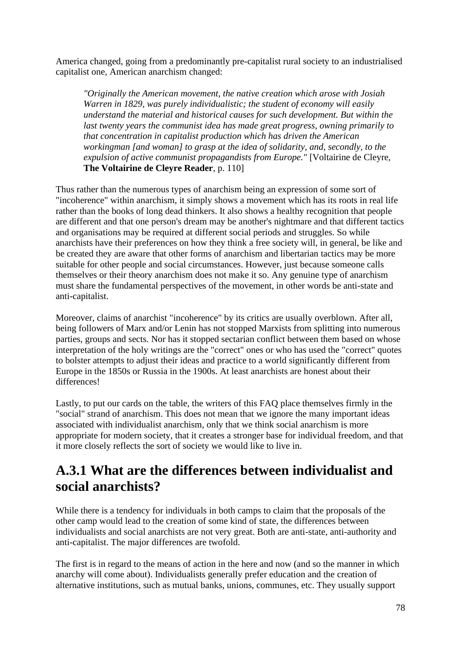America changed, going from a predominantly pre-capitalist rural society to an industrialised capitalist one, American anarchism changed:

*"Originally the American movement, the native creation which arose with Josiah Warren in 1829, was purely individualistic; the student of economy will easily understand the material and historical causes for such development. But within the last twenty years the communist idea has made great progress, owning primarily to that concentration in capitalist production which has driven the American workingman [and woman] to grasp at the idea of solidarity, and, secondly, to the expulsion of active communist propagandists from Europe."* [Voltairine de Cleyre, **The Voltairine de Cleyre Reader**, p. 110]

Thus rather than the numerous types of anarchism being an expression of some sort of "incoherence" within anarchism, it simply shows a movement which has its roots in real life rather than the books of long dead thinkers. It also shows a healthy recognition that people are different and that one person's dream may be another's nightmare and that different tactics and organisations may be required at different social periods and struggles. So while anarchists have their preferences on how they think a free society will, in general, be like and be created they are aware that other forms of anarchism and libertarian tactics may be more suitable for other people and social circumstances. However, just because someone calls themselves or their theory anarchism does not make it so. Any genuine type of anarchism must share the fundamental perspectives of the movement, in other words be anti-state and anti-capitalist.

Moreover, claims of anarchist "incoherence" by its critics are usually overblown. After all, being followers of Marx and/or Lenin has not stopped Marxists from splitting into numerous parties, groups and sects. Nor has it stopped sectarian conflict between them based on whose interpretation of the holy writings are the "correct" ones or who has used the "correct" quotes to bolster attempts to adjust their ideas and practice to a world significantly different from Europe in the 1850s or Russia in the 1900s. At least anarchists are honest about their differences!

Lastly, to put our cards on the table, the writers of this FAQ place themselves firmly in the "social" strand of anarchism. This does not mean that we ignore the many important ideas associated with individualist anarchism, only that we think social anarchism is more appropriate for modern society, that it creates a stronger base for individual freedom, and that it more closely reflects the sort of society we would like to live in.

### **A.3.1 What are the differences between individualist and social anarchists?**

While there is a tendency for individuals in both camps to claim that the proposals of the other camp would lead to the creation of some kind of state, the differences between individualists and social anarchists are not very great. Both are anti-state, anti-authority and anti-capitalist. The major differences are twofold.

The first is in regard to the means of action in the here and now (and so the manner in which anarchy will come about). Individualists generally prefer education and the creation of alternative institutions, such as mutual banks, unions, communes, etc. They usually support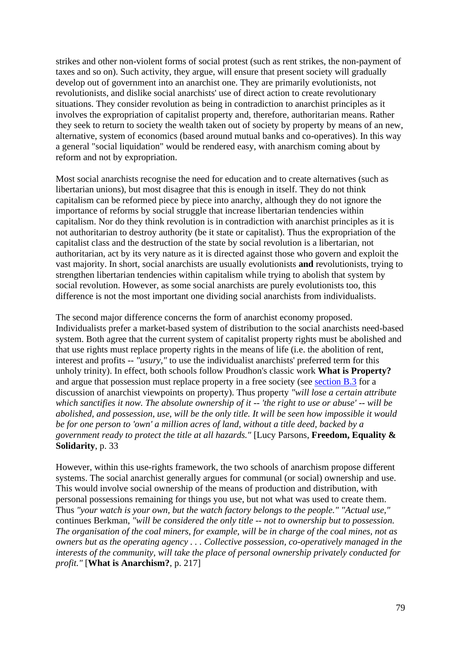strikes and other non-violent forms of social protest (such as rent strikes, the non-payment of taxes and so on). Such activity, they argue, will ensure that present society will gradually develop out of government into an anarchist one. They are primarily evolutionists, not revolutionists, and dislike social anarchists' use of direct action to create revolutionary situations. They consider revolution as being in contradiction to anarchist principles as it involves the expropriation of capitalist property and, therefore, authoritarian means. Rather they seek to return to society the wealth taken out of society by property by means of an new, alternative, system of economics (based around mutual banks and co-operatives). In this way a general "social liquidation" would be rendered easy, with anarchism coming about by reform and not by expropriation.

Most social anarchists recognise the need for education and to create alternatives (such as libertarian unions), but most disagree that this is enough in itself. They do not think capitalism can be reformed piece by piece into anarchy, although they do not ignore the importance of reforms by social struggle that increase libertarian tendencies within capitalism. Nor do they think revolution is in contradiction with anarchist principles as it is not authoritarian to destroy authority (be it state or capitalist). Thus the expropriation of the capitalist class and the destruction of the state by social revolution is a libertarian, not authoritarian, act by its very nature as it is directed against those who govern and exploit the vast majority. In short, social anarchists are usually evolutionists **and** revolutionists, trying to strengthen libertarian tendencies within capitalism while trying to abolish that system by social revolution. However, as some social anarchists are purely evolutionists too, this difference is not the most important one dividing social anarchists from individualists.

The second major difference concerns the form of anarchist economy proposed. Individualists prefer a market-based system of distribution to the social anarchists need-based system. Both agree that the current system of capitalist property rights must be abolished and that use rights must replace property rights in the means of life (i.e. the abolition of rent, interest and profits -- *"usury,"* to use the individualist anarchists' preferred term for this unholy trinity). In effect, both schools follow Proudhon's classic work **What is Property?** and argue that possession must replace property in a free society (see [section B.3](sectionB.html#secb3) for a discussion of anarchist viewpoints on property). Thus property *"will lose a certain attribute which sanctifies it now. The absolute ownership of it -- 'the right to use or abuse' -- will be abolished, and possession, use, will be the only title. It will be seen how impossible it would be for one person to 'own' a million acres of land, without a title deed, backed by a government ready to protect the title at all hazards."* [Lucy Parsons, **Freedom, Equality & Solidarity**, p. 33

However, within this use-rights framework, the two schools of anarchism propose different systems. The social anarchist generally argues for communal (or social) ownership and use. This would involve social ownership of the means of production and distribution, with personal possessions remaining for things you use, but not what was used to create them. Thus *"your watch is your own, but the watch factory belongs to the people." "Actual use,"* continues Berkman, *"will be considered the only title -- not to ownership but to possession. The organisation of the coal miners, for example, will be in charge of the coal mines, not as owners but as the operating agency . . . Collective possession, co-operatively managed in the interests of the community, will take the place of personal ownership privately conducted for profit."* [**What is Anarchism?**, p. 217]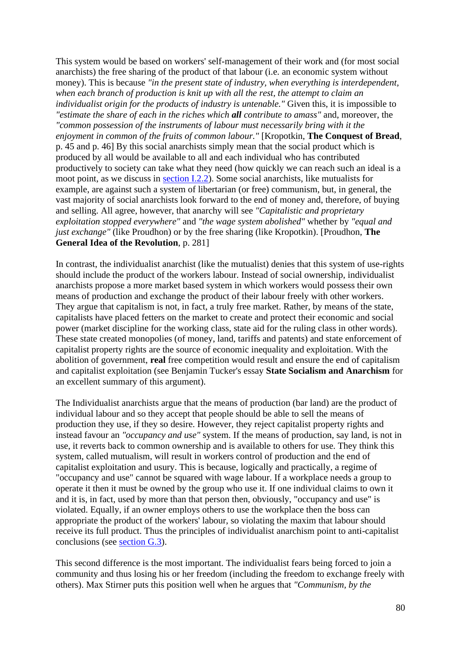This system would be based on workers' self-management of their work and (for most social anarchists) the free sharing of the product of that labour (i.e. an economic system without money). This is because *"in the present state of industry, when everything is interdependent, when each branch of production is knit up with all the rest, the attempt to claim an individualist origin for the products of industry is untenable."* Given this, it is impossible to *"estimate the share of each in the riches which all contribute to amass"* and, moreover, the *"common possession of the instruments of labour must necessarily bring with it the enjoyment in common of the fruits of common labour."* [Kropotkin, **The Conquest of Bread**, p. 45 and p. 46] By this social anarchists simply mean that the social product which is produced by all would be available to all and each individual who has contributed productively to society can take what they need (how quickly we can reach such an ideal is a moot point, as we discuss in [section I.2.2\)](sectionI.html#seci22). Some social anarchists, like mutualists for example, are against such a system of libertarian (or free) communism, but, in general, the vast majority of social anarchists look forward to the end of money and, therefore, of buying and selling. All agree, however, that anarchy will see *"Capitalistic and proprietary exploitation stopped everywhere"* and *"the wage system abolished"* whether by *"equal and just exchange"* (like Proudhon) or by the free sharing (like Kropotkin). [Proudhon, **The General Idea of the Revolution**, p. 281]

In contrast, the individualist anarchist (like the mutualist) denies that this system of use-rights should include the product of the workers labour. Instead of social ownership, individualist anarchists propose a more market based system in which workers would possess their own means of production and exchange the product of their labour freely with other workers. They argue that capitalism is not, in fact, a truly free market. Rather, by means of the state, capitalists have placed fetters on the market to create and protect their economic and social power (market discipline for the working class, state aid for the ruling class in other words). These state created monopolies (of money, land, tariffs and patents) and state enforcement of capitalist property rights are the source of economic inequality and exploitation. With the abolition of government, **real** free competition would result and ensure the end of capitalism and capitalist exploitation (see Benjamin Tucker's essay **State Socialism and Anarchism** for an excellent summary of this argument).

The Individualist anarchists argue that the means of production (bar land) are the product of individual labour and so they accept that people should be able to sell the means of production they use, if they so desire. However, they reject capitalist property rights and instead favour an *"occupancy and use"* system. If the means of production, say land, is not in use, it reverts back to common ownership and is available to others for use. They think this system, called mutualism, will result in workers control of production and the end of capitalist exploitation and usury. This is because, logically and practically, a regime of "occupancy and use" cannot be squared with wage labour. If a workplace needs a group to operate it then it must be owned by the group who use it. If one individual claims to own it and it is, in fact, used by more than that person then, obviously, "occupancy and use" is violated. Equally, if an owner employs others to use the workplace then the boss can appropriate the product of the workers' labour, so violating the maxim that labour should receive its full product. Thus the principles of individualist anarchism point to anti-capitalist conclusions (see [section G.3\)](sectionG.html#secg3).

This second difference is the most important. The individualist fears being forced to join a community and thus losing his or her freedom (including the freedom to exchange freely with others). Max Stirner puts this position well when he argues that *"Communism, by the*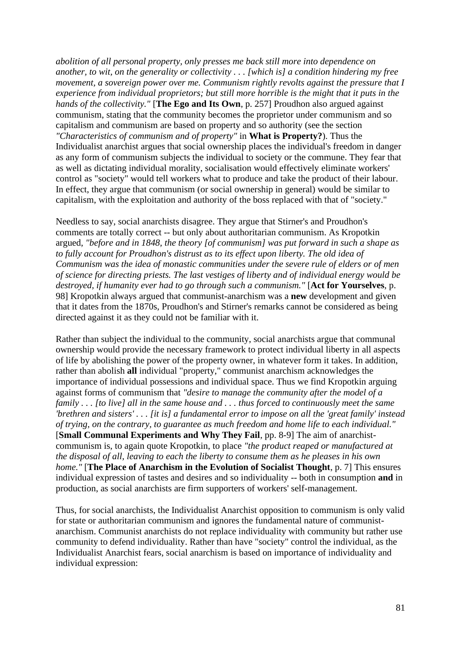*abolition of all personal property, only presses me back still more into dependence on another, to wit, on the generality or collectivity . . . [which is] a condition hindering my free movement, a sovereign power over me. Communism rightly revolts against the pressure that I experience from individual proprietors; but still more horrible is the might that it puts in the hands of the collectivity."* [**The Ego and Its Own**, p. 257] Proudhon also argued against communism, stating that the community becomes the proprietor under communism and so capitalism and communism are based on property and so authority (see the section *"Characteristics of communism and of property"* in **What is Property?**). Thus the Individualist anarchist argues that social ownership places the individual's freedom in danger as any form of communism subjects the individual to society or the commune. They fear that as well as dictating individual morality, socialisation would effectively eliminate workers' control as "society" would tell workers what to produce and take the product of their labour. In effect, they argue that communism (or social ownership in general) would be similar to capitalism, with the exploitation and authority of the boss replaced with that of "society."

Needless to say, social anarchists disagree. They argue that Stirner's and Proudhon's comments are totally correct -- but only about authoritarian communism. As Kropotkin argued, *"before and in 1848, the theory [of communism] was put forward in such a shape as to fully account for Proudhon's distrust as to its effect upon liberty. The old idea of Communism was the idea of monastic communities under the severe rule of elders or of men of science for directing priests. The last vestiges of liberty and of individual energy would be destroyed, if humanity ever had to go through such a communism."* [**Act for Yourselves**, p. 98] Kropotkin always argued that communist-anarchism was a **new** development and given that it dates from the 1870s, Proudhon's and Stirner's remarks cannot be considered as being directed against it as they could not be familiar with it.

Rather than subject the individual to the community, social anarchists argue that communal ownership would provide the necessary framework to protect individual liberty in all aspects of life by abolishing the power of the property owner, in whatever form it takes. In addition, rather than abolish **all** individual "property," communist anarchism acknowledges the importance of individual possessions and individual space. Thus we find Kropotkin arguing against forms of communism that *"desire to manage the community after the model of a family . . . [to live] all in the same house and . . . thus forced to continuously meet the same 'brethren and sisters' . . . [it is] a fundamental error to impose on all the 'great family' instead of trying, on the contrary, to guarantee as much freedom and home life to each individual."* [**Small Communal Experiments and Why They Fail**, pp. 8-9] The aim of anarchistcommunism is, to again quote Kropotkin, to place *"the product reaped or manufactured at the disposal of all, leaving to each the liberty to consume them as he pleases in his own home."* [**The Place of Anarchism in the Evolution of Socialist Thought**, p. 7] This ensures individual expression of tastes and desires and so individuality -- both in consumption **and** in production, as social anarchists are firm supporters of workers' self-management.

Thus, for social anarchists, the Individualist Anarchist opposition to communism is only valid for state or authoritarian communism and ignores the fundamental nature of communistanarchism. Communist anarchists do not replace individuality with community but rather use community to defend individuality. Rather than have "society" control the individual, as the Individualist Anarchist fears, social anarchism is based on importance of individuality and individual expression: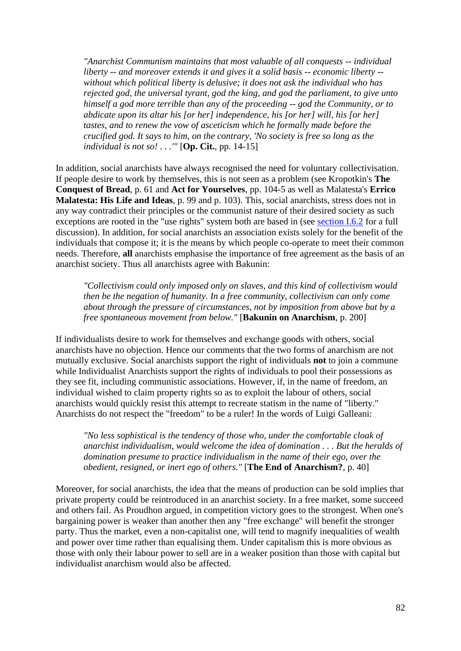*"Anarchist Communism maintains that most valuable of all conquests -- individual liberty -- and moreover extends it and gives it a solid basis -- economic liberty - without which political liberty is delusive; it does not ask the individual who has rejected god, the universal tyrant, god the king, and god the parliament, to give unto himself a god more terrible than any of the proceeding -- god the Community, or to abdicate upon its altar his [or her] independence, his [or her] will, his [or her] tastes, and to renew the vow of asceticism which he formally made before the crucified god. It says to him, on the contrary, 'No society is free so long as the individual is not so! . . .'"* [**Op. Cit.**, pp. 14-15]

In addition, social anarchists have always recognised the need for voluntary collectivisation. If people desire to work by themselves, this is not seen as a problem (see Kropotkin's **The Conquest of Bread**, p. 61 and **Act for Yourselves**, pp. 104-5 as well as Malatesta's **Errico Malatesta: His Life and Ideas**, p. 99 and p. 103). This, social anarchists, stress does not in any way contradict their principles or the communist nature of their desired society as such exceptions are rooted in the "use rights" system both are based in (see [section I.6.2](secI.html#seci62) for a full discussion). In addition, for social anarchists an association exists solely for the benefit of the individuals that compose it; it is the means by which people co-operate to meet their common needs. Therefore, **all** anarchists emphasise the importance of free agreement as the basis of an anarchist society. Thus all anarchists agree with Bakunin:

*"Collectivism could only imposed only on slaves, and this kind of collectivism would then be the negation of humanity. In a free community, collectivism can only come about through the pressure of circumstances, not by imposition from above but by a free spontaneous movement from below."* [**Bakunin on Anarchism**, p. 200]

If individualists desire to work for themselves and exchange goods with others, social anarchists have no objection. Hence our comments that the two forms of anarchism are not mutually exclusive. Social anarchists support the right of individuals **not** to join a commune while Individualist Anarchists support the rights of individuals to pool their possessions as they see fit, including communistic associations. However, if, in the name of freedom, an individual wished to claim property rights so as to exploit the labour of others, social anarchists would quickly resist this attempt to recreate statism in the name of "liberty." Anarchists do not respect the "freedom" to be a ruler! In the words of Luigi Galleani:

*"No less sophistical is the tendency of those who, under the comfortable cloak of anarchist individualism, would welcome the idea of domination . . . But the heralds of domination presume to practice individualism in the name of their ego, over the obedient, resigned, or inert ego of others."* [**The End of Anarchism?**, p. 40]

Moreover, for social anarchists, the idea that the means of production can be sold implies that private property could be reintroduced in an anarchist society. In a free market, some succeed and others fail. As Proudhon argued, in competition victory goes to the strongest. When one's bargaining power is weaker than another then any "free exchange" will benefit the stronger party. Thus the market, even a non-capitalist one, will tend to magnify inequalities of wealth and power over time rather than equalising them. Under capitalism this is more obvious as those with only their labour power to sell are in a weaker position than those with capital but individualist anarchism would also be affected.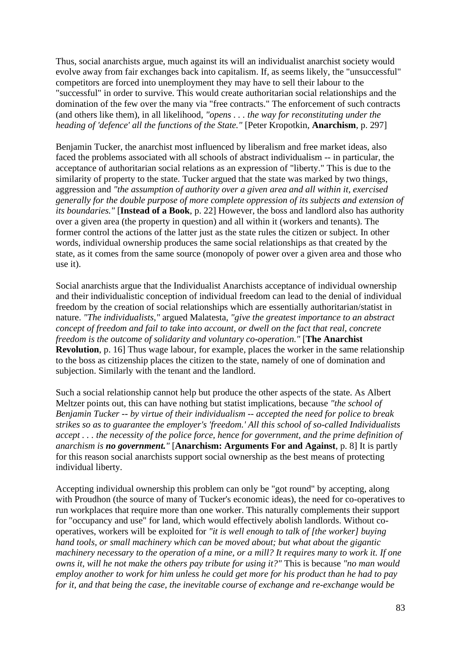Thus, social anarchists argue, much against its will an individualist anarchist society would evolve away from fair exchanges back into capitalism. If, as seems likely, the "unsuccessful" competitors are forced into unemployment they may have to sell their labour to the "successful" in order to survive. This would create authoritarian social relationships and the domination of the few over the many via "free contracts." The enforcement of such contracts (and others like them), in all likelihood, *"opens . . . the way for reconstituting under the heading of 'defence' all the functions of the State."* [Peter Kropotkin, **Anarchism**, p. 297]

Benjamin Tucker, the anarchist most influenced by liberalism and free market ideas, also faced the problems associated with all schools of abstract individualism -- in particular, the acceptance of authoritarian social relations as an expression of "liberty." This is due to the similarity of property to the state. Tucker argued that the state was marked by two things, aggression and *"the assumption of authority over a given area and all within it, exercised generally for the double purpose of more complete oppression of its subjects and extension of its boundaries."* [**Instead of a Book**, p. 22] However, the boss and landlord also has authority over a given area (the property in question) and all within it (workers and tenants). The former control the actions of the latter just as the state rules the citizen or subject. In other words, individual ownership produces the same social relationships as that created by the state, as it comes from the same source (monopoly of power over a given area and those who use it).

Social anarchists argue that the Individualist Anarchists acceptance of individual ownership and their individualistic conception of individual freedom can lead to the denial of individual freedom by the creation of social relationships which are essentially authoritarian/statist in nature. *"The individualists,"* argued Malatesta, *"give the greatest importance to an abstract concept of freedom and fail to take into account, or dwell on the fact that real, concrete freedom is the outcome of solidarity and voluntary co-operation."* [**The Anarchist Revolution**, p. 16] Thus wage labour, for example, places the worker in the same relationship to the boss as citizenship places the citizen to the state, namely of one of domination and subjection. Similarly with the tenant and the landlord.

Such a social relationship cannot help but produce the other aspects of the state. As Albert Meltzer points out, this can have nothing but statist implications, because *"the school of Benjamin Tucker -- by virtue of their individualism -- accepted the need for police to break strikes so as to guarantee the employer's 'freedom.' All this school of so-called Individualists accept . . . the necessity of the police force, hence for government, and the prime definition of anarchism is no government."* [**Anarchism: Arguments For and Against**, p. 8] It is partly for this reason social anarchists support social ownership as the best means of protecting individual liberty.

Accepting individual ownership this problem can only be "got round" by accepting, along with Proudhon (the source of many of Tucker's economic ideas), the need for co-operatives to run workplaces that require more than one worker. This naturally complements their support for "occupancy and use" for land, which would effectively abolish landlords. Without cooperatives, workers will be exploited for *"it is well enough to talk of [the worker] buying hand tools, or small machinery which can be moved about; but what about the gigantic machinery necessary to the operation of a mine, or a mill? It requires many to work it. If one owns it, will he not make the others pay tribute for using it?"* This is because *"no man would employ another to work for him unless he could get more for his product than he had to pay for it, and that being the case, the inevitable course of exchange and re-exchange would be*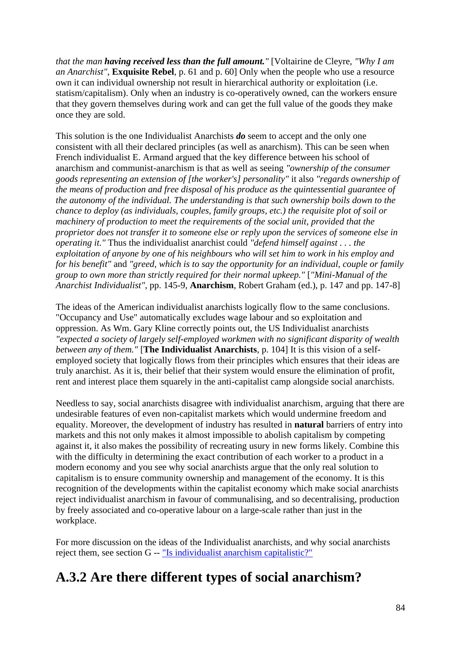*that the man having received less than the full amount."* [Voltairine de Cleyre, *"Why I am an Anarchist"*, **Exquisite Rebel**, p. 61 and p. 60] Only when the people who use a resource own it can individual ownership not result in hierarchical authority or exploitation (i.e. statism/capitalism). Only when an industry is co-operatively owned, can the workers ensure that they govern themselves during work and can get the full value of the goods they make once they are sold.

This solution is the one Individualist Anarchists *do* seem to accept and the only one consistent with all their declared principles (as well as anarchism). This can be seen when French individualist E. Armand argued that the key difference between his school of anarchism and communist-anarchism is that as well as seeing *"ownership of the consumer goods representing an extension of [the worker's] personality"* it also *"regards ownership of the means of production and free disposal of his produce as the quintessential guarantee of the autonomy of the individual. The understanding is that such ownership boils down to the chance to deploy (as individuals, couples, family groups, etc.) the requisite plot of soil or machinery of production to meet the requirements of the social unit, provided that the proprietor does not transfer it to someone else or reply upon the services of someone else in operating it."* Thus the individualist anarchist could *"defend himself against . . . the exploitation of anyone by one of his neighbours who will set him to work in his employ and for his benefit"* and *"greed, which is to say the opportunity for an individual, couple or family group to own more than strictly required for their normal upkeep."* [*"Mini-Manual of the Anarchist Individualist"*, pp. 145-9, **Anarchism**, Robert Graham (ed.), p. 147 and pp. 147-8]

The ideas of the American individualist anarchists logically flow to the same conclusions. "Occupancy and Use" automatically excludes wage labour and so exploitation and oppression. As Wm. Gary Kline correctly points out, the US Individualist anarchists *"expected a society of largely self-employed workmen with no significant disparity of wealth between any of them."* [**The Individualist Anarchists**, p. 104] It is this vision of a selfemployed society that logically flows from their principles which ensures that their ideas are truly anarchist. As it is, their belief that their system would ensure the elimination of profit, rent and interest place them squarely in the anti-capitalist camp alongside social anarchists.

Needless to say, social anarchists disagree with individualist anarchism, arguing that there are undesirable features of even non-capitalist markets which would undermine freedom and equality. Moreover, the development of industry has resulted in **natural** barriers of entry into markets and this not only makes it almost impossible to abolish capitalism by competing against it, it also makes the possibility of recreating usury in new forms likely. Combine this with the difficulty in determining the exact contribution of each worker to a product in a modern economy and you see why social anarchists argue that the only real solution to capitalism is to ensure community ownership and management of the economy. It is this recognition of the developments within the capitalist economy which make social anarchists reject individualist anarchism in favour of communalising, and so decentralising, production by freely associated and co-operative labour on a large-scale rather than just in the workplace.

For more discussion on the ideas of the Individualist anarchists, and why social anarchists reject them, see section G -- ["Is individualist anarchism capitalistic?"](sectionG.html)

# **A.3.2 Are there different types of social anarchism?**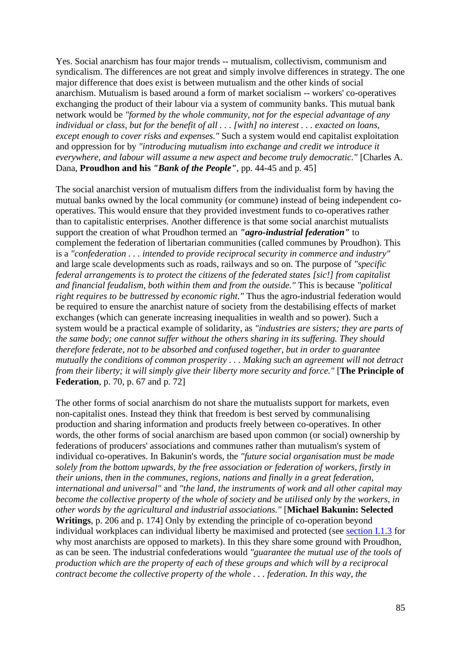Yes. Social anarchism has four major trends -- mutualism, collectivism, communism and syndicalism. The differences are not great and simply involve differences in strategy. The one major difference that does exist is between mutualism and the other kinds of social anarchism. Mutualism is based around a form of market socialism -- workers' co-operatives exchanging the product of their labour via a system of community banks. This mutual bank network would be *"formed by the whole community, not for the especial advantage of any individual or class, but for the benefit of all . . . [with] no interest . . . exacted on loans, except enough to cover risks and expenses."* Such a system would end capitalist exploitation and oppression for by *"introducing mutualism into exchange and credit we introduce it everywhere, and labour will assume a new aspect and become truly democratic."* [Charles A. Dana, **Proudhon and his** *"Bank of the People"*, pp. 44-45 and p. 45]

The social anarchist version of mutualism differs from the individualist form by having the mutual banks owned by the local community (or commune) instead of being independent cooperatives. This would ensure that they provided investment funds to co-operatives rather than to capitalistic enterprises. Another difference is that some social anarchist mutualists support the creation of what Proudhon termed an *"agro-industrial federation"* to complement the federation of libertarian communities (called communes by Proudhon). This is a *"confederation . . . intended to provide reciprocal security in commerce and industry"* and large scale developments such as roads, railways and so on. The purpose of *"specific federal arrangements is to protect the citizens of the federated states [sic!] from capitalist and financial feudalism, both within them and from the outside."* This is because *"political right requires to be buttressed by economic right."* Thus the agro-industrial federation would be required to ensure the anarchist nature of society from the destabilising effects of market exchanges (which can generate increasing inequalities in wealth and so power). Such a system would be a practical example of solidarity, as *"industries are sisters; they are parts of the same body; one cannot suffer without the others sharing in its suffering. They should therefore federate, not to be absorbed and confused together, but in order to guarantee mutually the conditions of common prosperity . . . Making such an agreement will not detract from their liberty; it will simply give their liberty more security and force."* [**The Principle of Federation**, p. 70, p. 67 and p. 72]

The other forms of social anarchism do not share the mutualists support for markets, even non-capitalist ones. Instead they think that freedom is best served by communalising production and sharing information and products freely between co-operatives. In other words, the other forms of social anarchism are based upon common (or social) ownership by federations of producers' associations and communes rather than mutualism's system of individual co-operatives. In Bakunin's words, the *"future social organisation must be made solely from the bottom upwards, by the free association or federation of workers, firstly in their unions, then in the communes, regions, nations and finally in a great federation, international and universal"* and *"the land, the instruments of work and all other capital may become the collective property of the whole of society and be utilised only by the workers, in other words by the agricultural and industrial associations."* [**Michael Bakunin: Selected Writings**, p. 206 and p. 174] Only by extending the principle of co-operation beyond individual workplaces can individual liberty be maximised and protected (see [section I.1.3](sectionI.html#seci13) for why most anarchists are opposed to markets). In this they share some ground with Proudhon, as can be seen. The industrial confederations would *"guarantee the mutual use of the tools of production which are the property of each of these groups and which will by a reciprocal contract become the collective property of the whole . . . federation. In this way, the*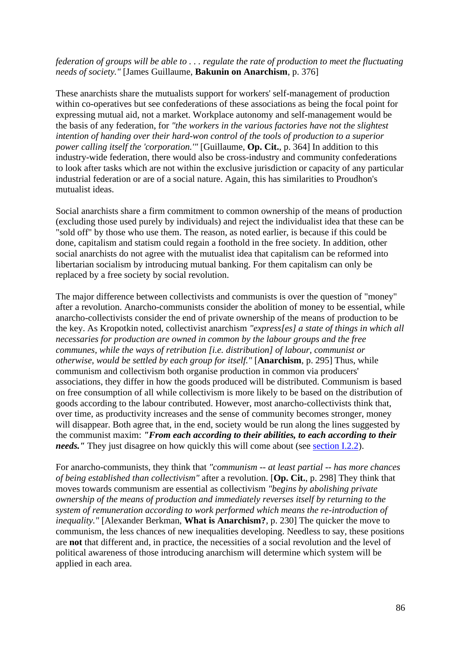#### *federation of groups will be able to . . . regulate the rate of production to meet the fluctuating needs of society."* [James Guillaume, **Bakunin on Anarchism**, p. 376]

These anarchists share the mutualists support for workers' self-management of production within co-operatives but see confederations of these associations as being the focal point for expressing mutual aid, not a market. Workplace autonomy and self-management would be the basis of any federation, for *"the workers in the various factories have not the slightest intention of handing over their hard-won control of the tools of production to a superior power calling itself the 'corporation.'"* [Guillaume, **Op. Cit.**, p. 364] In addition to this industry-wide federation, there would also be cross-industry and community confederations to look after tasks which are not within the exclusive jurisdiction or capacity of any particular industrial federation or are of a social nature. Again, this has similarities to Proudhon's mutualist ideas.

Social anarchists share a firm commitment to common ownership of the means of production (excluding those used purely by individuals) and reject the individualist idea that these can be "sold off" by those who use them. The reason, as noted earlier, is because if this could be done, capitalism and statism could regain a foothold in the free society. In addition, other social anarchists do not agree with the mutualist idea that capitalism can be reformed into libertarian socialism by introducing mutual banking. For them capitalism can only be replaced by a free society by social revolution.

The major difference between collectivists and communists is over the question of "money" after a revolution. Anarcho-communists consider the abolition of money to be essential, while anarcho-collectivists consider the end of private ownership of the means of production to be the key. As Kropotkin noted, collectivist anarchism *"express[es] a state of things in which all necessaries for production are owned in common by the labour groups and the free communes, while the ways of retribution [i.e. distribution] of labour, communist or otherwise, would be settled by each group for itself."* [**Anarchism**, p. 295] Thus, while communism and collectivism both organise production in common via producers' associations, they differ in how the goods produced will be distributed. Communism is based on free consumption of all while collectivism is more likely to be based on the distribution of goods according to the labour contributed. However, most anarcho-collectivists think that, over time, as productivity increases and the sense of community becomes stronger, money will disappear. Both agree that, in the end, society would be run along the lines suggested by the communist maxim: *"From each according to their abilities, to each according to their needs.*" They just disagree on how quickly this will come about (see [section I.2.2\)](sectionI.html#seci22).

For anarcho-communists, they think that *"communism -- at least partial -- has more chances of being established than collectivism"* after a revolution. [**Op. Cit.**, p. 298] They think that moves towards communism are essential as collectivism *"begins by abolishing private ownership of the means of production and immediately reverses itself by returning to the system of remuneration according to work performed which means the re-introduction of inequality."* [Alexander Berkman, **What is Anarchism?**, p. 230] The quicker the move to communism, the less chances of new inequalities developing. Needless to say, these positions are **not** that different and, in practice, the necessities of a social revolution and the level of political awareness of those introducing anarchism will determine which system will be applied in each area.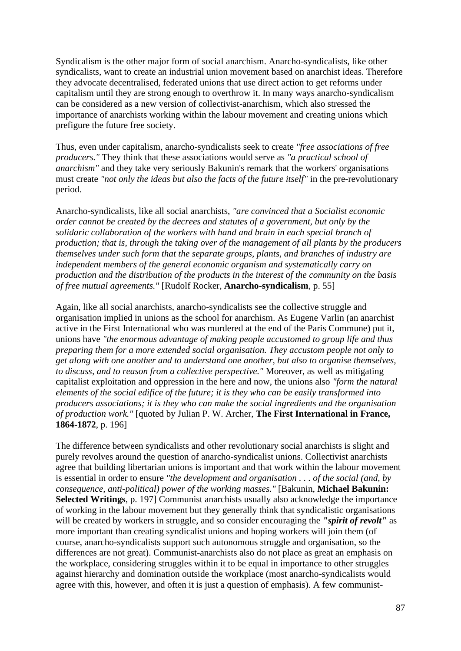Syndicalism is the other major form of social anarchism. Anarcho-syndicalists, like other syndicalists, want to create an industrial union movement based on anarchist ideas. Therefore they advocate decentralised, federated unions that use direct action to get reforms under capitalism until they are strong enough to overthrow it. In many ways anarcho-syndicalism can be considered as a new version of collectivist-anarchism, which also stressed the importance of anarchists working within the labour movement and creating unions which prefigure the future free society.

Thus, even under capitalism, anarcho-syndicalists seek to create *"free associations of free producers."* They think that these associations would serve as *"a practical school of anarchism"* and they take very seriously Bakunin's remark that the workers' organisations must create *"not only the ideas but also the facts of the future itself"* in the pre-revolutionary period.

Anarcho-syndicalists, like all social anarchists, *"are convinced that a Socialist economic order cannot be created by the decrees and statutes of a government, but only by the solidaric collaboration of the workers with hand and brain in each special branch of production; that is, through the taking over of the management of all plants by the producers themselves under such form that the separate groups, plants, and branches of industry are independent members of the general economic organism and systematically carry on production and the distribution of the products in the interest of the community on the basis of free mutual agreements."* [Rudolf Rocker, **Anarcho-syndicalism**, p. 55]

Again, like all social anarchists, anarcho-syndicalists see the collective struggle and organisation implied in unions as the school for anarchism. As Eugene Varlin (an anarchist active in the First International who was murdered at the end of the Paris Commune) put it, unions have *"the enormous advantage of making people accustomed to group life and thus preparing them for a more extended social organisation. They accustom people not only to get along with one another and to understand one another, but also to organise themselves, to discuss, and to reason from a collective perspective."* Moreover, as well as mitigating capitalist exploitation and oppression in the here and now, the unions also *"form the natural elements of the social edifice of the future; it is they who can be easily transformed into producers associations; it is they who can make the social ingredients and the organisation of production work."* [quoted by Julian P. W. Archer, **The First International in France, 1864-1872**, p. 196]

The difference between syndicalists and other revolutionary social anarchists is slight and purely revolves around the question of anarcho-syndicalist unions. Collectivist anarchists agree that building libertarian unions is important and that work within the labour movement is essential in order to ensure *"the development and organisation . . . of the social (and, by consequence, anti-political) power of the working masses."* [Bakunin, **Michael Bakunin: Selected Writings**, p. 197] Communist anarchists usually also acknowledge the importance of working in the labour movement but they generally think that syndicalistic organisations will be created by workers in struggle, and so consider encouraging the *"spirit of revolt"* as more important than creating syndicalist unions and hoping workers will join them (of course, anarcho-syndicalists support such autonomous struggle and organisation, so the differences are not great). Communist-anarchists also do not place as great an emphasis on the workplace, considering struggles within it to be equal in importance to other struggles against hierarchy and domination outside the workplace (most anarcho-syndicalists would agree with this, however, and often it is just a question of emphasis). A few communist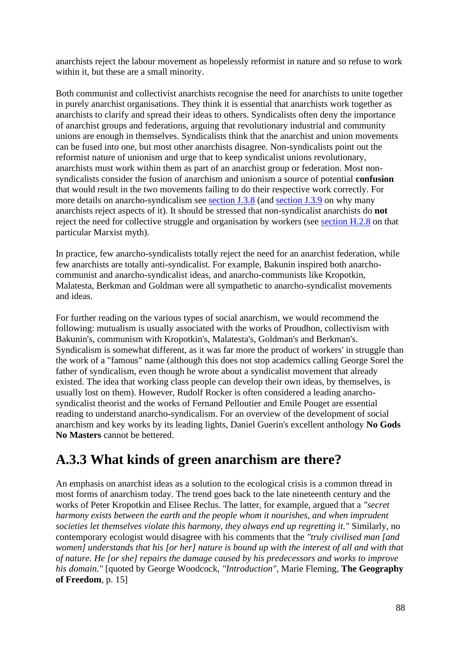anarchists reject the labour movement as hopelessly reformist in nature and so refuse to work within it, but these are a small minority.

Both communist and collectivist anarchists recognise the need for anarchists to unite together in purely anarchist organisations. They think it is essential that anarchists work together as anarchists to clarify and spread their ideas to others. Syndicalists often deny the importance of anarchist groups and federations, arguing that revolutionary industrial and community unions are enough in themselves. Syndicalists think that the anarchist and union movements can be fused into one, but most other anarchists disagree. Non-syndicalists point out the reformist nature of unionism and urge that to keep syndicalist unions revolutionary, anarchists must work within them as part of an anarchist group or federation. Most nonsyndicalists consider the fusion of anarchism and unionism a source of potential **confusion** that would result in the two movements failing to do their respective work correctly. For more details on anarcho-syndicalism see [section J.3.8](sectionJ.html#secj38) (and [section J.3.9](sectionJ.html#secj39) on why many anarchists reject aspects of it). It should be stressed that non-syndicalist anarchists do **not** reject the need for collective struggle and organisation by workers (see [section H.2.8](sectionH.html#sech28) on that particular Marxist myth).

In practice, few anarcho-syndicalists totally reject the need for an anarchist federation, while few anarchists are totally anti-syndicalist. For example, Bakunin inspired both anarchocommunist and anarcho-syndicalist ideas, and anarcho-communists like Kropotkin, Malatesta, Berkman and Goldman were all sympathetic to anarcho-syndicalist movements and ideas.

For further reading on the various types of social anarchism, we would recommend the following: mutualism is usually associated with the works of Proudhon, collectivism with Bakunin's, communism with Kropotkin's, Malatesta's, Goldman's and Berkman's. Syndicalism is somewhat different, as it was far more the product of workers' in struggle than the work of a "famous" name (although this does not stop academics calling George Sorel the father of syndicalism, even though he wrote about a syndicalist movement that already existed. The idea that working class people can develop their own ideas, by themselves, is usually lost on them). However, Rudolf Rocker is often considered a leading anarchosyndicalist theorist and the works of Fernand Pelloutier and Emile Pouget are essential reading to understand anarcho-syndicalism. For an overview of the development of social anarchism and key works by its leading lights, Daniel Guerin's excellent anthology **No Gods No Masters** cannot be bettered.

### **A.3.3 What kinds of green anarchism are there?**

An emphasis on anarchist ideas as a solution to the ecological crisis is a common thread in most forms of anarchism today. The trend goes back to the late nineteenth century and the works of Peter Kropotkin and Elisee Reclus. The latter, for example, argued that a *"secret harmony exists between the earth and the people whom it nourishes, and when imprudent societies let themselves violate this harmony, they always end up regretting it."* Similarly, no contemporary ecologist would disagree with his comments that the *"truly civilised man [and women] understands that his [or her] nature is bound up with the interest of all and with that of nature. He [or she] repairs the damage caused by his predecessors and works to improve his domain."* [quoted by George Woodcock, *"Introduction"*, Marie Fleming, **The Geography of Freedom**, p. 15]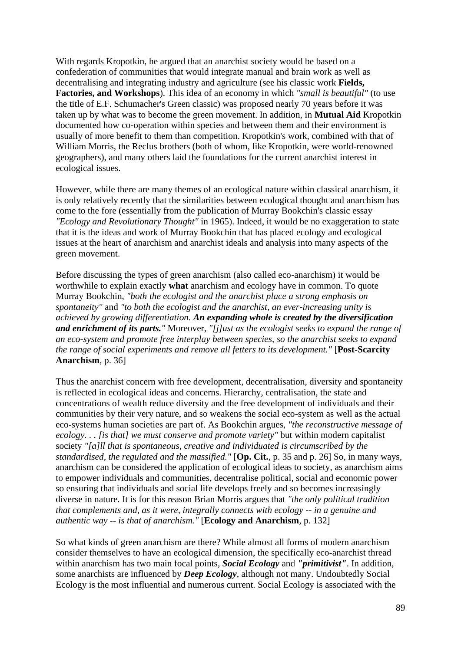With regards Kropotkin, he argued that an anarchist society would be based on a confederation of communities that would integrate manual and brain work as well as decentralising and integrating industry and agriculture (see his classic work **Fields, Factories, and Workshops**). This idea of an economy in which *"small is beautiful"* (to use the title of E.F. Schumacher's Green classic) was proposed nearly 70 years before it was taken up by what was to become the green movement. In addition, in **Mutual Aid** Kropotkin documented how co-operation within species and between them and their environment is usually of more benefit to them than competition. Kropotkin's work, combined with that of William Morris, the Reclus brothers (both of whom, like Kropotkin, were world-renowned geographers), and many others laid the foundations for the current anarchist interest in ecological issues.

However, while there are many themes of an ecological nature within classical anarchism, it is only relatively recently that the similarities between ecological thought and anarchism has come to the fore (essentially from the publication of Murray Bookchin's classic essay *"Ecology and Revolutionary Thought"* in 1965). Indeed, it would be no exaggeration to state that it is the ideas and work of Murray Bookchin that has placed ecology and ecological issues at the heart of anarchism and anarchist ideals and analysis into many aspects of the green movement.

Before discussing the types of green anarchism (also called eco-anarchism) it would be worthwhile to explain exactly **what** anarchism and ecology have in common. To quote Murray Bookchin, *"both the ecologist and the anarchist place a strong emphasis on spontaneity"* and *"to both the ecologist and the anarchist, an ever-increasing unity is achieved by growing differentiation. An expanding whole is created by the diversification and enrichment of its parts."* Moreover, *"[j]ust as the ecologist seeks to expand the range of an eco-system and promote free interplay between species, so the anarchist seeks to expand the range of social experiments and remove all fetters to its development."* [**Post-Scarcity Anarchism**, p. 36]

Thus the anarchist concern with free development, decentralisation, diversity and spontaneity is reflected in ecological ideas and concerns. Hierarchy, centralisation, the state and concentrations of wealth reduce diversity and the free development of individuals and their communities by their very nature, and so weakens the social eco-system as well as the actual eco-systems human societies are part of. As Bookchin argues, *"the reconstructive message of ecology. . . [is that] we must conserve and promote variety"* but within modern capitalist society *"[a]ll that is spontaneous, creative and individuated is circumscribed by the standardised, the regulated and the massified."* [**Op. Cit.**, p. 35 and p. 26] So, in many ways, anarchism can be considered the application of ecological ideas to society, as anarchism aims to empower individuals and communities, decentralise political, social and economic power so ensuring that individuals and social life develops freely and so becomes increasingly diverse in nature. It is for this reason Brian Morris argues that *"the only political tradition that complements and, as it were, integrally connects with ecology -- in a genuine and authentic way -- is that of anarchism."* [**Ecology and Anarchism**, p. 132]

So what kinds of green anarchism are there? While almost all forms of modern anarchism consider themselves to have an ecological dimension, the specifically eco-anarchist thread within anarchism has two main focal points, *Social Ecology* and *"primitivist"*. In addition, some anarchists are influenced by *Deep Ecology*, although not many. Undoubtedly Social Ecology is the most influential and numerous current. Social Ecology is associated with the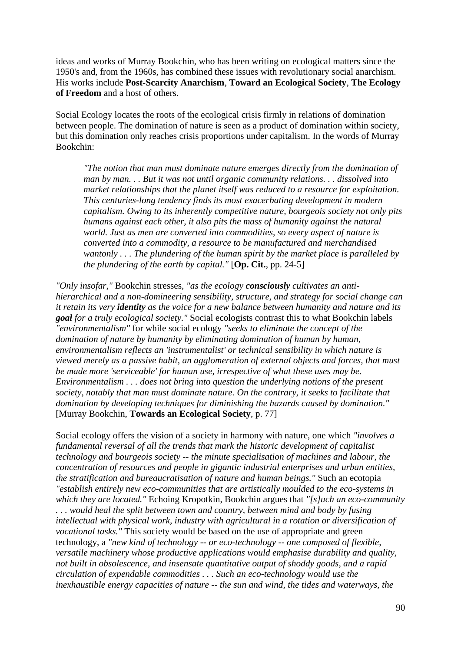ideas and works of Murray Bookchin, who has been writing on ecological matters since the 1950's and, from the 1960s, has combined these issues with revolutionary social anarchism. His works include **Post-Scarcity Anarchism**, **Toward an Ecological Society**, **The Ecology of Freedom** and a host of others.

Social Ecology locates the roots of the ecological crisis firmly in relations of domination between people. The domination of nature is seen as a product of domination within society, but this domination only reaches crisis proportions under capitalism. In the words of Murray Bookchin:

*"The notion that man must dominate nature emerges directly from the domination of man by man. . . But it was not until organic community relations. . . dissolved into market relationships that the planet itself was reduced to a resource for exploitation. This centuries-long tendency finds its most exacerbating development in modern capitalism. Owing to its inherently competitive nature, bourgeois society not only pits humans against each other, it also pits the mass of humanity against the natural world. Just as men are converted into commodities, so every aspect of nature is converted into a commodity, a resource to be manufactured and merchandised wantonly . . . The plundering of the human spirit by the market place is paralleled by the plundering of the earth by capital."* [**Op. Cit.**, pp. 24-5]

*"Only insofar,"* Bookchin stresses, *"as the ecology consciously cultivates an antihierarchical and a non-domineering sensibility, structure, and strategy for social change can it retain its very identity as the voice for a new balance between humanity and nature and its goal for a truly ecological society."* Social ecologists contrast this to what Bookchin labels *"environmentalism"* for while social ecology *"seeks to eliminate the concept of the domination of nature by humanity by eliminating domination of human by human, environmentalism reflects an 'instrumentalist' or technical sensibility in which nature is viewed merely as a passive habit, an agglomeration of external objects and forces, that must be made more 'serviceable' for human use, irrespective of what these uses may be. Environmentalism . . . does not bring into question the underlying notions of the present society, notably that man must dominate nature. On the contrary, it seeks to facilitate that domination by developing techniques for diminishing the hazards caused by domination."* [Murray Bookchin, **Towards an Ecological Society**, p. 77]

Social ecology offers the vision of a society in harmony with nature, one which *"involves a fundamental reversal of all the trends that mark the historic development of capitalist technology and bourgeois society -- the minute specialisation of machines and labour, the concentration of resources and people in gigantic industrial enterprises and urban entities, the stratification and bureaucratisation of nature and human beings."* Such an ecotopia *"establish entirely new eco-communities that are artistically moulded to the eco-systems in which they are located."* Echoing Kropotkin, Bookchin argues that *"[s]uch an eco-community . . . would heal the split between town and country, between mind and body by fusing intellectual with physical work, industry with agricultural in a rotation or diversification of vocational tasks."* This society would be based on the use of appropriate and green technology, a *"new kind of technology -- or eco-technology -- one composed of flexible, versatile machinery whose productive applications would emphasise durability and quality, not built in obsolescence, and insensate quantitative output of shoddy goods, and a rapid circulation of expendable commodities . . . Such an eco-technology would use the inexhaustible energy capacities of nature -- the sun and wind, the tides and waterways, the*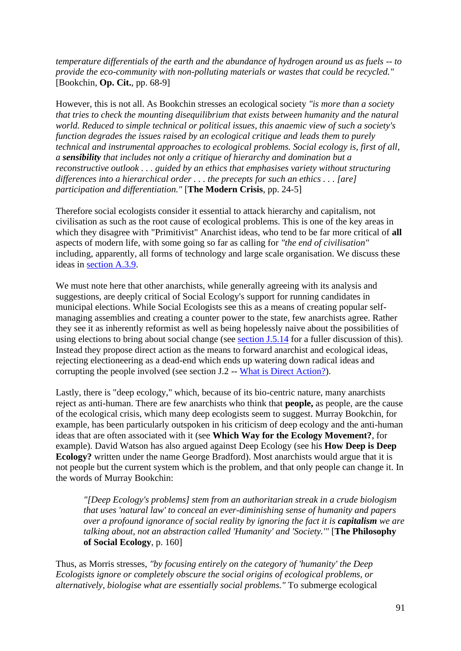*temperature differentials of the earth and the abundance of hydrogen around us as fuels -- to provide the eco-community with non-polluting materials or wastes that could be recycled."* [Bookchin, **Op. Cit.**, pp. 68-9]

However, this is not all. As Bookchin stresses an ecological society *"is more than a society that tries to check the mounting disequilibrium that exists between humanity and the natural world. Reduced to simple technical or political issues, this anaemic view of such a society's function degrades the issues raised by an ecological critique and leads them to purely technical and instrumental approaches to ecological problems. Social ecology is, first of all, a sensibility that includes not only a critique of hierarchy and domination but a reconstructive outlook . . . guided by an ethics that emphasises variety without structuring differences into a hierarchical order . . . the precepts for such an ethics . . . [are] participation and differentiation."* [**The Modern Crisis**, pp. 24-5]

Therefore social ecologists consider it essential to attack hierarchy and capitalism, not civilisation as such as the root cause of ecological problems. This is one of the key areas in which they disagree with "Primitivist" Anarchist ideas, who tend to be far more critical of **all** aspects of modern life, with some going so far as calling for *"the end of civilisation"* including, apparently, all forms of technology and large scale organisation. We discuss these ideas in [section A.3.9.](sectionA.html#seca39)

We must note here that other anarchists, while generally agreeing with its analysis and suggestions, are deeply critical of Social Ecology's support for running candidates in municipal elections. While Social Ecologists see this as a means of creating popular selfmanaging assemblies and creating a counter power to the state, few anarchists agree. Rather they see it as inherently reformist as well as being hopelessly naive about the possibilities of using elections to bring about social change (see [section J.5.14](sectionJ.html#secj514) for a fuller discussion of this). Instead they propose direct action as the means to forward anarchist and ecological ideas, rejecting electioneering as a dead-end which ends up watering down radical ideas and corrupting the people involved (see section J.2 -- [What is Direct Action?\)](sectionJ.html#secj2).

Lastly, there is "deep ecology," which, because of its bio-centric nature, many anarchists reject as anti-human. There are few anarchists who think that **people,** as people, are the cause of the ecological crisis, which many deep ecologists seem to suggest. Murray Bookchin, for example, has been particularly outspoken in his criticism of deep ecology and the anti-human ideas that are often associated with it (see **Which Way for the Ecology Movement?**, for example). David Watson has also argued against Deep Ecology (see his **How Deep is Deep Ecology?** written under the name George Bradford). Most anarchists would argue that it is not people but the current system which is the problem, and that only people can change it. In the words of Murray Bookchin:

*"[Deep Ecology's problems] stem from an authoritarian streak in a crude biologism that uses 'natural law' to conceal an ever-diminishing sense of humanity and papers over a profound ignorance of social reality by ignoring the fact it is <i>capitalism* we are *talking about, not an abstraction called 'Humanity' and 'Society.'"* [**The Philosophy of Social Ecology**, p. 160]

Thus, as Morris stresses, *"by focusing entirely on the category of 'humanity' the Deep Ecologists ignore or completely obscure the social origins of ecological problems, or alternatively, biologise what are essentially social problems."* To submerge ecological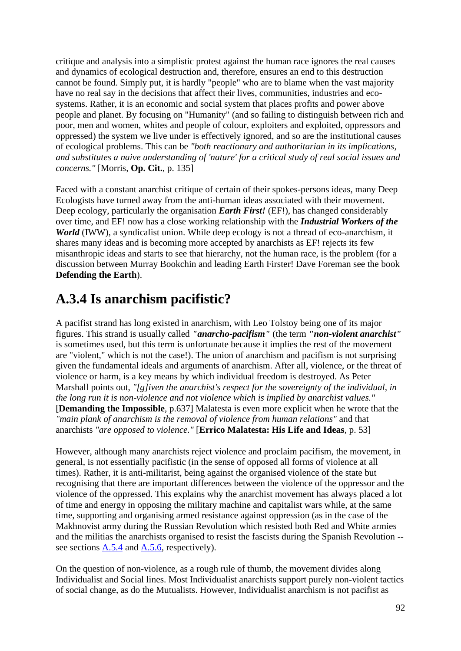critique and analysis into a simplistic protest against the human race ignores the real causes and dynamics of ecological destruction and, therefore, ensures an end to this destruction cannot be found. Simply put, it is hardly "people" who are to blame when the vast majority have no real say in the decisions that affect their lives, communities, industries and ecosystems. Rather, it is an economic and social system that places profits and power above people and planet. By focusing on "Humanity" (and so failing to distinguish between rich and poor, men and women, whites and people of colour, exploiters and exploited, oppressors and oppressed) the system we live under is effectively ignored, and so are the institutional causes of ecological problems. This can be *"both reactionary and authoritarian in its implications, and substitutes a naive understanding of 'nature' for a critical study of real social issues and concerns."* [Morris, **Op. Cit.**, p. 135]

Faced with a constant anarchist critique of certain of their spokes-persons ideas, many Deep Ecologists have turned away from the anti-human ideas associated with their movement. Deep ecology, particularly the organisation *Earth First!* (EF!), has changed considerably over time, and EF! now has a close working relationship with the *Industrial Workers of the World* (IWW), a syndicalist union. While deep ecology is not a thread of eco-anarchism, it shares many ideas and is becoming more accepted by anarchists as EF! rejects its few misanthropic ideas and starts to see that hierarchy, not the human race, is the problem (for a discussion between Murray Bookchin and leading Earth Firster! Dave Foreman see the book **Defending the Earth**).

### **A.3.4 Is anarchism pacifistic?**

A pacifist strand has long existed in anarchism, with Leo Tolstoy being one of its major figures. This strand is usually called *"anarcho-pacifism"* (the term *"non-violent anarchist"* is sometimes used, but this term is unfortunate because it implies the rest of the movement are "violent," which is not the case!). The union of anarchism and pacifism is not surprising given the fundamental ideals and arguments of anarchism. After all, violence, or the threat of violence or harm, is a key means by which individual freedom is destroyed. As Peter Marshall points out, *"[g]iven the anarchist's respect for the sovereignty of the individual, in the long run it is non-violence and not violence which is implied by anarchist values."* [**Demanding the Impossible**, p.637] Malatesta is even more explicit when he wrote that the *"main plank of anarchism is the removal of violence from human relations"* and that anarchists *"are opposed to violence."* [**Errico Malatesta: His Life and Ideas**, p. 53]

However, although many anarchists reject violence and proclaim pacifism, the movement, in general, is not essentially pacifistic (in the sense of opposed all forms of violence at all times). Rather, it is anti-militarist, being against the organised violence of the state but recognising that there are important differences between the violence of the oppressor and the violence of the oppressed. This explains why the anarchist movement has always placed a lot of time and energy in opposing the military machine and capitalist wars while, at the same time, supporting and organising armed resistance against oppression (as in the case of the Makhnovist army during the Russian Revolution which resisted both Red and White armies and the militias the anarchists organised to resist the fascists during the Spanish Revolution -- see sections [A.5.4](sectionA.html#seca54) and [A.5.6,](sectionA.html#seca56) respectively).

On the question of non-violence, as a rough rule of thumb, the movement divides along Individualist and Social lines. Most Individualist anarchists support purely non-violent tactics of social change, as do the Mutualists. However, Individualist anarchism is not pacifist as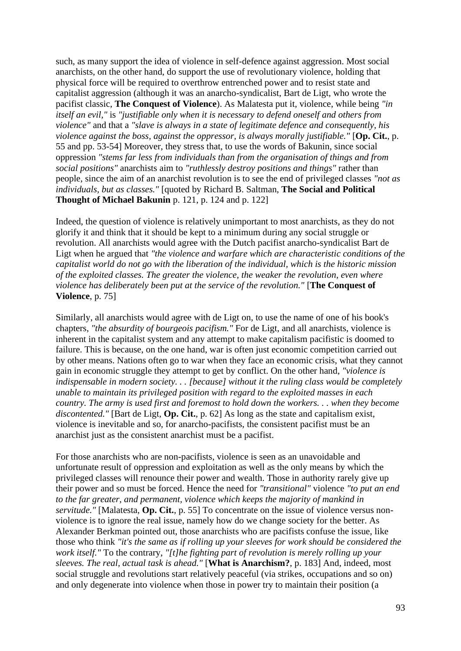such, as many support the idea of violence in self-defence against aggression. Most social anarchists, on the other hand, do support the use of revolutionary violence, holding that physical force will be required to overthrow entrenched power and to resist state and capitalist aggression (although it was an anarcho-syndicalist, Bart de Ligt, who wrote the pacifist classic, **The Conquest of Violence**). As Malatesta put it, violence, while being *"in itself an evil,"* is *"justifiable only when it is necessary to defend oneself and others from violence"* and that a *"slave is always in a state of legitimate defence and consequently, his violence against the boss, against the oppressor, is always morally justifiable."* [**Op. Cit.**, p. 55 and pp. 53-54] Moreover, they stress that, to use the words of Bakunin, since social oppression *"stems far less from individuals than from the organisation of things and from social positions"* anarchists aim to *"ruthlessly destroy positions and things"* rather than people, since the aim of an anarchist revolution is to see the end of privileged classes *"not as individuals, but as classes."* [quoted by Richard B. Saltman, **The Social and Political Thought of Michael Bakunin** p. 121, p. 124 and p. 122]

Indeed, the question of violence is relatively unimportant to most anarchists, as they do not glorify it and think that it should be kept to a minimum during any social struggle or revolution. All anarchists would agree with the Dutch pacifist anarcho-syndicalist Bart de Ligt when he argued that *"the violence and warfare which are characteristic conditions of the capitalist world do not go with the liberation of the individual, which is the historic mission of the exploited classes. The greater the violence, the weaker the revolution, even where violence has deliberately been put at the service of the revolution."* [**The Conquest of Violence**, p. 75]

Similarly, all anarchists would agree with de Ligt on, to use the name of one of his book's chapters, *"the absurdity of bourgeois pacifism."* For de Ligt, and all anarchists, violence is inherent in the capitalist system and any attempt to make capitalism pacifistic is doomed to failure. This is because, on the one hand, war is often just economic competition carried out by other means. Nations often go to war when they face an economic crisis, what they cannot gain in economic struggle they attempt to get by conflict. On the other hand, *"violence is indispensable in modern society. . . [because] without it the ruling class would be completely unable to maintain its privileged position with regard to the exploited masses in each country. The army is used first and foremost to hold down the workers. . . when they become discontented."* [Bart de Ligt, **Op. Cit.**, p. 62] As long as the state and capitalism exist, violence is inevitable and so, for anarcho-pacifists, the consistent pacifist must be an anarchist just as the consistent anarchist must be a pacifist.

For those anarchists who are non-pacifists, violence is seen as an unavoidable and unfortunate result of oppression and exploitation as well as the only means by which the privileged classes will renounce their power and wealth. Those in authority rarely give up their power and so must be forced. Hence the need for *"transitional"* violence *"to put an end to the far greater, and permanent, violence which keeps the majority of mankind in servitude."* [Malatesta, **Op. Cit.**, p. 55] To concentrate on the issue of violence versus nonviolence is to ignore the real issue, namely how do we change society for the better. As Alexander Berkman pointed out, those anarchists who are pacifists confuse the issue, like those who think *"it's the same as if rolling up your sleeves for work should be considered the work itself."* To the contrary, *"[t]he fighting part of revolution is merely rolling up your sleeves. The real, actual task is ahead."* [**What is Anarchism?**, p. 183] And, indeed, most social struggle and revolutions start relatively peaceful (via strikes, occupations and so on) and only degenerate into violence when those in power try to maintain their position (a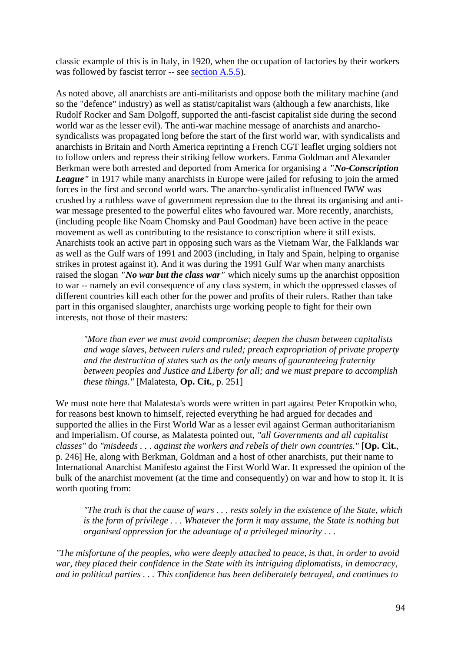classic example of this is in Italy, in 1920, when the occupation of factories by their workers was followed by fascist terror -- see [section A.5.5\)](sectionA.html#seca55).

As noted above, all anarchists are anti-militarists and oppose both the military machine (and so the "defence" industry) as well as statist/capitalist wars (although a few anarchists, like Rudolf Rocker and Sam Dolgoff, supported the anti-fascist capitalist side during the second world war as the lesser evil). The anti-war machine message of anarchists and anarchosyndicalists was propagated long before the start of the first world war, with syndicalists and anarchists in Britain and North America reprinting a French CGT leaflet urging soldiers not to follow orders and repress their striking fellow workers. Emma Goldman and Alexander Berkman were both arrested and deported from America for organising a *"No-Conscription League''* in 1917 while many anarchists in Europe were jailed for refusing to join the armed forces in the first and second world wars. The anarcho-syndicalist influenced IWW was crushed by a ruthless wave of government repression due to the threat its organising and antiwar message presented to the powerful elites who favoured war. More recently, anarchists, (including people like Noam Chomsky and Paul Goodman) have been active in the peace movement as well as contributing to the resistance to conscription where it still exists. Anarchists took an active part in opposing such wars as the Vietnam War, the Falklands war as well as the Gulf wars of 1991 and 2003 (including, in Italy and Spain, helping to organise strikes in protest against it). And it was during the 1991 Gulf War when many anarchists raised the slogan *"No war but the class war"* which nicely sums up the anarchist opposition to war -- namely an evil consequence of any class system, in which the oppressed classes of different countries kill each other for the power and profits of their rulers. Rather than take part in this organised slaughter, anarchists urge working people to fight for their own interests, not those of their masters:

*"More than ever we must avoid compromise; deepen the chasm between capitalists and wage slaves, between rulers and ruled; preach expropriation of private property and the destruction of states such as the only means of guaranteeing fraternity between peoples and Justice and Liberty for all; and we must prepare to accomplish these things."* [Malatesta, **Op. Cit.**, p. 251]

We must note here that Malatesta's words were written in part against Peter Kropotkin who, for reasons best known to himself, rejected everything he had argued for decades and supported the allies in the First World War as a lesser evil against German authoritarianism and Imperialism. Of course, as Malatesta pointed out, *"all Governments and all capitalist classes"* do *"misdeeds . . . against the workers and rebels of their own countries."* [**Op. Cit.**, p. 246] He, along with Berkman, Goldman and a host of other anarchists, put their name to International Anarchist Manifesto against the First World War. It expressed the opinion of the bulk of the anarchist movement (at the time and consequently) on war and how to stop it. It is worth quoting from:

*"The truth is that the cause of wars . . . rests solely in the existence of the State, which is the form of privilege . . . Whatever the form it may assume, the State is nothing but organised oppression for the advantage of a privileged minority . . .* 

*"The misfortune of the peoples, who were deeply attached to peace, is that, in order to avoid war, they placed their confidence in the State with its intriguing diplomatists, in democracy, and in political parties . . . This confidence has been deliberately betrayed, and continues to*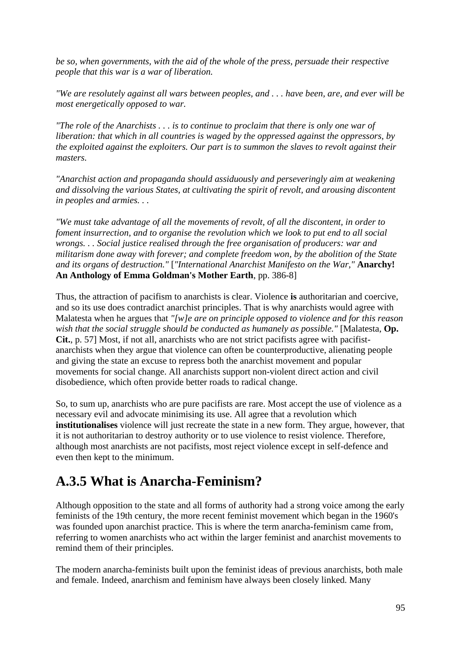*be so, when governments, with the aid of the whole of the press, persuade their respective people that this war is a war of liberation.* 

*"We are resolutely against all wars between peoples, and . . . have been, are, and ever will be most energetically opposed to war.* 

*"The role of the Anarchists . . . is to continue to proclaim that there is only one war of liberation: that which in all countries is waged by the oppressed against the oppressors, by the exploited against the exploiters. Our part is to summon the slaves to revolt against their masters.* 

*"Anarchist action and propaganda should assiduously and perseveringly aim at weakening and dissolving the various States, at cultivating the spirit of revolt, and arousing discontent in peoples and armies. . .* 

*"We must take advantage of all the movements of revolt, of all the discontent, in order to foment insurrection, and to organise the revolution which we look to put end to all social wrongs. . . Social justice realised through the free organisation of producers: war and militarism done away with forever; and complete freedom won, by the abolition of the State and its organs of destruction."* [*"International Anarchist Manifesto on the War,"* **Anarchy! An Anthology of Emma Goldman's Mother Earth**, pp. 386-8]

Thus, the attraction of pacifism to anarchists is clear. Violence **is** authoritarian and coercive, and so its use does contradict anarchist principles. That is why anarchists would agree with Malatesta when he argues that *"[w]e are on principle opposed to violence and for this reason wish that the social struggle should be conducted as humanely as possible."* [Malatesta, **Op. Cit.**, p. 57] Most, if not all, anarchists who are not strict pacifists agree with pacifistanarchists when they argue that violence can often be counterproductive, alienating people and giving the state an excuse to repress both the anarchist movement and popular movements for social change. All anarchists support non-violent direct action and civil disobedience, which often provide better roads to radical change.

So, to sum up, anarchists who are pure pacifists are rare. Most accept the use of violence as a necessary evil and advocate minimising its use. All agree that a revolution which **institutionalises** violence will just recreate the state in a new form. They argue, however, that it is not authoritarian to destroy authority or to use violence to resist violence. Therefore, although most anarchists are not pacifists, most reject violence except in self-defence and even then kept to the minimum.

# **A.3.5 What is Anarcha-Feminism?**

Although opposition to the state and all forms of authority had a strong voice among the early feminists of the 19th century, the more recent feminist movement which began in the 1960's was founded upon anarchist practice. This is where the term anarcha-feminism came from, referring to women anarchists who act within the larger feminist and anarchist movements to remind them of their principles.

The modern anarcha-feminists built upon the feminist ideas of previous anarchists, both male and female. Indeed, anarchism and feminism have always been closely linked. Many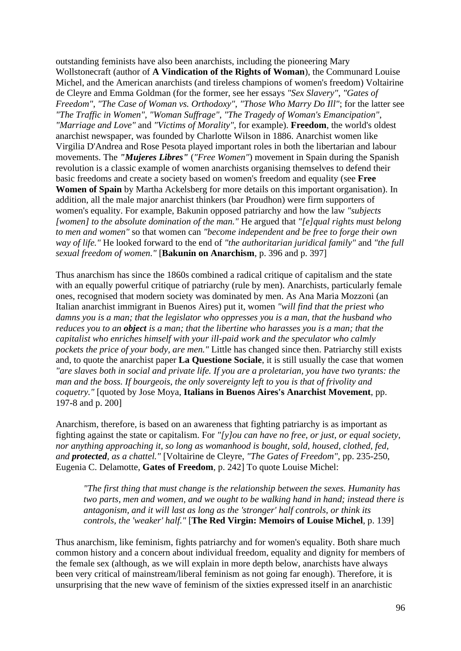outstanding feminists have also been anarchists, including the pioneering Mary Wollstonecraft (author of **A Vindication of the Rights of Woman**), the Communard Louise Michel, and the American anarchists (and tireless champions of women's freedom) Voltairine de Cleyre and Emma Goldman (for the former, see her essays *"Sex Slavery"*, *"Gates of Freedom"*, *"The Case of Woman vs. Orthodoxy"*, *"Those Who Marry Do Ill"*; for the latter see *"The Traffic in Women"*, *"Woman Suffrage"*, *"The Tragedy of Woman's Emancipation"*, *"Marriage and Love"* and *"Victims of Morality"*, for example). **Freedom**, the world's oldest anarchist newspaper, was founded by Charlotte Wilson in 1886. Anarchist women like Virgilia D'Andrea and Rose Pesota played important roles in both the libertarian and labour movements. The *"Mujeres Libres"* (*"Free Women"*) movement in Spain during the Spanish revolution is a classic example of women anarchists organising themselves to defend their basic freedoms and create a society based on women's freedom and equality (see **Free Women of Spain** by Martha Ackelsberg for more details on this important organisation). In addition, all the male major anarchist thinkers (bar Proudhon) were firm supporters of women's equality. For example, Bakunin opposed patriarchy and how the law *"subjects [women] to the absolute domination of the man."* He argued that *"[e]qual rights must belong to men and women"* so that women can *"become independent and be free to forge their own way of life."* He looked forward to the end of *"the authoritarian juridical family"* and *"the full sexual freedom of women."* [**Bakunin on Anarchism**, p. 396 and p. 397]

Thus anarchism has since the 1860s combined a radical critique of capitalism and the state with an equally powerful critique of patriarchy (rule by men). Anarchists, particularly female ones, recognised that modern society was dominated by men. As Ana Maria Mozzoni (an Italian anarchist immigrant in Buenos Aires) put it, women *"will find that the priest who damns you is a man; that the legislator who oppresses you is a man, that the husband who reduces you to an object is a man; that the libertine who harasses you is a man; that the capitalist who enriches himself with your ill-paid work and the speculator who calmly pockets the price of your body, are men."* Little has changed since then. Patriarchy still exists and, to quote the anarchist paper **La Questione Sociale**, it is still usually the case that women *"are slaves both in social and private life. If you are a proletarian, you have two tyrants: the man and the boss. If bourgeois, the only sovereignty left to you is that of frivolity and coquetry."* [quoted by Jose Moya, **Italians in Buenos Aires's Anarchist Movement**, pp. 197-8 and p. 200]

Anarchism, therefore, is based on an awareness that fighting patriarchy is as important as fighting against the state or capitalism. For *"[y]ou can have no free, or just, or equal society, nor anything approaching it, so long as womanhood is bought, sold, housed, clothed, fed, and protected, as a chattel."* [Voltairine de Cleyre, *"The Gates of Freedom"*, pp. 235-250, Eugenia C. Delamotte, **Gates of Freedom**, p. 242] To quote Louise Michel:

*"The first thing that must change is the relationship between the sexes. Humanity has two parts, men and women, and we ought to be walking hand in hand; instead there is antagonism, and it will last as long as the 'stronger' half controls, or think its controls, the 'weaker' half."* [**The Red Virgin: Memoirs of Louise Michel**, p. 139]

Thus anarchism, like feminism, fights patriarchy and for women's equality. Both share much common history and a concern about individual freedom, equality and dignity for members of the female sex (although, as we will explain in more depth below, anarchists have always been very critical of mainstream/liberal feminism as not going far enough). Therefore, it is unsurprising that the new wave of feminism of the sixties expressed itself in an anarchistic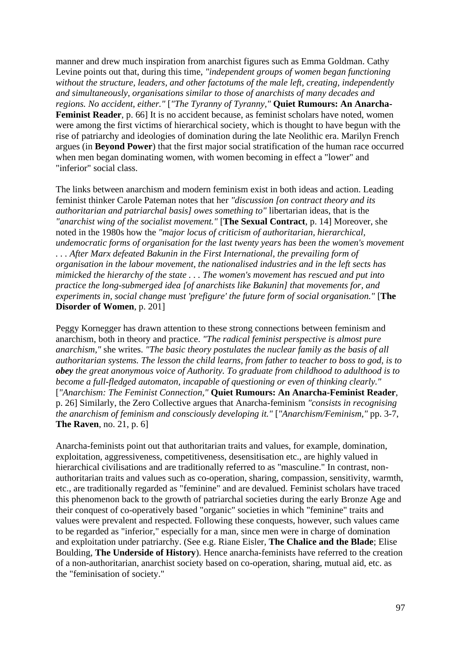manner and drew much inspiration from anarchist figures such as Emma Goldman. Cathy Levine points out that, during this time, *"independent groups of women began functioning without the structure, leaders, and other factotums of the male left, creating, independently and simultaneously, organisations similar to those of anarchists of many decades and regions. No accident, either."* [*"The Tyranny of Tyranny,"* **Quiet Rumours: An Anarcha-Feminist Reader**, p. 66] It is no accident because, as feminist scholars have noted, women were among the first victims of hierarchical society, which is thought to have begun with the rise of patriarchy and ideologies of domination during the late Neolithic era. Marilyn French argues (in **Beyond Power**) that the first major social stratification of the human race occurred when men began dominating women, with women becoming in effect a "lower" and "inferior" social class.

The links between anarchism and modern feminism exist in both ideas and action. Leading feminist thinker Carole Pateman notes that her *"discussion [on contract theory and its authoritarian and patriarchal basis] owes something to"* libertarian ideas, that is the *"anarchist wing of the socialist movement."* [**The Sexual Contract**, p. 14] Moreover, she noted in the 1980s how the *"major locus of criticism of authoritarian, hierarchical, undemocratic forms of organisation for the last twenty years has been the women's movement . . . After Marx defeated Bakunin in the First International, the prevailing form of organisation in the labour movement, the nationalised industries and in the left sects has mimicked the hierarchy of the state . . . The women's movement has rescued and put into practice the long-submerged idea [of anarchists like Bakunin] that movements for, and experiments in, social change must 'prefigure' the future form of social organisation."* [**The Disorder of Women**, p. 201]

Peggy Kornegger has drawn attention to these strong connections between feminism and anarchism, both in theory and practice. *"The radical feminist perspective is almost pure anarchism,"* she writes. *"The basic theory postulates the nuclear family as the basis of all authoritarian systems. The lesson the child learns, from father to teacher to boss to god, is to obey the great anonymous voice of Authority. To graduate from childhood to adulthood is to become a full-fledged automaton, incapable of questioning or even of thinking clearly."* [*"Anarchism: The Feminist Connection,"* **Quiet Rumours: An Anarcha-Feminist Reader**, p. 26] Similarly, the Zero Collective argues that Anarcha-feminism *"consists in recognising the anarchism of feminism and consciously developing it."* [*"Anarchism/Feminism,"* pp. 3-7, **The Raven**, no. 21, p. 6]

Anarcha-feminists point out that authoritarian traits and values, for example, domination, exploitation, aggressiveness, competitiveness, desensitisation etc., are highly valued in hierarchical civilisations and are traditionally referred to as "masculine." In contrast, nonauthoritarian traits and values such as co-operation, sharing, compassion, sensitivity, warmth, etc., are traditionally regarded as "feminine" and are devalued. Feminist scholars have traced this phenomenon back to the growth of patriarchal societies during the early Bronze Age and their conquest of co-operatively based "organic" societies in which "feminine" traits and values were prevalent and respected. Following these conquests, however, such values came to be regarded as "inferior," especially for a man, since men were in charge of domination and exploitation under patriarchy. (See e.g. Riane Eisler, **The Chalice and the Blade**; Elise Boulding, **The Underside of History**). Hence anarcha-feminists have referred to the creation of a non-authoritarian, anarchist society based on co-operation, sharing, mutual aid, etc. as the "feminisation of society."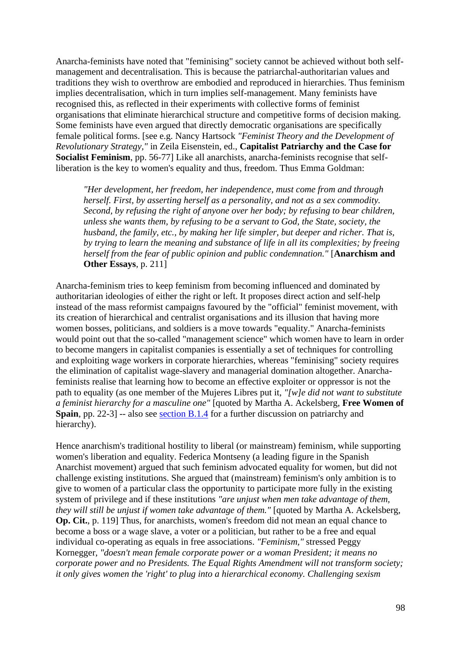Anarcha-feminists have noted that "feminising" society cannot be achieved without both selfmanagement and decentralisation. This is because the patriarchal-authoritarian values and traditions they wish to overthrow are embodied and reproduced in hierarchies. Thus feminism implies decentralisation, which in turn implies self-management. Many feminists have recognised this, as reflected in their experiments with collective forms of feminist organisations that eliminate hierarchical structure and competitive forms of decision making. Some feminists have even argued that directly democratic organisations are specifically female political forms. [see e.g. Nancy Hartsock *"Feminist Theory and the Development of Revolutionary Strategy,"* in Zeila Eisenstein, ed., **Capitalist Patriarchy and the Case for Socialist Feminism**, pp. 56-77] Like all anarchists, anarcha-feminists recognise that selfliberation is the key to women's equality and thus, freedom. Thus Emma Goldman:

*"Her development, her freedom, her independence, must come from and through herself. First, by asserting herself as a personality, and not as a sex commodity. Second, by refusing the right of anyone over her body; by refusing to bear children, unless she wants them, by refusing to be a servant to God, the State, society, the husband, the family, etc., by making her life simpler, but deeper and richer. That is, by trying to learn the meaning and substance of life in all its complexities; by freeing herself from the fear of public opinion and public condemnation."* [**Anarchism and Other Essays**, p. 211]

Anarcha-feminism tries to keep feminism from becoming influenced and dominated by authoritarian ideologies of either the right or left. It proposes direct action and self-help instead of the mass reformist campaigns favoured by the "official" feminist movement, with its creation of hierarchical and centralist organisations and its illusion that having more women bosses, politicians, and soldiers is a move towards "equality." Anarcha-feminists would point out that the so-called "management science" which women have to learn in order to become mangers in capitalist companies is essentially a set of techniques for controlling and exploiting wage workers in corporate hierarchies, whereas "feminising" society requires the elimination of capitalist wage-slavery and managerial domination altogether. Anarchafeminists realise that learning how to become an effective exploiter or oppressor is not the path to equality (as one member of the Mujeres Libres put it, *"[w]e did not want to substitute a feminist hierarchy for a masculine one"* [quoted by Martha A. Ackelsberg, **Free Women of Spain**, pp. 22-3] -- also see <u>section B.1.4</u> for a further discussion on patriarchy and hierarchy).

Hence anarchism's traditional hostility to liberal (or mainstream) feminism, while supporting women's liberation and equality. Federica Montseny (a leading figure in the Spanish Anarchist movement) argued that such feminism advocated equality for women, but did not challenge existing institutions. She argued that (mainstream) feminism's only ambition is to give to women of a particular class the opportunity to participate more fully in the existing system of privilege and if these institutions *"are unjust when men take advantage of them, they will still be unjust if women take advantage of them."* [quoted by Martha A. Ackelsberg, **Op. Cit.**, p. 119] Thus, for anarchists, women's freedom did not mean an equal chance to become a boss or a wage slave, a voter or a politician, but rather to be a free and equal individual co-operating as equals in free associations. *"Feminism,"* stressed Peggy Kornegger, *"doesn't mean female corporate power or a woman President; it means no corporate power and no Presidents. The Equal Rights Amendment will not transform society; it only gives women the 'right' to plug into a hierarchical economy. Challenging sexism*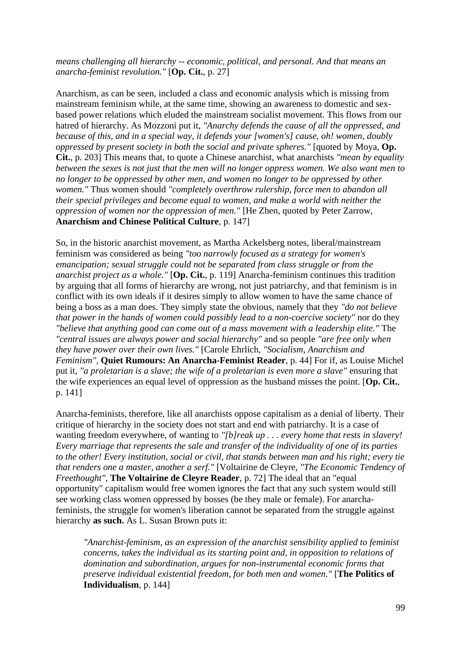*means challenging all hierarchy -- economic, political, and personal. And that means an anarcha-feminist revolution."* [**Op. Cit.**, p. 27]

Anarchism, as can be seen, included a class and economic analysis which is missing from mainstream feminism while, at the same time, showing an awareness to domestic and sexbased power relations which eluded the mainstream socialist movement. This flows from our hatred of hierarchy. As Mozzoni put it, *"Anarchy defends the cause of all the oppressed, and because of this, and in a special way, it defends your [women's] cause, oh! women, doubly oppressed by present society in both the social and private spheres."* [quoted by Moya, **Op. Cit.**, p. 203] This means that, to quote a Chinese anarchist, what anarchists *"mean by equality between the sexes is not just that the men will no longer oppress women. We also want men to no longer to be oppressed by other men, and women no longer to be oppressed by other women."* Thus women should *"completely overthrow rulership, force men to abandon all their special privileges and become equal to women, and make a world with neither the oppression of women nor the oppression of men."* [He Zhen, quoted by Peter Zarrow, **Anarchism and Chinese Political Culture**, p. 147]

So, in the historic anarchist movement, as Martha Ackelsberg notes, liberal/mainstream feminism was considered as being *"too narrowly focused as a strategy for women's emancipation; sexual struggle could not be separated from class struggle or from the anarchist project as a whole."* [**Op. Cit.**, p. 119] Anarcha-feminism continues this tradition by arguing that all forms of hierarchy are wrong, not just patriarchy, and that feminism is in conflict with its own ideals if it desires simply to allow women to have the same chance of being a boss as a man does. They simply state the obvious, namely that they *"do not believe that power in the hands of women could possibly lead to a non-coercive society"* nor do they *"believe that anything good can come out of a mass movement with a leadership elite."* The *"central issues are always power and social hierarchy"* and so people *"are free only when they have power over their own lives."* [Carole Ehrlich, *"Socialism, Anarchism and Feminism"*, **Quiet Rumours: An Anarcha-Feminist Reader**, p. 44] For if, as Louise Michel put it, *"a proletarian is a slave; the wife of a proletarian is even more a slave"* ensuring that the wife experiences an equal level of oppression as the husband misses the point. [**Op. Cit.**, p. 141]

Anarcha-feminists, therefore, like all anarchists oppose capitalism as a denial of liberty. Their critique of hierarchy in the society does not start and end with patriarchy. It is a case of wanting freedom everywhere, of wanting to *"[b]reak up . . . every home that rests in slavery! Every marriage that represents the sale and transfer of the individuality of one of its parties to the other! Every institution, social or civil, that stands between man and his right; every tie that renders one a master, another a serf."* [Voltairine de Cleyre, *"The Economic Tendency of Freethought"*, **The Voltairine de Cleyre Reader**, p. 72] The ideal that an "equal opportunity" capitalism would free women ignores the fact that any such system would still see working class women oppressed by bosses (be they male or female). For anarchafeminists, the struggle for women's liberation cannot be separated from the struggle against hierarchy **as such.** As L. Susan Brown puts it:

*"Anarchist-feminism, as an expression of the anarchist sensibility applied to feminist concerns, takes the individual as its starting point and, in opposition to relations of domination and subordination, argues for non-instrumental economic forms that preserve individual existential freedom, for both men and women."* [**The Politics of Individualism**, p. 144]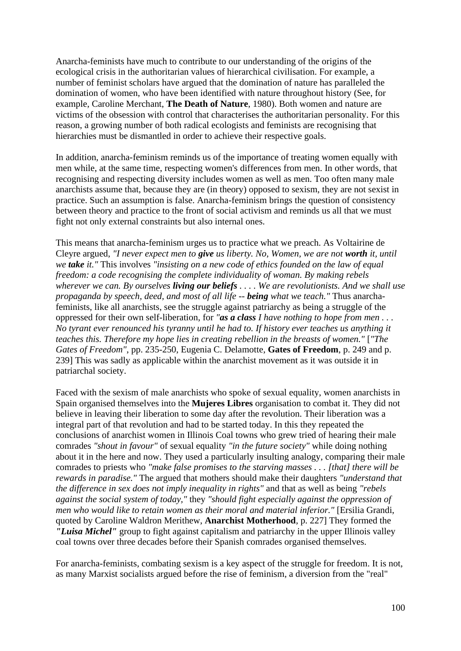Anarcha-feminists have much to contribute to our understanding of the origins of the ecological crisis in the authoritarian values of hierarchical civilisation. For example, a number of feminist scholars have argued that the domination of nature has paralleled the domination of women, who have been identified with nature throughout history (See, for example, Caroline Merchant, **The Death of Nature**, 1980). Both women and nature are victims of the obsession with control that characterises the authoritarian personality. For this reason, a growing number of both radical ecologists and feminists are recognising that hierarchies must be dismantled in order to achieve their respective goals.

In addition, anarcha-feminism reminds us of the importance of treating women equally with men while, at the same time, respecting women's differences from men. In other words, that recognising and respecting diversity includes women as well as men. Too often many male anarchists assume that, because they are (in theory) opposed to sexism, they are not sexist in practice. Such an assumption is false. Anarcha-feminism brings the question of consistency between theory and practice to the front of social activism and reminds us all that we must fight not only external constraints but also internal ones.

This means that anarcha-feminism urges us to practice what we preach. As Voltairine de Cleyre argued, *"I never expect men to give us liberty. No, Women, we are not worth it, until we take it."* This involves *"insisting on a new code of ethics founded on the law of equal freedom: a code recognising the complete individuality of woman. By making rebels wherever we can. By ourselves living our beliefs . . . . We are revolutionists. And we shall use propaganda by speech, deed, and most of all life -- being what we teach."* Thus anarchafeminists, like all anarchists, see the struggle against patriarchy as being a struggle of the oppressed for their own self-liberation, for *"as a class I have nothing to hope from men . . . No tyrant ever renounced his tyranny until he had to. If history ever teaches us anything it teaches this. Therefore my hope lies in creating rebellion in the breasts of women."* [*"The Gates of Freedom"*, pp. 235-250, Eugenia C. Delamotte, **Gates of Freedom**, p. 249 and p. 239] This was sadly as applicable within the anarchist movement as it was outside it in patriarchal society.

Faced with the sexism of male anarchists who spoke of sexual equality, women anarchists in Spain organised themselves into the **Mujeres Libres** organisation to combat it. They did not believe in leaving their liberation to some day after the revolution. Their liberation was a integral part of that revolution and had to be started today. In this they repeated the conclusions of anarchist women in Illinois Coal towns who grew tried of hearing their male comrades *"shout in favour"* of sexual equality *"in the future society"* while doing nothing about it in the here and now. They used a particularly insulting analogy, comparing their male comrades to priests who *"make false promises to the starving masses . . . [that] there will be rewards in paradise."* The argued that mothers should make their daughters *"understand that the difference in sex does not imply inequality in rights"* and that as well as being *"rebels against the social system of today,"* they *"should fight especially against the oppression of men who would like to retain women as their moral and material inferior."* [Ersilia Grandi, quoted by Caroline Waldron Merithew, **Anarchist Motherhood**, p. 227] They formed the *"Luisa Michel"* group to fight against capitalism and patriarchy in the upper Illinois valley coal towns over three decades before their Spanish comrades organised themselves.

For anarcha-feminists, combating sexism is a key aspect of the struggle for freedom. It is not, as many Marxist socialists argued before the rise of feminism, a diversion from the "real"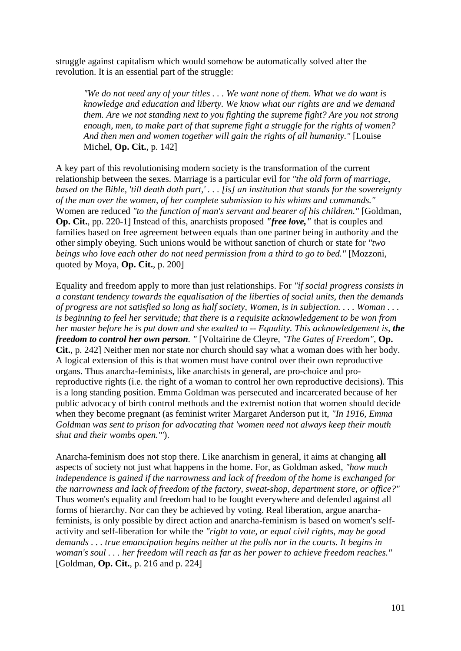struggle against capitalism which would somehow be automatically solved after the revolution. It is an essential part of the struggle:

*"We do not need any of your titles . . . We want none of them. What we do want is knowledge and education and liberty. We know what our rights are and we demand them. Are we not standing next to you fighting the supreme fight? Are you not strong enough, men, to make part of that supreme fight a struggle for the rights of women? And then men and women together will gain the rights of all humanity."* [Louise Michel, **Op. Cit.**, p. 142]

A key part of this revolutionising modern society is the transformation of the current relationship between the sexes. Marriage is a particular evil for *"the old form of marriage, based on the Bible, 'till death doth part,' . . . [is] an institution that stands for the sovereignty of the man over the women, of her complete submission to his whims and commands."* Women are reduced *"to the function of man's servant and bearer of his children."* [Goldman, **Op. Cit.**, pp. 220-1] Instead of this, anarchists proposed *"free love,"* that is couples and families based on free agreement between equals than one partner being in authority and the other simply obeying. Such unions would be without sanction of church or state for *"two beings who love each other do not need permission from a third to go to bed."* [Mozzoni, quoted by Moya, **Op. Cit.**, p. 200]

Equality and freedom apply to more than just relationships. For *"if social progress consists in a constant tendency towards the equalisation of the liberties of social units, then the demands of progress are not satisfied so long as half society, Women, is in subjection. . . . Woman . . . is beginning to feel her servitude; that there is a requisite acknowledgement to be won from her master before he is put down and she exalted to -- Equality. This acknowledgement is, the freedom to control her own person. "* [Voltairine de Cleyre, *"The Gates of Freedom"*, **Op. Cit.**, p. 242] Neither men nor state nor church should say what a woman does with her body. A logical extension of this is that women must have control over their own reproductive organs. Thus anarcha-feminists, like anarchists in general, are pro-choice and proreproductive rights (i.e. the right of a woman to control her own reproductive decisions). This is a long standing position. Emma Goldman was persecuted and incarcerated because of her public advocacy of birth control methods and the extremist notion that women should decide when they become pregnant (as feminist writer Margaret Anderson put it, *"In 1916, Emma Goldman was sent to prison for advocating that 'women need not always keep their mouth shut and their wombs open.'"*).

Anarcha-feminism does not stop there. Like anarchism in general, it aims at changing **all** aspects of society not just what happens in the home. For, as Goldman asked, *"how much independence is gained if the narrowness and lack of freedom of the home is exchanged for the narrowness and lack of freedom of the factory, sweat-shop, department store, or office?"* Thus women's equality and freedom had to be fought everywhere and defended against all forms of hierarchy. Nor can they be achieved by voting. Real liberation, argue anarchafeminists, is only possible by direct action and anarcha-feminism is based on women's selfactivity and self-liberation for while the *"right to vote, or equal civil rights, may be good demands . . . true emancipation begins neither at the polls nor in the courts. It begins in woman's soul . . . her freedom will reach as far as her power to achieve freedom reaches."* [Goldman, **Op. Cit.**, p. 216 and p. 224]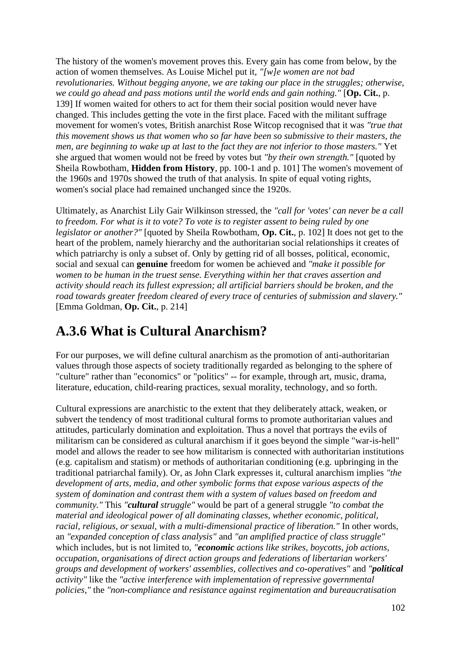The history of the women's movement proves this. Every gain has come from below, by the action of women themselves. As Louise Michel put it, *"[w]e women are not bad revolutionaries. Without begging anyone, we are taking our place in the struggles; otherwise, we could go ahead and pass motions until the world ends and gain nothing."* [**Op. Cit.**, p. 139] If women waited for others to act for them their social position would never have changed. This includes getting the vote in the first place. Faced with the militant suffrage movement for women's votes, British anarchist Rose Witcop recognised that it was *"true that this movement shows us that women who so far have been so submissive to their masters, the men, are beginning to wake up at last to the fact they are not inferior to those masters."* Yet she argued that women would not be freed by votes but *"by their own strength."* [quoted by Sheila Rowbotham, **Hidden from History**, pp. 100-1 and p. 101] The women's movement of the 1960s and 1970s showed the truth of that analysis. In spite of equal voting rights, women's social place had remained unchanged since the 1920s.

Ultimately, as Anarchist Lily Gair Wilkinson stressed, the *"call for 'votes' can never be a call to freedom. For what is it to vote? To vote is to register assent to being ruled by one legislator or another?"* [quoted by Sheila Rowbotham, **Op. Cit.**, p. 102] It does not get to the heart of the problem, namely hierarchy and the authoritarian social relationships it creates of which patriarchy is only a subset of. Only by getting rid of all bosses, political, economic, social and sexual can **genuine** freedom for women be achieved and *"make it possible for women to be human in the truest sense. Everything within her that craves assertion and activity should reach its fullest expression; all artificial barriers should be broken, and the road towards greater freedom cleared of every trace of centuries of submission and slavery."* [Emma Goldman, **Op. Cit.**, p. 214]

### **A.3.6 What is Cultural Anarchism?**

For our purposes, we will define cultural anarchism as the promotion of anti-authoritarian values through those aspects of society traditionally regarded as belonging to the sphere of "culture" rather than "economics" or "politics" -- for example, through art, music, drama, literature, education, child-rearing practices, sexual morality, technology, and so forth.

Cultural expressions are anarchistic to the extent that they deliberately attack, weaken, or subvert the tendency of most traditional cultural forms to promote authoritarian values and attitudes, particularly domination and exploitation. Thus a novel that portrays the evils of militarism can be considered as cultural anarchism if it goes beyond the simple "war-is-hell" model and allows the reader to see how militarism is connected with authoritarian institutions (e.g. capitalism and statism) or methods of authoritarian conditioning (e.g. upbringing in the traditional patriarchal family). Or, as John Clark expresses it, cultural anarchism implies *"the development of arts, media, and other symbolic forms that expose various aspects of the system of domination and contrast them with a system of values based on freedom and community."* This *"cultural struggle"* would be part of a general struggle *"to combat the material and ideological power of all dominating classes, whether economic, political, racial, religious, or sexual, with a multi-dimensional practice of liberation."* In other words, an *"expanded conception of class analysis"* and *"an amplified practice of class struggle"* which includes, but is not limited to, "*economic actions like strikes*, *boycotts*, *job actions*, *occupation, organisations of direct action groups and federations of libertarian workers' groups and development of workers' assemblies, collectives and co-operatives"* and *"political activity"* like the *"active interference with implementation of repressive governmental policies,"* the *"non-compliance and resistance against regimentation and bureaucratisation*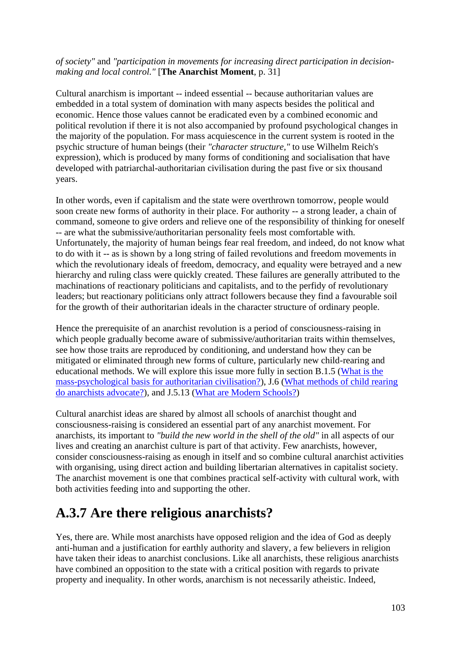#### *of society"* and *"participation in movements for increasing direct participation in decisionmaking and local control."* [**The Anarchist Moment**, p. 31]

Cultural anarchism is important -- indeed essential -- because authoritarian values are embedded in a total system of domination with many aspects besides the political and economic. Hence those values cannot be eradicated even by a combined economic and political revolution if there it is not also accompanied by profound psychological changes in the majority of the population. For mass acquiescence in the current system is rooted in the psychic structure of human beings (their *"character structure,"* to use Wilhelm Reich's expression), which is produced by many forms of conditioning and socialisation that have developed with patriarchal-authoritarian civilisation during the past five or six thousand years.

In other words, even if capitalism and the state were overthrown tomorrow, people would soon create new forms of authority in their place. For authority -- a strong leader, a chain of command, someone to give orders and relieve one of the responsibility of thinking for oneself -- are what the submissive/authoritarian personality feels most comfortable with. Unfortunately, the majority of human beings fear real freedom, and indeed, do not know what to do with it -- as is shown by a long string of failed revolutions and freedom movements in which the revolutionary ideals of freedom, democracy, and equality were betrayed and a new hierarchy and ruling class were quickly created. These failures are generally attributed to the machinations of reactionary politicians and capitalists, and to the perfidy of revolutionary leaders; but reactionary politicians only attract followers because they find a favourable soil for the growth of their authoritarian ideals in the character structure of ordinary people.

Hence the prerequisite of an anarchist revolution is a period of consciousness-raising in which people gradually become aware of submissive/authoritarian traits within themselves, see how those traits are reproduced by conditioning, and understand how they can be mitigated or eliminated through new forms of culture, particularly new child-rearing and educational methods. We will explore this issue more fully in section B.1.5 [\(What is the](sectionB.html#secb15)  [mass-psychological basis for authoritarian civilisation?\)](sectionB.html#secb15), J.6 [\(What methods of child rearing](sectionJ.html#secj6)  [do anarchists advocate?\)](sectionJ.html#secj6), and J.5.13 [\(What are Modern Schools?\)](sectionJ.html#secj510)

Cultural anarchist ideas are shared by almost all schools of anarchist thought and consciousness-raising is considered an essential part of any anarchist movement. For anarchists, its important to *"build the new world in the shell of the old"* in all aspects of our lives and creating an anarchist culture is part of that activity. Few anarchists, however, consider consciousness-raising as enough in itself and so combine cultural anarchist activities with organising, using direct action and building libertarian alternatives in capitalist society. The anarchist movement is one that combines practical self-activity with cultural work, with both activities feeding into and supporting the other.

# **A.3.7 Are there religious anarchists?**

Yes, there are. While most anarchists have opposed religion and the idea of God as deeply anti-human and a justification for earthly authority and slavery, a few believers in religion have taken their ideas to anarchist conclusions. Like all anarchists, these religious anarchists have combined an opposition to the state with a critical position with regards to private property and inequality. In other words, anarchism is not necessarily atheistic. Indeed,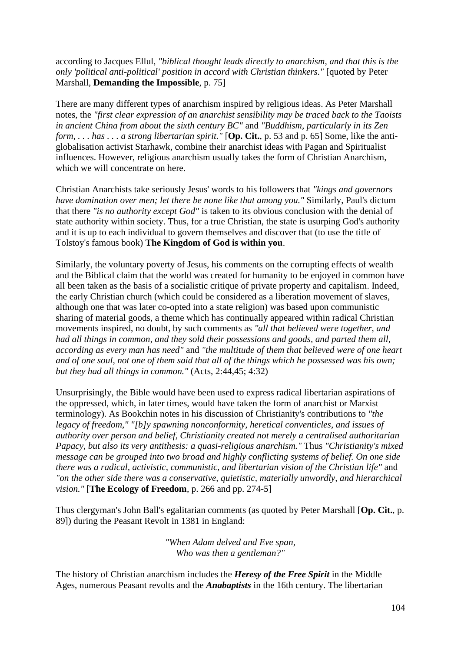according to Jacques Ellul, *"biblical thought leads directly to anarchism, and that this is the only 'political anti-political' position in accord with Christian thinkers."* [quoted by Peter Marshall, **Demanding the Impossible**, p. 75]

There are many different types of anarchism inspired by religious ideas. As Peter Marshall notes, the *"first clear expression of an anarchist sensibility may be traced back to the Taoists in ancient China from about the sixth century BC"* and *"Buddhism, particularly in its Zen form, . . . has . . . a strong libertarian spirit."* [**Op. Cit.**, p. 53 and p. 65] Some, like the antiglobalisation activist Starhawk, combine their anarchist ideas with Pagan and Spiritualist influences. However, religious anarchism usually takes the form of Christian Anarchism, which we will concentrate on here.

Christian Anarchists take seriously Jesus' words to his followers that *"kings and governors have domination over men; let there be none like that among you."* Similarly, Paul's dictum that there *"is no authority except God"* is taken to its obvious conclusion with the denial of state authority within society. Thus, for a true Christian, the state is usurping God's authority and it is up to each individual to govern themselves and discover that (to use the title of Tolstoy's famous book) **The Kingdom of God is within you**.

Similarly, the voluntary poverty of Jesus, his comments on the corrupting effects of wealth and the Biblical claim that the world was created for humanity to be enjoyed in common have all been taken as the basis of a socialistic critique of private property and capitalism. Indeed, the early Christian church (which could be considered as a liberation movement of slaves, although one that was later co-opted into a state religion) was based upon communistic sharing of material goods, a theme which has continually appeared within radical Christian movements inspired, no doubt, by such comments as *"all that believed were together, and had all things in common, and they sold their possessions and goods, and parted them all, according as every man has need"* and *"the multitude of them that believed were of one heart and of one soul, not one of them said that all of the things which he possessed was his own; but they had all things in common."* (Acts, 2:44,45; 4:32)

Unsurprisingly, the Bible would have been used to express radical libertarian aspirations of the oppressed, which, in later times, would have taken the form of anarchist or Marxist terminology). As Bookchin notes in his discussion of Christianity's contributions to *"the legacy of freedom," "[b]y spawning nonconformity, heretical conventicles, and issues of authority over person and belief, Christianity created not merely a centralised authoritarian Papacy, but also its very antithesis: a quasi-religious anarchism."* Thus *"Christianity's mixed message can be grouped into two broad and highly conflicting systems of belief. On one side there was a radical, activistic, communistic, and libertarian vision of the Christian life"* and *"on the other side there was a conservative, quietistic, materially unwordly, and hierarchical vision."* [**The Ecology of Freedom**, p. 266 and pp. 274-5]

Thus clergyman's John Ball's egalitarian comments (as quoted by Peter Marshall [**Op. Cit.**, p. 89]) during the Peasant Revolt in 1381 in England:

> *"When Adam delved and Eve span, Who was then a gentleman?"*

The history of Christian anarchism includes the *Heresy of the Free Spirit* in the Middle Ages, numerous Peasant revolts and the *Anabaptists* in the 16th century. The libertarian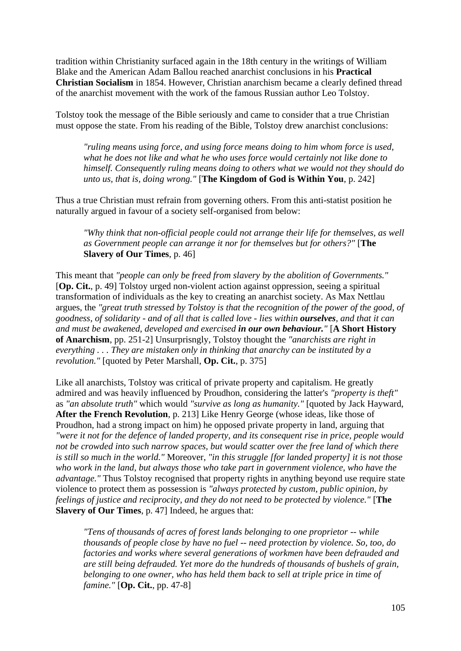tradition within Christianity surfaced again in the 18th century in the writings of William Blake and the American Adam Ballou reached anarchist conclusions in his **Practical Christian Socialism** in 1854. However, Christian anarchism became a clearly defined thread of the anarchist movement with the work of the famous Russian author Leo Tolstoy.

Tolstoy took the message of the Bible seriously and came to consider that a true Christian must oppose the state. From his reading of the Bible, Tolstoy drew anarchist conclusions:

*"ruling means using force, and using force means doing to him whom force is used, what he does not like and what he who uses force would certainly not like done to himself. Consequently ruling means doing to others what we would not they should do unto us, that is, doing wrong."* [**The Kingdom of God is Within You**, p. 242]

Thus a true Christian must refrain from governing others. From this anti-statist position he naturally argued in favour of a society self-organised from below:

*"Why think that non-official people could not arrange their life for themselves, as well as Government people can arrange it nor for themselves but for others?"* [**The Slavery of Our Times**, p. 46]

This meant that *"people can only be freed from slavery by the abolition of Governments."* [**Op. Cit.**, p. 49] Tolstoy urged non-violent action against oppression, seeing a spiritual transformation of individuals as the key to creating an anarchist society. As Max Nettlau argues, the *"great truth stressed by Tolstoy is that the recognition of the power of the good, of goodness, of solidarity - and of all that is called love - lies within ourselves, and that it can and must be awakened, developed and exercised in our own behaviour."* [**A Short History of Anarchism**, pp. 251-2] Unsurprisngly, Tolstoy thought the *"anarchists are right in everything . . . They are mistaken only in thinking that anarchy can be instituted by a revolution."* [quoted by Peter Marshall, **Op. Cit.**, p. 375]

Like all anarchists, Tolstoy was critical of private property and capitalism. He greatly admired and was heavily influenced by Proudhon, considering the latter's *"property is theft"* as *"an absolute truth"* which would *"survive as long as humanity."* [quoted by Jack Hayward, **After the French Revolution**, p. 213] Like Henry George (whose ideas, like those of Proudhon, had a strong impact on him) he opposed private property in land, arguing that *"were it not for the defence of landed property, and its consequent rise in price, people would not be crowded into such narrow spaces, but would scatter over the free land of which there is still so much in the world."* Moreover, *"in this struggle [for landed property] it is not those who work in the land, but always those who take part in government violence, who have the advantage."* Thus Tolstoy recognised that property rights in anything beyond use require state violence to protect them as possession is *"always protected by custom, public opinion, by feelings of justice and reciprocity, and they do not need to be protected by violence."* [**The Slavery of Our Times**, p. 47] Indeed, he argues that:

*"Tens of thousands of acres of forest lands belonging to one proprietor -- while thousands of people close by have no fuel -- need protection by violence. So, too, do factories and works where several generations of workmen have been defrauded and are still being defrauded. Yet more do the hundreds of thousands of bushels of grain, belonging to one owner, who has held them back to sell at triple price in time of famine."* [**Op. Cit.**, pp. 47-8]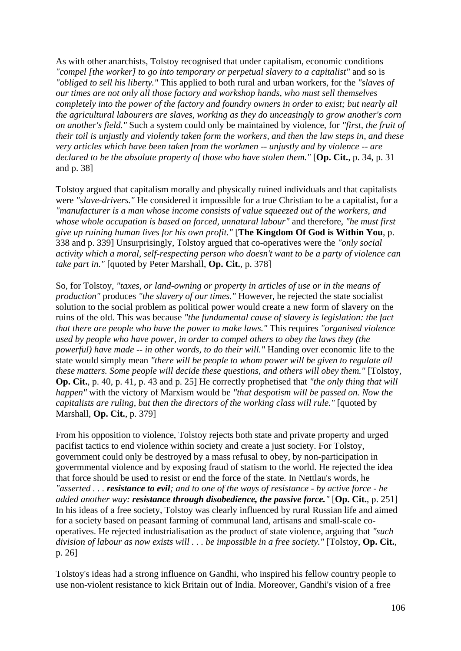As with other anarchists, Tolstoy recognised that under capitalism, economic conditions *"compel [the worker] to go into temporary or perpetual slavery to a capitalist"* and so is *"obliged to sell his liberty."* This applied to both rural and urban workers, for the *"slaves of our times are not only all those factory and workshop hands, who must sell themselves completely into the power of the factory and foundry owners in order to exist; but nearly all the agricultural labourers are slaves, working as they do unceasingly to grow another's corn on another's field."* Such a system could only be maintained by violence, for *"first, the fruit of their toil is unjustly and violently taken form the workers, and then the law steps in, and these very articles which have been taken from the workmen -- unjustly and by violence -- are declared to be the absolute property of those who have stolen them."* [**Op. Cit.**, p. 34, p. 31 and p. 38]

Tolstoy argued that capitalism morally and physically ruined individuals and that capitalists were *"slave-drivers."* He considered it impossible for a true Christian to be a capitalist, for a *"manufacturer is a man whose income consists of value squeezed out of the workers, and whose whole occupation is based on forced, unnatural labour"* and therefore, *"he must first give up ruining human lives for his own profit."* [**The Kingdom Of God is Within You**, p. 338 and p. 339] Unsurprisingly, Tolstoy argued that co-operatives were the *"only social activity which a moral, self-respecting person who doesn't want to be a party of violence can take part in."* [quoted by Peter Marshall, **Op. Cit.**, p. 378]

So, for Tolstoy, *"taxes, or land-owning or property in articles of use or in the means of production"* produces *"the slavery of our times."* However, he rejected the state socialist solution to the social problem as political power would create a new form of slavery on the ruins of the old. This was because *"the fundamental cause of slavery is legislation: the fact that there are people who have the power to make laws."* This requires *"organised violence used by people who have power, in order to compel others to obey the laws they (the powerful) have made -- in other words, to do their will."* Handing over economic life to the state would simply mean *"there will be people to whom power will be given to regulate all these matters. Some people will decide these questions, and others will obey them."* [Tolstoy, **Op. Cit.**, p. 40, p. 41, p. 43 and p. 25] He correctly prophetised that *"the only thing that will happen"* with the victory of Marxism would be *"that despotism will be passed on. Now the capitalists are ruling, but then the directors of the working class will rule."* [quoted by Marshall, **Op. Cit.**, p. 379]

From his opposition to violence, Tolstoy rejects both state and private property and urged pacifist tactics to end violence within society and create a just society. For Tolstoy, government could only be destroyed by a mass refusal to obey, by non-participation in govermmental violence and by exposing fraud of statism to the world. He rejected the idea that force should be used to resist or end the force of the state. In Nettlau's words, he *"asserted . . . resistance to evil; and to one of the ways of resistance - by active force - he added another way: resistance through disobedience, the passive force."* [**Op. Cit.**, p. 251] In his ideas of a free society, Tolstoy was clearly influenced by rural Russian life and aimed for a society based on peasant farming of communal land, artisans and small-scale cooperatives. He rejected industrialisation as the product of state violence, arguing that *"such division of labour as now exists will . . . be impossible in a free society."* [Tolstoy, **Op. Cit.**, p. 26]

Tolstoy's ideas had a strong influence on Gandhi, who inspired his fellow country people to use non-violent resistance to kick Britain out of India. Moreover, Gandhi's vision of a free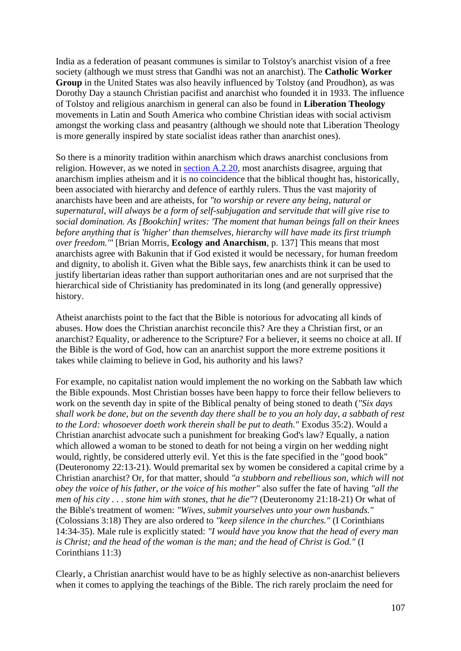India as a federation of peasant communes is similar to Tolstoy's anarchist vision of a free society (although we must stress that Gandhi was not an anarchist). The **Catholic Worker Group** in the United States was also heavily influenced by Tolstoy (and Proudhon), as was Dorothy Day a staunch Christian pacifist and anarchist who founded it in 1933. The influence of Tolstoy and religious anarchism in general can also be found in **Liberation Theology** movements in Latin and South America who combine Christian ideas with social activism amongst the working class and peasantry (although we should note that Liberation Theology is more generally inspired by state socialist ideas rather than anarchist ones).

So there is a minority tradition within anarchism which draws anarchist conclusions from religion. However, as we noted in [section A.2.20,](sectionA.html#seca220) most anarchists disagree, arguing that anarchism implies atheism and it is no coincidence that the biblical thought has, historically, been associated with hierarchy and defence of earthly rulers. Thus the vast majority of anarchists have been and are atheists, for *"to worship or revere any being, natural or supernatural, will always be a form of self-subjugation and servitude that will give rise to social domination. As [Bookchin] writes: 'The moment that human beings fall on their knees before anything that is 'higher' than themselves, hierarchy will have made its first triumph over freedom.'"* [Brian Morris, **Ecology and Anarchism**, p. 137] This means that most anarchists agree with Bakunin that if God existed it would be necessary, for human freedom and dignity, to abolish it. Given what the Bible says, few anarchists think it can be used to justify libertarian ideas rather than support authoritarian ones and are not surprised that the hierarchical side of Christianity has predominated in its long (and generally oppressive) history.

Atheist anarchists point to the fact that the Bible is notorious for advocating all kinds of abuses. How does the Christian anarchist reconcile this? Are they a Christian first, or an anarchist? Equality, or adherence to the Scripture? For a believer, it seems no choice at all. If the Bible is the word of God, how can an anarchist support the more extreme positions it takes while claiming to believe in God, his authority and his laws?

For example, no capitalist nation would implement the no working on the Sabbath law which the Bible expounds. Most Christian bosses have been happy to force their fellow believers to work on the seventh day in spite of the Biblical penalty of being stoned to death (*"Six days shall work be done, but on the seventh day there shall be to you an holy day, a sabbath of rest to the Lord: whosoever doeth work therein shall be put to death."* Exodus 35:2). Would a Christian anarchist advocate such a punishment for breaking God's law? Equally, a nation which allowed a woman to be stoned to death for not being a virgin on her wedding night would, rightly, be considered utterly evil. Yet this is the fate specified in the "good book" (Deuteronomy 22:13-21). Would premarital sex by women be considered a capital crime by a Christian anarchist? Or, for that matter, should *"a stubborn and rebellious son, which will not obey the voice of his father, or the voice of his mother"* also suffer the fate of having *"all the men of his city . . . stone him with stones, that he die"*? (Deuteronomy 21:18-21) Or what of the Bible's treatment of women: *"Wives, submit yourselves unto your own husbands."* (Colossians 3:18) They are also ordered to *"keep silence in the churches."* (I Corinthians 14:34-35). Male rule is explicitly stated: *"I would have you know that the head of every man is Christ; and the head of the woman is the man; and the head of Christ is God."* (I Corinthians 11:3)

Clearly, a Christian anarchist would have to be as highly selective as non-anarchist believers when it comes to applying the teachings of the Bible. The rich rarely proclaim the need for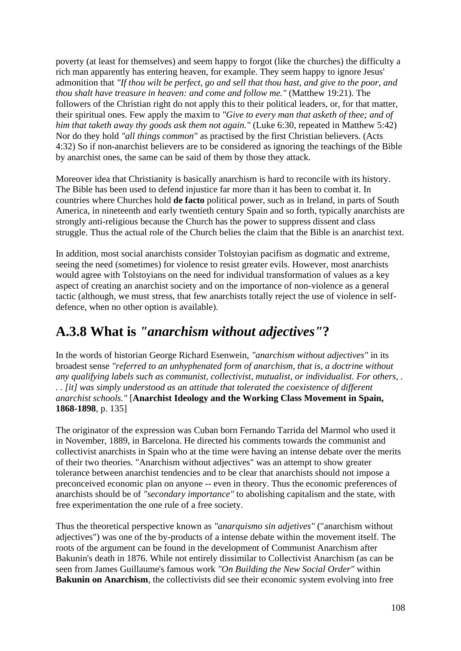poverty (at least for themselves) and seem happy to forgot (like the churches) the difficulty a rich man apparently has entering heaven, for example. They seem happy to ignore Jesus' admonition that *"If thou wilt be perfect, go and sell that thou hast, and give to the poor, and thou shalt have treasure in heaven: and come and follow me."* (Matthew 19:21). The followers of the Christian right do not apply this to their political leaders, or, for that matter, their spiritual ones. Few apply the maxim to *"Give to every man that asketh of thee; and of him that taketh away thy goods ask them not again."* (Luke 6:30, repeated in Matthew 5:42) Nor do they hold *"all things common"* as practised by the first Christian believers. (Acts 4:32) So if non-anarchist believers are to be considered as ignoring the teachings of the Bible by anarchist ones, the same can be said of them by those they attack.

Moreover idea that Christianity is basically anarchism is hard to reconcile with its history. The Bible has been used to defend injustice far more than it has been to combat it. In countries where Churches hold **de facto** political power, such as in Ireland, in parts of South America, in nineteenth and early twentieth century Spain and so forth, typically anarchists are strongly anti-religious because the Church has the power to suppress dissent and class struggle. Thus the actual role of the Church belies the claim that the Bible is an anarchist text.

In addition, most social anarchists consider Tolstoyian pacifism as dogmatic and extreme, seeing the need (sometimes) for violence to resist greater evils. However, most anarchists would agree with Tolstoyians on the need for individual transformation of values as a key aspect of creating an anarchist society and on the importance of non-violence as a general tactic (although, we must stress, that few anarchists totally reject the use of violence in selfdefence, when no other option is available).

# **A.3.8 What is** *"anarchism without adjectives"***?**

In the words of historian George Richard Esenwein, *"anarchism without adjectives"* in its broadest sense *"referred to an unhyphenated form of anarchism, that is, a doctrine without any qualifying labels such as communist, collectivist, mutualist, or individualist. For others, . . . [it] was simply understood as an attitude that tolerated the coexistence of different anarchist schools."* [**Anarchist Ideology and the Working Class Movement in Spain, 1868-1898**, p. 135]

The originator of the expression was Cuban born Fernando Tarrida del Marmol who used it in November, 1889, in Barcelona. He directed his comments towards the communist and collectivist anarchists in Spain who at the time were having an intense debate over the merits of their two theories. "Anarchism without adjectives" was an attempt to show greater tolerance between anarchist tendencies and to be clear that anarchists should not impose a preconceived economic plan on anyone -- even in theory. Thus the economic preferences of anarchists should be of *"secondary importance"* to abolishing capitalism and the state, with free experimentation the one rule of a free society.

Thus the theoretical perspective known as *"anarquismo sin adjetives"* ("anarchism without adjectives") was one of the by-products of a intense debate within the movement itself. The roots of the argument can be found in the development of Communist Anarchism after Bakunin's death in 1876. While not entirely dissimilar to Collectivist Anarchism (as can be seen from James Guillaume's famous work *"On Building the New Social Order"* within **Bakunin on Anarchism**, the collectivists did see their economic system evolving into free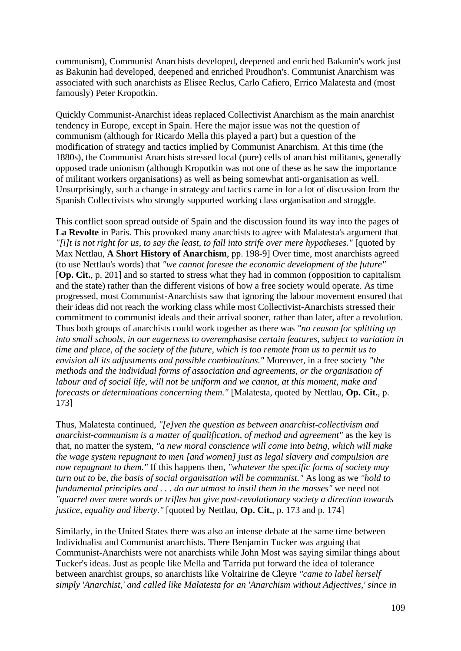communism), Communist Anarchists developed, deepened and enriched Bakunin's work just as Bakunin had developed, deepened and enriched Proudhon's. Communist Anarchism was associated with such anarchists as Elisee Reclus, Carlo Cafiero, Errico Malatesta and (most famously) Peter Kropotkin.

Quickly Communist-Anarchist ideas replaced Collectivist Anarchism as the main anarchist tendency in Europe, except in Spain. Here the major issue was not the question of communism (although for Ricardo Mella this played a part) but a question of the modification of strategy and tactics implied by Communist Anarchism. At this time (the 1880s), the Communist Anarchists stressed local (pure) cells of anarchist militants, generally opposed trade unionism (although Kropotkin was not one of these as he saw the importance of militant workers organisations) as well as being somewhat anti-organisation as well. Unsurprisingly, such a change in strategy and tactics came in for a lot of discussion from the Spanish Collectivists who strongly supported working class organisation and struggle.

This conflict soon spread outside of Spain and the discussion found its way into the pages of **La Revolte** in Paris. This provoked many anarchists to agree with Malatesta's argument that *"[i]t is not right for us, to say the least, to fall into strife over mere hypotheses."* [quoted by Max Nettlau, **A Short History of Anarchism**, pp. 198-9] Over time, most anarchists agreed (to use Nettlau's words) that *"we cannot foresee the economic development of the future"* [**Op. Cit.**, p. 201] and so started to stress what they had in common (opposition to capitalism and the state) rather than the different visions of how a free society would operate. As time progressed, most Communist-Anarchists saw that ignoring the labour movement ensured that their ideas did not reach the working class while most Collectivist-Anarchists stressed their commitment to communist ideals and their arrival sooner, rather than later, after a revolution. Thus both groups of anarchists could work together as there was *"no reason for splitting up into small schools, in our eagerness to overemphasise certain features, subject to variation in time and place, of the society of the future, which is too remote from us to permit us to envision all its adjustments and possible combinations."* Moreover, in a free society *"the methods and the individual forms of association and agreements, or the organisation of labour and of social life, will not be uniform and we cannot, at this moment, make and forecasts or determinations concerning them."* [Malatesta, quoted by Nettlau, **Op. Cit.**, p. 173]

Thus, Malatesta continued, *"[e]ven the question as between anarchist-collectivism and anarchist-communism is a matter of qualification, of method and agreement"* as the key is that, no matter the system, *"a new moral conscience will come into being, which will make the wage system repugnant to men [and women] just as legal slavery and compulsion are now repugnant to them."* If this happens then, *"whatever the specific forms of society may turn out to be, the basis of social organisation will be communist."* As long as we *"hold to fundamental principles and . . . do our utmost to instil them in the masses"* we need not *"quarrel over mere words or trifles but give post-revolutionary society a direction towards justice, equality and liberty."* [quoted by Nettlau, **Op. Cit.**, p. 173 and p. 174]

Similarly, in the United States there was also an intense debate at the same time between Individualist and Communist anarchists. There Benjamin Tucker was arguing that Communist-Anarchists were not anarchists while John Most was saying similar things about Tucker's ideas. Just as people like Mella and Tarrida put forward the idea of tolerance between anarchist groups, so anarchists like Voltairine de Cleyre *"came to label herself simply 'Anarchist,' and called like Malatesta for an 'Anarchism without Adjectives,' since in*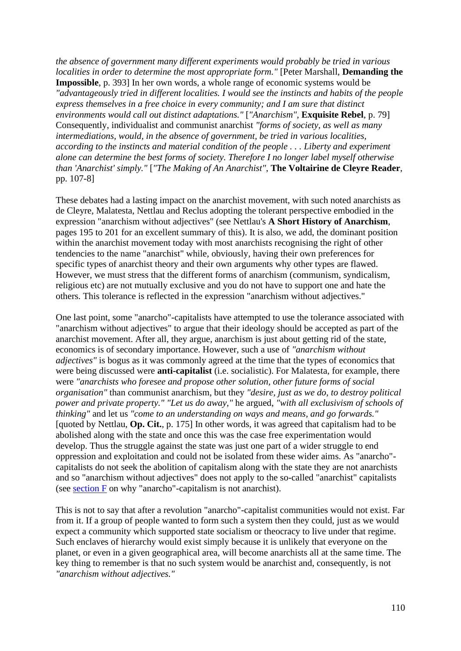*the absence of government many different experiments would probably be tried in various localities in order to determine the most appropriate form."* [Peter Marshall, **Demanding the Impossible**, p. 393] In her own words, a whole range of economic systems would be *"advantageously tried in different localities. I would see the instincts and habits of the people express themselves in a free choice in every community; and I am sure that distinct environments would call out distinct adaptations."* [*"Anarchism"*, **Exquisite Rebel**, p. 79] Consequently, individualist and communist anarchist *"forms of society, as well as many intermediations, would, in the absence of government, be tried in various localities, according to the instincts and material condition of the people . . . Liberty and experiment alone can determine the best forms of society. Therefore I no longer label myself otherwise than 'Anarchist' simply."* [*"The Making of An Anarchist"*, **The Voltairine de Cleyre Reader**, pp. 107-8]

These debates had a lasting impact on the anarchist movement, with such noted anarchists as de Cleyre, Malatesta, Nettlau and Reclus adopting the tolerant perspective embodied in the expression "anarchism without adjectives" (see Nettlau's **A Short History of Anarchism**, pages 195 to 201 for an excellent summary of this). It is also, we add, the dominant position within the anarchist movement today with most anarchists recognising the right of other tendencies to the name "anarchist" while, obviously, having their own preferences for specific types of anarchist theory and their own arguments why other types are flawed. However, we must stress that the different forms of anarchism (communism, syndicalism, religious etc) are not mutually exclusive and you do not have to support one and hate the others. This tolerance is reflected in the expression "anarchism without adjectives."

One last point, some "anarcho"-capitalists have attempted to use the tolerance associated with "anarchism without adjectives" to argue that their ideology should be accepted as part of the anarchist movement. After all, they argue, anarchism is just about getting rid of the state, economics is of secondary importance. However, such a use of *"anarchism without adjectives*" is bogus as it was commonly agreed at the time that the types of economics that were being discussed were **anti-capitalist** (i.e. socialistic). For Malatesta, for example, there were *"anarchists who foresee and propose other solution, other future forms of social organisation"* than communist anarchism, but they *"desire, just as we do, to destroy political power and private property." "Let us do away,"* he argued, *"with all exclusivism of schools of thinking"* and let us *"come to an understanding on ways and means, and go forwards."* [quoted by Nettlau, **Op. Cit.**, p. 175] In other words, it was agreed that capitalism had to be abolished along with the state and once this was the case free experimentation would develop. Thus the struggle against the state was just one part of a wider struggle to end oppression and exploitation and could not be isolated from these wider aims. As "anarcho" capitalists do not seek the abolition of capitalism along with the state they are not anarchists and so "anarchism without adjectives" does not apply to the so-called "anarchist" capitalists (see [section F](sectionF.html) on why "anarcho"-capitalism is not anarchist).

This is not to say that after a revolution "anarcho"-capitalist communities would not exist. Far from it. If a group of people wanted to form such a system then they could, just as we would expect a community which supported state socialism or theocracy to live under that regime. Such enclaves of hierarchy would exist simply because it is unlikely that everyone on the planet, or even in a given geographical area, will become anarchists all at the same time. The key thing to remember is that no such system would be anarchist and, consequently, is not *"anarchism without adjectives."*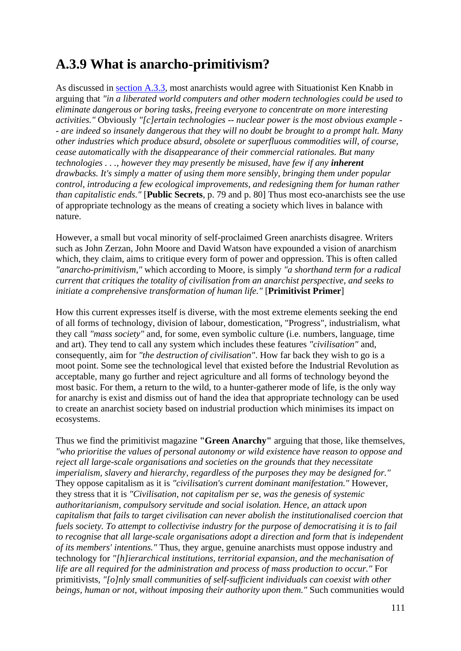### **A.3.9 What is anarcho-primitivism?**

As discussed in [section A.3.3,](sectionA.html#seca33) most anarchists would agree with Situationist Ken Knabb in arguing that *"in a liberated world computers and other modern technologies could be used to eliminate dangerous or boring tasks, freeing everyone to concentrate on more interesting activities."* Obviously *"[c]ertain technologies -- nuclear power is the most obvious example - - are indeed so insanely dangerous that they will no doubt be brought to a prompt halt. Many other industries which produce absurd, obsolete or superfluous commodities will, of course, cease automatically with the disappearance of their commercial rationales. But many technologies ..., however they may presently be misused, have few if any <i>inherent drawbacks. It's simply a matter of using them more sensibly, bringing them under popular control, introducing a few ecological improvements, and redesigning them for human rather than capitalistic ends."* [**Public Secrets**, p. 79 and p. 80] Thus most eco-anarchists see the use of appropriate technology as the means of creating a society which lives in balance with nature.

However, a small but vocal minority of self-proclaimed Green anarchists disagree. Writers such as John Zerzan, John Moore and David Watson have expounded a vision of anarchism which, they claim, aims to critique every form of power and oppression. This is often called *"anarcho-primitivism,"* which according to Moore, is simply *"a shorthand term for a radical current that critiques the totality of civilisation from an anarchist perspective, and seeks to initiate a comprehensive transformation of human life."* [**Primitivist Primer**]

How this current expresses itself is diverse, with the most extreme elements seeking the end of all forms of technology, division of labour, domestication, "Progress", industrialism, what they call *"mass society"* and, for some, even symbolic culture (i.e. numbers, language, time and art). They tend to call any system which includes these features *"civilisation"* and, consequently, aim for *"the destruction of civilisation"*. How far back they wish to go is a moot point. Some see the technological level that existed before the Industrial Revolution as acceptable, many go further and reject agriculture and all forms of technology beyond the most basic. For them, a return to the wild, to a hunter-gatherer mode of life, is the only way for anarchy is exist and dismiss out of hand the idea that appropriate technology can be used to create an anarchist society based on industrial production which minimises its impact on ecosystems.

Thus we find the primitivist magazine **"Green Anarchy"** arguing that those, like themselves, *"who prioritise the values of personal autonomy or wild existence have reason to oppose and reject all large-scale organisations and societies on the grounds that they necessitate imperialism, slavery and hierarchy, regardless of the purposes they may be designed for."* They oppose capitalism as it is *"civilisation's current dominant manifestation."* However, they stress that it is *"Civilisation, not capitalism per se, was the genesis of systemic authoritarianism, compulsory servitude and social isolation. Hence, an attack upon capitalism that fails to target civilisation can never abolish the institutionalised coercion that fuels society. To attempt to collectivise industry for the purpose of democratising it is to fail to recognise that all large-scale organisations adopt a direction and form that is independent of its members' intentions."* Thus, they argue, genuine anarchists must oppose industry and technology for *"[h]ierarchical institutions, territorial expansion, and the mechanisation of life are all required for the administration and process of mass production to occur."* For primitivists, *"[o]nly small communities of self-sufficient individuals can coexist with other beings, human or not, without imposing their authority upon them."* Such communities would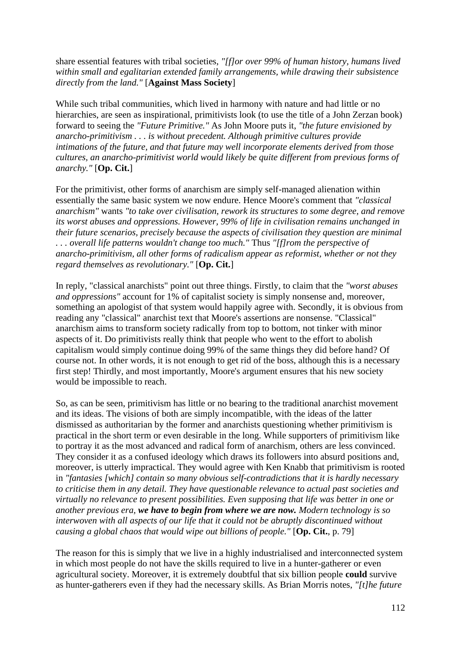share essential features with tribal societies, *"[f]or over 99% of human history, humans lived within small and egalitarian extended family arrangements, while drawing their subsistence directly from the land."* [**Against Mass Society**]

While such tribal communities, which lived in harmony with nature and had little or no hierarchies, are seen as inspirational, primitivists look (to use the title of a John Zerzan book) forward to seeing the *"Future Primitive."* As John Moore puts it, *"the future envisioned by anarcho-primitivism . . . is without precedent. Although primitive cultures provide intimations of the future, and that future may well incorporate elements derived from those cultures, an anarcho-primitivist world would likely be quite different from previous forms of anarchy."* [**Op. Cit.**]

For the primitivist, other forms of anarchism are simply self-managed alienation within essentially the same basic system we now endure. Hence Moore's comment that *"classical anarchism"* wants *"to take over civilisation, rework its structures to some degree, and remove its worst abuses and oppressions. However, 99% of life in civilisation remains unchanged in their future scenarios, precisely because the aspects of civilisation they question are minimal . . . overall life patterns wouldn't change too much."* Thus *"[f]rom the perspective of anarcho-primitivism, all other forms of radicalism appear as reformist, whether or not they regard themselves as revolutionary."* [**Op. Cit.**]

In reply, "classical anarchists" point out three things. Firstly, to claim that the *"worst abuses and oppressions"* account for 1% of capitalist society is simply nonsense and, moreover, something an apologist of that system would happily agree with. Secondly, it is obvious from reading any "classical" anarchist text that Moore's assertions are nonsense. "Classical" anarchism aims to transform society radically from top to bottom, not tinker with minor aspects of it. Do primitivists really think that people who went to the effort to abolish capitalism would simply continue doing 99% of the same things they did before hand? Of course not. In other words, it is not enough to get rid of the boss, although this is a necessary first step! Thirdly, and most importantly, Moore's argument ensures that his new society would be impossible to reach.

So, as can be seen, primitivism has little or no bearing to the traditional anarchist movement and its ideas. The visions of both are simply incompatible, with the ideas of the latter dismissed as authoritarian by the former and anarchists questioning whether primitivism is practical in the short term or even desirable in the long. While supporters of primitivism like to portray it as the most advanced and radical form of anarchism, others are less convinced. They consider it as a confused ideology which draws its followers into absurd positions and, moreover, is utterly impractical. They would agree with Ken Knabb that primitivism is rooted in *"fantasies [which] contain so many obvious self-contradictions that it is hardly necessary to criticise them in any detail. They have questionable relevance to actual past societies and virtually no relevance to present possibilities. Even supposing that life was better in one or another previous era, we have to begin from where we are now. Modern technology is so interwoven with all aspects of our life that it could not be abruptly discontinued without causing a global chaos that would wipe out billions of people."* [**Op. Cit.**, p. 79]

The reason for this is simply that we live in a highly industrialised and interconnected system in which most people do not have the skills required to live in a hunter-gatherer or even agricultural society. Moreover, it is extremely doubtful that six billion people **could** survive as hunter-gatherers even if they had the necessary skills. As Brian Morris notes, *"[t]he future*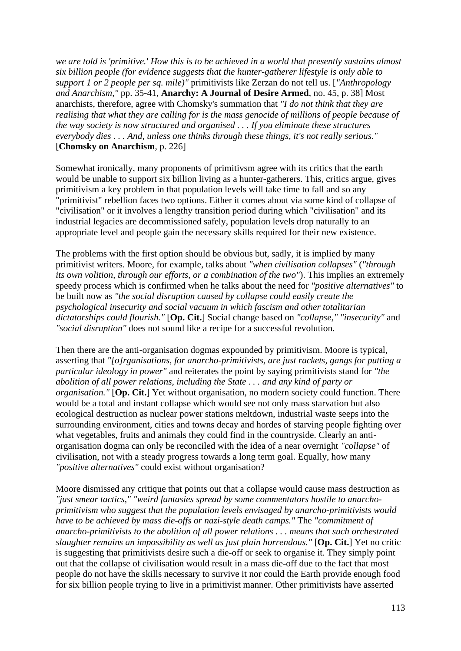*we are told is 'primitive.' How this is to be achieved in a world that presently sustains almost six billion people (for evidence suggests that the hunter-gatherer lifestyle is only able to support 1 or 2 people per sq. mile)"* primitivists like Zerzan do not tell us. [*"Anthropology and Anarchism,"* pp. 35-41, **Anarchy: A Journal of Desire Armed**, no. 45, p. 38] Most anarchists, therefore, agree with Chomsky's summation that *"I do not think that they are realising that what they are calling for is the mass genocide of millions of people because of the way society is now structured and organised . . . If you eliminate these structures everybody dies . . . And, unless one thinks through these things, it's not really serious."* [**Chomsky on Anarchism**, p. 226]

Somewhat ironically, many proponents of primitivsm agree with its critics that the earth would be unable to support six billion living as a hunter-gatherers. This, critics argue, gives primitivism a key problem in that population levels will take time to fall and so any "primitivist" rebellion faces two options. Either it comes about via some kind of collapse of "civilisation" or it involves a lengthy transition period during which "civilisation" and its industrial legacies are decommissioned safely, population levels drop naturally to an appropriate level and people gain the necessary skills required for their new existence.

The problems with the first option should be obvious but, sadly, it is implied by many primitivist writers. Moore, for example, talks about *"when civilisation collapses"* (*"through its own volition, through our efforts, or a combination of the two"*). This implies an extremely speedy process which is confirmed when he talks about the need for *"positive alternatives"* to be built now as *"the social disruption caused by collapse could easily create the psychological insecurity and social vacuum in which fascism and other totalitarian dictatorships could flourish."* [**Op. Cit.**] Social change based on *"collapse," "insecurity"* and *"social disruption"* does not sound like a recipe for a successful revolution.

Then there are the anti-organisation dogmas expounded by primitivism. Moore is typical, asserting that *"[o]rganisations, for anarcho-primitivists, are just rackets, gangs for putting a particular ideology in power"* and reiterates the point by saying primitivists stand for *"the abolition of all power relations, including the State . . . and any kind of party or organisation."* [**Op. Cit.**] Yet without organisation, no modern society could function. There would be a total and instant collapse which would see not only mass starvation but also ecological destruction as nuclear power stations meltdown, industrial waste seeps into the surrounding environment, cities and towns decay and hordes of starving people fighting over what vegetables, fruits and animals they could find in the countryside. Clearly an antiorganisation dogma can only be reconciled with the idea of a near overnight *"collapse"* of civilisation, not with a steady progress towards a long term goal. Equally, how many *"positive alternatives"* could exist without organisation?

Moore dismissed any critique that points out that a collapse would cause mass destruction as *"just smear tactics," "weird fantasies spread by some commentators hostile to anarchoprimitivism who suggest that the population levels envisaged by anarcho-primitivists would have to be achieved by mass die-offs or nazi-style death camps."* The *"commitment of anarcho-primitivists to the abolition of all power relations . . . means that such orchestrated slaughter remains an impossibility as well as just plain horrendous."* [**Op. Cit.**] Yet no critic is suggesting that primitivists desire such a die-off or seek to organise it. They simply point out that the collapse of civilisation would result in a mass die-off due to the fact that most people do not have the skills necessary to survive it nor could the Earth provide enough food for six billion people trying to live in a primitivist manner. Other primitivists have asserted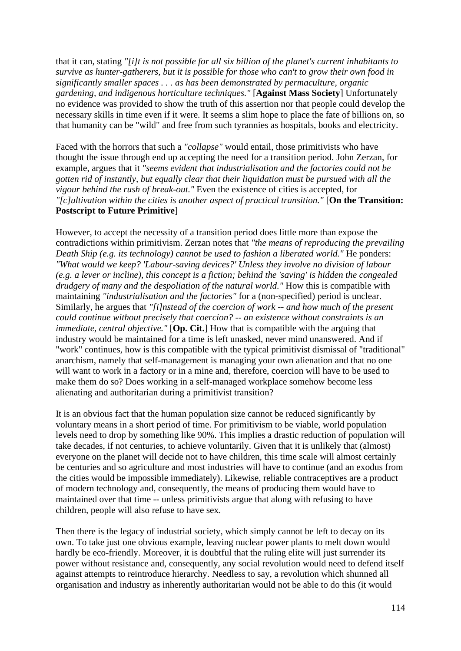that it can, stating *"[i]t is not possible for all six billion of the planet's current inhabitants to survive as hunter-gatherers, but it is possible for those who can't to grow their own food in significantly smaller spaces . . . as has been demonstrated by permaculture, organic gardening, and indigenous horticulture techniques."* [**Against Mass Society**] Unfortunately no evidence was provided to show the truth of this assertion nor that people could develop the necessary skills in time even if it were. It seems a slim hope to place the fate of billions on, so that humanity can be "wild" and free from such tyrannies as hospitals, books and electricity.

Faced with the horrors that such a *"collapse"* would entail, those primitivists who have thought the issue through end up accepting the need for a transition period. John Zerzan, for example, argues that it *"seems evident that industrialisation and the factories could not be gotten rid of instantly, but equally clear that their liquidation must be pursued with all the vigour behind the rush of break-out."* Even the existence of cities is accepted, for *"[c]ultivation within the cities is another aspect of practical transition."* [**On the Transition: Postscript to Future Primitive**]

However, to accept the necessity of a transition period does little more than expose the contradictions within primitivism. Zerzan notes that *"the means of reproducing the prevailing Death Ship (e.g. its technology) cannot be used to fashion a liberated world."* He ponders: *"What would we keep? 'Labour-saving devices?' Unless they involve no division of labour (e.g. a lever or incline), this concept is a fiction; behind the 'saving' is hidden the congealed drudgery of many and the despoliation of the natural world."* How this is compatible with maintaining *"industrialisation and the factories"* for a (non-specified) period is unclear. Similarly, he argues that *"[i]nstead of the coercion of work -- and how much of the present could continue without precisely that coercion? -- an existence without constraints is an immediate, central objective."* [**Op. Cit.**] How that is compatible with the arguing that industry would be maintained for a time is left unasked, never mind unanswered. And if "work" continues, how is this compatible with the typical primitivist dismissal of "traditional" anarchism, namely that self-management is managing your own alienation and that no one will want to work in a factory or in a mine and, therefore, coercion will have to be used to make them do so? Does working in a self-managed workplace somehow become less alienating and authoritarian during a primitivist transition?

It is an obvious fact that the human population size cannot be reduced significantly by voluntary means in a short period of time. For primitivism to be viable, world population levels need to drop by something like 90%. This implies a drastic reduction of population will take decades, if not centuries, to achieve voluntarily. Given that it is unlikely that (almost) everyone on the planet will decide not to have children, this time scale will almost certainly be centuries and so agriculture and most industries will have to continue (and an exodus from the cities would be impossible immediately). Likewise, reliable contraceptives are a product of modern technology and, consequently, the means of producing them would have to maintained over that time -- unless primitivists argue that along with refusing to have children, people will also refuse to have sex.

Then there is the legacy of industrial society, which simply cannot be left to decay on its own. To take just one obvious example, leaving nuclear power plants to melt down would hardly be eco-friendly. Moreover, it is doubtful that the ruling elite will just surrender its power without resistance and, consequently, any social revolution would need to defend itself against attempts to reintroduce hierarchy. Needless to say, a revolution which shunned all organisation and industry as inherently authoritarian would not be able to do this (it would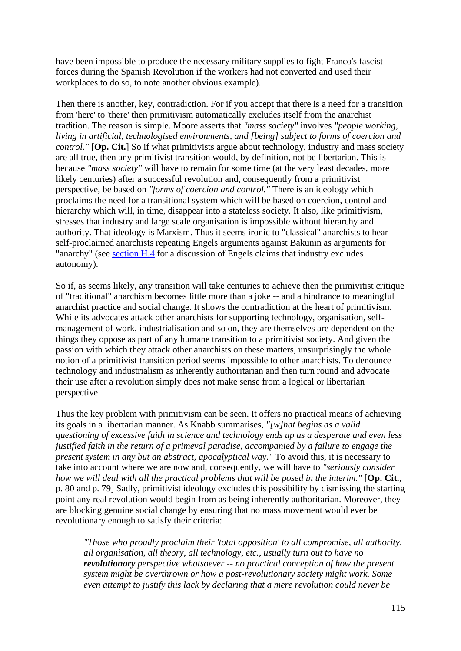have been impossible to produce the necessary military supplies to fight Franco's fascist forces during the Spanish Revolution if the workers had not converted and used their workplaces to do so, to note another obvious example).

Then there is another, key, contradiction. For if you accept that there is a need for a transition from 'here' to 'there' then primitivism automatically excludes itself from the anarchist tradition. The reason is simple. Moore asserts that *"mass society"* involves *"people working, living in artificial, technologised environments, and [being] subject to forms of coercion and control."* [Op. Cit.] So if what primitivists argue about technology, industry and mass society are all true, then any primitivist transition would, by definition, not be libertarian. This is because *"mass society"* will have to remain for some time (at the very least decades, more likely centuries) after a successful revolution and, consequently from a primitivist perspective, be based on *"forms of coercion and control."* There is an ideology which proclaims the need for a transitional system which will be based on coercion, control and hierarchy which will, in time, disappear into a stateless society. It also, like primitivism, stresses that industry and large scale organisation is impossible without hierarchy and authority. That ideology is Marxism. Thus it seems ironic to "classical" anarchists to hear self-proclaimed anarchists repeating Engels arguments against Bakunin as arguments for "anarchy" (see [section H.4](sectionH.html#sech4) for a discussion of Engels claims that industry excludes autonomy).

So if, as seems likely, any transition will take centuries to achieve then the primivitist critique of "traditional" anarchism becomes little more than a joke -- and a hindrance to meaningful anarchist practice and social change. It shows the contradiction at the heart of primitivism. While its advocates attack other anarchists for supporting technology, organisation, selfmanagement of work, industrialisation and so on, they are themselves are dependent on the things they oppose as part of any humane transition to a primitivist society. And given the passion with which they attack other anarchists on these matters, unsurprisingly the whole notion of a primitivist transition period seems impossible to other anarchists. To denounce technology and industrialism as inherently authoritarian and then turn round and advocate their use after a revolution simply does not make sense from a logical or libertarian perspective.

Thus the key problem with primitivism can be seen. It offers no practical means of achieving its goals in a libertarian manner. As Knabb summarises, *"[w]hat begins as a valid questioning of excessive faith in science and technology ends up as a desperate and even less justified faith in the return of a primeval paradise, accompanied by a failure to engage the present system in any but an abstract, apocalyptical way."* To avoid this, it is necessary to take into account where we are now and, consequently, we will have to *"seriously consider how we will deal with all the practical problems that will be posed in the interim."* [**Op. Cit.**, p. 80 and p. 79] Sadly, primitivist ideology excludes this possibility by dismissing the starting point any real revolution would begin from as being inherently authoritarian. Moreover, they are blocking genuine social change by ensuring that no mass movement would ever be revolutionary enough to satisfy their criteria:

*"Those who proudly proclaim their 'total opposition' to all compromise, all authority, all organisation, all theory, all technology, etc., usually turn out to have no revolutionary perspective whatsoever -- no practical conception of how the present system might be overthrown or how a post-revolutionary society might work. Some even attempt to justify this lack by declaring that a mere revolution could never be*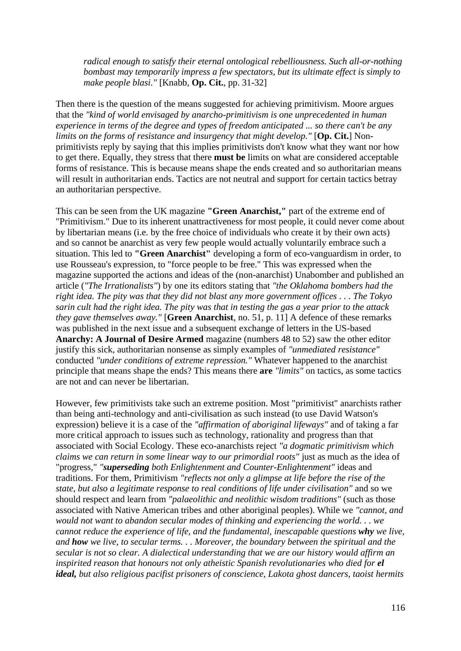*radical enough to satisfy their eternal ontological rebelliousness. Such all-or-nothing bombast may temporarily impress a few spectators, but its ultimate effect is simply to make people blasi."* [Knabb, **Op. Cit.**, pp. 31-32]

Then there is the question of the means suggested for achieving primitivism. Moore argues that the *"kind of world envisaged by anarcho-primitivism is one unprecedented in human experience in terms of the degree and types of freedom anticipated ... so there can't be any limits on the forms of resistance and insurgency that might develop."* [**Op. Cit.**] Nonprimitivists reply by saying that this implies primitivists don't know what they want nor how to get there. Equally, they stress that there **must be** limits on what are considered acceptable forms of resistance. This is because means shape the ends created and so authoritarian means will result in authoritarian ends. Tactics are not neutral and support for certain tactics betray an authoritarian perspective.

This can be seen from the UK magazine **"Green Anarchist,"** part of the extreme end of "Primitivism." Due to its inherent unattractiveness for most people, it could never come about by libertarian means (i.e. by the free choice of individuals who create it by their own acts) and so cannot be anarchist as very few people would actually voluntarily embrace such a situation. This led to **"Green Anarchist"** developing a form of eco-vanguardism in order, to use Rousseau's expression, to "force people to be free." This was expressed when the magazine supported the actions and ideas of the (non-anarchist) Unabomber and published an article (*"The Irrationalists"*) by one its editors stating that *"the Oklahoma bombers had the right idea. The pity was that they did not blast any more government offices . . . The Tokyo sarin cult had the right idea. The pity was that in testing the gas a year prior to the attack they gave themselves away."* [**Green Anarchist**, no. 51, p. 11] A defence of these remarks was published in the next issue and a subsequent exchange of letters in the US-based **Anarchy: A Journal of Desire Armed** magazine (numbers 48 to 52) saw the other editor justify this sick, authoritarian nonsense as simply examples of *"unmediated resistance"* conducted *"under conditions of extreme repression."* Whatever happened to the anarchist principle that means shape the ends? This means there **are** *"limits"* on tactics, as some tactics are not and can never be libertarian.

However, few primitivists take such an extreme position. Most "primitivist" anarchists rather than being anti-technology and anti-civilisation as such instead (to use David Watson's expression) believe it is a case of the *"affirmation of aboriginal lifeways"* and of taking a far more critical approach to issues such as technology, rationality and progress than that associated with Social Ecology. These eco-anarchists reject *"a dogmatic primitivism which claims we can return in some linear way to our primordial roots"* just as much as the idea of "progress," *"superseding both Enlightenment and Counter-Enlightenment"* ideas and traditions. For them, Primitivism *"reflects not only a glimpse at life before the rise of the state, but also a legitimate response to real conditions of life under civilisation"* and so we should respect and learn from *"palaeolithic and neolithic wisdom traditions"* (such as those associated with Native American tribes and other aboriginal peoples). While we *"cannot, and would not want to abandon secular modes of thinking and experiencing the world. . . we cannot reduce the experience of life, and the fundamental, inescapable questions why we live, and how we live, to secular terms. . . Moreover, the boundary between the spiritual and the secular is not so clear. A dialectical understanding that we are our history would affirm an inspirited reason that honours not only atheistic Spanish revolutionaries who died for el ideal, but also religious pacifist prisoners of conscience, Lakota ghost dancers, taoist hermits*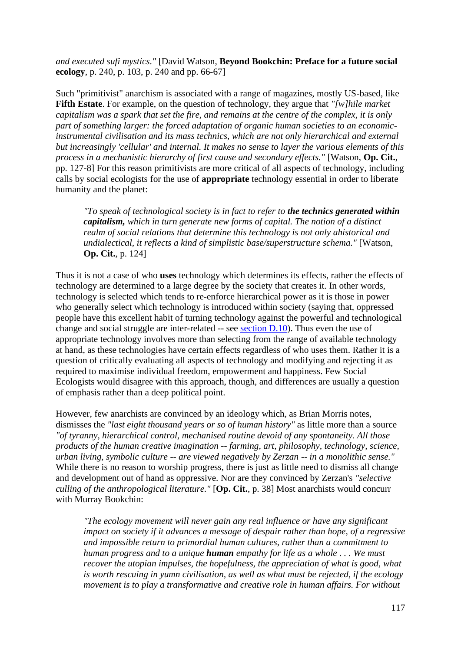*and executed sufi mystics."* [David Watson, **Beyond Bookchin: Preface for a future social ecology**, p. 240, p. 103, p. 240 and pp. 66-67]

Such "primitivist" anarchism is associated with a range of magazines, mostly US-based, like **Fifth Estate**. For example, on the question of technology, they argue that *"[w]hile market capitalism was a spark that set the fire, and remains at the centre of the complex, it is only part of something larger: the forced adaptation of organic human societies to an economicinstrumental civilisation and its mass technics, which are not only hierarchical and external but increasingly 'cellular' and internal. It makes no sense to layer the various elements of this process in a mechanistic hierarchy of first cause and secondary effects."* [Watson, **Op. Cit.**, pp. 127-8] For this reason primitivists are more critical of all aspects of technology, including calls by social ecologists for the use of **appropriate** technology essential in order to liberate humanity and the planet:

*"To speak of technological society is in fact to refer to the technics generated within capitalism, which in turn generate new forms of capital. The notion of a distinct realm of social relations that determine this technology is not only ahistorical and undialectical, it reflects a kind of simplistic base/superstructure schema."* [Watson, **Op. Cit.**, p. 124]

Thus it is not a case of who **uses** technology which determines its effects, rather the effects of technology are determined to a large degree by the society that creates it. In other words, technology is selected which tends to re-enforce hierarchical power as it is those in power who generally select which technology is introduced within society (saying that, oppressed people have this excellent habit of turning technology against the powerful and technological change and social struggle are inter-related  $-$  see section  $D.10$ ). Thus even the use of appropriate technology involves more than selecting from the range of available technology at hand, as these technologies have certain effects regardless of who uses them. Rather it is a question of critically evaluating all aspects of technology and modifying and rejecting it as required to maximise individual freedom, empowerment and happiness. Few Social Ecologists would disagree with this approach, though, and differences are usually a question of emphasis rather than a deep political point.

However, few anarchists are convinced by an ideology which, as Brian Morris notes, dismisses the *"last eight thousand years or so of human history"* as little more than a source *"of tyranny, hierarchical control, mechanised routine devoid of any spontaneity. All those products of the human creative imagination -- farming, art, philosophy, technology, science, urban living, symbolic culture -- are viewed negatively by Zerzan -- in a monolithic sense."* While there is no reason to worship progress, there is just as little need to dismiss all change and development out of hand as oppressive. Nor are they convinced by Zerzan's *"selective culling of the anthropological literature."* [**Op. Cit.**, p. 38] Most anarchists would concurr with Murray Bookchin:

*"The ecology movement will never gain any real influence or have any significant impact on society if it advances a message of despair rather than hope, of a regressive and impossible return to primordial human cultures, rather than a commitment to human progress and to a unique human empathy for life as a whole . . . We must recover the utopian impulses, the hopefulness, the appreciation of what is good, what is worth rescuing in yumn civilisation, as well as what must be rejected, if the ecology movement is to play a transformative and creative role in human affairs. For without*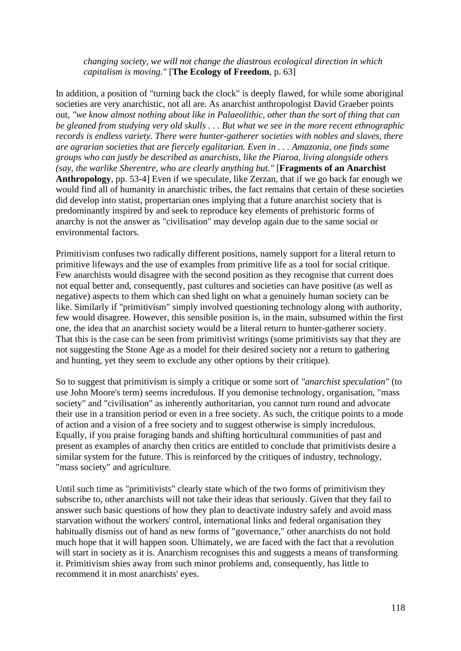*changing society, we will not change the diastrous ecological direction in which capitalism is moving."* [**The Ecology of Freedom**, p. 63]

In addition, a position of "turning back the clock" is deeply flawed, for while some aboriginal societies are very anarchistic, not all are. As anarchist anthropologist David Graeber points out, *"we know almost nothing about like in Palaeolithic, other than the sort of thing that can be gleaned from studying very old skulls . . . But what we see in the more recent ethnographic records is endless variety. There were hunter-gatherer societies with nobles and slaves, there are agrarian societies that are fiercely egalitarian. Even in . . . Amazonia, one finds some groups who can justly be described as anarchists, like the Piaroa, living alongside others (say, the warlike Sherentre, who are clearly anything but."* [**Fragments of an Anarchist Anthropology**, pp. 53-4] Even if we speculate, like Zerzan, that if we go back far enough we would find all of humanity in anarchistic tribes, the fact remains that certain of these societies did develop into statist, propertarian ones implying that a future anarchist society that is predominantly inspired by and seek to reproduce key elements of prehistoric forms of anarchy is not the answer as "civilisation" may develop again due to the same social or environmental factors.

Primitivism confuses two radically different positions, namely support for a literal return to primitive lifeways and the use of examples from primitive life as a tool for social critique. Few anarchists would disagree with the second position as they recognise that current does not equal better and, consequently, past cultures and societies can have positive (as well as negative) aspects to them which can shed light on what a genuinely human society can be like. Similarly if "primitivism" simply involved questioning technology along with authority, few would disagree. However, this sensible position is, in the main, subsumed within the first one, the idea that an anarchist society would be a literal return to hunter-gatherer society. That this is the case can be seen from primitivist writings (some primitivists say that they are not suggesting the Stone Age as a model for their desired society nor a return to gathering and hunting, yet they seem to exclude any other options by their critique).

So to suggest that primitivism is simply a critique or some sort of *"anarchist speculation"* (to use John Moore's term) seems incredulous. If you demonise technology, organisation, "mass society" and "civilisation" as inherently authoritarian, you cannot turn round and advocate their use in a transition period or even in a free society. As such, the critique points to a mode of action and a vision of a free society and to suggest otherwise is simply incredulous. Equally, if you praise foraging bands and shifting horticultural communities of past and present as examples of anarchy then critics are entitled to conclude that primitivists desire a similar system for the future. This is reinforced by the critiques of industry, technology, "mass society" and agriculture.

Until such time as "primitivists" clearly state which of the two forms of primitivism they subscribe to, other anarchists will not take their ideas that seriously. Given that they fail to answer such basic questions of how they plan to deactivate industry safely and avoid mass starvation without the workers' control, international links and federal organisation they habitually dismiss out of hand as new forms of "governance," other anarchists do not hold much hope that it will happen soon. Ultimately, we are faced with the fact that a revolution will start in society as it is. Anarchism recognises this and suggests a means of transforming it. Primitivism shies away from such minor problems and, consequently, has little to recommend it in most anarchists' eyes.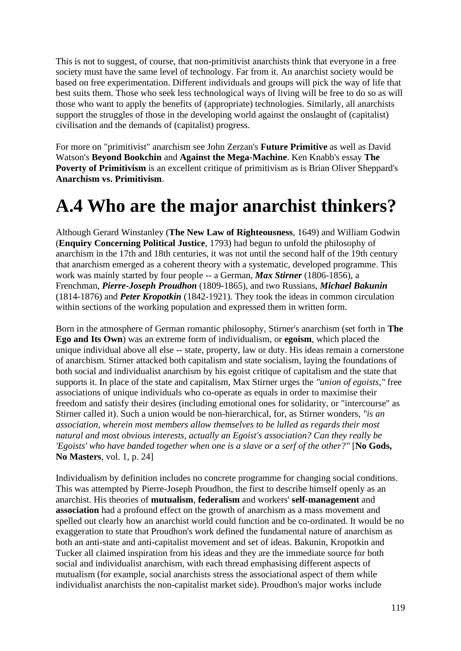This is not to suggest, of course, that non-primitivist anarchists think that everyone in a free society must have the same level of technology. Far from it. An anarchist society would be based on free experimentation. Different individuals and groups will pick the way of life that best suits them. Those who seek less technological ways of living will be free to do so as will those who want to apply the benefits of (appropriate) technologies. Similarly, all anarchists support the struggles of those in the developing world against the onslaught of (capitalist) civilisation and the demands of (capitalist) progress.

For more on "primitivist" anarchism see John Zerzan's **Future Primitive** as well as David Watson's **Beyond Bookchin** and **Against the Mega-Machine**. Ken Knabb's essay **The Poverty of Primitivism** is an excellent critique of primitivism as is Brian Oliver Sheppard's **Anarchism vs. Primitivism**.

# **A.4 Who are the major anarchist thinkers?**

Although Gerard Winstanley (**The New Law of Righteousness**, 1649) and William Godwin (**Enquiry Concerning Political Justice**, 1793) had begun to unfold the philosophy of anarchism in the 17th and 18th centuries, it was not until the second half of the 19th century that anarchism emerged as a coherent theory with a systematic, developed programme. This work was mainly started by four people -- a German, *Max Stirner* (1806-1856), a Frenchman, *Pierre-Joseph Proudhon* (1809-1865), and two Russians, *Michael Bakunin* (1814-1876) and *Peter Kropotkin* (1842-1921). They took the ideas in common circulation within sections of the working population and expressed them in written form.

Born in the atmosphere of German romantic philosophy, Stirner's anarchism (set forth in **The Ego and Its Own**) was an extreme form of individualism, or **egoism**, which placed the unique individual above all else -- state, property, law or duty. His ideas remain a cornerstone of anarchism. Stirner attacked both capitalism and state socialism, laying the foundations of both social and individualist anarchism by his egoist critique of capitalism and the state that supports it. In place of the state and capitalism, Max Stirner urges the *"union of egoists,"* free associations of unique individuals who co-operate as equals in order to maximise their freedom and satisfy their desires (including emotional ones for solidarity, or "intercourse" as Stirner called it). Such a union would be non-hierarchical, for, as Stirner wonders, *"is an association, wherein most members allow themselves to be lulled as regards their most natural and most obvious interests, actually an Egoist's association? Can they really be 'Egoists' who have banded together when one is a slave or a serf of the other?"* [**No Gods, No Masters**, vol. 1, p. 24]

Individualism by definition includes no concrete programme for changing social conditions. This was attempted by Pierre-Joseph Proudhon, the first to describe himself openly as an anarchist. His theories of **mutualism**, **federalism** and workers' **self-management** and **association** had a profound effect on the growth of anarchism as a mass movement and spelled out clearly how an anarchist world could function and be co-ordinated. It would be no exaggeration to state that Proudhon's work defined the fundamental nature of anarchism as both an anti-state and anti-capitalist movement and set of ideas. Bakunin, Kropotkin and Tucker all claimed inspiration from his ideas and they are the immediate source for both social and individualist anarchism, with each thread emphasising different aspects of mutualism (for example, social anarchists stress the associational aspect of them while individualist anarchists the non-capitalist market side). Proudhon's major works include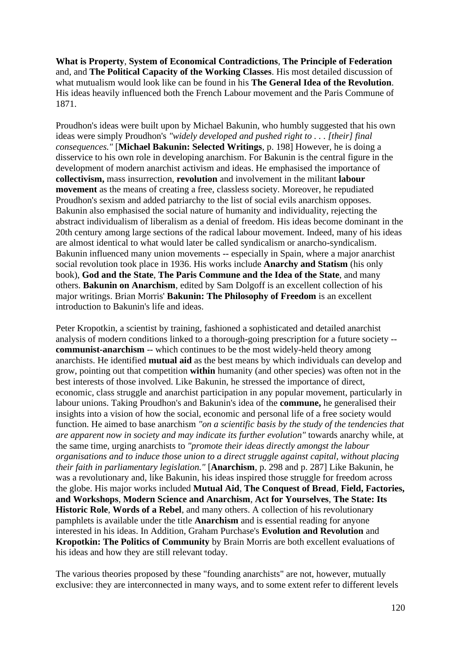**What is Property**, **System of Economical Contradictions**, **The Principle of Federation** and, and **The Political Capacity of the Working Classes**. His most detailed discussion of what mutualism would look like can be found in his **The General Idea of the Revolution**. His ideas heavily influenced both the French Labour movement and the Paris Commune of 1871.

Proudhon's ideas were built upon by Michael Bakunin, who humbly suggested that his own ideas were simply Proudhon's *"widely developed and pushed right to . . . [their] final consequences."* [**Michael Bakunin: Selected Writings**, p. 198] However, he is doing a disservice to his own role in developing anarchism. For Bakunin is the central figure in the development of modern anarchist activism and ideas. He emphasised the importance of **collectivism,** mass insurrection, **revolution** and involvement in the militant **labour movement** as the means of creating a free, classless society. Moreover, he repudiated Proudhon's sexism and added patriarchy to the list of social evils anarchism opposes. Bakunin also emphasised the social nature of humanity and individuality, rejecting the abstract individualism of liberalism as a denial of freedom. His ideas become dominant in the 20th century among large sections of the radical labour movement. Indeed, many of his ideas are almost identical to what would later be called syndicalism or anarcho-syndicalism. Bakunin influenced many union movements -- especially in Spain, where a major anarchist social revolution took place in 1936. His works include **Anarchy and Statism** (his only book), **God and the State**, **The Paris Commune and the Idea of the State**, and many others. **Bakunin on Anarchism**, edited by Sam Dolgoff is an excellent collection of his major writings. Brian Morris' **Bakunin: The Philosophy of Freedom** is an excellent introduction to Bakunin's life and ideas.

Peter Kropotkin, a scientist by training, fashioned a sophisticated and detailed anarchist analysis of modern conditions linked to a thorough-going prescription for a future society - **communist-anarchism** -- which continues to be the most widely-held theory among anarchists. He identified **mutual aid** as the best means by which individuals can develop and grow, pointing out that competition **within** humanity (and other species) was often not in the best interests of those involved. Like Bakunin, he stressed the importance of direct, economic, class struggle and anarchist participation in any popular movement, particularly in labour unions. Taking Proudhon's and Bakunin's idea of the **commune,** he generalised their insights into a vision of how the social, economic and personal life of a free society would function. He aimed to base anarchism *"on a scientific basis by the study of the tendencies that are apparent now in society and may indicate its further evolution"* towards anarchy while, at the same time, urging anarchists to *"promote their ideas directly amongst the labour organisations and to induce those union to a direct struggle against capital, without placing their faith in parliamentary legislation."* [**Anarchism**, p. 298 and p. 287] Like Bakunin, he was a revolutionary and, like Bakunin, his ideas inspired those struggle for freedom across the globe. His major works included **Mutual Aid**, **The Conquest of Bread**, **Field, Factories, and Workshops**, **Modern Science and Anarchism**, **Act for Yourselves**, **The State: Its Historic Role**, **Words of a Rebel**, and many others. A collection of his revolutionary pamphlets is available under the title **Anarchism** and is essential reading for anyone interested in his ideas. In Addition, Graham Purchase's **Evolution and Revolution** and **Kropotkin: The Politics of Community** by Brain Morris are both excellent evaluations of his ideas and how they are still relevant today.

The various theories proposed by these "founding anarchists" are not, however, mutually exclusive: they are interconnected in many ways, and to some extent refer to different levels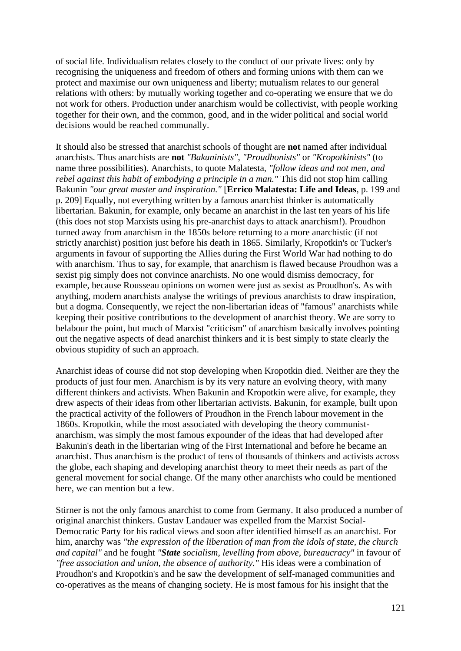of social life. Individualism relates closely to the conduct of our private lives: only by recognising the uniqueness and freedom of others and forming unions with them can we protect and maximise our own uniqueness and liberty; mutualism relates to our general relations with others: by mutually working together and co-operating we ensure that we do not work for others. Production under anarchism would be collectivist, with people working together for their own, and the common, good, and in the wider political and social world decisions would be reached communally.

It should also be stressed that anarchist schools of thought are **not** named after individual anarchists. Thus anarchists are **not** *"Bakuninists"*, *"Proudhonists"* or *"Kropotkinists"* (to name three possibilities). Anarchists, to quote Malatesta, *"follow ideas and not men, and rebel against this habit of embodying a principle in a man."* This did not stop him calling Bakunin *"our great master and inspiration."* [**Errico Malatesta: Life and Ideas**, p. 199 and p. 209] Equally, not everything written by a famous anarchist thinker is automatically libertarian. Bakunin, for example, only became an anarchist in the last ten years of his life (this does not stop Marxists using his pre-anarchist days to attack anarchism!). Proudhon turned away from anarchism in the 1850s before returning to a more anarchistic (if not strictly anarchist) position just before his death in 1865. Similarly, Kropotkin's or Tucker's arguments in favour of supporting the Allies during the First World War had nothing to do with anarchism. Thus to say, for example, that anarchism is flawed because Proudhon was a sexist pig simply does not convince anarchists. No one would dismiss democracy, for example, because Rousseau opinions on women were just as sexist as Proudhon's. As with anything, modern anarchists analyse the writings of previous anarchists to draw inspiration, but a dogma. Consequently, we reject the non-libertarian ideas of "famous" anarchists while keeping their positive contributions to the development of anarchist theory. We are sorry to belabour the point, but much of Marxist "criticism" of anarchism basically involves pointing out the negative aspects of dead anarchist thinkers and it is best simply to state clearly the obvious stupidity of such an approach.

Anarchist ideas of course did not stop developing when Kropotkin died. Neither are they the products of just four men. Anarchism is by its very nature an evolving theory, with many different thinkers and activists. When Bakunin and Kropotkin were alive, for example, they drew aspects of their ideas from other libertarian activists. Bakunin, for example, built upon the practical activity of the followers of Proudhon in the French labour movement in the 1860s. Kropotkin, while the most associated with developing the theory communistanarchism, was simply the most famous expounder of the ideas that had developed after Bakunin's death in the libertarian wing of the First International and before he became an anarchist. Thus anarchism is the product of tens of thousands of thinkers and activists across the globe, each shaping and developing anarchist theory to meet their needs as part of the general movement for social change. Of the many other anarchists who could be mentioned here, we can mention but a few.

Stirner is not the only famous anarchist to come from Germany. It also produced a number of original anarchist thinkers. Gustav Landauer was expelled from the Marxist Social-Democratic Party for his radical views and soon after identified himself as an anarchist. For him, anarchy was *"the expression of the liberation of man from the idols of state, the church and capital"* and he fought *"State socialism, levelling from above, bureaucracy"* in favour of *"free association and union, the absence of authority."* His ideas were a combination of Proudhon's and Kropotkin's and he saw the development of self-managed communities and co-operatives as the means of changing society. He is most famous for his insight that the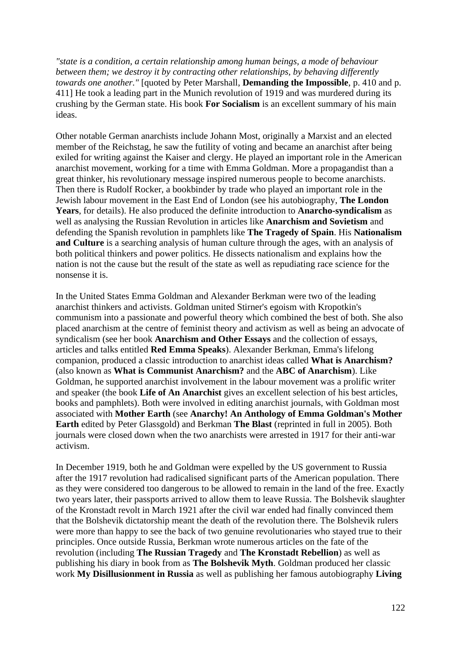*"state is a condition, a certain relationship among human beings, a mode of behaviour between them; we destroy it by contracting other relationships, by behaving differently towards one another."* [quoted by Peter Marshall, **Demanding the Impossible**, p. 410 and p. 411] He took a leading part in the Munich revolution of 1919 and was murdered during its crushing by the German state. His book **For Socialism** is an excellent summary of his main ideas.

Other notable German anarchists include Johann Most, originally a Marxist and an elected member of the Reichstag, he saw the futility of voting and became an anarchist after being exiled for writing against the Kaiser and clergy. He played an important role in the American anarchist movement, working for a time with Emma Goldman. More a propagandist than a great thinker, his revolutionary message inspired numerous people to become anarchists. Then there is Rudolf Rocker, a bookbinder by trade who played an important role in the Jewish labour movement in the East End of London (see his autobiography, **The London Years**, for details). He also produced the definite introduction to **Anarcho-syndicalism** as well as analysing the Russian Revolution in articles like **Anarchism and Sovietism** and defending the Spanish revolution in pamphlets like **The Tragedy of Spain**. His **Nationalism and Culture** is a searching analysis of human culture through the ages, with an analysis of both political thinkers and power politics. He dissects nationalism and explains how the nation is not the cause but the result of the state as well as repudiating race science for the nonsense it is.

In the United States Emma Goldman and Alexander Berkman were two of the leading anarchist thinkers and activists. Goldman united Stirner's egoism with Kropotkin's communism into a passionate and powerful theory which combined the best of both. She also placed anarchism at the centre of feminist theory and activism as well as being an advocate of syndicalism (see her book **Anarchism and Other Essays** and the collection of essays, articles and talks entitled **Red Emma Speaks**). Alexander Berkman, Emma's lifelong companion, produced a classic introduction to anarchist ideas called **What is Anarchism?** (also known as **What is Communist Anarchism?** and the **ABC of Anarchism**). Like Goldman, he supported anarchist involvement in the labour movement was a prolific writer and speaker (the book **Life of An Anarchist** gives an excellent selection of his best articles, books and pamphlets). Both were involved in editing anarchist journals, with Goldman most associated with **Mother Earth** (see **Anarchy! An Anthology of Emma Goldman's Mother Earth** edited by Peter Glassgold) and Berkman **The Blast** (reprinted in full in 2005). Both journals were closed down when the two anarchists were arrested in 1917 for their anti-war activism.

In December 1919, both he and Goldman were expelled by the US government to Russia after the 1917 revolution had radicalised significant parts of the American population. There as they were considered too dangerous to be allowed to remain in the land of the free. Exactly two years later, their passports arrived to allow them to leave Russia. The Bolshevik slaughter of the Kronstadt revolt in March 1921 after the civil war ended had finally convinced them that the Bolshevik dictatorship meant the death of the revolution there. The Bolshevik rulers were more than happy to see the back of two genuine revolutionaries who stayed true to their principles. Once outside Russia, Berkman wrote numerous articles on the fate of the revolution (including **The Russian Tragedy** and **The Kronstadt Rebellion**) as well as publishing his diary in book from as **The Bolshevik Myth**. Goldman produced her classic work **My Disillusionment in Russia** as well as publishing her famous autobiography **Living**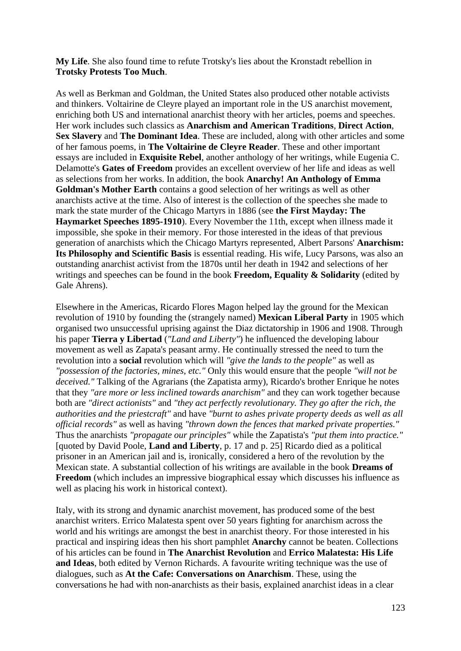**My Life**. She also found time to refute Trotsky's lies about the Kronstadt rebellion in **Trotsky Protests Too Much**.

As well as Berkman and Goldman, the United States also produced other notable activists and thinkers. Voltairine de Cleyre played an important role in the US anarchist movement, enriching both US and international anarchist theory with her articles, poems and speeches. Her work includes such classics as **Anarchism and American Traditions**, **Direct Action**, **Sex Slavery** and **The Dominant Idea**. These are included, along with other articles and some of her famous poems, in **The Voltairine de Cleyre Reader**. These and other important essays are included in **Exquisite Rebel**, another anthology of her writings, while Eugenia C. Delamotte's **Gates of Freedom** provides an excellent overview of her life and ideas as well as selections from her works. In addition, the book **Anarchy! An Anthology of Emma Goldman's Mother Earth** contains a good selection of her writings as well as other anarchists active at the time. Also of interest is the collection of the speeches she made to mark the state murder of the Chicago Martyrs in 1886 (see **the First Mayday: The Haymarket Speeches 1895-1910**). Every November the 11th, except when illness made it impossible, she spoke in their memory. For those interested in the ideas of that previous generation of anarchists which the Chicago Martyrs represented, Albert Parsons' **Anarchism: Its Philosophy and Scientific Basis** is essential reading. His wife, Lucy Parsons, was also an outstanding anarchist activist from the 1870s until her death in 1942 and selections of her writings and speeches can be found in the book **Freedom, Equality & Solidarity** (edited by Gale Ahrens).

Elsewhere in the Americas, Ricardo Flores Magon helped lay the ground for the Mexican revolution of 1910 by founding the (strangely named) **Mexican Liberal Party** in 1905 which organised two unsuccessful uprising against the Diaz dictatorship in 1906 and 1908. Through his paper **Tierra y Libertad** (*"Land and Liberty"*) he influenced the developing labour movement as well as Zapata's peasant army. He continually stressed the need to turn the revolution into a **social** revolution which will *"give the lands to the people"* as well as *"possession of the factories, mines, etc."* Only this would ensure that the people *"will not be deceived."* Talking of the Agrarians (the Zapatista army), Ricardo's brother Enrique he notes that they *"are more or less inclined towards anarchism"* and they can work together because both are *"direct actionists"* and *"they act perfectly revolutionary. They go after the rich, the authorities and the priestcraft"* and have *"burnt to ashes private property deeds as well as all official records"* as well as having *"thrown down the fences that marked private properties."* Thus the anarchists *"propagate our principles"* while the Zapatista's *"put them into practice."* [quoted by David Poole, **Land and Liberty**, p. 17 and p. 25] Ricardo died as a political prisoner in an American jail and is, ironically, considered a hero of the revolution by the Mexican state. A substantial collection of his writings are available in the book **Dreams of Freedom** (which includes an impressive biographical essay which discusses his influence as well as placing his work in historical context).

Italy, with its strong and dynamic anarchist movement, has produced some of the best anarchist writers. Errico Malatesta spent over 50 years fighting for anarchism across the world and his writings are amongst the best in anarchist theory. For those interested in his practical and inspiring ideas then his short pamphlet **Anarchy** cannot be beaten. Collections of his articles can be found in **The Anarchist Revolution** and **Errico Malatesta: His Life and Ideas**, both edited by Vernon Richards. A favourite writing technique was the use of dialogues, such as **At the Cafe: Conversations on Anarchism**. These, using the conversations he had with non-anarchists as their basis, explained anarchist ideas in a clear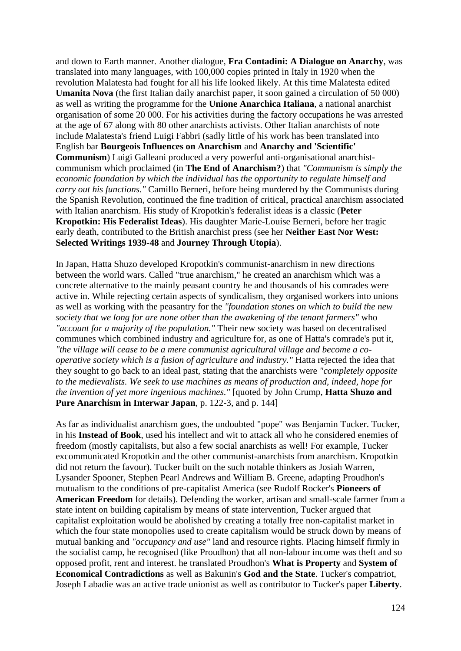and down to Earth manner. Another dialogue, **Fra Contadini: A Dialogue on Anarchy**, was translated into many languages, with 100,000 copies printed in Italy in 1920 when the revolution Malatesta had fought for all his life looked likely. At this time Malatesta edited **Umanita Nova** (the first Italian daily anarchist paper, it soon gained a circulation of 50 000) as well as writing the programme for the **Unione Anarchica Italiana**, a national anarchist organisation of some 20 000. For his activities during the factory occupations he was arrested at the age of 67 along with 80 other anarchists activists. Other Italian anarchists of note include Malatesta's friend Luigi Fabbri (sadly little of his work has been translated into English bar **Bourgeois Influences on Anarchism** and **Anarchy and 'Scientific' Communism**) Luigi Galleani produced a very powerful anti-organisational anarchistcommunism which proclaimed (in **The End of Anarchism?**) that *"Communism is simply the economic foundation by which the individual has the opportunity to regulate himself and carry out his functions."* Camillo Berneri, before being murdered by the Communists during the Spanish Revolution, continued the fine tradition of critical, practical anarchism associated with Italian anarchism. His study of Kropotkin's federalist ideas is a classic (**Peter Kropotkin: His Federalist Ideas**). His daughter Marie-Louise Berneri, before her tragic early death, contributed to the British anarchist press (see her **Neither East Nor West: Selected Writings 1939-48** and **Journey Through Utopia**).

In Japan, Hatta Shuzo developed Kropotkin's communist-anarchism in new directions between the world wars. Called "true anarchism," he created an anarchism which was a concrete alternative to the mainly peasant country he and thousands of his comrades were active in. While rejecting certain aspects of syndicalism, they organised workers into unions as well as working with the peasantry for the *"foundation stones on which to build the new society that we long for are none other than the awakening of the tenant farmers"* who *"account for a majority of the population."* Their new society was based on decentralised communes which combined industry and agriculture for, as one of Hatta's comrade's put it, *"the village will cease to be a mere communist agricultural village and become a cooperative society which is a fusion of agriculture and industry."* Hatta rejected the idea that they sought to go back to an ideal past, stating that the anarchists were *"completely opposite to the medievalists. We seek to use machines as means of production and, indeed, hope for the invention of yet more ingenious machines."* [quoted by John Crump, **Hatta Shuzo and Pure Anarchism in Interwar Japan**, p. 122-3, and p. 144]

As far as individualist anarchism goes, the undoubted "pope" was Benjamin Tucker. Tucker, in his **Instead of Book**, used his intellect and wit to attack all who he considered enemies of freedom (mostly capitalists, but also a few social anarchists as well! For example, Tucker excommunicated Kropotkin and the other communist-anarchists from anarchism. Kropotkin did not return the favour). Tucker built on the such notable thinkers as Josiah Warren, Lysander Spooner, Stephen Pearl Andrews and William B. Greene, adapting Proudhon's mutualism to the conditions of pre-capitalist America (see Rudolf Rocker's **Pioneers of American Freedom** for details). Defending the worker, artisan and small-scale farmer from a state intent on building capitalism by means of state intervention, Tucker argued that capitalist exploitation would be abolished by creating a totally free non-capitalist market in which the four state monopolies used to create capitalism would be struck down by means of mutual banking and *"occupancy and use"* land and resource rights. Placing himself firmly in the socialist camp, he recognised (like Proudhon) that all non-labour income was theft and so opposed profit, rent and interest. he translated Proudhon's **What is Property** and **System of Economical Contradictions** as well as Bakunin's **God and the State**. Tucker's compatriot, Joseph Labadie was an active trade unionist as well as contributor to Tucker's paper **Liberty**.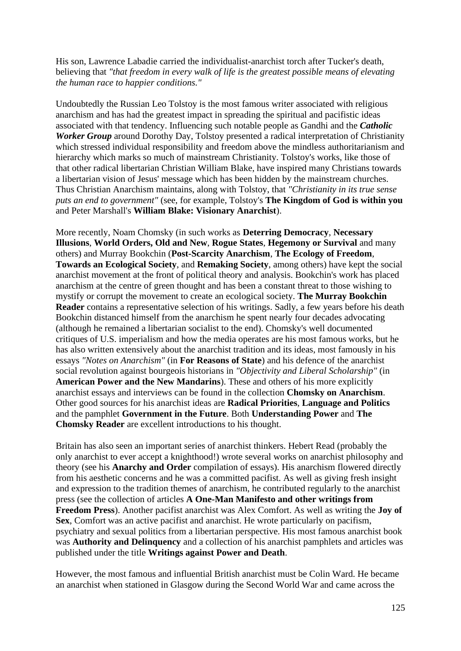His son, Lawrence Labadie carried the individualist-anarchist torch after Tucker's death, believing that *"that freedom in every walk of life is the greatest possible means of elevating the human race to happier conditions."*

Undoubtedly the Russian Leo Tolstoy is the most famous writer associated with religious anarchism and has had the greatest impact in spreading the spiritual and pacifistic ideas associated with that tendency. Influencing such notable people as Gandhi and the *Catholic Worker Group* around Dorothy Day, Tolstoy presented a radical interpretation of Christianity which stressed individual responsibility and freedom above the mindless authoritarianism and hierarchy which marks so much of mainstream Christianity. Tolstoy's works, like those of that other radical libertarian Christian William Blake, have inspired many Christians towards a libertarian vision of Jesus' message which has been hidden by the mainstream churches. Thus Christian Anarchism maintains, along with Tolstoy, that *"Christianity in its true sense puts an end to government"* (see, for example, Tolstoy's **The Kingdom of God is within you** and Peter Marshall's **William Blake: Visionary Anarchist**).

More recently, Noam Chomsky (in such works as **Deterring Democracy**, **Necessary Illusions**, **World Orders, Old and New**, **Rogue States**, **Hegemony or Survival** and many others) and Murray Bookchin (**Post-Scarcity Anarchism**, **The Ecology of Freedom**, **Towards an Ecological Society**, and **Remaking Society**, among others) have kept the social anarchist movement at the front of political theory and analysis. Bookchin's work has placed anarchism at the centre of green thought and has been a constant threat to those wishing to mystify or corrupt the movement to create an ecological society. **The Murray Bookchin Reader** contains a representative selection of his writings. Sadly, a few years before his death Bookchin distanced himself from the anarchism he spent nearly four decades advocating (although he remained a libertarian socialist to the end). Chomsky's well documented critiques of U.S. imperialism and how the media operates are his most famous works, but he has also written extensively about the anarchist tradition and its ideas, most famously in his essays *"Notes on Anarchism"* (in **For Reasons of State**) and his defence of the anarchist social revolution against bourgeois historians in *"Objectivity and Liberal Scholarship"* (in **American Power and the New Mandarins**). These and others of his more explicitly anarchist essays and interviews can be found in the collection **Chomsky on Anarchism**. Other good sources for his anarchist ideas are **Radical Priorities**, **Language and Politics** and the pamphlet **Government in the Future**. Both **Understanding Power** and **The Chomsky Reader** are excellent introductions to his thought.

Britain has also seen an important series of anarchist thinkers. Hebert Read (probably the only anarchist to ever accept a knighthood!) wrote several works on anarchist philosophy and theory (see his **Anarchy and Order** compilation of essays). His anarchism flowered directly from his aesthetic concerns and he was a committed pacifist. As well as giving fresh insight and expression to the tradition themes of anarchism, he contributed regularly to the anarchist press (see the collection of articles **A One-Man Manifesto and other writings from Freedom Press**). Another pacifist anarchist was Alex Comfort. As well as writing the **Joy of Sex**, Comfort was an active pacifist and anarchist. He wrote particularly on pacifism, psychiatry and sexual politics from a libertarian perspective. His most famous anarchist book was **Authority and Delinquency** and a collection of his anarchist pamphlets and articles was published under the title **Writings against Power and Death**.

However, the most famous and influential British anarchist must be Colin Ward. He became an anarchist when stationed in Glasgow during the Second World War and came across the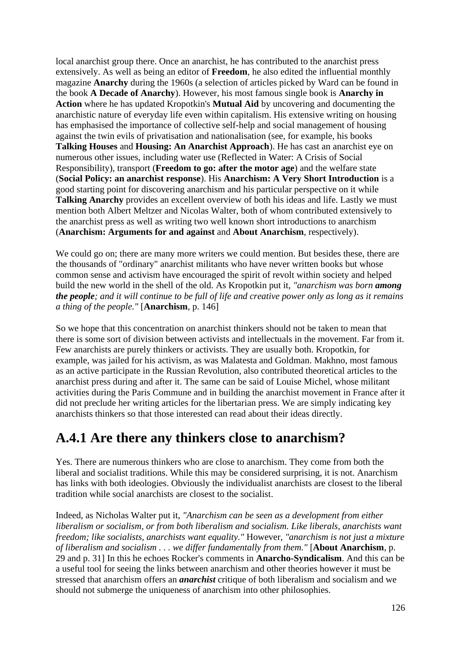local anarchist group there. Once an anarchist, he has contributed to the anarchist press extensively. As well as being an editor of **Freedom**, he also edited the influential monthly magazine **Anarchy** during the 1960s (a selection of articles picked by Ward can be found in the book **A Decade of Anarchy**). However, his most famous single book is **Anarchy in Action** where he has updated Kropotkin's **Mutual Aid** by uncovering and documenting the anarchistic nature of everyday life even within capitalism. His extensive writing on housing has emphasised the importance of collective self-help and social management of housing against the twin evils of privatisation and nationalisation (see, for example, his books **Talking Houses** and **Housing: An Anarchist Approach**). He has cast an anarchist eye on numerous other issues, including water use (Reflected in Water: A Crisis of Social Responsibility), transport (**Freedom to go: after the motor age**) and the welfare state (**Social Policy: an anarchist response**). His **Anarchism: A Very Short Introduction** is a good starting point for discovering anarchism and his particular perspective on it while **Talking Anarchy** provides an excellent overview of both his ideas and life. Lastly we must mention both Albert Meltzer and Nicolas Walter, both of whom contributed extensively to the anarchist press as well as writing two well known short introductions to anarchism (**Anarchism: Arguments for and against** and **About Anarchism**, respectively).

We could go on; there are many more writers we could mention. But besides these, there are the thousands of "ordinary" anarchist militants who have never written books but whose common sense and activism have encouraged the spirit of revolt within society and helped build the new world in the shell of the old. As Kropotkin put it, *"anarchism was born among the people; and it will continue to be full of life and creative power only as long as it remains a thing of the people."* [**Anarchism**, p. 146]

So we hope that this concentration on anarchist thinkers should not be taken to mean that there is some sort of division between activists and intellectuals in the movement. Far from it. Few anarchists are purely thinkers or activists. They are usually both. Kropotkin, for example, was jailed for his activism, as was Malatesta and Goldman. Makhno, most famous as an active participate in the Russian Revolution, also contributed theoretical articles to the anarchist press during and after it. The same can be said of Louise Michel, whose militant activities during the Paris Commune and in building the anarchist movement in France after it did not preclude her writing articles for the libertarian press. We are simply indicating key anarchists thinkers so that those interested can read about their ideas directly.

#### **A.4.1 Are there any thinkers close to anarchism?**

Yes. There are numerous thinkers who are close to anarchism. They come from both the liberal and socialist traditions. While this may be considered surprising, it is not. Anarchism has links with both ideologies. Obviously the individualist anarchists are closest to the liberal tradition while social anarchists are closest to the socialist.

Indeed, as Nicholas Walter put it, *"Anarchism can be seen as a development from either liberalism or socialism, or from both liberalism and socialism. Like liberals, anarchists want freedom; like socialists, anarchists want equality."* However, *"anarchism is not just a mixture of liberalism and socialism . . . we differ fundamentally from them."* [**About Anarchism**, p. 29 and p. 31] In this he echoes Rocker's comments in **Anarcho-Syndicalism**. And this can be a useful tool for seeing the links between anarchism and other theories however it must be stressed that anarchism offers an *anarchist* critique of both liberalism and socialism and we should not submerge the uniqueness of anarchism into other philosophies.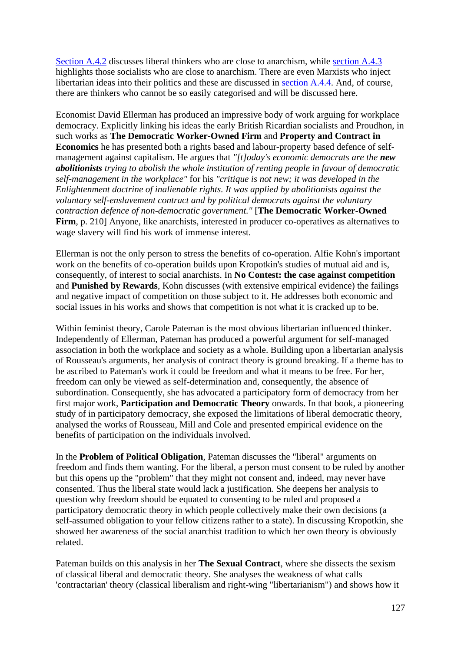[Section A.4.2](sectionA.html#seca42) discusses liberal thinkers who are close to anarchism, while [section A.4.3](sectionA.html#seca43) highlights those socialists who are close to anarchism. There are even Marxists who inject libertarian ideas into their politics and these are discussed in [section A.4.4.](sectionA.html#seca44) And, of course, there are thinkers who cannot be so easily categorised and will be discussed here.

Economist David Ellerman has produced an impressive body of work arguing for workplace democracy. Explicitly linking his ideas the early British Ricardian socialists and Proudhon, in such works as **The Democratic Worker-Owned Firm** and **Property and Contract in Economics** he has presented both a rights based and labour-property based defence of selfmanagement against capitalism. He argues that *"[t]oday's economic democrats are the new abolitionists trying to abolish the whole institution of renting people in favour of democratic self-management in the workplace"* for his *"critique is not new; it was developed in the Enlightenment doctrine of inalienable rights. It was applied by abolitionists against the voluntary self-enslavement contract and by political democrats against the voluntary contraction defence of non-democratic government."* [**The Democratic Worker-Owned Firm**, p. 210] Anyone, like anarchists, interested in producer co-operatives as alternatives to wage slavery will find his work of immense interest.

Ellerman is not the only person to stress the benefits of co-operation. Alfie Kohn's important work on the benefits of co-operation builds upon Kropotkin's studies of mutual aid and is, consequently, of interest to social anarchists. In **No Contest: the case against competition** and **Punished by Rewards**, Kohn discusses (with extensive empirical evidence) the failings and negative impact of competition on those subject to it. He addresses both economic and social issues in his works and shows that competition is not what it is cracked up to be.

Within feminist theory, Carole Pateman is the most obvious libertarian influenced thinker. Independently of Ellerman, Pateman has produced a powerful argument for self-managed association in both the workplace and society as a whole. Building upon a libertarian analysis of Rousseau's arguments, her analysis of contract theory is ground breaking. If a theme has to be ascribed to Pateman's work it could be freedom and what it means to be free. For her, freedom can only be viewed as self-determination and, consequently, the absence of subordination. Consequently, she has advocated a participatory form of democracy from her first major work, **Participation and Democratic Theory** onwards. In that book, a pioneering study of in participatory democracy, she exposed the limitations of liberal democratic theory, analysed the works of Rousseau, Mill and Cole and presented empirical evidence on the benefits of participation on the individuals involved.

In the **Problem of Political Obligation**, Pateman discusses the "liberal" arguments on freedom and finds them wanting. For the liberal, a person must consent to be ruled by another but this opens up the "problem" that they might not consent and, indeed, may never have consented. Thus the liberal state would lack a justification. She deepens her analysis to question why freedom should be equated to consenting to be ruled and proposed a participatory democratic theory in which people collectively make their own decisions (a self-assumed obligation to your fellow citizens rather to a state). In discussing Kropotkin, she showed her awareness of the social anarchist tradition to which her own theory is obviously related.

Pateman builds on this analysis in her **The Sexual Contract**, where she dissects the sexism of classical liberal and democratic theory. She analyses the weakness of what calls 'contractarian' theory (classical liberalism and right-wing "libertarianism") and shows how it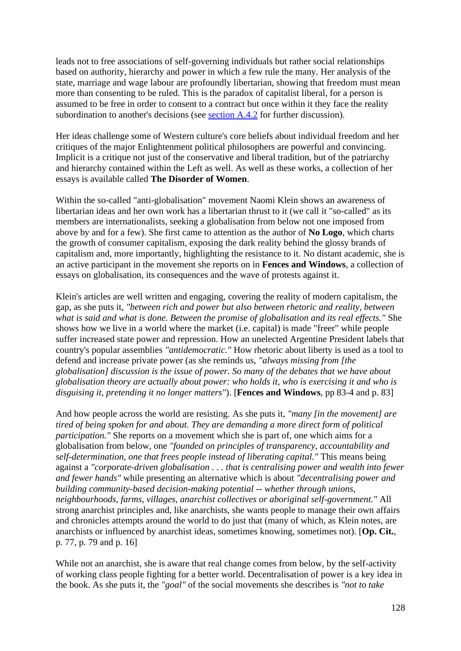leads not to free associations of self-governing individuals but rather social relationships based on authority, hierarchy and power in which a few rule the many. Her analysis of the state, marriage and wage labour are profoundly libertarian, showing that freedom must mean more than consenting to be ruled. This is the paradox of capitalist liberal, for a person is assumed to be free in order to consent to a contract but once within it they face the reality subordination to another's decisions (see [section A.4.2](sectionA.html#seca42) for further discussion).

Her ideas challenge some of Western culture's core beliefs about individual freedom and her critiques of the major Enlightenment political philosophers are powerful and convincing. Implicit is a critique not just of the conservative and liberal tradition, but of the patriarchy and hierarchy contained within the Left as well. As well as these works, a collection of her essays is available called **The Disorder of Women**.

Within the so-called "anti-globalisation" movement Naomi Klein shows an awareness of libertarian ideas and her own work has a libertarian thrust to it (we call it "so-called" as its members are internationalists, seeking a globalisation from below not one imposed from above by and for a few). She first came to attention as the author of **No Logo**, which charts the growth of consumer capitalism, exposing the dark reality behind the glossy brands of capitalism and, more importantly, highlighting the resistance to it. No distant academic, she is an active participant in the movement she reports on in **Fences and Windows**, a collection of essays on globalisation, its consequences and the wave of protests against it.

Klein's articles are well written and engaging, covering the reality of modern capitalism, the gap, as she puts it, *"between rich and power but also between rhetoric and reality, between what is said and what is done. Between the promise of globalisation and its real effects."* She shows how we live in a world where the market (i.e. capital) is made "freer" while people suffer increased state power and repression. How an unelected Argentine President labels that country's popular assemblies *"antidemocratic."* How rhetoric about liberty is used as a tool to defend and increase private power (as she reminds us, *"always missing from [the globalisation] discussion is the issue of power. So many of the debates that we have about globalisation theory are actually about power: who holds it, who is exercising it and who is disguising it, pretending it no longer matters"*). [**Fences and Windows**, pp 83-4 and p. 83]

And how people across the world are resisting. As she puts it, *"many [in the movement] are tired of being spoken for and about. They are demanding a more direct form of political participation."* She reports on a movement which she is part of, one which aims for a globalisation from below, one *"founded on principles of transparency, accountability and self-determination, one that frees people instead of liberating capital."* This means being against a *"corporate-driven globalisation . . . that is centralising power and wealth into fewer and fewer hands"* while presenting an alternative which is about *"decentralising power and building community-based decision-making potential -- whether through unions, neighbourhoods, farms, villages, anarchist collectives or aboriginal self-government."* All strong anarchist principles and, like anarchists, she wants people to manage their own affairs and chronicles attempts around the world to do just that (many of which, as Klein notes, are anarchists or influenced by anarchist ideas, sometimes knowing, sometimes not). [**Op. Cit.**, p. 77, p. 79 and p. 16]

While not an anarchist, she is aware that real change comes from below, by the self-activity of working class people fighting for a better world. Decentralisation of power is a key idea in the book. As she puts it, the *"goal"* of the social movements she describes is *"not to take*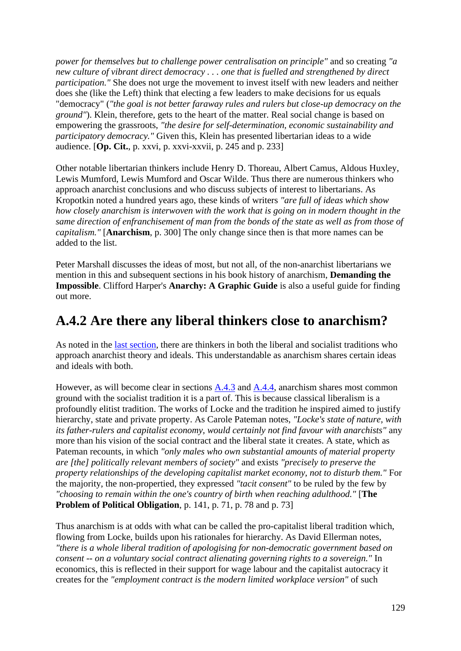*power for themselves but to challenge power centralisation on principle"* and so creating *"a new culture of vibrant direct democracy . . . one that is fuelled and strengthened by direct participation."* She does not urge the movement to invest itself with new leaders and neither does she (like the Left) think that electing a few leaders to make decisions for us equals "democracy" (*"the goal is not better faraway rules and rulers but close-up democracy on the ground"*). Klein, therefore, gets to the heart of the matter. Real social change is based on empowering the grassroots, *"the desire for self-determination, economic sustainability and participatory democracy."* Given this, Klein has presented libertarian ideas to a wide audience. [**Op. Cit.**, p. xxvi, p. xxvi-xxvii, p. 245 and p. 233]

Other notable libertarian thinkers include Henry D. Thoreau, Albert Camus, Aldous Huxley, Lewis Mumford, Lewis Mumford and Oscar Wilde. Thus there are numerous thinkers who approach anarchist conclusions and who discuss subjects of interest to libertarians. As Kropotkin noted a hundred years ago, these kinds of writers *"are full of ideas which show how closely anarchism is interwoven with the work that is going on in modern thought in the same direction of enfranchisement of man from the bonds of the state as well as from those of capitalism."* [**Anarchism**, p. 300] The only change since then is that more names can be added to the list.

Peter Marshall discusses the ideas of most, but not all, of the non-anarchist libertarians we mention in this and subsequent sections in his book history of anarchism, **Demanding the Impossible**. Clifford Harper's **Anarchy: A Graphic Guide** is also a useful guide for finding out more.

#### **A.4.2 Are there any liberal thinkers close to anarchism?**

As noted in the [last section,](sectionA.html#seca41) there are thinkers in both the liberal and socialist traditions who approach anarchist theory and ideals. This understandable as anarchism shares certain ideas and ideals with both.

However, as will become clear in sections [A.4.3](sectionA.html#seca43) and [A.4.4,](sectionA.html#seca44) anarchism shares most common ground with the socialist tradition it is a part of. This is because classical liberalism is a profoundly elitist tradition. The works of Locke and the tradition he inspired aimed to justify hierarchy, state and private property. As Carole Pateman notes, *"Locke's state of nature, with its father-rulers and capitalist economy, would certainly not find favour with anarchists"* any more than his vision of the social contract and the liberal state it creates. A state, which as Pateman recounts, in which *"only males who own substantial amounts of material property are [the] politically relevant members of society"* and exists *"precisely to preserve the property relationships of the developing capitalist market economy, not to disturb them."* For the majority, the non-propertied, they expressed *"tacit consent"* to be ruled by the few by *"choosing to remain within the one's country of birth when reaching adulthood."* [**The Problem of Political Obligation**, p. 141, p. 71, p. 78 and p. 73]

Thus anarchism is at odds with what can be called the pro-capitalist liberal tradition which, flowing from Locke, builds upon his rationales for hierarchy. As David Ellerman notes, *"there is a whole liberal tradition of apologising for non-democratic government based on consent -- on a voluntary social contract alienating governing rights to a sovereign."* In economics, this is reflected in their support for wage labour and the capitalist autocracy it creates for the *"employment contract is the modern limited workplace version"* of such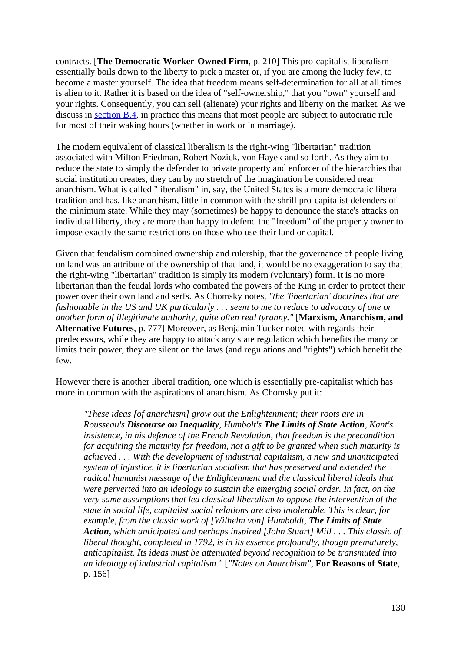contracts. [**The Democratic Worker-Owned Firm**, p. 210] This pro-capitalist liberalism essentially boils down to the liberty to pick a master or, if you are among the lucky few, to become a master yourself. The idea that freedom means self-determination for all at all times is alien to it. Rather it is based on the idea of "self-ownership," that you "own" yourself and your rights. Consequently, you can sell (alienate) your rights and liberty on the market. As we discuss in [section B.4,](sectionB.html#secb4) in practice this means that most people are subject to autocratic rule for most of their waking hours (whether in work or in marriage).

The modern equivalent of classical liberalism is the right-wing "libertarian" tradition associated with Milton Friedman, Robert Nozick, von Hayek and so forth. As they aim to reduce the state to simply the defender to private property and enforcer of the hierarchies that social institution creates, they can by no stretch of the imagination be considered near anarchism. What is called "liberalism" in, say, the United States is a more democratic liberal tradition and has, like anarchism, little in common with the shrill pro-capitalist defenders of the minimum state. While they may (sometimes) be happy to denounce the state's attacks on individual liberty, they are more than happy to defend the "freedom" of the property owner to impose exactly the same restrictions on those who use their land or capital.

Given that feudalism combined ownership and rulership, that the governance of people living on land was an attribute of the ownership of that land, it would be no exaggeration to say that the right-wing "libertarian" tradition is simply its modern (voluntary) form. It is no more libertarian than the feudal lords who combated the powers of the King in order to protect their power over their own land and serfs. As Chomsky notes, *"the 'libertarian' doctrines that are fashionable in the US and UK particularly . . . seem to me to reduce to advocacy of one or another form of illegitimate authority, quite often real tyranny."* [**Marxism, Anarchism, and Alternative Futures**, p. 777] Moreover, as Benjamin Tucker noted with regards their predecessors, while they are happy to attack any state regulation which benefits the many or limits their power, they are silent on the laws (and regulations and "rights") which benefit the few.

However there is another liberal tradition, one which is essentially pre-capitalist which has more in common with the aspirations of anarchism. As Chomsky put it:

*"These ideas [of anarchism] grow out the Enlightenment; their roots are in Rousseau's Discourse on Inequality, Humbolt's The Limits of State Action, Kant's insistence, in his defence of the French Revolution, that freedom is the precondition for acquiring the maturity for freedom, not a gift to be granted when such maturity is achieved . . . With the development of industrial capitalism, a new and unanticipated system of injustice, it is libertarian socialism that has preserved and extended the radical humanist message of the Enlightenment and the classical liberal ideals that were perverted into an ideology to sustain the emerging social order. In fact, on the very same assumptions that led classical liberalism to oppose the intervention of the state in social life, capitalist social relations are also intolerable. This is clear, for example, from the classic work of [Wilhelm von] Humboldt, The Limits of State Action, which anticipated and perhaps inspired [John Stuart] Mill . . . This classic of liberal thought, completed in 1792, is in its essence profoundly, though prematurely, anticapitalist. Its ideas must be attenuated beyond recognition to be transmuted into an ideology of industrial capitalism."* [*"Notes on Anarchism"*, **For Reasons of State**, p. 156]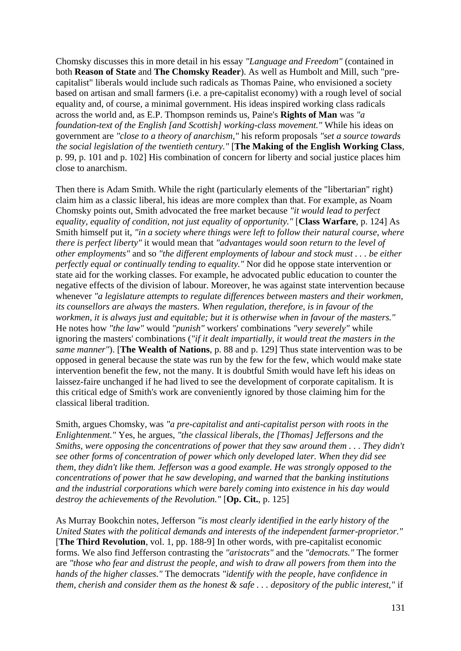Chomsky discusses this in more detail in his essay *"Language and Freedom"* (contained in both **Reason of State** and **The Chomsky Reader**). As well as Humbolt and Mill, such "precapitalist" liberals would include such radicals as Thomas Paine, who envisioned a society based on artisan and small farmers (i.e. a pre-capitalist economy) with a rough level of social equality and, of course, a minimal government. His ideas inspired working class radicals across the world and, as E.P. Thompson reminds us, Paine's **Rights of Man** was *"a foundation-text of the English [and Scottish] working-class movement."* While his ideas on government are *"close to a theory of anarchism,"* his reform proposals *"set a source towards the social legislation of the twentieth century."* [**The Making of the English Working Class**, p. 99, p. 101 and p. 102] His combination of concern for liberty and social justice places him close to anarchism.

Then there is Adam Smith. While the right (particularly elements of the "libertarian" right) claim him as a classic liberal, his ideas are more complex than that. For example, as Noam Chomsky points out, Smith advocated the free market because *"it would lead to perfect equality, equality of condition, not just equality of opportunity."* [**Class Warfare**, p. 124] As Smith himself put it, *"in a society where things were left to follow their natural course, where there is perfect liberty"* it would mean that *"advantages would soon return to the level of other employments"* and so *"the different employments of labour and stock must . . . be either perfectly equal or continually tending to equality."* Nor did he oppose state intervention or state aid for the working classes. For example, he advocated public education to counter the negative effects of the division of labour. Moreover, he was against state intervention because whenever *"a legislature attempts to regulate differences between masters and their workmen, its counsellors are always the masters. When regulation, therefore, is in favour of the workmen, it is always just and equitable; but it is otherwise when in favour of the masters."* He notes how *"the law"* would *"punish"* workers' combinations *"very severely"* while ignoring the masters' combinations (*"if it dealt impartially, it would treat the masters in the same manner"*). [**The Wealth of Nations**, p. 88 and p. 129] Thus state intervention was to be opposed in general because the state was run by the few for the few, which would make state intervention benefit the few, not the many. It is doubtful Smith would have left his ideas on laissez-faire unchanged if he had lived to see the development of corporate capitalism. It is this critical edge of Smith's work are conveniently ignored by those claiming him for the classical liberal tradition.

Smith, argues Chomsky, was *"a pre-capitalist and anti-capitalist person with roots in the Enlightenment."* Yes, he argues, *"the classical liberals, the [Thomas] Jeffersons and the Smiths, were opposing the concentrations of power that they saw around them . . . They didn't see other forms of concentration of power which only developed later. When they did see them, they didn't like them. Jefferson was a good example. He was strongly opposed to the concentrations of power that he saw developing, and warned that the banking institutions and the industrial corporations which were barely coming into existence in his day would destroy the achievements of the Revolution."* [**Op. Cit.**, p. 125]

As Murray Bookchin notes, Jefferson *"is most clearly identified in the early history of the United States with the political demands and interests of the independent farmer-proprietor."* [**The Third Revolution**, vol. 1, pp. 188-9] In other words, with pre-capitalist economic forms. We also find Jefferson contrasting the *"aristocrats"* and the *"democrats."* The former are *"those who fear and distrust the people, and wish to draw all powers from them into the hands of the higher classes."* The democrats *"identify with the people, have confidence in them, cherish and consider them as the honest & safe . . . depository of the public interest,"* if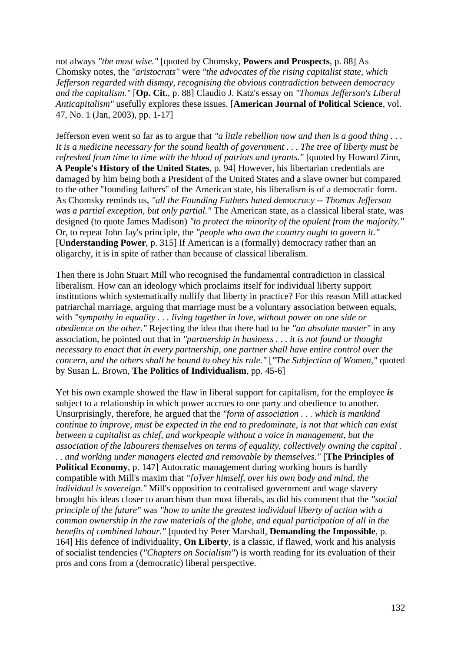not always *"the most wise."* [quoted by Chomsky, **Powers and Prospects**, p. 88] As Chomsky notes, the *"aristocrats"* were *"the advocates of the rising capitalist state, which Jefferson regarded with dismay, recognising the obvious contradiction between democracy and the capitalism."* [**Op. Cit.**, p. 88] Claudio J. Katz's essay on *"Thomas Jefferson's Liberal Anticapitalism"* usefully explores these issues. [**American Journal of Political Science**, vol. 47, No. 1 (Jan, 2003), pp. 1-17]

Jefferson even went so far as to argue that *"a little rebellion now and then is a good thing . . . It is a medicine necessary for the sound health of government . . . The tree of liberty must be refreshed from time to time with the blood of patriots and tyrants."* [quoted by Howard Zinn, **A People's History of the United States**, p. 94] However, his libertarian credentials are damaged by him being both a President of the United States and a slave owner but compared to the other "founding fathers" of the American state, his liberalism is of a democratic form. As Chomsky reminds us, *"all the Founding Fathers hated democracy -- Thomas Jefferson was a partial exception, but only partial."* The American state, as a classical liberal state, was designed (to quote James Madison) *"to protect the minority of the opulent from the majority."* Or, to repeat John Jay's principle, the *"people who own the country ought to govern it."* [**Understanding Power**, p. 315] If American is a (formally) democracy rather than an oligarchy, it is in spite of rather than because of classical liberalism.

Then there is John Stuart Mill who recognised the fundamental contradiction in classical liberalism. How can an ideology which proclaims itself for individual liberty support institutions which systematically nullify that liberty in practice? For this reason Mill attacked patriarchal marriage, arguing that marriage must be a voluntary association between equals, with *"sympathy in equality . . . living together in love, without power on one side or obedience on the other."* Rejecting the idea that there had to be *"an absolute master"* in any association, he pointed out that in *"partnership in business . . . it is not found or thought necessary to enact that in every partnership, one partner shall have entire control over the concern, and the others shall be bound to obey his rule."* [*"The Subjection of Women,"* quoted by Susan L. Brown, **The Politics of Individualism**, pp. 45-6]

Yet his own example showed the flaw in liberal support for capitalism, for the employee *is* subject to a relationship in which power accrues to one party and obedience to another. Unsurprisingly, therefore, he argued that the *"form of association . . . which is mankind continue to improve, must be expected in the end to predominate, is not that which can exist between a capitalist as chief, and workpeople without a voice in management, but the association of the labourers themselves on terms of equality, collectively owning the capital . . . and working under managers elected and removable by themselves."* [**The Principles of Political Economy**, p. 147] Autocratic management during working hours is hardly compatible with Mill's maxim that *"[o]ver himself, over his own body and mind, the individual is sovereign."* Mill's opposition to centralised government and wage slavery brought his ideas closer to anarchism than most liberals, as did his comment that the *"social principle of the future"* was *"how to unite the greatest individual liberty of action with a common ownership in the raw materials of the globe, and equal participation of all in the benefits of combined labour."* [quoted by Peter Marshall, **Demanding the Impossible**, p. 164] His defence of individuality, **On Liberty**, is a classic, if flawed, work and his analysis of socialist tendencies (*"Chapters on Socialism"*) is worth reading for its evaluation of their pros and cons from a (democratic) liberal perspective.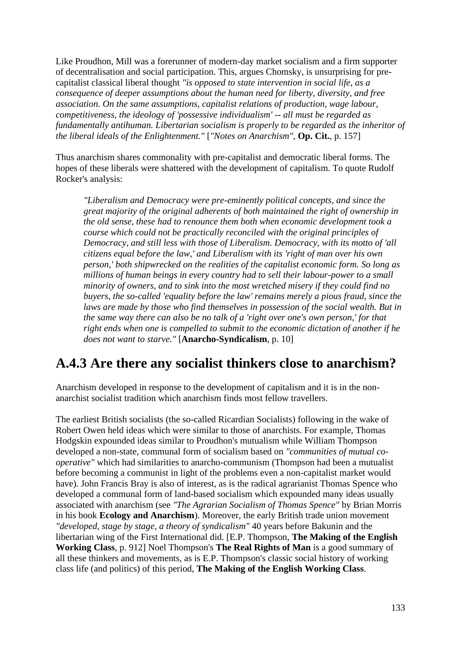Like Proudhon, Mill was a forerunner of modern-day market socialism and a firm supporter of decentralisation and social participation. This, argues Chomsky, is unsurprising for precapitalist classical liberal thought *"is opposed to state intervention in social life, as a consequence of deeper assumptions about the human need for liberty, diversity, and free association. On the same assumptions, capitalist relations of production, wage labour, competitiveness, the ideology of 'possessive individualism' -- all must be regarded as fundamentally antihuman. Libertarian socialism is properly to be regarded as the inheritor of the liberal ideals of the Enlightenment."* [*"Notes on Anarchism"*, **Op. Cit.**, p. 157]

Thus anarchism shares commonality with pre-capitalist and democratic liberal forms. The hopes of these liberals were shattered with the development of capitalism. To quote Rudolf Rocker's analysis:

*"Liberalism and Democracy were pre-eminently political concepts, and since the great majority of the original adherents of both maintained the right of ownership in the old sense, these had to renounce them both when economic development took a course which could not be practically reconciled with the original principles of Democracy, and still less with those of Liberalism. Democracy, with its motto of 'all citizens equal before the law,' and Liberalism with its 'right of man over his own person,' both shipwrecked on the realities of the capitalist economic form. So long as millions of human beings in every country had to sell their labour-power to a small minority of owners, and to sink into the most wretched misery if they could find no buyers, the so-called 'equality before the law' remains merely a pious fraud, since the laws are made by those who find themselves in possession of the social wealth. But in the same way there can also be no talk of a 'right over one's own person,' for that right ends when one is compelled to submit to the economic dictation of another if he does not want to starve."* [**Anarcho-Syndicalism**, p. 10]

#### **A.4.3 Are there any socialist thinkers close to anarchism?**

Anarchism developed in response to the development of capitalism and it is in the nonanarchist socialist tradition which anarchism finds most fellow travellers.

The earliest British socialists (the so-called Ricardian Socialists) following in the wake of Robert Owen held ideas which were similar to those of anarchists. For example, Thomas Hodgskin expounded ideas similar to Proudhon's mutualism while William Thompson developed a non-state, communal form of socialism based on *"communities of mutual cooperative"* which had similarities to anarcho-communism (Thompson had been a mutualist before becoming a communist in light of the problems even a non-capitalist market would have). John Francis Bray is also of interest, as is the radical agrarianist Thomas Spence who developed a communal form of land-based socialism which expounded many ideas usually associated with anarchism (see *"The Agrarian Socialism of Thomas Spence"* by Brian Morris in his book **Ecology and Anarchism**). Moreover, the early British trade union movement *"developed, stage by stage, a theory of syndicalism"* 40 years before Bakunin and the libertarian wing of the First International did. [E.P. Thompson, **The Making of the English Working Class**, p. 912] Noel Thompson's **The Real Rights of Man** is a good summary of all these thinkers and movements, as is E.P. Thompson's classic social history of working class life (and politics) of this period, **The Making of the English Working Class**.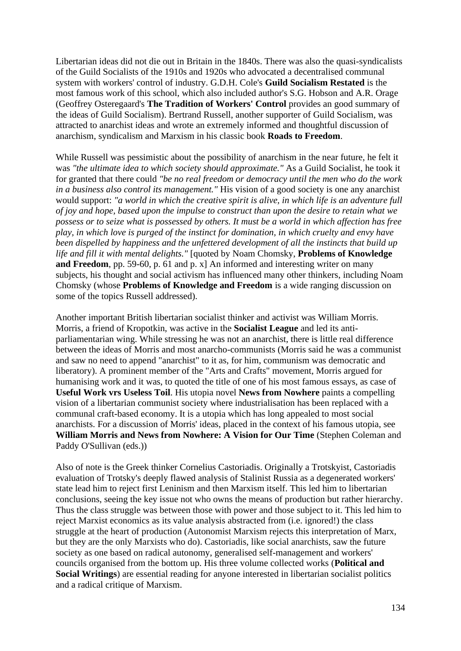Libertarian ideas did not die out in Britain in the 1840s. There was also the quasi-syndicalists of the Guild Socialists of the 1910s and 1920s who advocated a decentralised communal system with workers' control of industry. G.D.H. Cole's **Guild Socialism Restated** is the most famous work of this school, which also included author's S.G. Hobson and A.R. Orage (Geoffrey Osteregaard's **The Tradition of Workers' Control** provides an good summary of the ideas of Guild Socialism). Bertrand Russell, another supporter of Guild Socialism, was attracted to anarchist ideas and wrote an extremely informed and thoughtful discussion of anarchism, syndicalism and Marxism in his classic book **Roads to Freedom**.

While Russell was pessimistic about the possibility of anarchism in the near future, he felt it was *"the ultimate idea to which society should approximate."* As a Guild Socialist, he took it for granted that there could *"be no real freedom or democracy until the men who do the work in a business also control its management."* His vision of a good society is one any anarchist would support: *"a world in which the creative spirit is alive, in which life is an adventure full of joy and hope, based upon the impulse to construct than upon the desire to retain what we possess or to seize what is possessed by others. It must be a world in which affection has free play, in which love is purged of the instinct for domination, in which cruelty and envy have been dispelled by happiness and the unfettered development of all the instincts that build up life and fill it with mental delights."* [quoted by Noam Chomsky, **Problems of Knowledge and Freedom**, pp. 59-60, p. 61 and p. x] An informed and interesting writer on many subjects, his thought and social activism has influenced many other thinkers, including Noam Chomsky (whose **Problems of Knowledge and Freedom** is a wide ranging discussion on some of the topics Russell addressed).

Another important British libertarian socialist thinker and activist was William Morris. Morris, a friend of Kropotkin, was active in the **Socialist League** and led its antiparliamentarian wing. While stressing he was not an anarchist, there is little real difference between the ideas of Morris and most anarcho-communists (Morris said he was a communist and saw no need to append "anarchist" to it as, for him, communism was democratic and liberatory). A prominent member of the "Arts and Crafts" movement, Morris argued for humanising work and it was, to quoted the title of one of his most famous essays, as case of **Useful Work vrs Useless Toil**. His utopia novel **News from Nowhere** paints a compelling vision of a libertarian communist society where industrialisation has been replaced with a communal craft-based economy. It is a utopia which has long appealed to most social anarchists. For a discussion of Morris' ideas, placed in the context of his famous utopia, see **William Morris and News from Nowhere: A Vision for Our Time** (Stephen Coleman and Paddy O'Sullivan (eds.))

Also of note is the Greek thinker Cornelius Castoriadis. Originally a Trotskyist, Castoriadis evaluation of Trotsky's deeply flawed analysis of Stalinist Russia as a degenerated workers' state lead him to reject first Leninism and then Marxism itself. This led him to libertarian conclusions, seeing the key issue not who owns the means of production but rather hierarchy. Thus the class struggle was between those with power and those subject to it. This led him to reject Marxist economics as its value analysis abstracted from (i.e. ignored!) the class struggle at the heart of production (Autonomist Marxism rejects this interpretation of Marx, but they are the only Marxists who do). Castoriadis, like social anarchists, saw the future society as one based on radical autonomy, generalised self-management and workers' councils organised from the bottom up. His three volume collected works (**Political and Social Writings**) are essential reading for anyone interested in libertarian socialist politics and a radical critique of Marxism.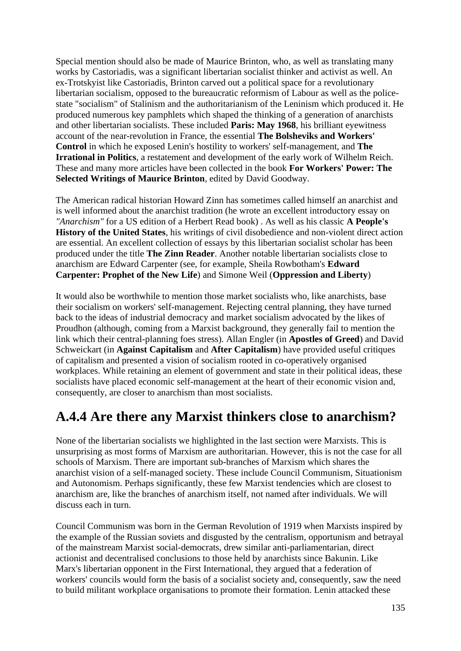Special mention should also be made of Maurice Brinton, who, as well as translating many works by Castoriadis, was a significant libertarian socialist thinker and activist as well. An ex-Trotskyist like Castoriadis, Brinton carved out a political space for a revolutionary libertarian socialism, opposed to the bureaucratic reformism of Labour as well as the policestate "socialism" of Stalinism and the authoritarianism of the Leninism which produced it. He produced numerous key pamphlets which shaped the thinking of a generation of anarchists and other libertarian socialists. These included **Paris: May 1968**, his brilliant eyewitness account of the near-revolution in France, the essential **The Bolsheviks and Workers' Control** in which he exposed Lenin's hostility to workers' self-management, and **The Irrational in Politics**, a restatement and development of the early work of Wilhelm Reich. These and many more articles have been collected in the book **For Workers' Power: The Selected Writings of Maurice Brinton**, edited by David Goodway.

The American radical historian Howard Zinn has sometimes called himself an anarchist and is well informed about the anarchist tradition (he wrote an excellent introductory essay on *"Anarchism"* for a US edition of a Herbert Read book) . As well as his classic **A People's History of the United States**, his writings of civil disobedience and non-violent direct action are essential. An excellent collection of essays by this libertarian socialist scholar has been produced under the title **The Zinn Reader**. Another notable libertarian socialists close to anarchism are Edward Carpenter (see, for example, Sheila Rowbotham's **Edward Carpenter: Prophet of the New Life**) and Simone Weil (**Oppression and Liberty**)

It would also be worthwhile to mention those market socialists who, like anarchists, base their socialism on workers' self-management. Rejecting central planning, they have turned back to the ideas of industrial democracy and market socialism advocated by the likes of Proudhon (although, coming from a Marxist background, they generally fail to mention the link which their central-planning foes stress). Allan Engler (in **Apostles of Greed**) and David Schweickart (in **Against Capitalism** and **After Capitalism**) have provided useful critiques of capitalism and presented a vision of socialism rooted in co-operatively organised workplaces. While retaining an element of government and state in their political ideas, these socialists have placed economic self-management at the heart of their economic vision and, consequently, are closer to anarchism than most socialists.

#### **A.4.4 Are there any Marxist thinkers close to anarchism?**

None of the libertarian socialists we highlighted in the last section were Marxists. This is unsurprising as most forms of Marxism are authoritarian. However, this is not the case for all schools of Marxism. There are important sub-branches of Marxism which shares the anarchist vision of a self-managed society. These include Council Communism, Situationism and Autonomism. Perhaps significantly, these few Marxist tendencies which are closest to anarchism are, like the branches of anarchism itself, not named after individuals. We will discuss each in turn.

Council Communism was born in the German Revolution of 1919 when Marxists inspired by the example of the Russian soviets and disgusted by the centralism, opportunism and betrayal of the mainstream Marxist social-democrats, drew similar anti-parliamentarian, direct actionist and decentralised conclusions to those held by anarchists since Bakunin. Like Marx's libertarian opponent in the First International, they argued that a federation of workers' councils would form the basis of a socialist society and, consequently, saw the need to build militant workplace organisations to promote their formation. Lenin attacked these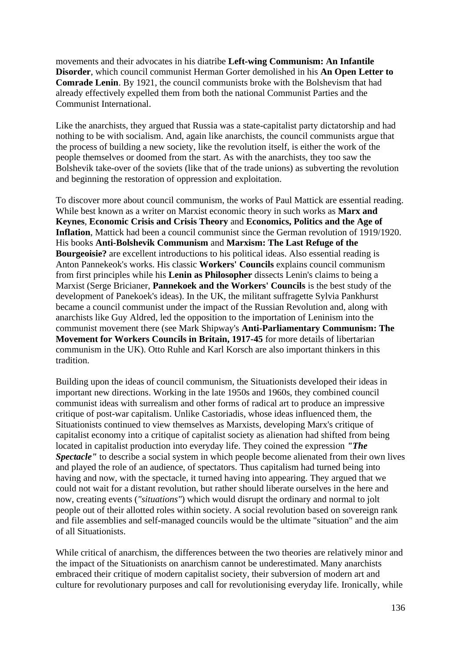movements and their advocates in his diatribe **Left-wing Communism: An Infantile Disorder**, which council communist Herman Gorter demolished in his **An Open Letter to Comrade Lenin**. By 1921, the council communists broke with the Bolshevism that had already effectively expelled them from both the national Communist Parties and the Communist International.

Like the anarchists, they argued that Russia was a state-capitalist party dictatorship and had nothing to be with socialism. And, again like anarchists, the council communists argue that the process of building a new society, like the revolution itself, is either the work of the people themselves or doomed from the start. As with the anarchists, they too saw the Bolshevik take-over of the soviets (like that of the trade unions) as subverting the revolution and beginning the restoration of oppression and exploitation.

To discover more about council communism, the works of Paul Mattick are essential reading. While best known as a writer on Marxist economic theory in such works as **Marx and Keynes**, **Economic Crisis and Crisis Theory** and **Economics, Politics and the Age of Inflation**, Mattick had been a council communist since the German revolution of 1919/1920. His books **Anti-Bolshevik Communism** and **Marxism: The Last Refuge of the Bourgeoisie?** are excellent introductions to his political ideas. Also essential reading is Anton Pannekeok's works. His classic **Workers' Councils** explains council communism from first principles while his **Lenin as Philosopher** dissects Lenin's claims to being a Marxist (Serge Bricianer, **Pannekoek and the Workers' Councils** is the best study of the development of Panekoek's ideas). In the UK, the militant suffragette Sylvia Pankhurst became a council communist under the impact of the Russian Revolution and, along with anarchists like Guy Aldred, led the opposition to the importation of Leninism into the communist movement there (see Mark Shipway's **Anti-Parliamentary Communism: The Movement for Workers Councils in Britain, 1917-45** for more details of libertarian communism in the UK). Otto Ruhle and Karl Korsch are also important thinkers in this tradition.

Building upon the ideas of council communism, the Situationists developed their ideas in important new directions. Working in the late 1950s and 1960s, they combined council communist ideas with surrealism and other forms of radical art to produce an impressive critique of post-war capitalism. Unlike Castoriadis, whose ideas influenced them, the Situationists continued to view themselves as Marxists, developing Marx's critique of capitalist economy into a critique of capitalist society as alienation had shifted from being located in capitalist production into everyday life. They coined the expression *"The Spectacle"* to describe a social system in which people become alienated from their own lives and played the role of an audience, of spectators. Thus capitalism had turned being into having and now, with the spectacle, it turned having into appearing. They argued that we could not wait for a distant revolution, but rather should liberate ourselves in the here and now, creating events (*"situations"*) which would disrupt the ordinary and normal to jolt people out of their allotted roles within society. A social revolution based on sovereign rank and file assemblies and self-managed councils would be the ultimate "situation" and the aim of all Situationists.

While critical of anarchism, the differences between the two theories are relatively minor and the impact of the Situationists on anarchism cannot be underestimated. Many anarchists embraced their critique of modern capitalist society, their subversion of modern art and culture for revolutionary purposes and call for revolutionising everyday life. Ironically, while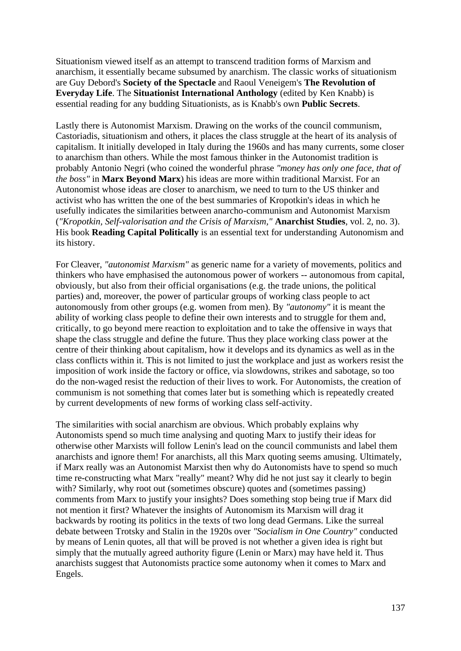Situationism viewed itself as an attempt to transcend tradition forms of Marxism and anarchism, it essentially became subsumed by anarchism. The classic works of situationism are Guy Debord's **Society of the Spectacle** and Raoul Veneigem's **The Revolution of Everyday Life**. The **Situationist International Anthology** (edited by Ken Knabb) is essential reading for any budding Situationists, as is Knabb's own **Public Secrets**.

Lastly there is Autonomist Marxism. Drawing on the works of the council communism, Castoriadis, situationism and others, it places the class struggle at the heart of its analysis of capitalism. It initially developed in Italy during the 1960s and has many currents, some closer to anarchism than others. While the most famous thinker in the Autonomist tradition is probably Antonio Negri (who coined the wonderful phrase *"money has only one face, that of the boss"* in **Marx Beyond Marx**) his ideas are more within traditional Marxist. For an Autonomist whose ideas are closer to anarchism, we need to turn to the US thinker and activist who has written the one of the best summaries of Kropotkin's ideas in which he usefully indicates the similarities between anarcho-communism and Autonomist Marxism (*"Kropotkin, Self-valorisation and the Crisis of Marxism,"* **Anarchist Studies**, vol. 2, no. 3). His book **Reading Capital Politically** is an essential text for understanding Autonomism and its history.

For Cleaver, *"autonomist Marxism"* as generic name for a variety of movements, politics and thinkers who have emphasised the autonomous power of workers -- autonomous from capital, obviously, but also from their official organisations (e.g. the trade unions, the political parties) and, moreover, the power of particular groups of working class people to act autonomously from other groups (e.g. women from men). By *"autonomy"* it is meant the ability of working class people to define their own interests and to struggle for them and, critically, to go beyond mere reaction to exploitation and to take the offensive in ways that shape the class struggle and define the future. Thus they place working class power at the centre of their thinking about capitalism, how it develops and its dynamics as well as in the class conflicts within it. This is not limited to just the workplace and just as workers resist the imposition of work inside the factory or office, via slowdowns, strikes and sabotage, so too do the non-waged resist the reduction of their lives to work. For Autonomists, the creation of communism is not something that comes later but is something which is repeatedly created by current developments of new forms of working class self-activity.

The similarities with social anarchism are obvious. Which probably explains why Autonomists spend so much time analysing and quoting Marx to justify their ideas for otherwise other Marxists will follow Lenin's lead on the council communists and label them anarchists and ignore them! For anarchists, all this Marx quoting seems amusing. Ultimately, if Marx really was an Autonomist Marxist then why do Autonomists have to spend so much time re-constructing what Marx "really" meant? Why did he not just say it clearly to begin with? Similarly, why root out (sometimes obscure) quotes and (sometimes passing) comments from Marx to justify your insights? Does something stop being true if Marx did not mention it first? Whatever the insights of Autonomism its Marxism will drag it backwards by rooting its politics in the texts of two long dead Germans. Like the surreal debate between Trotsky and Stalin in the 1920s over *"Socialism in One Country"* conducted by means of Lenin quotes, all that will be proved is not whether a given idea is right but simply that the mutually agreed authority figure (Lenin or Marx) may have held it. Thus anarchists suggest that Autonomists practice some autonomy when it comes to Marx and Engels.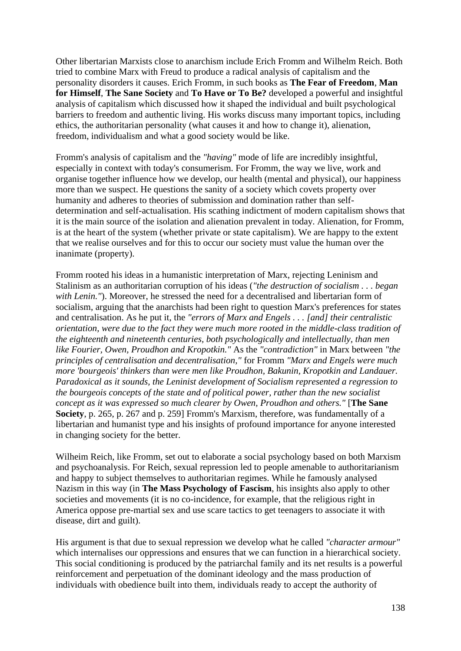Other libertarian Marxists close to anarchism include Erich Fromm and Wilhelm Reich. Both tried to combine Marx with Freud to produce a radical analysis of capitalism and the personality disorders it causes. Erich Fromm, in such books as **The Fear of Freedom**, **Man for Himself**, **The Sane Society** and **To Have or To Be?** developed a powerful and insightful analysis of capitalism which discussed how it shaped the individual and built psychological barriers to freedom and authentic living. His works discuss many important topics, including ethics, the authoritarian personality (what causes it and how to change it), alienation, freedom, individualism and what a good society would be like.

Fromm's analysis of capitalism and the *"having"* mode of life are incredibly insightful, especially in context with today's consumerism. For Fromm, the way we live, work and organise together influence how we develop, our health (mental and physical), our happiness more than we suspect. He questions the sanity of a society which covets property over humanity and adheres to theories of submission and domination rather than selfdetermination and self-actualisation. His scathing indictment of modern capitalism shows that it is the main source of the isolation and alienation prevalent in today. Alienation, for Fromm, is at the heart of the system (whether private or state capitalism). We are happy to the extent that we realise ourselves and for this to occur our society must value the human over the inanimate (property).

Fromm rooted his ideas in a humanistic interpretation of Marx, rejecting Leninism and Stalinism as an authoritarian corruption of his ideas (*"the destruction of socialism . . . began with Lenin."*). Moreover, he stressed the need for a decentralised and libertarian form of socialism, arguing that the anarchists had been right to question Marx's preferences for states and centralisation. As he put it, the *"errors of Marx and Engels . . . [and] their centralistic orientation, were due to the fact they were much more rooted in the middle-class tradition of the eighteenth and nineteenth centuries, both psychologically and intellectually, than men like Fourier, Owen, Proudhon and Kropotkin."* As the *"contradiction"* in Marx between *"the principles of centralisation and decentralisation,"* for Fromm *"Marx and Engels were much more 'bourgeois' thinkers than were men like Proudhon, Bakunin, Kropotkin and Landauer. Paradoxical as it sounds, the Leninist development of Socialism represented a regression to the bourgeois concepts of the state and of political power, rather than the new socialist concept as it was expressed so much clearer by Owen, Proudhon and others."* [**The Sane Society**, p. 265, p. 267 and p. 259] Fromm's Marxism, therefore, was fundamentally of a libertarian and humanist type and his insights of profound importance for anyone interested in changing society for the better.

Wilheim Reich, like Fromm, set out to elaborate a social psychology based on both Marxism and psychoanalysis. For Reich, sexual repression led to people amenable to authoritarianism and happy to subject themselves to authoritarian regimes. While he famously analysed Nazism in this way (in **The Mass Psychology of Fascism**, his insights also apply to other societies and movements (it is no co-incidence, for example, that the religious right in America oppose pre-martial sex and use scare tactics to get teenagers to associate it with disease, dirt and guilt).

His argument is that due to sexual repression we develop what he called *"character armour"* which internalises our oppressions and ensures that we can function in a hierarchical society. This social conditioning is produced by the patriarchal family and its net results is a powerful reinforcement and perpetuation of the dominant ideology and the mass production of individuals with obedience built into them, individuals ready to accept the authority of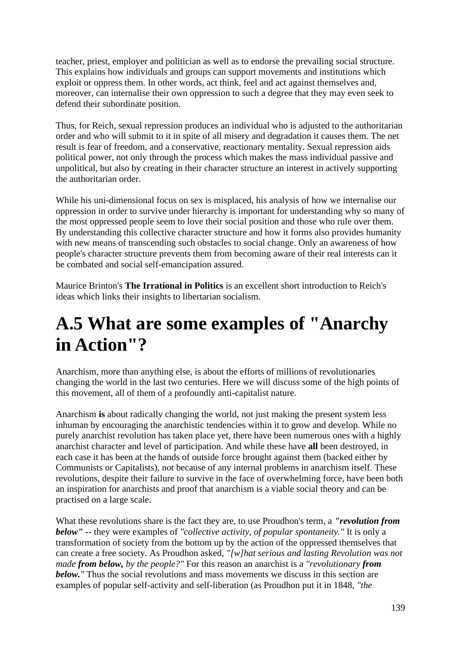teacher, priest, employer and politician as well as to endorse the prevailing social structure. This explains how individuals and groups can support movements and institutions which exploit or oppress them. In other words, act think, feel and act against themselves and, moreover, can internalise their own oppression to such a degree that they may even seek to defend their subordinate position.

Thus, for Reich, sexual repression produces an individual who is adjusted to the authoritarian order and who will submit to it in spite of all misery and degradation it causes them. The net result is fear of freedom, and a conservative, reactionary mentality. Sexual repression aids political power, not only through the process which makes the mass individual passive and unpolitical, but also by creating in their character structure an interest in actively supporting the authoritarian order.

While his uni-dimensional focus on sex is misplaced, his analysis of how we internalise our oppression in order to survive under hierarchy is important for understanding why so many of the most oppressed people seem to love their social position and those who rule over them. By understanding this collective character structure and how it forms also provides humanity with new means of transcending such obstacles to social change. Only an awareness of how people's character structure prevents them from becoming aware of their real interests can it be combated and social self-emancipation assured.

Maurice Brinton's **The Irrational in Politics** is an excellent short introduction to Reich's ideas which links their insights to libertarian socialism.

## **A.5 What are some examples of "Anarchy in Action"?**

Anarchism, more than anything else, is about the efforts of millions of revolutionaries changing the world in the last two centuries. Here we will discuss some of the high points of this movement, all of them of a profoundly anti-capitalist nature.

Anarchism **is** about radically changing the world, not just making the present system less inhuman by encouraging the anarchistic tendencies within it to grow and develop. While no purely anarchist revolution has taken place yet, there have been numerous ones with a highly anarchist character and level of participation. And while these have **all** been destroyed, in each case it has been at the hands of outside force brought against them (backed either by Communists or Capitalists), not because of any internal problems in anarchism itself. These revolutions, despite their failure to survive in the face of overwhelming force, have been both an inspiration for anarchists and proof that anarchism is a viable social theory and can be practised on a large scale.

What these revolutions share is the fact they are, to use Proudhon's term, a *"revolution from below"* -- they were examples of *"collective activity, of popular spontaneity."* It is only a transformation of society from the bottom up by the action of the oppressed themselves that can create a free society. As Proudhon asked, *"[w]hat serious and lasting Revolution was not made from below, by the people?"* For this reason an anarchist is a *"revolutionary from below.* Thus the social revolutions and mass movements we discuss in this section are examples of popular self-activity and self-liberation (as Proudhon put it in 1848, *"the*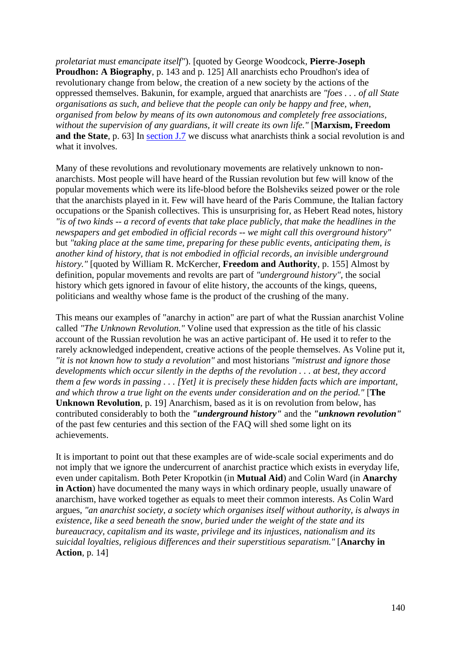*proletariat must emancipate itself"*). [quoted by George Woodcock, **Pierre-Joseph Proudhon: A Biography**, p. 143 and p. 125] All anarchists echo Proudhon's idea of revolutionary change from below, the creation of a new society by the actions of the oppressed themselves. Bakunin, for example, argued that anarchists are *"foes . . . of all State organisations as such, and believe that the people can only be happy and free, when, organised from below by means of its own autonomous and completely free associations, without the supervision of any guardians, it will create its own life."* [**Marxism, Freedom and the State**, p. 63] In [section J.7](sectionJ.html#secj7) we discuss what anarchists think a social revolution is and what it involves.

Many of these revolutions and revolutionary movements are relatively unknown to nonanarchists. Most people will have heard of the Russian revolution but few will know of the popular movements which were its life-blood before the Bolsheviks seized power or the role that the anarchists played in it. Few will have heard of the Paris Commune, the Italian factory occupations or the Spanish collectives. This is unsurprising for, as Hebert Read notes, history *"is of two kinds -- a record of events that take place publicly, that make the headlines in the newspapers and get embodied in official records -- we might call this overground history"* but *"taking place at the same time, preparing for these public events, anticipating them, is another kind of history, that is not embodied in official records, an invisible underground history."* [quoted by William R. McKercher, **Freedom and Authority**, p. 155] Almost by definition, popular movements and revolts are part of *"underground history"*, the social history which gets ignored in favour of elite history, the accounts of the kings, queens, politicians and wealthy whose fame is the product of the crushing of the many.

This means our examples of "anarchy in action" are part of what the Russian anarchist Voline called *"The Unknown Revolution."* Voline used that expression as the title of his classic account of the Russian revolution he was an active participant of. He used it to refer to the rarely acknowledged independent, creative actions of the people themselves. As Voline put it, *"it is not known how to study a revolution"* and most historians *"mistrust and ignore those developments which occur silently in the depths of the revolution . . . at best, they accord them a few words in passing . . . [Yet] it is precisely these hidden facts which are important, and which throw a true light on the events under consideration and on the period."* [**The Unknown Revolution**, p. 19] Anarchism, based as it is on revolution from below, has contributed considerably to both the *"underground history"* and the *"unknown revolution"* of the past few centuries and this section of the FAQ will shed some light on its achievements.

It is important to point out that these examples are of wide-scale social experiments and do not imply that we ignore the undercurrent of anarchist practice which exists in everyday life, even under capitalism. Both Peter Kropotkin (in **Mutual Aid**) and Colin Ward (in **Anarchy in Action**) have documented the many ways in which ordinary people, usually unaware of anarchism, have worked together as equals to meet their common interests. As Colin Ward argues, *"an anarchist society, a society which organises itself without authority, is always in existence, like a seed beneath the snow, buried under the weight of the state and its bureaucracy, capitalism and its waste, privilege and its injustices, nationalism and its suicidal loyalties, religious differences and their superstitious separatism."* [**Anarchy in Action**, p. 14]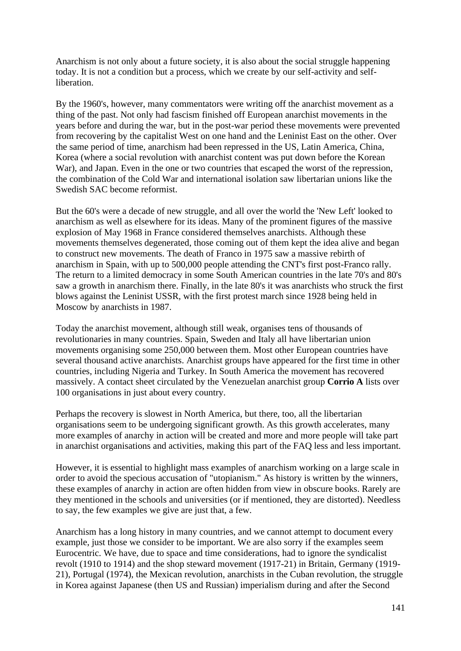Anarchism is not only about a future society, it is also about the social struggle happening today. It is not a condition but a process, which we create by our self-activity and selfliberation.

By the 1960's, however, many commentators were writing off the anarchist movement as a thing of the past. Not only had fascism finished off European anarchist movements in the years before and during the war, but in the post-war period these movements were prevented from recovering by the capitalist West on one hand and the Leninist East on the other. Over the same period of time, anarchism had been repressed in the US, Latin America, China, Korea (where a social revolution with anarchist content was put down before the Korean War), and Japan. Even in the one or two countries that escaped the worst of the repression. the combination of the Cold War and international isolation saw libertarian unions like the Swedish SAC become reformist.

But the 60's were a decade of new struggle, and all over the world the 'New Left' looked to anarchism as well as elsewhere for its ideas. Many of the prominent figures of the massive explosion of May 1968 in France considered themselves anarchists. Although these movements themselves degenerated, those coming out of them kept the idea alive and began to construct new movements. The death of Franco in 1975 saw a massive rebirth of anarchism in Spain, with up to 500,000 people attending the CNT's first post-Franco rally. The return to a limited democracy in some South American countries in the late 70's and 80's saw a growth in anarchism there. Finally, in the late 80's it was anarchists who struck the first blows against the Leninist USSR, with the first protest march since 1928 being held in Moscow by anarchists in 1987.

Today the anarchist movement, although still weak, organises tens of thousands of revolutionaries in many countries. Spain, Sweden and Italy all have libertarian union movements organising some 250,000 between them. Most other European countries have several thousand active anarchists. Anarchist groups have appeared for the first time in other countries, including Nigeria and Turkey. In South America the movement has recovered massively. A contact sheet circulated by the Venezuelan anarchist group **Corrio A** lists over 100 organisations in just about every country.

Perhaps the recovery is slowest in North America, but there, too, all the libertarian organisations seem to be undergoing significant growth. As this growth accelerates, many more examples of anarchy in action will be created and more and more people will take part in anarchist organisations and activities, making this part of the FAQ less and less important.

However, it is essential to highlight mass examples of anarchism working on a large scale in order to avoid the specious accusation of "utopianism." As history is written by the winners, these examples of anarchy in action are often hidden from view in obscure books. Rarely are they mentioned in the schools and universities (or if mentioned, they are distorted). Needless to say, the few examples we give are just that, a few.

Anarchism has a long history in many countries, and we cannot attempt to document every example, just those we consider to be important. We are also sorry if the examples seem Eurocentric. We have, due to space and time considerations, had to ignore the syndicalist revolt (1910 to 1914) and the shop steward movement (1917-21) in Britain, Germany (1919- 21), Portugal (1974), the Mexican revolution, anarchists in the Cuban revolution, the struggle in Korea against Japanese (then US and Russian) imperialism during and after the Second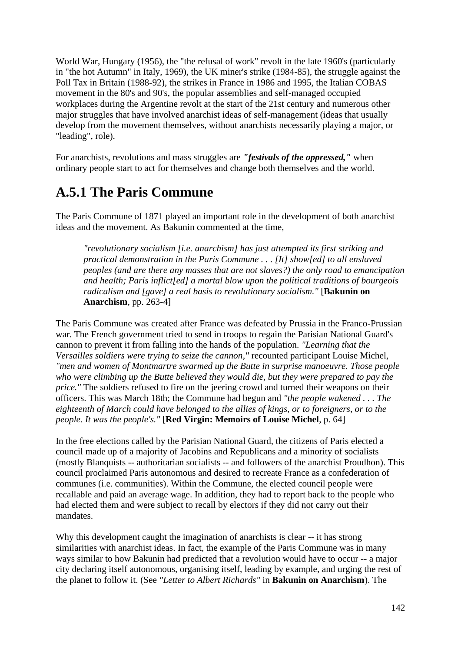World War, Hungary (1956), the "the refusal of work" revolt in the late 1960's (particularly in "the hot Autumn" in Italy, 1969), the UK miner's strike (1984-85), the struggle against the Poll Tax in Britain (1988-92), the strikes in France in 1986 and 1995, the Italian COBAS movement in the 80's and 90's, the popular assemblies and self-managed occupied workplaces during the Argentine revolt at the start of the 21st century and numerous other major struggles that have involved anarchist ideas of self-management (ideas that usually develop from the movement themselves, without anarchists necessarily playing a major, or "leading", role).

For anarchists, revolutions and mass struggles are *"festivals of the oppressed,"* when ordinary people start to act for themselves and change both themselves and the world.

## **A.5.1 The Paris Commune**

The Paris Commune of 1871 played an important role in the development of both anarchist ideas and the movement. As Bakunin commented at the time,

*"revolutionary socialism [i.e. anarchism] has just attempted its first striking and practical demonstration in the Paris Commune . . . [It] show[ed] to all enslaved peoples (and are there any masses that are not slaves?) the only road to emancipation and health; Paris inflict[ed] a mortal blow upon the political traditions of bourgeois radicalism and [gave] a real basis to revolutionary socialism."* [**Bakunin on Anarchism**, pp. 263-4]

The Paris Commune was created after France was defeated by Prussia in the Franco-Prussian war. The French government tried to send in troops to regain the Parisian National Guard's cannon to prevent it from falling into the hands of the population. *"Learning that the Versailles soldiers were trying to seize the cannon,"* recounted participant Louise Michel, *"men and women of Montmartre swarmed up the Butte in surprise manoeuvre. Those people who were climbing up the Butte believed they would die, but they were prepared to pay the price.*" The soldiers refused to fire on the jeering crowd and turned their weapons on their officers. This was March 18th; the Commune had begun and *"the people wakened . . . The eighteenth of March could have belonged to the allies of kings, or to foreigners, or to the people. It was the people's."* [**Red Virgin: Memoirs of Louise Michel**, p. 64]

In the free elections called by the Parisian National Guard, the citizens of Paris elected a council made up of a majority of Jacobins and Republicans and a minority of socialists (mostly Blanquists -- authoritarian socialists -- and followers of the anarchist Proudhon). This council proclaimed Paris autonomous and desired to recreate France as a confederation of communes (i.e. communities). Within the Commune, the elected council people were recallable and paid an average wage. In addition, they had to report back to the people who had elected them and were subject to recall by electors if they did not carry out their mandates.

Why this development caught the imagination of anarchists is clear -- it has strong similarities with anarchist ideas. In fact, the example of the Paris Commune was in many ways similar to how Bakunin had predicted that a revolution would have to occur -- a major city declaring itself autonomous, organising itself, leading by example, and urging the rest of the planet to follow it. (See *"Letter to Albert Richards"* in **Bakunin on Anarchism**). The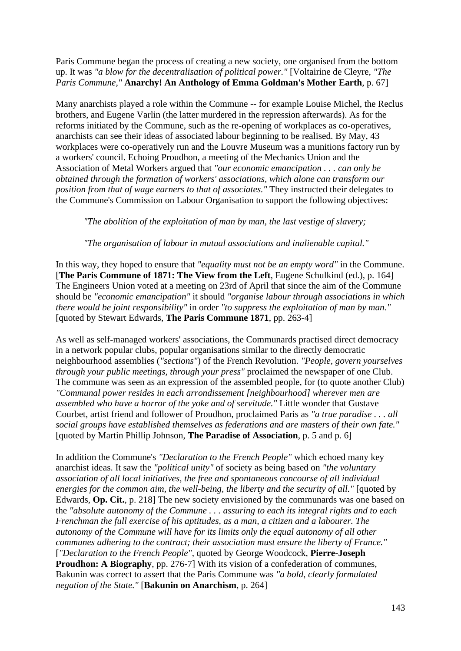Paris Commune began the process of creating a new society, one organised from the bottom up. It was *"a blow for the decentralisation of political power."* [Voltairine de Cleyre, *"The Paris Commune,"* **Anarchy! An Anthology of Emma Goldman's Mother Earth**, p. 67]

Many anarchists played a role within the Commune -- for example Louise Michel, the Reclus brothers, and Eugene Varlin (the latter murdered in the repression afterwards). As for the reforms initiated by the Commune, such as the re-opening of workplaces as co-operatives, anarchists can see their ideas of associated labour beginning to be realised. By May, 43 workplaces were co-operatively run and the Louvre Museum was a munitions factory run by a workers' council. Echoing Proudhon, a meeting of the Mechanics Union and the Association of Metal Workers argued that *"our economic emancipation . . . can only be obtained through the formation of workers' associations, which alone can transform our position from that of wage earners to that of associates."* They instructed their delegates to the Commune's Commission on Labour Organisation to support the following objectives:

*"The abolition of the exploitation of man by man, the last vestige of slavery;*

*"The organisation of labour in mutual associations and inalienable capital."*

In this way, they hoped to ensure that *"equality must not be an empty word"* in the Commune. [**The Paris Commune of 1871: The View from the Left**, Eugene Schulkind (ed.), p. 164] The Engineers Union voted at a meeting on 23rd of April that since the aim of the Commune should be *"economic emancipation"* it should *"organise labour through associations in which there would be joint responsibility"* in order *"to suppress the exploitation of man by man."* [quoted by Stewart Edwards, **The Paris Commune 1871**, pp. 263-4]

As well as self-managed workers' associations, the Communards practised direct democracy in a network popular clubs, popular organisations similar to the directly democratic neighbourhood assemblies (*"sections"*) of the French Revolution. *"People, govern yourselves through your public meetings, through your press"* proclaimed the newspaper of one Club. The commune was seen as an expression of the assembled people, for (to quote another Club) *"Communal power resides in each arrondissement [neighbourhood] wherever men are assembled who have a horror of the yoke and of servitude."* Little wonder that Gustave Courbet, artist friend and follower of Proudhon, proclaimed Paris as *"a true paradise . . . all social groups have established themselves as federations and are masters of their own fate."* [quoted by Martin Phillip Johnson, **The Paradise of Association**, p. 5 and p. 6]

In addition the Commune's *"Declaration to the French People"* which echoed many key anarchist ideas. It saw the *"political unity"* of society as being based on *"the voluntary association of all local initiatives, the free and spontaneous concourse of all individual energies for the common aim, the well-being, the liberty and the security of all."* [quoted by Edwards, **Op. Cit.**, p. 218] The new society envisioned by the communards was one based on the *"absolute autonomy of the Commune . . . assuring to each its integral rights and to each Frenchman the full exercise of his aptitudes, as a man, a citizen and a labourer. The autonomy of the Commune will have for its limits only the equal autonomy of all other communes adhering to the contract; their association must ensure the liberty of France."* [*"Declaration to the French People"*, quoted by George Woodcock, **Pierre-Joseph Proudhon: A Biography**, pp. 276-7] With its vision of a confederation of communes, Bakunin was correct to assert that the Paris Commune was *"a bold, clearly formulated negation of the State."* [**Bakunin on Anarchism**, p. 264]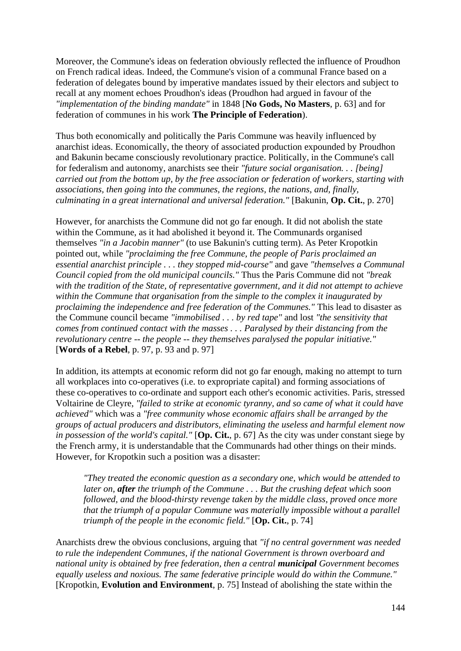Moreover, the Commune's ideas on federation obviously reflected the influence of Proudhon on French radical ideas. Indeed, the Commune's vision of a communal France based on a federation of delegates bound by imperative mandates issued by their electors and subject to recall at any moment echoes Proudhon's ideas (Proudhon had argued in favour of the *"implementation of the binding mandate"* in 1848 [**No Gods, No Masters**, p. 63] and for federation of communes in his work **The Principle of Federation**).

Thus both economically and politically the Paris Commune was heavily influenced by anarchist ideas. Economically, the theory of associated production expounded by Proudhon and Bakunin became consciously revolutionary practice. Politically, in the Commune's call for federalism and autonomy, anarchists see their *"future social organisation. . . [being] carried out from the bottom up, by the free association or federation of workers, starting with associations, then going into the communes, the regions, the nations, and, finally, culminating in a great international and universal federation."* [Bakunin, **Op. Cit.**, p. 270]

However, for anarchists the Commune did not go far enough. It did not abolish the state within the Commune, as it had abolished it beyond it. The Communards organised themselves *"in a Jacobin manner"* (to use Bakunin's cutting term). As Peter Kropotkin pointed out, while *"proclaiming the free Commune, the people of Paris proclaimed an essential anarchist principle . . . they stopped mid-course"* and gave *"themselves a Communal Council copied from the old municipal councils."* Thus the Paris Commune did not *"break with the tradition of the State, of representative government, and it did not attempt to achieve within the Commune that organisation from the simple to the complex it inaugurated by proclaiming the independence and free federation of the Communes."* This lead to disaster as the Commune council became *"immobilised . . . by red tape"* and lost *"the sensitivity that comes from continued contact with the masses . . . Paralysed by their distancing from the revolutionary centre -- the people -- they themselves paralysed the popular initiative."* [**Words of a Rebel**, p. 97, p. 93 and p. 97]

In addition, its attempts at economic reform did not go far enough, making no attempt to turn all workplaces into co-operatives (i.e. to expropriate capital) and forming associations of these co-operatives to co-ordinate and support each other's economic activities. Paris, stressed Voltairine de Cleyre, *"failed to strike at economic tyranny, and so came of what it could have achieved"* which was a *"free community whose economic affairs shall be arranged by the groups of actual producers and distributors, eliminating the useless and harmful element now in possession of the world's capital."* [**Op. Cit.**, p. 67] As the city was under constant siege by the French army, it is understandable that the Communards had other things on their minds. However, for Kropotkin such a position was a disaster:

*"They treated the economic question as a secondary one, which would be attended to later on, after the triumph of the Commune . . . But the crushing defeat which soon followed, and the blood-thirsty revenge taken by the middle class, proved once more that the triumph of a popular Commune was materially impossible without a parallel triumph of the people in the economic field."* [**Op. Cit.**, p. 74]

Anarchists drew the obvious conclusions, arguing that *"if no central government was needed to rule the independent Communes, if the national Government is thrown overboard and national unity is obtained by free federation, then a central municipal Government becomes equally useless and noxious. The same federative principle would do within the Commune."* [Kropotkin, **Evolution and Environment**, p. 75] Instead of abolishing the state within the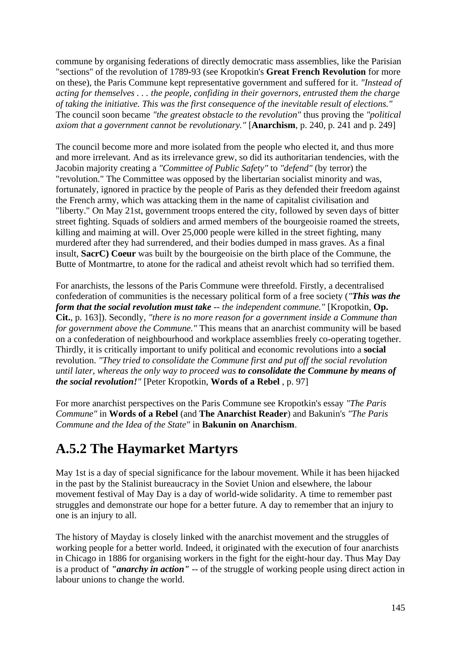commune by organising federations of directly democratic mass assemblies, like the Parisian "sections" of the revolution of 1789-93 (see Kropotkin's **Great French Revolution** for more on these), the Paris Commune kept representative government and suffered for it. *"Instead of acting for themselves . . . the people, confiding in their governors, entrusted them the charge of taking the initiative. This was the first consequence of the inevitable result of elections."* The council soon became *"the greatest obstacle to the revolution"* thus proving the *"political axiom that a government cannot be revolutionary."* [**Anarchism**, p. 240, p. 241 and p. 249]

The council become more and more isolated from the people who elected it, and thus more and more irrelevant. And as its irrelevance grew, so did its authoritarian tendencies, with the Jacobin majority creating a *"Committee of Public Safety"* to *"defend"* (by terror) the "revolution." The Committee was opposed by the libertarian socialist minority and was, fortunately, ignored in practice by the people of Paris as they defended their freedom against the French army, which was attacking them in the name of capitalist civilisation and "liberty." On May 21st, government troops entered the city, followed by seven days of bitter street fighting. Squads of soldiers and armed members of the bourgeoisie roamed the streets, killing and maiming at will. Over 25,000 people were killed in the street fighting, many murdered after they had surrendered, and their bodies dumped in mass graves. As a final insult, **SacrC) Coeur** was built by the bourgeoisie on the birth place of the Commune, the Butte of Montmartre, to atone for the radical and atheist revolt which had so terrified them.

For anarchists, the lessons of the Paris Commune were threefold. Firstly, a decentralised confederation of communities is the necessary political form of a free society (*"This was the form that the social revolution must take -- the independent commune."* [Kropotkin, **Op. Cit.**, p. 163]). Secondly, *"there is no more reason for a government inside a Commune than for government above the Commune."* This means that an anarchist community will be based on a confederation of neighbourhood and workplace assemblies freely co-operating together. Thirdly, it is critically important to unify political and economic revolutions into a **social** revolution. *"They tried to consolidate the Commune first and put off the social revolution until later, whereas the only way to proceed was to consolidate the Commune by means of the social revolution!"* [Peter Kropotkin, **Words of a Rebel** , p. 97]

For more anarchist perspectives on the Paris Commune see Kropotkin's essay *"The Paris Commune"* in **Words of a Rebel** (and **The Anarchist Reader**) and Bakunin's *"The Paris Commune and the Idea of the State"* in **Bakunin on Anarchism**.

## **A.5.2 The Haymarket Martyrs**

May 1st is a day of special significance for the labour movement. While it has been hijacked in the past by the Stalinist bureaucracy in the Soviet Union and elsewhere, the labour movement festival of May Day is a day of world-wide solidarity. A time to remember past struggles and demonstrate our hope for a better future. A day to remember that an injury to one is an injury to all.

The history of Mayday is closely linked with the anarchist movement and the struggles of working people for a better world. Indeed, it originated with the execution of four anarchists in Chicago in 1886 for organising workers in the fight for the eight-hour day. Thus May Day is a product of *"anarchy in action"* -- of the struggle of working people using direct action in labour unions to change the world.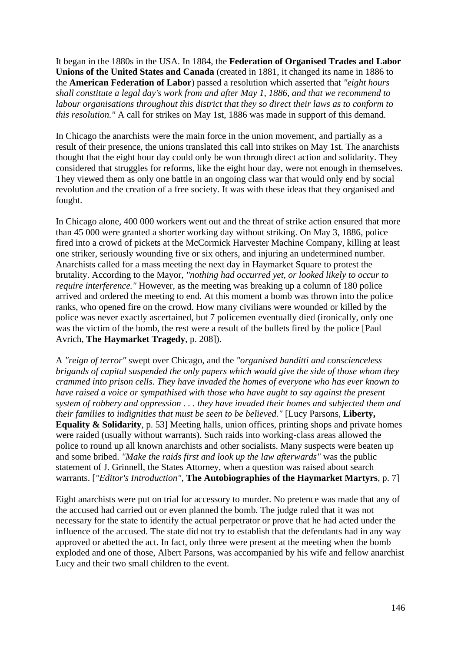It began in the 1880s in the USA. In 1884, the **Federation of Organised Trades and Labor Unions of the United States and Canada** (created in 1881, it changed its name in 1886 to the **American Federation of Labor**) passed a resolution which asserted that *"eight hours shall constitute a legal day's work from and after May 1, 1886, and that we recommend to labour organisations throughout this district that they so direct their laws as to conform to this resolution."* A call for strikes on May 1st, 1886 was made in support of this demand.

In Chicago the anarchists were the main force in the union movement, and partially as a result of their presence, the unions translated this call into strikes on May 1st. The anarchists thought that the eight hour day could only be won through direct action and solidarity. They considered that struggles for reforms, like the eight hour day, were not enough in themselves. They viewed them as only one battle in an ongoing class war that would only end by social revolution and the creation of a free society. It was with these ideas that they organised and fought.

In Chicago alone, 400 000 workers went out and the threat of strike action ensured that more than 45 000 were granted a shorter working day without striking. On May 3, 1886, police fired into a crowd of pickets at the McCormick Harvester Machine Company, killing at least one striker, seriously wounding five or six others, and injuring an undetermined number. Anarchists called for a mass meeting the next day in Haymarket Square to protest the brutality. According to the Mayor, *"nothing had occurred yet, or looked likely to occur to require interference.* "However, as the meeting was breaking up a column of 180 police arrived and ordered the meeting to end. At this moment a bomb was thrown into the police ranks, who opened fire on the crowd. How many civilians were wounded or killed by the police was never exactly ascertained, but 7 policemen eventually died (ironically, only one was the victim of the bomb, the rest were a result of the bullets fired by the police [Paul Avrich, **The Haymarket Tragedy**, p. 208]).

A *"reign of terror"* swept over Chicago, and the *"organised banditti and conscienceless brigands of capital suspended the only papers which would give the side of those whom they crammed into prison cells. They have invaded the homes of everyone who has ever known to have raised a voice or sympathised with those who have aught to say against the present system of robbery and oppression . . . they have invaded their homes and subjected them and their families to indignities that must be seen to be believed."* [Lucy Parsons, **Liberty, Equality & Solidarity**, p. 53] Meeting halls, union offices, printing shops and private homes were raided (usually without warrants). Such raids into working-class areas allowed the police to round up all known anarchists and other socialists. Many suspects were beaten up and some bribed. *"Make the raids first and look up the law afterwards"* was the public statement of J. Grinnell, the States Attorney, when a question was raised about search warrants. [*"Editor's Introduction"*, **The Autobiographies of the Haymarket Martyrs**, p. 7]

Eight anarchists were put on trial for accessory to murder. No pretence was made that any of the accused had carried out or even planned the bomb. The judge ruled that it was not necessary for the state to identify the actual perpetrator or prove that he had acted under the influence of the accused. The state did not try to establish that the defendants had in any way approved or abetted the act. In fact, only three were present at the meeting when the bomb exploded and one of those, Albert Parsons, was accompanied by his wife and fellow anarchist Lucy and their two small children to the event.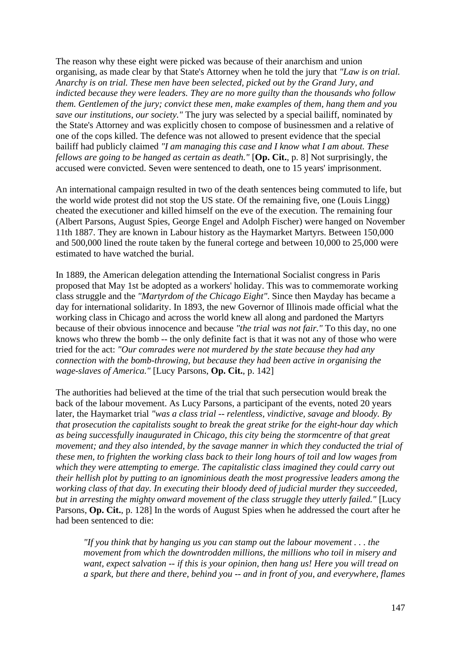The reason why these eight were picked was because of their anarchism and union organising, as made clear by that State's Attorney when he told the jury that *"Law is on trial. Anarchy is on trial. These men have been selected, picked out by the Grand Jury, and indicted because they were leaders. They are no more guilty than the thousands who follow them. Gentlemen of the jury; convict these men, make examples of them, hang them and you save our institutions, our society."* The jury was selected by a special bailiff, nominated by the State's Attorney and was explicitly chosen to compose of businessmen and a relative of one of the cops killed. The defence was not allowed to present evidence that the special bailiff had publicly claimed *"I am managing this case and I know what I am about. These fellows are going to be hanged as certain as death."* [**Op. Cit.**, p. 8] Not surprisingly, the accused were convicted. Seven were sentenced to death, one to 15 years' imprisonment.

An international campaign resulted in two of the death sentences being commuted to life, but the world wide protest did not stop the US state. Of the remaining five, one (Louis Lingg) cheated the executioner and killed himself on the eve of the execution. The remaining four (Albert Parsons, August Spies, George Engel and Adolph Fischer) were hanged on November 11th 1887. They are known in Labour history as the Haymarket Martyrs. Between 150,000 and 500,000 lined the route taken by the funeral cortege and between 10,000 to 25,000 were estimated to have watched the burial.

In 1889, the American delegation attending the International Socialist congress in Paris proposed that May 1st be adopted as a workers' holiday. This was to commemorate working class struggle and the *"Martyrdom of the Chicago Eight"*. Since then Mayday has became a day for international solidarity. In 1893, the new Governor of Illinois made official what the working class in Chicago and across the world knew all along and pardoned the Martyrs because of their obvious innocence and because *"the trial was not fair."* To this day, no one knows who threw the bomb -- the only definite fact is that it was not any of those who were tried for the act: *"Our comrades were not murdered by the state because they had any connection with the bomb-throwing, but because they had been active in organising the wage-slaves of America."* [Lucy Parsons, **Op. Cit.**, p. 142]

The authorities had believed at the time of the trial that such persecution would break the back of the labour movement. As Lucy Parsons, a participant of the events, noted 20 years later, the Haymarket trial *"was a class trial -- relentless, vindictive, savage and bloody. By that prosecution the capitalists sought to break the great strike for the eight-hour day which as being successfully inaugurated in Chicago, this city being the stormcentre of that great movement; and they also intended, by the savage manner in which they conducted the trial of these men, to frighten the working class back to their long hours of toil and low wages from which they were attempting to emerge. The capitalistic class imagined they could carry out their hellish plot by putting to an ignominious death the most progressive leaders among the working class of that day. In executing their bloody deed of judicial murder they succeeded, but in arresting the mighty onward movement of the class struggle they utterly failed."* [Lucy Parsons, **Op. Cit.**, p. 128] In the words of August Spies when he addressed the court after he had been sentenced to die:

*"If you think that by hanging us you can stamp out the labour movement . . . the movement from which the downtrodden millions, the millions who toil in misery and want, expect salvation -- if this is your opinion, then hang us! Here you will tread on a spark, but there and there, behind you -- and in front of you, and everywhere, flames*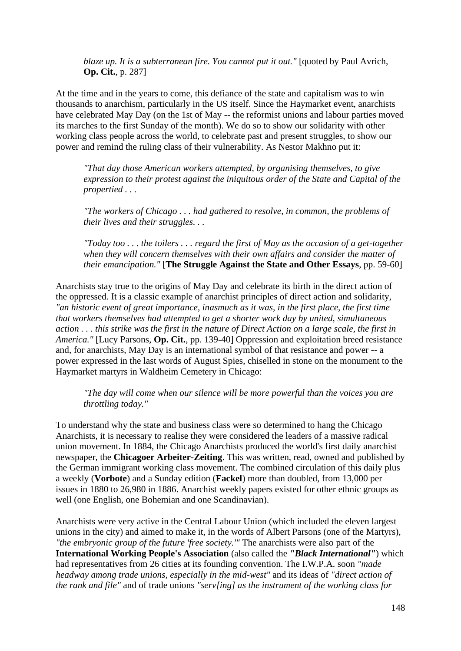*blaze up. It is a subterranean fire. You cannot put it out."* [quoted by Paul Avrich, **Op. Cit.**, p. 287]

At the time and in the years to come, this defiance of the state and capitalism was to win thousands to anarchism, particularly in the US itself. Since the Haymarket event, anarchists have celebrated May Day (on the 1st of May -- the reformist unions and labour parties moved its marches to the first Sunday of the month). We do so to show our solidarity with other working class people across the world, to celebrate past and present struggles, to show our power and remind the ruling class of their vulnerability. As Nestor Makhno put it:

*"That day those American workers attempted, by organising themselves, to give expression to their protest against the iniquitous order of the State and Capital of the propertied . . .* 

*"The workers of Chicago . . . had gathered to resolve, in common, the problems of their lives and their struggles. . .* 

*"Today too . . . the toilers . . . regard the first of May as the occasion of a get-together when they will concern themselves with their own affairs and consider the matter of their emancipation."* [**The Struggle Against the State and Other Essays**, pp. 59-60]

Anarchists stay true to the origins of May Day and celebrate its birth in the direct action of the oppressed. It is a classic example of anarchist principles of direct action and solidarity, *"an historic event of great importance, inasmuch as it was, in the first place, the first time that workers themselves had attempted to get a shorter work day by united, simultaneous action . . . this strike was the first in the nature of Direct Action on a large scale, the first in America."* [Lucy Parsons, **Op. Cit.**, pp. 139-40] Oppression and exploitation breed resistance and, for anarchists, May Day is an international symbol of that resistance and power -- a power expressed in the last words of August Spies, chiselled in stone on the monument to the Haymarket martyrs in Waldheim Cemetery in Chicago:

*"The day will come when our silence will be more powerful than the voices you are throttling today."*

To understand why the state and business class were so determined to hang the Chicago Anarchists, it is necessary to realise they were considered the leaders of a massive radical union movement. In 1884, the Chicago Anarchists produced the world's first daily anarchist newspaper, the **Chicagoer Arbeiter-Zeiting**. This was written, read, owned and published by the German immigrant working class movement. The combined circulation of this daily plus a weekly (**Vorbote**) and a Sunday edition (**Fackel**) more than doubled, from 13,000 per issues in 1880 to 26,980 in 1886. Anarchist weekly papers existed for other ethnic groups as well (one English, one Bohemian and one Scandinavian).

Anarchists were very active in the Central Labour Union (which included the eleven largest unions in the city) and aimed to make it, in the words of Albert Parsons (one of the Martyrs), *"the embryonic group of the future 'free society.'"* The anarchists were also part of the **International Working People's Association** (also called the *"Black International"*) which had representatives from 26 cities at its founding convention. The I.W.P.A. soon *"made headway among trade unions, especially in the mid-west"* and its ideas of *"direct action of the rank and file"* and of trade unions *"serv[ing] as the instrument of the working class for*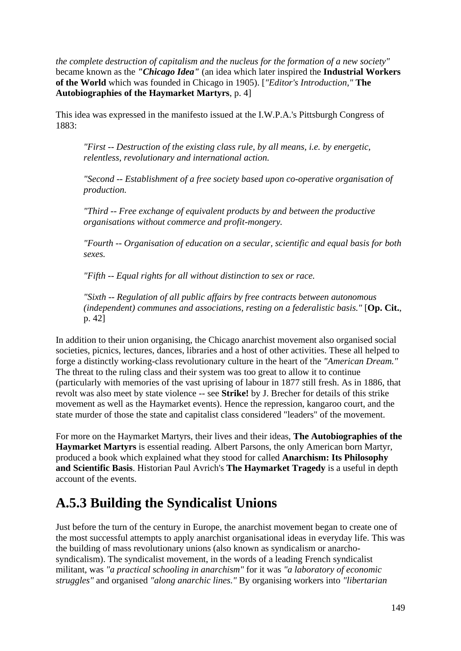*the complete destruction of capitalism and the nucleus for the formation of a new society"* became known as the *"Chicago Idea"* (an idea which later inspired the **Industrial Workers of the World** which was founded in Chicago in 1905). [*"Editor's Introduction,"* **The Autobiographies of the Haymarket Martyrs**, p. 4]

This idea was expressed in the manifesto issued at the I.W.P.A.'s Pittsburgh Congress of 1883:

*"First -- Destruction of the existing class rule, by all means, i.e. by energetic, relentless, revolutionary and international action.*

*"Second -- Establishment of a free society based upon co-operative organisation of production.*

*"Third -- Free exchange of equivalent products by and between the productive organisations without commerce and profit-mongery.*

*"Fourth -- Organisation of education on a secular, scientific and equal basis for both sexes.*

*"Fifth -- Equal rights for all without distinction to sex or race.*

*"Sixth -- Regulation of all public affairs by free contracts between autonomous (independent) communes and associations, resting on a federalistic basis."* [**Op. Cit.**, p. 42]

In addition to their union organising, the Chicago anarchist movement also organised social societies, picnics, lectures, dances, libraries and a host of other activities. These all helped to forge a distinctly working-class revolutionary culture in the heart of the *"American Dream."* The threat to the ruling class and their system was too great to allow it to continue (particularly with memories of the vast uprising of labour in 1877 still fresh. As in 1886, that revolt was also meet by state violence -- see **Strike!** by J. Brecher for details of this strike movement as well as the Haymarket events). Hence the repression, kangaroo court, and the state murder of those the state and capitalist class considered "leaders" of the movement.

For more on the Haymarket Martyrs, their lives and their ideas, **The Autobiographies of the Haymarket Martyrs** is essential reading. Albert Parsons, the only American born Martyr, produced a book which explained what they stood for called **Anarchism: Its Philosophy and Scientific Basis**. Historian Paul Avrich's **The Haymarket Tragedy** is a useful in depth account of the events.

## **A.5.3 Building the Syndicalist Unions**

Just before the turn of the century in Europe, the anarchist movement began to create one of the most successful attempts to apply anarchist organisational ideas in everyday life. This was the building of mass revolutionary unions (also known as syndicalism or anarchosyndicalism). The syndicalist movement, in the words of a leading French syndicalist militant, was *"a practical schooling in anarchism"* for it was *"a laboratory of economic struggles"* and organised *"along anarchic lines."* By organising workers into *"libertarian*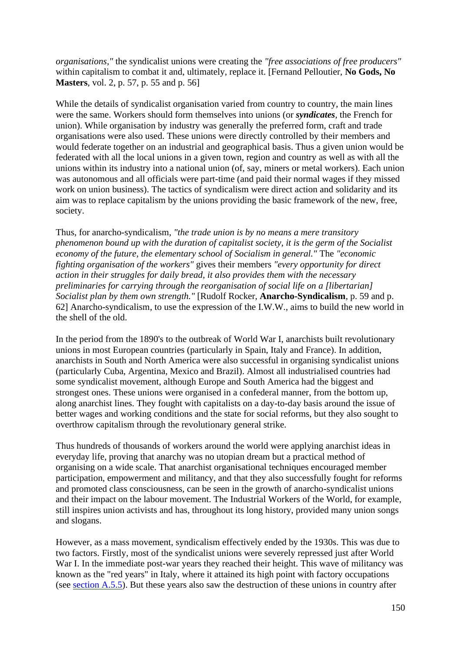*organisations,"* the syndicalist unions were creating the *"free associations of free producers"* within capitalism to combat it and, ultimately, replace it. [Fernand Pelloutier, **No Gods, No Masters**, vol. 2, p. 57, p. 55 and p. 56]

While the details of syndicalist organisation varied from country to country, the main lines were the same. Workers should form themselves into unions (or *syndicates*, the French for union). While organisation by industry was generally the preferred form, craft and trade organisations were also used. These unions were directly controlled by their members and would federate together on an industrial and geographical basis. Thus a given union would be federated with all the local unions in a given town, region and country as well as with all the unions within its industry into a national union (of, say, miners or metal workers). Each union was autonomous and all officials were part-time (and paid their normal wages if they missed work on union business). The tactics of syndicalism were direct action and solidarity and its aim was to replace capitalism by the unions providing the basic framework of the new, free, society.

Thus, for anarcho-syndicalism, *"the trade union is by no means a mere transitory phenomenon bound up with the duration of capitalist society, it is the germ of the Socialist economy of the future, the elementary school of Socialism in general."* The *"economic fighting organisation of the workers"* gives their members *"every opportunity for direct action in their struggles for daily bread, it also provides them with the necessary preliminaries for carrying through the reorganisation of social life on a [libertarian] Socialist plan by them own strength."* [Rudolf Rocker, **Anarcho-Syndicalism**, p. 59 and p. 62] Anarcho-syndicalism, to use the expression of the I.W.W., aims to build the new world in the shell of the old.

In the period from the 1890's to the outbreak of World War I, anarchists built revolutionary unions in most European countries (particularly in Spain, Italy and France). In addition, anarchists in South and North America were also successful in organising syndicalist unions (particularly Cuba, Argentina, Mexico and Brazil). Almost all industrialised countries had some syndicalist movement, although Europe and South America had the biggest and strongest ones. These unions were organised in a confederal manner, from the bottom up, along anarchist lines. They fought with capitalists on a day-to-day basis around the issue of better wages and working conditions and the state for social reforms, but they also sought to overthrow capitalism through the revolutionary general strike.

Thus hundreds of thousands of workers around the world were applying anarchist ideas in everyday life, proving that anarchy was no utopian dream but a practical method of organising on a wide scale. That anarchist organisational techniques encouraged member participation, empowerment and militancy, and that they also successfully fought for reforms and promoted class consciousness, can be seen in the growth of anarcho-syndicalist unions and their impact on the labour movement. The Industrial Workers of the World, for example, still inspires union activists and has, throughout its long history, provided many union songs and slogans.

However, as a mass movement, syndicalism effectively ended by the 1930s. This was due to two factors. Firstly, most of the syndicalist unions were severely repressed just after World War I. In the immediate post-war years they reached their height. This wave of militancy was known as the "red years" in Italy, where it attained its high point with factory occupations (see [section A.5.5\)](sectionA.html#seca55). But these years also saw the destruction of these unions in country after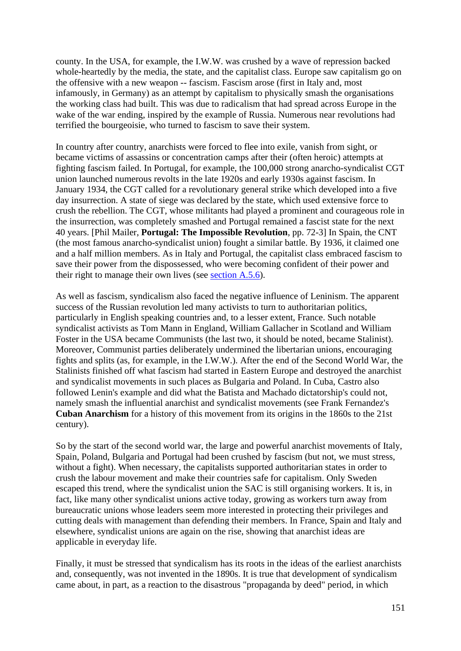county. In the USA, for example, the I.W.W. was crushed by a wave of repression backed whole-heartedly by the media, the state, and the capitalist class. Europe saw capitalism go on the offensive with a new weapon -- fascism. Fascism arose (first in Italy and, most infamously, in Germany) as an attempt by capitalism to physically smash the organisations the working class had built. This was due to radicalism that had spread across Europe in the wake of the war ending, inspired by the example of Russia. Numerous near revolutions had terrified the bourgeoisie, who turned to fascism to save their system.

In country after country, anarchists were forced to flee into exile, vanish from sight, or became victims of assassins or concentration camps after their (often heroic) attempts at fighting fascism failed. In Portugal, for example, the 100,000 strong anarcho-syndicalist CGT union launched numerous revolts in the late 1920s and early 1930s against fascism. In January 1934, the CGT called for a revolutionary general strike which developed into a five day insurrection. A state of siege was declared by the state, which used extensive force to crush the rebellion. The CGT, whose militants had played a prominent and courageous role in the insurrection, was completely smashed and Portugal remained a fascist state for the next 40 years. [Phil Mailer, **Portugal: The Impossible Revolution**, pp. 72-3] In Spain, the CNT (the most famous anarcho-syndicalist union) fought a similar battle. By 1936, it claimed one and a half million members. As in Italy and Portugal, the capitalist class embraced fascism to save their power from the dispossessed, who were becoming confident of their power and their right to manage their own lives (see [section A.5.6\)](sectionA.html#seca56).

As well as fascism, syndicalism also faced the negative influence of Leninism. The apparent success of the Russian revolution led many activists to turn to authoritarian politics, particularly in English speaking countries and, to a lesser extent, France. Such notable syndicalist activists as Tom Mann in England, William Gallacher in Scotland and William Foster in the USA became Communists (the last two, it should be noted, became Stalinist). Moreover, Communist parties deliberately undermined the libertarian unions, encouraging fights and splits (as, for example, in the I.W.W.). After the end of the Second World War, the Stalinists finished off what fascism had started in Eastern Europe and destroyed the anarchist and syndicalist movements in such places as Bulgaria and Poland. In Cuba, Castro also followed Lenin's example and did what the Batista and Machado dictatorship's could not, namely smash the influential anarchist and syndicalist movements (see Frank Fernandez's **Cuban Anarchism** for a history of this movement from its origins in the 1860s to the 21st century).

So by the start of the second world war, the large and powerful anarchist movements of Italy, Spain, Poland, Bulgaria and Portugal had been crushed by fascism (but not, we must stress, without a fight). When necessary, the capitalists supported authoritarian states in order to crush the labour movement and make their countries safe for capitalism. Only Sweden escaped this trend, where the syndicalist union the SAC is still organising workers. It is, in fact, like many other syndicalist unions active today, growing as workers turn away from bureaucratic unions whose leaders seem more interested in protecting their privileges and cutting deals with management than defending their members. In France, Spain and Italy and elsewhere, syndicalist unions are again on the rise, showing that anarchist ideas are applicable in everyday life.

Finally, it must be stressed that syndicalism has its roots in the ideas of the earliest anarchists and, consequently, was not invented in the 1890s. It is true that development of syndicalism came about, in part, as a reaction to the disastrous "propaganda by deed" period, in which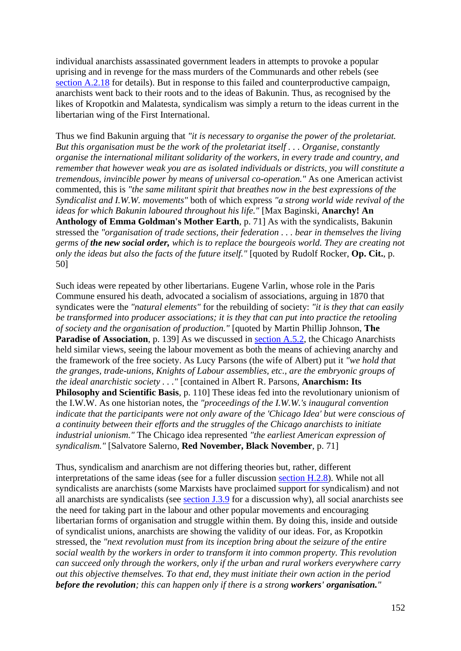individual anarchists assassinated government leaders in attempts to provoke a popular uprising and in revenge for the mass murders of the Communards and other rebels (see [section A.2.18](sectionA.html#seca218) for details). But in response to this failed and counterproductive campaign, anarchists went back to their roots and to the ideas of Bakunin. Thus, as recognised by the likes of Kropotkin and Malatesta, syndicalism was simply a return to the ideas current in the libertarian wing of the First International.

Thus we find Bakunin arguing that *"it is necessary to organise the power of the proletariat. But this organisation must be the work of the proletariat itself . . . Organise, constantly organise the international militant solidarity of the workers, in every trade and country, and remember that however weak you are as isolated individuals or districts, you will constitute a tremendous, invincible power by means of universal co-operation."* As one American activist commented, this is *"the same militant spirit that breathes now in the best expressions of the Syndicalist and I.W.W. movements"* both of which express *"a strong world wide revival of the ideas for which Bakunin laboured throughout his life."* [Max Baginski, **Anarchy! An Anthology of Emma Goldman's Mother Earth**, p. 71] As with the syndicalists, Bakunin stressed the *"organisation of trade sections, their federation . . . bear in themselves the living germs of the new social order, which is to replace the bourgeois world. They are creating not only the ideas but also the facts of the future itself."* [quoted by Rudolf Rocker, **Op. Cit.**, p. 50]

Such ideas were repeated by other libertarians. Eugene Varlin, whose role in the Paris Commune ensured his death, advocated a socialism of associations, arguing in 1870 that syndicates were the *"natural elements"* for the rebuilding of society: *"it is they that can easily be transformed into producer associations; it is they that can put into practice the retooling of society and the organisation of production."* [quoted by Martin Phillip Johnson, **The Paradise of Association**, p. 139] As we discussed in [section A.5.2,](sectionA.html#seca52) the Chicago Anarchists held similar views, seeing the labour movement as both the means of achieving anarchy and the framework of the free society. As Lucy Parsons (the wife of Albert) put it *"we hold that the granges, trade-unions, Knights of Labour assemblies, etc., are the embryonic groups of the ideal anarchistic society . . ."* [contained in Albert R. Parsons, **Anarchism: Its Philosophy and Scientific Basis**, p. 110] These ideas fed into the revolutionary unionism of the I.W.W. As one historian notes, the *"proceedings of the I.W.W.'s inaugural convention indicate that the participants were not only aware of the 'Chicago Idea' but were conscious of a continuity between their efforts and the struggles of the Chicago anarchists to initiate industrial unionism."* The Chicago idea represented *"the earliest American expression of syndicalism."* [Salvatore Salerno, **Red November, Black November**, p. 71]

Thus, syndicalism and anarchism are not differing theories but, rather, different interpretations of the same ideas (see for a fuller discussion [section H.2.8\)](sectionH.html#sech28). While not all syndicalists are anarchists (some Marxists have proclaimed support for syndicalism) and not all anarchists are syndicalists (see [section J.3.9](sectionJ.html#secj39) for a discussion why), all social anarchists see the need for taking part in the labour and other popular movements and encouraging libertarian forms of organisation and struggle within them. By doing this, inside and outside of syndicalist unions, anarchists are showing the validity of our ideas. For, as Kropotkin stressed, the *"next revolution must from its inception bring about the seizure of the entire social wealth by the workers in order to transform it into common property. This revolution can succeed only through the workers, only if the urban and rural workers everywhere carry out this objective themselves. To that end, they must initiate their own action in the period before the revolution; this can happen only if there is a strong workers' organisation."*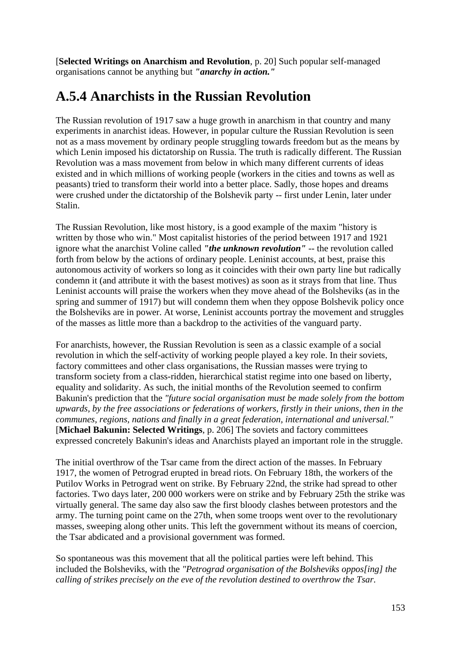[**Selected Writings on Anarchism and Revolution**, p. 20] Such popular self-managed organisations cannot be anything but *"anarchy in action."*

### **A.5.4 Anarchists in the Russian Revolution**

The Russian revolution of 1917 saw a huge growth in anarchism in that country and many experiments in anarchist ideas. However, in popular culture the Russian Revolution is seen not as a mass movement by ordinary people struggling towards freedom but as the means by which Lenin imposed his dictatorship on Russia. The truth is radically different. The Russian Revolution was a mass movement from below in which many different currents of ideas existed and in which millions of working people (workers in the cities and towns as well as peasants) tried to transform their world into a better place. Sadly, those hopes and dreams were crushed under the dictatorship of the Bolshevik party -- first under Lenin, later under Stalin.

The Russian Revolution, like most history, is a good example of the maxim "history is written by those who win." Most capitalist histories of the period between 1917 and 1921 ignore what the anarchist Voline called *"the unknown revolution"* -- the revolution called forth from below by the actions of ordinary people. Leninist accounts, at best, praise this autonomous activity of workers so long as it coincides with their own party line but radically condemn it (and attribute it with the basest motives) as soon as it strays from that line. Thus Leninist accounts will praise the workers when they move ahead of the Bolsheviks (as in the spring and summer of 1917) but will condemn them when they oppose Bolshevik policy once the Bolsheviks are in power. At worse, Leninist accounts portray the movement and struggles of the masses as little more than a backdrop to the activities of the vanguard party.

For anarchists, however, the Russian Revolution is seen as a classic example of a social revolution in which the self-activity of working people played a key role. In their soviets, factory committees and other class organisations, the Russian masses were trying to transform society from a class-ridden, hierarchical statist regime into one based on liberty, equality and solidarity. As such, the initial months of the Revolution seemed to confirm Bakunin's prediction that the *"future social organisation must be made solely from the bottom upwards, by the free associations or federations of workers, firstly in their unions, then in the communes, regions, nations and finally in a great federation, international and universal."* [**Michael Bakunin: Selected Writings**, p. 206] The soviets and factory committees expressed concretely Bakunin's ideas and Anarchists played an important role in the struggle.

The initial overthrow of the Tsar came from the direct action of the masses. In February 1917, the women of Petrograd erupted in bread riots. On February 18th, the workers of the Putilov Works in Petrograd went on strike. By February 22nd, the strike had spread to other factories. Two days later, 200 000 workers were on strike and by February 25th the strike was virtually general. The same day also saw the first bloody clashes between protestors and the army. The turning point came on the 27th, when some troops went over to the revolutionary masses, sweeping along other units. This left the government without its means of coercion, the Tsar abdicated and a provisional government was formed.

So spontaneous was this movement that all the political parties were left behind. This included the Bolsheviks, with the *"Petrograd organisation of the Bolsheviks oppos[ing] the calling of strikes precisely on the eve of the revolution destined to overthrow the Tsar.*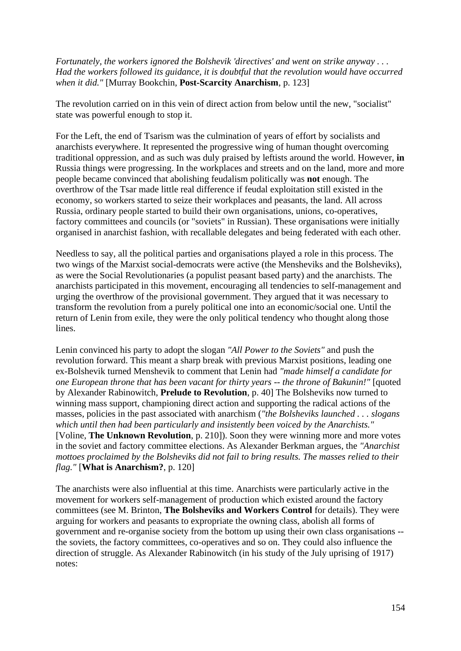*Fortunately, the workers ignored the Bolshevik 'directives' and went on strike anyway . . . Had the workers followed its guidance, it is doubtful that the revolution would have occurred when it did."* [Murray Bookchin, **Post-Scarcity Anarchism**, p. 123]

The revolution carried on in this vein of direct action from below until the new, "socialist" state was powerful enough to stop it.

For the Left, the end of Tsarism was the culmination of years of effort by socialists and anarchists everywhere. It represented the progressive wing of human thought overcoming traditional oppression, and as such was duly praised by leftists around the world. However, **in** Russia things were progressing. In the workplaces and streets and on the land, more and more people became convinced that abolishing feudalism politically was **not** enough. The overthrow of the Tsar made little real difference if feudal exploitation still existed in the economy, so workers started to seize their workplaces and peasants, the land. All across Russia, ordinary people started to build their own organisations, unions, co-operatives, factory committees and councils (or "soviets" in Russian). These organisations were initially organised in anarchist fashion, with recallable delegates and being federated with each other.

Needless to say, all the political parties and organisations played a role in this process. The two wings of the Marxist social-democrats were active (the Mensheviks and the Bolsheviks), as were the Social Revolutionaries (a populist peasant based party) and the anarchists. The anarchists participated in this movement, encouraging all tendencies to self-management and urging the overthrow of the provisional government. They argued that it was necessary to transform the revolution from a purely political one into an economic/social one. Until the return of Lenin from exile, they were the only political tendency who thought along those lines.

Lenin convinced his party to adopt the slogan *"All Power to the Soviets"* and push the revolution forward. This meant a sharp break with previous Marxist positions, leading one ex-Bolshevik turned Menshevik to comment that Lenin had *"made himself a candidate for one European throne that has been vacant for thirty years -- the throne of Bakunin!"* [quoted by Alexander Rabinowitch, **Prelude to Revolution**, p. 40] The Bolsheviks now turned to winning mass support, championing direct action and supporting the radical actions of the masses, policies in the past associated with anarchism (*"the Bolsheviks launched . . . slogans which until then had been particularly and insistently been voiced by the Anarchists."* [Voline, **The Unknown Revolution**, p. 210]). Soon they were winning more and more votes in the soviet and factory committee elections. As Alexander Berkman argues, the *"Anarchist mottoes proclaimed by the Bolsheviks did not fail to bring results. The masses relied to their flag."* [**What is Anarchism?**, p. 120]

The anarchists were also influential at this time. Anarchists were particularly active in the movement for workers self-management of production which existed around the factory committees (see M. Brinton, **The Bolsheviks and Workers Control** for details). They were arguing for workers and peasants to expropriate the owning class, abolish all forms of government and re-organise society from the bottom up using their own class organisations - the soviets, the factory committees, co-operatives and so on. They could also influence the direction of struggle. As Alexander Rabinowitch (in his study of the July uprising of 1917) notes: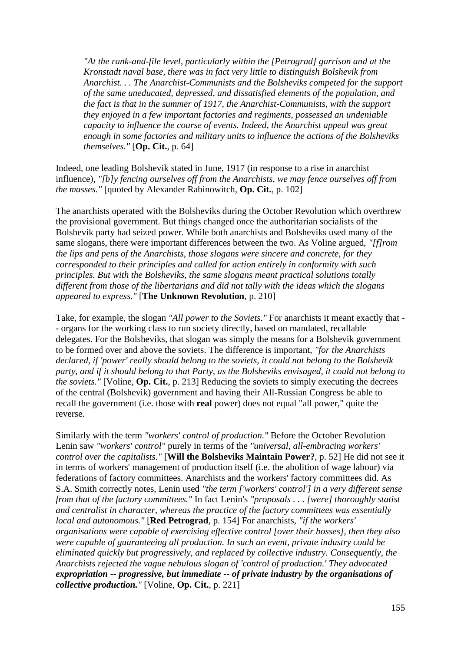*"At the rank-and-file level, particularly within the [Petrograd] garrison and at the Kronstadt naval base, there was in fact very little to distinguish Bolshevik from Anarchist. . . The Anarchist-Communists and the Bolsheviks competed for the support of the same uneducated, depressed, and dissatisfied elements of the population, and the fact is that in the summer of 1917, the Anarchist-Communists, with the support they enjoyed in a few important factories and regiments, possessed an undeniable capacity to influence the course of events. Indeed, the Anarchist appeal was great enough in some factories and military units to influence the actions of the Bolsheviks themselves."* [**Op. Cit.**, p. 64]

Indeed, one leading Bolshevik stated in June, 1917 (in response to a rise in anarchist influence), *"[b]y fencing ourselves off from the Anarchists, we may fence ourselves off from the masses."* [quoted by Alexander Rabinowitch, **Op. Cit.**, p. 102]

The anarchists operated with the Bolsheviks during the October Revolution which overthrew the provisional government. But things changed once the authoritarian socialists of the Bolshevik party had seized power. While both anarchists and Bolsheviks used many of the same slogans, there were important differences between the two. As Voline argued, *"[f]rom the lips and pens of the Anarchists, those slogans were sincere and concrete, for they corresponded to their principles and called for action entirely in conformity with such principles. But with the Bolsheviks, the same slogans meant practical solutions totally different from those of the libertarians and did not tally with the ideas which the slogans appeared to express."* [**The Unknown Revolution**, p. 210]

Take, for example, the slogan *"All power to the Soviets."* For anarchists it meant exactly that - - organs for the working class to run society directly, based on mandated, recallable delegates. For the Bolsheviks, that slogan was simply the means for a Bolshevik government to be formed over and above the soviets. The difference is important, *"for the Anarchists declared, if 'power' really should belong to the soviets, it could not belong to the Bolshevik party, and if it should belong to that Party, as the Bolsheviks envisaged, it could not belong to the soviets."* [Voline, **Op. Cit.**, p. 213] Reducing the soviets to simply executing the decrees of the central (Bolshevik) government and having their All-Russian Congress be able to recall the government (i.e. those with **real** power) does not equal "all power," quite the reverse.

Similarly with the term *"workers' control of production."* Before the October Revolution Lenin saw *"workers' control"* purely in terms of the *"universal, all-embracing workers' control over the capitalists."* [**Will the Bolsheviks Maintain Power?**, p. 52] He did not see it in terms of workers' management of production itself (i.e. the abolition of wage labour) via federations of factory committees. Anarchists and the workers' factory committees did. As S.A. Smith correctly notes, Lenin used *"the term ['workers' control'] in a very different sense from that of the factory committees."* In fact Lenin's *"proposals . . . [were] thoroughly statist and centralist in character, whereas the practice of the factory committees was essentially local and autonomous."* [**Red Petrograd**, p. 154] For anarchists, *"if the workers' organisations were capable of exercising effective control [over their bosses], then they also were capable of guaranteeing all production. In such an event, private industry could be eliminated quickly but progressively, and replaced by collective industry. Consequently, the Anarchists rejected the vague nebulous slogan of 'control of production.' They advocated expropriation -- progressive, but immediate -- of private industry by the organisations of collective production."* [Voline, **Op. Cit.**, p. 221]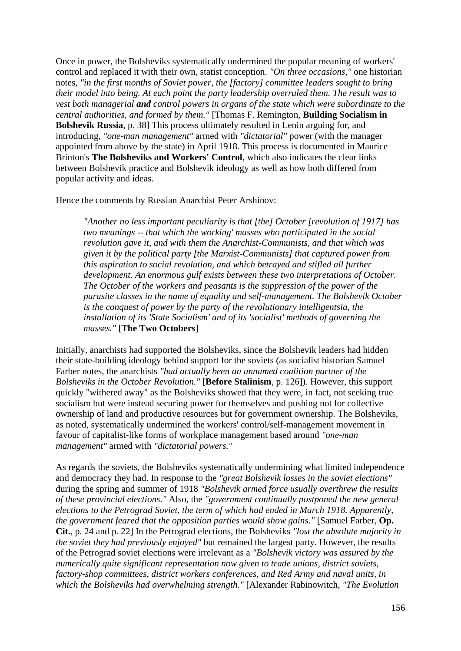Once in power, the Bolsheviks systematically undermined the popular meaning of workers' control and replaced it with their own, statist conception. *"On three occasions,"* one historian notes, *"in the first months of Soviet power, the [factory] committee leaders sought to bring their model into being. At each point the party leadership overruled them. The result was to vest both managerial and control powers in organs of the state which were subordinate to the central authorities, and formed by them."* [Thomas F. Remington, **Building Socialism in Bolshevik Russia**, p. 38] This process ultimately resulted in Lenin arguing for, and introducing, *"one-man management"* armed with *"dictatorial"* power (with the manager appointed from above by the state) in April 1918. This process is documented in Maurice Brinton's **The Bolsheviks and Workers' Control**, which also indicates the clear links between Bolshevik practice and Bolshevik ideology as well as how both differed from popular activity and ideas.

Hence the comments by Russian Anarchist Peter Arshinov:

*"Another no less important peculiarity is that [the] October [revolution of 1917] has two meanings -- that which the working' masses who participated in the social revolution gave it, and with them the Anarchist-Communists, and that which was given it by the political party [the Marxist-Communists] that captured power from this aspiration to social revolution, and which betrayed and stifled all further development. An enormous gulf exists between these two interpretations of October. The October of the workers and peasants is the suppression of the power of the parasite classes in the name of equality and self-management. The Bolshevik October is the conquest of power by the party of the revolutionary intelligentsia, the installation of its 'State Socialism' and of its 'socialist' methods of governing the masses."* [**The Two Octobers**]

Initially, anarchists had supported the Bolsheviks, since the Bolshevik leaders had hidden their state-building ideology behind support for the soviets (as socialist historian Samuel Farber notes, the anarchists *"had actually been an unnamed coalition partner of the Bolsheviks in the October Revolution."* [**Before Stalinism**, p. 126]). However, this support quickly "withered away" as the Bolsheviks showed that they were, in fact, not seeking true socialism but were instead securing power for themselves and pushing not for collective ownership of land and productive resources but for government ownership. The Bolsheviks, as noted, systematically undermined the workers' control/self-management movement in favour of capitalist-like forms of workplace management based around *"one-man management"* armed with *"dictatorial powers."*

As regards the soviets, the Bolsheviks systematically undermining what limited independence and democracy they had. In response to the *"great Bolshevik losses in the soviet elections"* during the spring and summer of 1918 *"Bolshevik armed force usually overthrew the results of these provincial elections."* Also, the *"government continually postponed the new general elections to the Petrograd Soviet, the term of which had ended in March 1918. Apparently, the government feared that the opposition parties would show gains."* [Samuel Farber, **Op. Cit.**, p. 24 and p. 22] In the Petrograd elections, the Bolsheviks *"lost the absolute majority in the soviet they had previously enjoyed"* but remained the largest party. However, the results of the Petrograd soviet elections were irrelevant as a *"Bolshevik victory was assured by the numerically quite significant representation now given to trade unions, district soviets, factory-shop committees, district workers conferences, and Red Army and naval units, in which the Bolsheviks had overwhelming strength."* [Alexander Rabinowitch, *"The Evolution*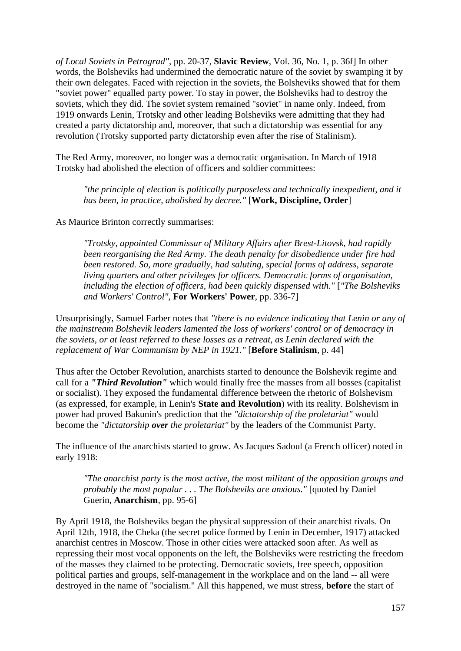*of Local Soviets in Petrograd"*, pp. 20-37, **Slavic Review**, Vol. 36, No. 1, p. 36f] In other words, the Bolsheviks had undermined the democratic nature of the soviet by swamping it by their own delegates. Faced with rejection in the soviets, the Bolsheviks showed that for them "soviet power" equalled party power. To stay in power, the Bolsheviks had to destroy the soviets, which they did. The soviet system remained "soviet" in name only. Indeed, from 1919 onwards Lenin, Trotsky and other leading Bolsheviks were admitting that they had created a party dictatorship and, moreover, that such a dictatorship was essential for any revolution (Trotsky supported party dictatorship even after the rise of Stalinism).

The Red Army, moreover, no longer was a democratic organisation. In March of 1918 Trotsky had abolished the election of officers and soldier committees:

*"the principle of election is politically purposeless and technically inexpedient, and it has been, in practice, abolished by decree."* [**Work, Discipline, Order**]

As Maurice Brinton correctly summarises:

*"Trotsky, appointed Commissar of Military Affairs after Brest-Litovsk, had rapidly been reorganising the Red Army. The death penalty for disobedience under fire had been restored. So, more gradually, had saluting, special forms of address, separate living quarters and other privileges for officers. Democratic forms of organisation, including the election of officers, had been quickly dispensed with."* [*"The Bolsheviks and Workers' Control"*, **For Workers' Power**, pp. 336-7]

Unsurprisingly, Samuel Farber notes that *"there is no evidence indicating that Lenin or any of the mainstream Bolshevik leaders lamented the loss of workers' control or of democracy in the soviets, or at least referred to these losses as a retreat, as Lenin declared with the replacement of War Communism by NEP in 1921."* [**Before Stalinism**, p. 44]

Thus after the October Revolution, anarchists started to denounce the Bolshevik regime and call for a *"Third Revolution"* which would finally free the masses from all bosses (capitalist or socialist). They exposed the fundamental difference between the rhetoric of Bolshevism (as expressed, for example, in Lenin's **State and Revolution**) with its reality. Bolshevism in power had proved Bakunin's prediction that the *"dictatorship of the proletariat"* would become the *"dictatorship over the proletariat"* by the leaders of the Communist Party.

The influence of the anarchists started to grow. As Jacques Sadoul (a French officer) noted in early 1918:

*"The anarchist party is the most active, the most militant of the opposition groups and probably the most popular . . . The Bolsheviks are anxious."* [quoted by Daniel Guerin, **Anarchism**, pp. 95-6]

By April 1918, the Bolsheviks began the physical suppression of their anarchist rivals. On April 12th, 1918, the Cheka (the secret police formed by Lenin in December, 1917) attacked anarchist centres in Moscow. Those in other cities were attacked soon after. As well as repressing their most vocal opponents on the left, the Bolsheviks were restricting the freedom of the masses they claimed to be protecting. Democratic soviets, free speech, opposition political parties and groups, self-management in the workplace and on the land -- all were destroyed in the name of "socialism." All this happened, we must stress, **before** the start of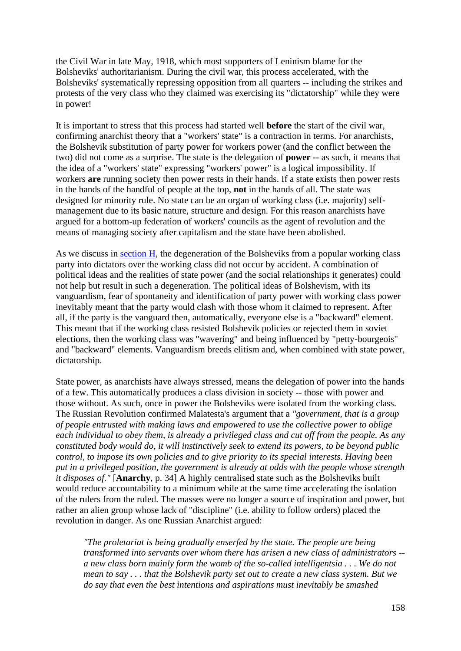the Civil War in late May, 1918, which most supporters of Leninism blame for the Bolsheviks' authoritarianism. During the civil war, this process accelerated, with the Bolsheviks' systematically repressing opposition from all quarters -- including the strikes and protests of the very class who they claimed was exercising its "dictatorship" while they were in power!

It is important to stress that this process had started well **before** the start of the civil war, confirming anarchist theory that a "workers' state" is a contraction in terms. For anarchists, the Bolshevik substitution of party power for workers power (and the conflict between the two) did not come as a surprise. The state is the delegation of **power** -- as such, it means that the idea of a "workers' state" expressing "workers' power" is a logical impossibility. If workers **are** running society then power rests in their hands. If a state exists then power rests in the hands of the handful of people at the top, **not** in the hands of all. The state was designed for minority rule. No state can be an organ of working class (i.e. majority) selfmanagement due to its basic nature, structure and design. For this reason anarchists have argued for a bottom-up federation of workers' councils as the agent of revolution and the means of managing society after capitalism and the state have been abolished.

As we discuss in [section H,](sectionH.html) the degeneration of the Bolsheviks from a popular working class party into dictators over the working class did not occur by accident. A combination of political ideas and the realities of state power (and the social relationships it generates) could not help but result in such a degeneration. The political ideas of Bolshevism, with its vanguardism, fear of spontaneity and identification of party power with working class power inevitably meant that the party would clash with those whom it claimed to represent. After all, if the party is the vanguard then, automatically, everyone else is a "backward" element. This meant that if the working class resisted Bolshevik policies or rejected them in soviet elections, then the working class was "wavering" and being influenced by "petty-bourgeois" and "backward" elements. Vanguardism breeds elitism and, when combined with state power, dictatorship.

State power, as anarchists have always stressed, means the delegation of power into the hands of a few. This automatically produces a class division in society -- those with power and those without. As such, once in power the Bolsheviks were isolated from the working class. The Russian Revolution confirmed Malatesta's argument that a *"government, that is a group of people entrusted with making laws and empowered to use the collective power to oblige each individual to obey them, is already a privileged class and cut off from the people. As any constituted body would do, it will instinctively seek to extend its powers, to be beyond public control, to impose its own policies and to give priority to its special interests. Having been put in a privileged position, the government is already at odds with the people whose strength it disposes of."* [**Anarchy**, p. 34] A highly centralised state such as the Bolsheviks built would reduce accountability to a minimum while at the same time accelerating the isolation of the rulers from the ruled. The masses were no longer a source of inspiration and power, but rather an alien group whose lack of "discipline" (i.e. ability to follow orders) placed the revolution in danger. As one Russian Anarchist argued:

*"The proletariat is being gradually enserfed by the state. The people are being transformed into servants over whom there has arisen a new class of administrators - a new class born mainly form the womb of the so-called intelligentsia . . . We do not mean to say . . . that the Bolshevik party set out to create a new class system. But we do say that even the best intentions and aspirations must inevitably be smashed*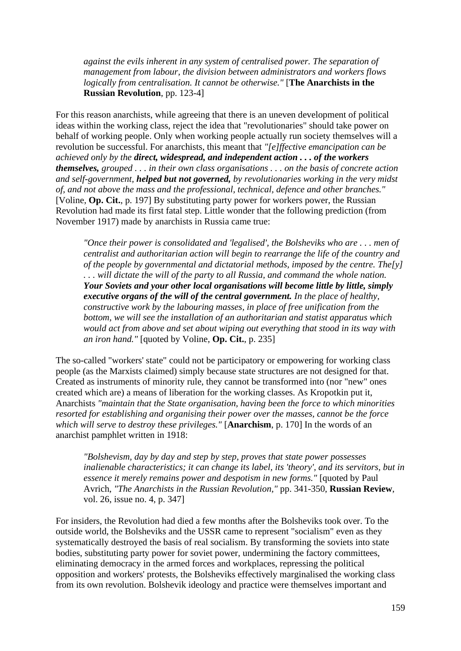*against the evils inherent in any system of centralised power. The separation of management from labour, the division between administrators and workers flows logically from centralisation. It cannot be otherwise."* [**The Anarchists in the Russian Revolution**, pp. 123-4]

For this reason anarchists, while agreeing that there is an uneven development of political ideas within the working class, reject the idea that "revolutionaries" should take power on behalf of working people. Only when working people actually run society themselves will a revolution be successful. For anarchists, this meant that *"[e]ffective emancipation can be achieved only by the direct, widespread, and independent action . . . of the workers themselves, grouped . . . in their own class organisations . . . on the basis of concrete action and self-government, helped but not governed, by revolutionaries working in the very midst of, and not above the mass and the professional, technical, defence and other branches."* [Voline, **Op. Cit.**, p. 197] By substituting party power for workers power, the Russian Revolution had made its first fatal step. Little wonder that the following prediction (from November 1917) made by anarchists in Russia came true:

*"Once their power is consolidated and 'legalised', the Bolsheviks who are . . . men of centralist and authoritarian action will begin to rearrange the life of the country and of the people by governmental and dictatorial methods, imposed by the centre. The[y] . . . will dictate the will of the party to all Russia, and command the whole nation. Your Soviets and your other local organisations will become little by little, simply executive organs of the will of the central government. In the place of healthy, constructive work by the labouring masses, in place of free unification from the bottom, we will see the installation of an authoritarian and statist apparatus which would act from above and set about wiping out everything that stood in its way with an iron hand."* [quoted by Voline, **Op. Cit.**, p. 235]

The so-called "workers' state" could not be participatory or empowering for working class people (as the Marxists claimed) simply because state structures are not designed for that. Created as instruments of minority rule, they cannot be transformed into (nor "new" ones created which are) a means of liberation for the working classes. As Kropotkin put it, Anarchists *"maintain that the State organisation, having been the force to which minorities resorted for establishing and organising their power over the masses, cannot be the force which will serve to destroy these privileges."* [**Anarchism**, p. 170] In the words of an anarchist pamphlet written in 1918:

*"Bolshevism, day by day and step by step, proves that state power possesses inalienable characteristics; it can change its label, its 'theory', and its servitors, but in essence it merely remains power and despotism in new forms."* [quoted by Paul Avrich, *"The Anarchists in the Russian Revolution,"* pp. 341-350, **Russian Review**, vol. 26, issue no. 4, p. 347]

For insiders, the Revolution had died a few months after the Bolsheviks took over. To the outside world, the Bolsheviks and the USSR came to represent "socialism" even as they systematically destroyed the basis of real socialism. By transforming the soviets into state bodies, substituting party power for soviet power, undermining the factory committees, eliminating democracy in the armed forces and workplaces, repressing the political opposition and workers' protests, the Bolsheviks effectively marginalised the working class from its own revolution. Bolshevik ideology and practice were themselves important and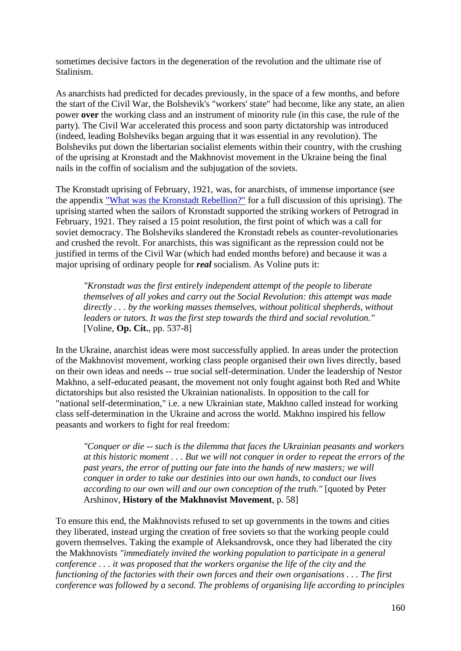sometimes decisive factors in the degeneration of the revolution and the ultimate rise of Stalinism.

As anarchists had predicted for decades previously, in the space of a few months, and before the start of the Civil War, the Bolshevik's "workers' state" had become, like any state, an alien power **over** the working class and an instrument of minority rule (in this case, the rule of the party). The Civil War accelerated this process and soon party dictatorship was introduced (indeed, leading Bolsheviks began arguing that it was essential in any revolution). The Bolsheviks put down the libertarian socialist elements within their country, with the crushing of the uprising at Kronstadt and the Makhnovist movement in the Ukraine being the final nails in the coffin of socialism and the subjugation of the soviets.

The Kronstadt uprising of February, 1921, was, for anarchists, of immense importance (see the appendix ["What was the Kronstadt Rebellion?"](append42.html) for a full discussion of this uprising). The uprising started when the sailors of Kronstadt supported the striking workers of Petrograd in February, 1921. They raised a 15 point resolution, the first point of which was a call for soviet democracy. The Bolsheviks slandered the Kronstadt rebels as counter-revolutionaries and crushed the revolt. For anarchists, this was significant as the repression could not be justified in terms of the Civil War (which had ended months before) and because it was a major uprising of ordinary people for *real* socialism. As Voline puts it:

*"Kronstadt was the first entirely independent attempt of the people to liberate themselves of all yokes and carry out the Social Revolution: this attempt was made directly . . . by the working masses themselves, without political shepherds, without leaders or tutors. It was the first step towards the third and social revolution."* [Voline, **Op. Cit.**, pp. 537-8]

In the Ukraine, anarchist ideas were most successfully applied. In areas under the protection of the Makhnovist movement, working class people organised their own lives directly, based on their own ideas and needs -- true social self-determination. Under the leadership of Nestor Makhno, a self-educated peasant, the movement not only fought against both Red and White dictatorships but also resisted the Ukrainian nationalists. In opposition to the call for "national self-determination," i.e. a new Ukrainian state, Makhno called instead for working class self-determination in the Ukraine and across the world. Makhno inspired his fellow peasants and workers to fight for real freedom:

*"Conquer or die -- such is the dilemma that faces the Ukrainian peasants and workers at this historic moment . . . But we will not conquer in order to repeat the errors of the past years, the error of putting our fate into the hands of new masters; we will conquer in order to take our destinies into our own hands, to conduct our lives according to our own will and our own conception of the truth."* [quoted by Peter Arshinov, **History of the Makhnovist Movement**, p. 58]

To ensure this end, the Makhnovists refused to set up governments in the towns and cities they liberated, instead urging the creation of free soviets so that the working people could govern themselves. Taking the example of Aleksandrovsk, once they had liberated the city the Makhnovists *"immediately invited the working population to participate in a general conference . . . it was proposed that the workers organise the life of the city and the functioning of the factories with their own forces and their own organisations . . . The first conference was followed by a second. The problems of organising life according to principles*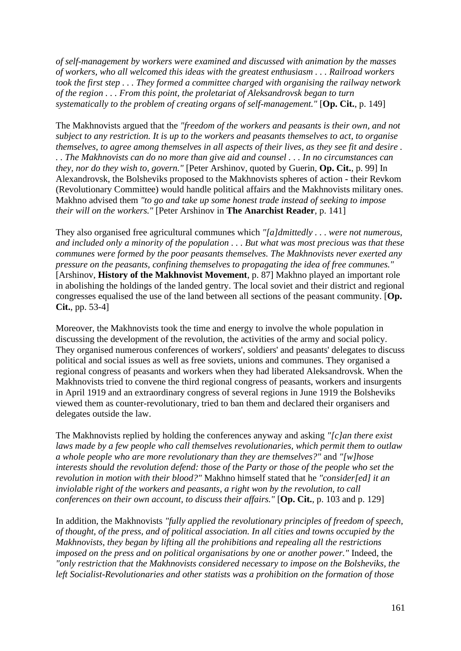*of self-management by workers were examined and discussed with animation by the masses of workers, who all welcomed this ideas with the greatest enthusiasm . . . Railroad workers took the first step . . . They formed a committee charged with organising the railway network of the region . . . From this point, the proletariat of Aleksandrovsk began to turn systematically to the problem of creating organs of self-management."* [**Op. Cit.**, p. 149]

The Makhnovists argued that the *"freedom of the workers and peasants is their own, and not subject to any restriction. It is up to the workers and peasants themselves to act, to organise themselves, to agree among themselves in all aspects of their lives, as they see fit and desire . . . The Makhnovists can do no more than give aid and counsel . . . In no circumstances can they, nor do they wish to, govern."* [Peter Arshinov, quoted by Guerin, **Op. Cit.**, p. 99] In Alexandrovsk, the Bolsheviks proposed to the Makhnovists spheres of action - their Revkom (Revolutionary Committee) would handle political affairs and the Makhnovists military ones. Makhno advised them *"to go and take up some honest trade instead of seeking to impose their will on the workers."* [Peter Arshinov in **The Anarchist Reader**, p. 141]

They also organised free agricultural communes which *"[a]dmittedly . . . were not numerous, and included only a minority of the population . . . But what was most precious was that these communes were formed by the poor peasants themselves. The Makhnovists never exerted any pressure on the peasants, confining themselves to propagating the idea of free communes."* [Arshinov, **History of the Makhnovist Movement**, p. 87] Makhno played an important role in abolishing the holdings of the landed gentry. The local soviet and their district and regional congresses equalised the use of the land between all sections of the peasant community. [**Op. Cit.**, pp. 53-4]

Moreover, the Makhnovists took the time and energy to involve the whole population in discussing the development of the revolution, the activities of the army and social policy. They organised numerous conferences of workers', soldiers' and peasants' delegates to discuss political and social issues as well as free soviets, unions and communes. They organised a regional congress of peasants and workers when they had liberated Aleksandrovsk. When the Makhnovists tried to convene the third regional congress of peasants, workers and insurgents in April 1919 and an extraordinary congress of several regions in June 1919 the Bolsheviks viewed them as counter-revolutionary, tried to ban them and declared their organisers and delegates outside the law.

The Makhnovists replied by holding the conferences anyway and asking *"[c]an there exist laws made by a few people who call themselves revolutionaries, which permit them to outlaw a whole people who are more revolutionary than they are themselves?"* and *"[w]hose interests should the revolution defend: those of the Party or those of the people who set the revolution in motion with their blood?"* Makhno himself stated that he *"consider[ed] it an inviolable right of the workers and peasants, a right won by the revolution, to call conferences on their own account, to discuss their affairs."* [**Op. Cit.**, p. 103 and p. 129]

In addition, the Makhnovists *"fully applied the revolutionary principles of freedom of speech, of thought, of the press, and of political association. In all cities and towns occupied by the Makhnovists, they began by lifting all the prohibitions and repealing all the restrictions imposed on the press and on political organisations by one or another power."* Indeed, the *"only restriction that the Makhnovists considered necessary to impose on the Bolsheviks, the left Socialist-Revolutionaries and other statists was a prohibition on the formation of those*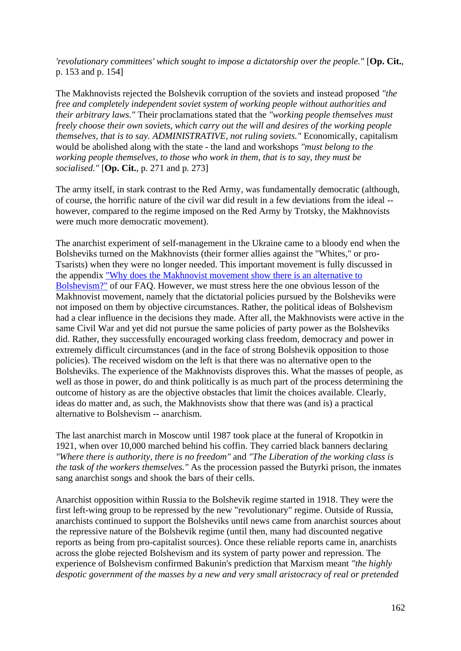*'revolutionary committees' which sought to impose a dictatorship over the people."* [**Op. Cit.**, p. 153 and p. 154]

The Makhnovists rejected the Bolshevik corruption of the soviets and instead proposed *"the free and completely independent soviet system of working people without authorities and their arbitrary laws."* Their proclamations stated that the *"working people themselves must freely choose their own soviets, which carry out the will and desires of the working people themselves, that is to say. ADMINISTRATIVE, not ruling soviets."* Economically, capitalism would be abolished along with the state - the land and workshops *"must belong to the working people themselves, to those who work in them, that is to say, they must be socialised."* [**Op. Cit.**, p. 271 and p. 273]

The army itself, in stark contrast to the Red Army, was fundamentally democratic (although, of course, the horrific nature of the civil war did result in a few deviations from the ideal - however, compared to the regime imposed on the Red Army by Trotsky, the Makhnovists were much more democratic movement).

The anarchist experiment of self-management in the Ukraine came to a bloody end when the Bolsheviks turned on the Makhnovists (their former allies against the "Whites," or pro-Tsarists) when they were no longer needed. This important movement is fully discussed in the appendix ["Why does the Makhnovist movement show there is an alternative to](append46.html)  [Bolshevism?"](append46.html) of our FAQ. However, we must stress here the one obvious lesson of the Makhnovist movement, namely that the dictatorial policies pursued by the Bolsheviks were not imposed on them by objective circumstances. Rather, the political ideas of Bolshevism had a clear influence in the decisions they made. After all, the Makhnovists were active in the same Civil War and yet did not pursue the same policies of party power as the Bolsheviks did. Rather, they successfully encouraged working class freedom, democracy and power in extremely difficult circumstances (and in the face of strong Bolshevik opposition to those policies). The received wisdom on the left is that there was no alternative open to the Bolsheviks. The experience of the Makhnovists disproves this. What the masses of people, as well as those in power, do and think politically is as much part of the process determining the outcome of history as are the objective obstacles that limit the choices available. Clearly, ideas do matter and, as such, the Makhnovists show that there was (and is) a practical alternative to Bolshevism -- anarchism.

The last anarchist march in Moscow until 1987 took place at the funeral of Kropotkin in 1921, when over 10,000 marched behind his coffin. They carried black banners declaring *"Where there is authority, there is no freedom"* and *"The Liberation of the working class is the task of the workers themselves."* As the procession passed the Butyrki prison, the inmates sang anarchist songs and shook the bars of their cells.

Anarchist opposition within Russia to the Bolshevik regime started in 1918. They were the first left-wing group to be repressed by the new "revolutionary" regime. Outside of Russia, anarchists continued to support the Bolsheviks until news came from anarchist sources about the repressive nature of the Bolshevik regime (until then, many had discounted negative reports as being from pro-capitalist sources). Once these reliable reports came in, anarchists across the globe rejected Bolshevism and its system of party power and repression. The experience of Bolshevism confirmed Bakunin's prediction that Marxism meant *"the highly despotic government of the masses by a new and very small aristocracy of real or pretended*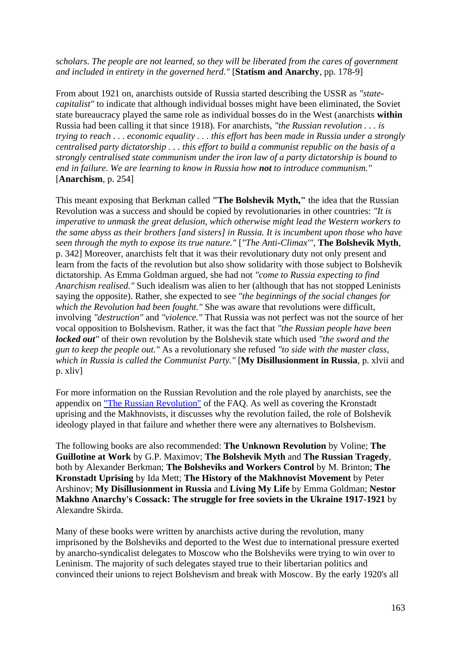#### *scholars. The people are not learned, so they will be liberated from the cares of government and included in entirety in the governed herd."* [**Statism and Anarchy**, pp. 178-9]

From about 1921 on, anarchists outside of Russia started describing the USSR as *"statecapitalist"* to indicate that although individual bosses might have been eliminated, the Soviet state bureaucracy played the same role as individual bosses do in the West (anarchists **within** Russia had been calling it that since 1918). For anarchists, *"the Russian revolution . . . is trying to reach . . . economic equality . . . this effort has been made in Russia under a strongly centralised party dictatorship . . . this effort to build a communist republic on the basis of a strongly centralised state communism under the iron law of a party dictatorship is bound to end in failure. We are learning to know in Russia how not to introduce communism."* [**Anarchism**, p. 254]

This meant exposing that Berkman called **"The Bolshevik Myth,"** the idea that the Russian Revolution was a success and should be copied by revolutionaries in other countries: *"It is imperative to unmask the great delusion, which otherwise might lead the Western workers to the same abyss as their brothers [and sisters] in Russia. It is incumbent upon those who have seen through the myth to expose its true nature."* [*"The Anti-Climax'"*, **The Bolshevik Myth**, p. 342] Moreover, anarchists felt that it was their revolutionary duty not only present and learn from the facts of the revolution but also show solidarity with those subject to Bolshevik dictatorship. As Emma Goldman argued, she had not *"come to Russia expecting to find Anarchism realised."* Such idealism was alien to her (although that has not stopped Leninists saying the opposite). Rather, she expected to see *"the beginnings of the social changes for which the Revolution had been fought."* She was aware that revolutions were difficult, involving *"destruction"* and *"violence."* That Russia was not perfect was not the source of her vocal opposition to Bolshevism. Rather, it was the fact that *"the Russian people have been locked out"* of their own revolution by the Bolshevik state which used *"the sword and the gun to keep the people out."* As a revolutionary she refused *"to side with the master class, which in Russia is called the Communist Party."* [**My Disillusionment in Russia**, p. xlvii and p. xliv]

For more information on the Russian Revolution and the role played by anarchists, see the appendix on ["The Russian Revolution"](append4.html) of the FAQ. As well as covering the Kronstadt uprising and the Makhnovists, it discusses why the revolution failed, the role of Bolshevik ideology played in that failure and whether there were any alternatives to Bolshevism.

The following books are also recommended: **The Unknown Revolution** by Voline; **The Guillotine at Work** by G.P. Maximov; **The Bolshevik Myth** and **The Russian Tragedy**, both by Alexander Berkman; **The Bolsheviks and Workers Control** by M. Brinton; **The Kronstadt Uprising** by Ida Mett; **The History of the Makhnovist Movement** by Peter Arshinov; **My Disillusionment in Russia** and **Living My Life** by Emma Goldman; **Nestor Makhno Anarchy's Cossack: The struggle for free soviets in the Ukraine 1917-1921** by Alexandre Skirda.

Many of these books were written by anarchists active during the revolution, many imprisoned by the Bolsheviks and deported to the West due to international pressure exerted by anarcho-syndicalist delegates to Moscow who the Bolsheviks were trying to win over to Leninism. The majority of such delegates stayed true to their libertarian politics and convinced their unions to reject Bolshevism and break with Moscow. By the early 1920's all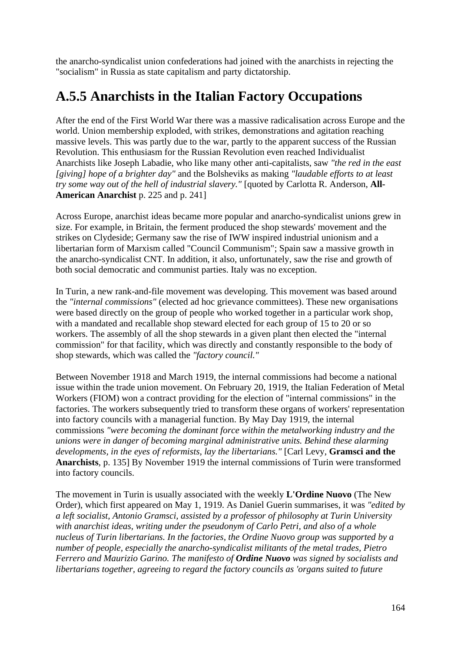the anarcho-syndicalist union confederations had joined with the anarchists in rejecting the "socialism" in Russia as state capitalism and party dictatorship.

# **A.5.5 Anarchists in the Italian Factory Occupations**

After the end of the First World War there was a massive radicalisation across Europe and the world. Union membership exploded, with strikes, demonstrations and agitation reaching massive levels. This was partly due to the war, partly to the apparent success of the Russian Revolution. This enthusiasm for the Russian Revolution even reached Individualist Anarchists like Joseph Labadie, who like many other anti-capitalists, saw *"the red in the east [giving] hope of a brighter day"* and the Bolsheviks as making *"laudable efforts to at least try some way out of the hell of industrial slavery."* [quoted by Carlotta R. Anderson, **All-American Anarchist** p. 225 and p. 241]

Across Europe, anarchist ideas became more popular and anarcho-syndicalist unions grew in size. For example, in Britain, the ferment produced the shop stewards' movement and the strikes on Clydeside; Germany saw the rise of IWW inspired industrial unionism and a libertarian form of Marxism called "Council Communism"; Spain saw a massive growth in the anarcho-syndicalist CNT. In addition, it also, unfortunately, saw the rise and growth of both social democratic and communist parties. Italy was no exception.

In Turin, a new rank-and-file movement was developing. This movement was based around the *"internal commissions"* (elected ad hoc grievance committees). These new organisations were based directly on the group of people who worked together in a particular work shop, with a mandated and recallable shop steward elected for each group of 15 to 20 or so workers. The assembly of all the shop stewards in a given plant then elected the "internal commission" for that facility, which was directly and constantly responsible to the body of shop stewards, which was called the *"factory council."*

Between November 1918 and March 1919, the internal commissions had become a national issue within the trade union movement. On February 20, 1919, the Italian Federation of Metal Workers (FIOM) won a contract providing for the election of "internal commissions" in the factories. The workers subsequently tried to transform these organs of workers' representation into factory councils with a managerial function. By May Day 1919, the internal commissions *"were becoming the dominant force within the metalworking industry and the unions were in danger of becoming marginal administrative units. Behind these alarming developments, in the eyes of reformists, lay the libertarians."* [Carl Levy, **Gramsci and the Anarchists**, p. 135] By November 1919 the internal commissions of Turin were transformed into factory councils.

The movement in Turin is usually associated with the weekly **L'Ordine Nuovo** (The New Order), which first appeared on May 1, 1919. As Daniel Guerin summarises, it was *"edited by a left socialist, Antonio Gramsci, assisted by a professor of philosophy at Turin University with anarchist ideas, writing under the pseudonym of Carlo Petri, and also of a whole nucleus of Turin libertarians. In the factories, the Ordine Nuovo group was supported by a number of people, especially the anarcho-syndicalist militants of the metal trades, Pietro Ferrero and Maurizio Garino. The manifesto of Ordine Nuovo was signed by socialists and libertarians together, agreeing to regard the factory councils as 'organs suited to future*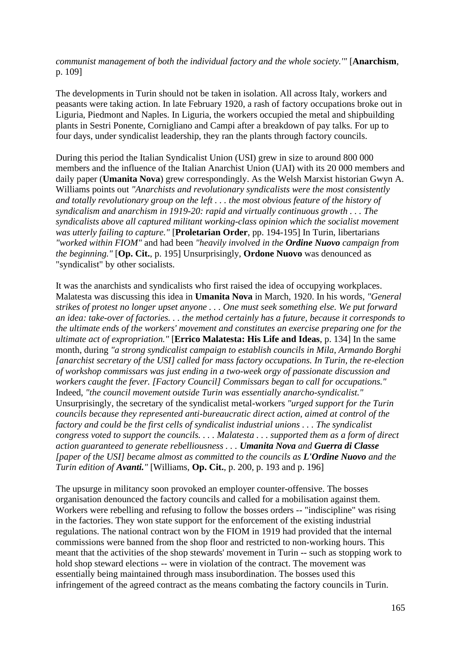*communist management of both the individual factory and the whole society.'"* [**Anarchism**, p. 109]

The developments in Turin should not be taken in isolation. All across Italy, workers and peasants were taking action. In late February 1920, a rash of factory occupations broke out in Liguria, Piedmont and Naples. In Liguria, the workers occupied the metal and shipbuilding plants in Sestri Ponente, Cornigliano and Campi after a breakdown of pay talks. For up to four days, under syndicalist leadership, they ran the plants through factory councils.

During this period the Italian Syndicalist Union (USI) grew in size to around 800 000 members and the influence of the Italian Anarchist Union (UAI) with its 20 000 members and daily paper (**Umanita Nova**) grew correspondingly. As the Welsh Marxist historian Gwyn A. Williams points out *"Anarchists and revolutionary syndicalists were the most consistently and totally revolutionary group on the left . . . the most obvious feature of the history of syndicalism and anarchism in 1919-20: rapid and virtually continuous growth . . . The syndicalists above all captured militant working-class opinion which the socialist movement was utterly failing to capture."* [**Proletarian Order**, pp. 194-195] In Turin, libertarians *"worked within FIOM"* and had been *"heavily involved in the Ordine Nuovo campaign from the beginning."* [**Op. Cit.**, p. 195] Unsurprisingly, **Ordone Nuovo** was denounced as "syndicalist" by other socialists.

It was the anarchists and syndicalists who first raised the idea of occupying workplaces. Malatesta was discussing this idea in **Umanita Nova** in March, 1920. In his words, *"General strikes of protest no longer upset anyone . . . One must seek something else. We put forward an idea: take-over of factories. . . the method certainly has a future, because it corresponds to the ultimate ends of the workers' movement and constitutes an exercise preparing one for the ultimate act of expropriation."* [**Errico Malatesta: His Life and Ideas**, p. 134] In the same month, during *"a strong syndicalist campaign to establish councils in Mila, Armando Borghi [anarchist secretary of the USI] called for mass factory occupations. In Turin, the re-election of workshop commissars was just ending in a two-week orgy of passionate discussion and workers caught the fever. [Factory Council] Commissars began to call for occupations."* Indeed, *"the council movement outside Turin was essentially anarcho-syndicalist."* Unsurprisingly, the secretary of the syndicalist metal-workers *"urged support for the Turin councils because they represented anti-bureaucratic direct action, aimed at control of the factory and could be the first cells of syndicalist industrial unions . . . The syndicalist congress voted to support the councils. . . . Malatesta . . . supported them as a form of direct action guaranteed to generate rebelliousness . . . Umanita Nova and Guerra di Classe [paper of the USI] became almost as committed to the councils as L'Ordine Nuovo and the Turin edition of Avanti."* [Williams, **Op. Cit.**, p. 200, p. 193 and p. 196]

The upsurge in militancy soon provoked an employer counter-offensive. The bosses organisation denounced the factory councils and called for a mobilisation against them. Workers were rebelling and refusing to follow the bosses orders -- "indiscipline" was rising in the factories. They won state support for the enforcement of the existing industrial regulations. The national contract won by the FIOM in 1919 had provided that the internal commissions were banned from the shop floor and restricted to non-working hours. This meant that the activities of the shop stewards' movement in Turin -- such as stopping work to hold shop steward elections -- were in violation of the contract. The movement was essentially being maintained through mass insubordination. The bosses used this infringement of the agreed contract as the means combating the factory councils in Turin.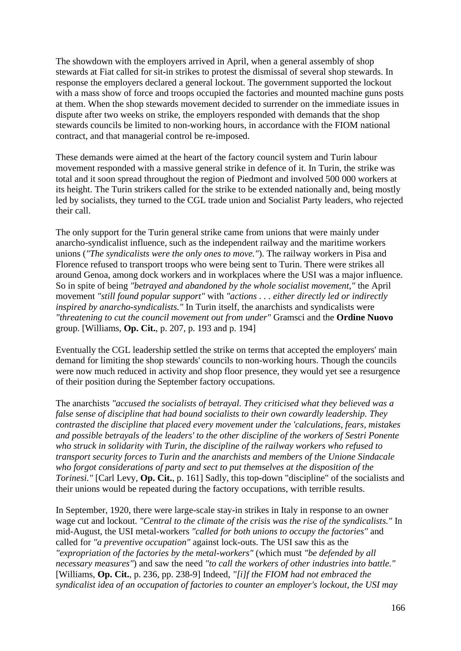The showdown with the employers arrived in April, when a general assembly of shop stewards at Fiat called for sit-in strikes to protest the dismissal of several shop stewards. In response the employers declared a general lockout. The government supported the lockout with a mass show of force and troops occupied the factories and mounted machine guns posts at them. When the shop stewards movement decided to surrender on the immediate issues in dispute after two weeks on strike, the employers responded with demands that the shop stewards councils be limited to non-working hours, in accordance with the FIOM national contract, and that managerial control be re-imposed.

These demands were aimed at the heart of the factory council system and Turin labour movement responded with a massive general strike in defence of it. In Turin, the strike was total and it soon spread throughout the region of Piedmont and involved 500 000 workers at its height. The Turin strikers called for the strike to be extended nationally and, being mostly led by socialists, they turned to the CGL trade union and Socialist Party leaders, who rejected their call.

The only support for the Turin general strike came from unions that were mainly under anarcho-syndicalist influence, such as the independent railway and the maritime workers unions (*"The syndicalists were the only ones to move."*). The railway workers in Pisa and Florence refused to transport troops who were being sent to Turin. There were strikes all around Genoa, among dock workers and in workplaces where the USI was a major influence. So in spite of being *"betrayed and abandoned by the whole socialist movement,"* the April movement *"still found popular support"* with *"actions . . . either directly led or indirectly inspired by anarcho-syndicalists."* In Turin itself, the anarchists and syndicalists were *"threatening to cut the council movement out from under"* Gramsci and the **Ordine Nuovo** group. [Williams, **Op. Cit.**, p. 207, p. 193 and p. 194]

Eventually the CGL leadership settled the strike on terms that accepted the employers' main demand for limiting the shop stewards' councils to non-working hours. Though the councils were now much reduced in activity and shop floor presence, they would yet see a resurgence of their position during the September factory occupations.

The anarchists *"accused the socialists of betrayal. They criticised what they believed was a false sense of discipline that had bound socialists to their own cowardly leadership. They contrasted the discipline that placed every movement under the 'calculations, fears, mistakes and possible betrayals of the leaders' to the other discipline of the workers of Sestri Ponente who struck in solidarity with Turin, the discipline of the railway workers who refused to transport security forces to Turin and the anarchists and members of the Unione Sindacale who forgot considerations of party and sect to put themselves at the disposition of the Torinesi."* [Carl Levy, **Op. Cit.**, p. 161] Sadly, this top-down "discipline" of the socialists and their unions would be repeated during the factory occupations, with terrible results.

In September, 1920, there were large-scale stay-in strikes in Italy in response to an owner wage cut and lockout. *"Central to the climate of the crisis was the rise of the syndicalists."* In mid-August, the USI metal-workers *"called for both unions to occupy the factories"* and called for *"a preventive occupation"* against lock-outs. The USI saw this as the *"expropriation of the factories by the metal-workers"* (which must *"be defended by all necessary measures"*) and saw the need *"to call the workers of other industries into battle."* [Williams, **Op. Cit.**, p. 236, pp. 238-9] Indeed, *"[i]f the FIOM had not embraced the syndicalist idea of an occupation of factories to counter an employer's lockout, the USI may*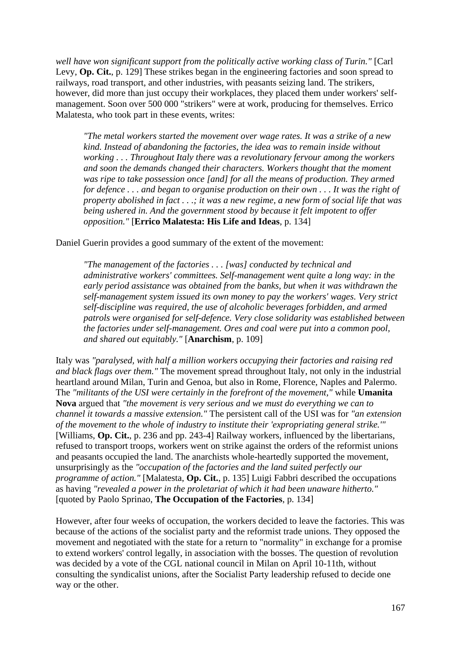*well have won significant support from the politically active working class of Turin."* [Carl Levy, **Op. Cit.**, p. 129] These strikes began in the engineering factories and soon spread to railways, road transport, and other industries, with peasants seizing land. The strikers, however, did more than just occupy their workplaces, they placed them under workers' selfmanagement. Soon over 500 000 "strikers" were at work, producing for themselves. Errico Malatesta, who took part in these events, writes:

*"The metal workers started the movement over wage rates. It was a strike of a new kind. Instead of abandoning the factories, the idea was to remain inside without working . . . Throughout Italy there was a revolutionary fervour among the workers and soon the demands changed their characters. Workers thought that the moment was ripe to take possession once [and] for all the means of production. They armed for defence . . . and began to organise production on their own . . . It was the right of property abolished in fact . . .; it was a new regime, a new form of social life that was being ushered in. And the government stood by because it felt impotent to offer opposition."* [**Errico Malatesta: His Life and Ideas**, p. 134]

Daniel Guerin provides a good summary of the extent of the movement:

*"The management of the factories . . . [was] conducted by technical and administrative workers' committees. Self-management went quite a long way: in the early period assistance was obtained from the banks, but when it was withdrawn the self-management system issued its own money to pay the workers' wages. Very strict self-discipline was required, the use of alcoholic beverages forbidden, and armed patrols were organised for self-defence. Very close solidarity was established between the factories under self-management. Ores and coal were put into a common pool, and shared out equitably."* [**Anarchism**, p. 109]

Italy was *"paralysed, with half a million workers occupying their factories and raising red and black flags over them."* The movement spread throughout Italy, not only in the industrial heartland around Milan, Turin and Genoa, but also in Rome, Florence, Naples and Palermo. The *"militants of the USI were certainly in the forefront of the movement,"* while **Umanita Nova** argued that *"the movement is very serious and we must do everything we can to channel it towards a massive extension."* The persistent call of the USI was for *"an extension of the movement to the whole of industry to institute their 'expropriating general strike.'"* [Williams, **Op. Cit.**, p. 236 and pp. 243-4] Railway workers, influenced by the libertarians, refused to transport troops, workers went on strike against the orders of the reformist unions and peasants occupied the land. The anarchists whole-heartedly supported the movement, unsurprisingly as the *"occupation of the factories and the land suited perfectly our programme of action."* [Malatesta, **Op. Cit.**, p. 135] Luigi Fabbri described the occupations as having *"revealed a power in the proletariat of which it had been unaware hitherto."* [quoted by Paolo Sprinao, **The Occupation of the Factories**, p. 134]

However, after four weeks of occupation, the workers decided to leave the factories. This was because of the actions of the socialist party and the reformist trade unions. They opposed the movement and negotiated with the state for a return to "normality" in exchange for a promise to extend workers' control legally, in association with the bosses. The question of revolution was decided by a vote of the CGL national council in Milan on April 10-11th, without consulting the syndicalist unions, after the Socialist Party leadership refused to decide one way or the other.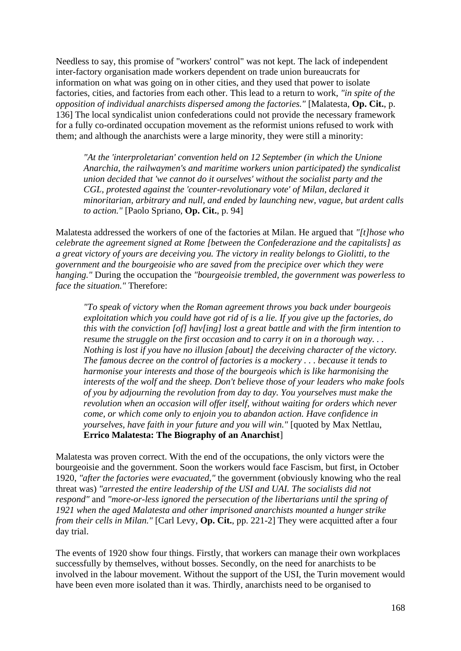Needless to say, this promise of "workers' control" was not kept. The lack of independent inter-factory organisation made workers dependent on trade union bureaucrats for information on what was going on in other cities, and they used that power to isolate factories, cities, and factories from each other. This lead to a return to work, *"in spite of the opposition of individual anarchists dispersed among the factories."* [Malatesta, **Op. Cit.**, p. 136] The local syndicalist union confederations could not provide the necessary framework for a fully co-ordinated occupation movement as the reformist unions refused to work with them; and although the anarchists were a large minority, they were still a minority:

*"At the 'interproletarian' convention held on 12 September (in which the Unione Anarchia, the railwaymen's and maritime workers union participated) the syndicalist union decided that 'we cannot do it ourselves' without the socialist party and the CGL, protested against the 'counter-revolutionary vote' of Milan, declared it minoritarian, arbitrary and null, and ended by launching new, vague, but ardent calls to action."* [Paolo Spriano, **Op. Cit.**, p. 94]

Malatesta addressed the workers of one of the factories at Milan. He argued that *"[t]hose who celebrate the agreement signed at Rome [between the Confederazione and the capitalists] as a great victory of yours are deceiving you. The victory in reality belongs to Giolitti, to the government and the bourgeoisie who are saved from the precipice over which they were hanging."* During the occupation the *"bourgeoisie trembled, the government was powerless to face the situation."* Therefore:

*"To speak of victory when the Roman agreement throws you back under bourgeois exploitation which you could have got rid of is a lie. If you give up the factories, do this with the conviction [of] hav[ing] lost a great battle and with the firm intention to resume the struggle on the first occasion and to carry it on in a thorough way... Nothing is lost if you have no illusion [about] the deceiving character of the victory. The famous decree on the control of factories is a mockery . . . because it tends to harmonise your interests and those of the bourgeois which is like harmonising the interests of the wolf and the sheep. Don't believe those of your leaders who make fools of you by adjourning the revolution from day to day. You yourselves must make the revolution when an occasion will offer itself, without waiting for orders which never come, or which come only to enjoin you to abandon action. Have confidence in yourselves, have faith in your future and you will win."* [quoted by Max Nettlau, **Errico Malatesta: The Biography of an Anarchist**]

Malatesta was proven correct. With the end of the occupations, the only victors were the bourgeoisie and the government. Soon the workers would face Fascism, but first, in October 1920, *"after the factories were evacuated,"* the government (obviously knowing who the real threat was) *"arrested the entire leadership of the USI and UAI. The socialists did not respond"* and *"more-or-less ignored the persecution of the libertarians until the spring of 1921 when the aged Malatesta and other imprisoned anarchists mounted a hunger strike from their cells in Milan."* [Carl Levy, **Op. Cit.**, pp. 221-2] They were acquitted after a four day trial.

The events of 1920 show four things. Firstly, that workers can manage their own workplaces successfully by themselves, without bosses. Secondly, on the need for anarchists to be involved in the labour movement. Without the support of the USI, the Turin movement would have been even more isolated than it was. Thirdly, anarchists need to be organised to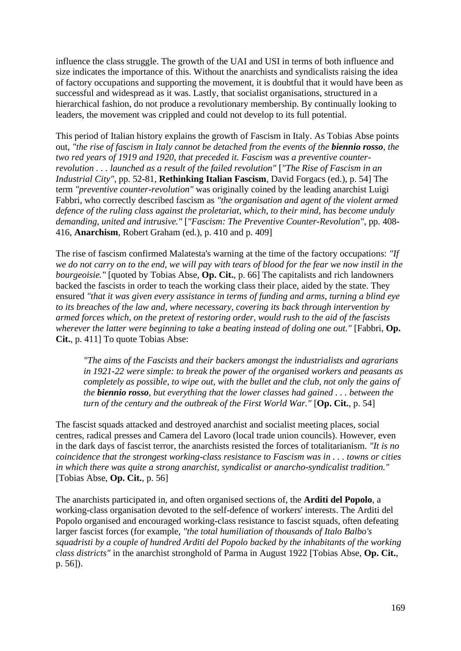influence the class struggle. The growth of the UAI and USI in terms of both influence and size indicates the importance of this. Without the anarchists and syndicalists raising the idea of factory occupations and supporting the movement, it is doubtful that it would have been as successful and widespread as it was. Lastly, that socialist organisations, structured in a hierarchical fashion, do not produce a revolutionary membership. By continually looking to leaders, the movement was crippled and could not develop to its full potential.

This period of Italian history explains the growth of Fascism in Italy. As Tobias Abse points out, *"the rise of fascism in Italy cannot be detached from the events of the biennio rosso, the two red years of 1919 and 1920, that preceded it. Fascism was a preventive counterrevolution . . . launched as a result of the failed revolution"* [*"The Rise of Fascism in an Industrial City"*, pp. 52-81, **Rethinking Italian Fascism**, David Forgacs (ed.), p. 54] The term *"preventive counter-revolution"* was originally coined by the leading anarchist Luigi Fabbri, who correctly described fascism as *"the organisation and agent of the violent armed defence of the ruling class against the proletariat, which, to their mind, has become unduly demanding, united and intrusive."* [*"Fascism: The Preventive Counter-Revolution"*, pp. 408- 416, **Anarchism**, Robert Graham (ed.), p. 410 and p. 409]

The rise of fascism confirmed Malatesta's warning at the time of the factory occupations: *"If we do not carry on to the end, we will pay with tears of blood for the fear we now instil in the bourgeoisie."* [quoted by Tobias Abse, **Op. Cit.**, p. 66] The capitalists and rich landowners backed the fascists in order to teach the working class their place, aided by the state. They ensured *"that it was given every assistance in terms of funding and arms, turning a blind eye to its breaches of the law and, where necessary, covering its back through intervention by armed forces which, on the pretext of restoring order, would rush to the aid of the fascists wherever the latter were beginning to take a beating instead of doling one out."* [Fabbri, **Op. Cit.**, p. 411] To quote Tobias Abse:

*"The aims of the Fascists and their backers amongst the industrialists and agrarians in 1921-22 were simple: to break the power of the organised workers and peasants as completely as possible, to wipe out, with the bullet and the club, not only the gains of the biennio rosso, but everything that the lower classes had gained . . . between the turn of the century and the outbreak of the First World War."* [**Op. Cit.**, p. 54]

The fascist squads attacked and destroyed anarchist and socialist meeting places, social centres, radical presses and Camera del Lavoro (local trade union councils). However, even in the dark days of fascist terror, the anarchists resisted the forces of totalitarianism. *"It is no coincidence that the strongest working-class resistance to Fascism was in . . . towns or cities in which there was quite a strong anarchist, syndicalist or anarcho-syndicalist tradition."* [Tobias Abse, **Op. Cit.**, p. 56]

The anarchists participated in, and often organised sections of, the **Arditi del Popolo**, a working-class organisation devoted to the self-defence of workers' interests. The Arditi del Popolo organised and encouraged working-class resistance to fascist squads, often defeating larger fascist forces (for example, *"the total humiliation of thousands of Italo Balbo's squadristi by a couple of hundred Arditi del Popolo backed by the inhabitants of the working class districts"* in the anarchist stronghold of Parma in August 1922 [Tobias Abse, **Op. Cit.**, p. 56]).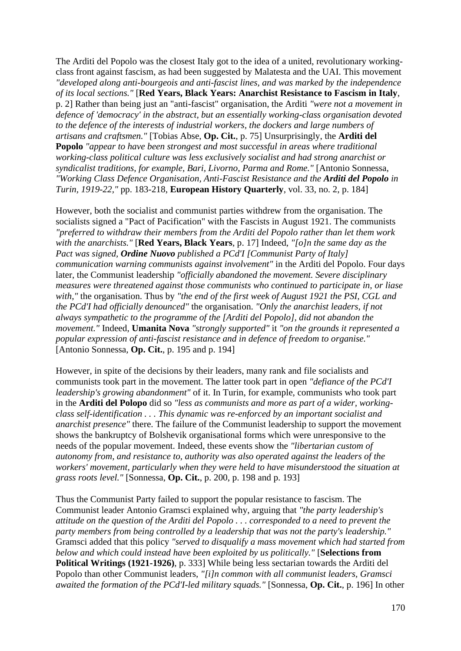The Arditi del Popolo was the closest Italy got to the idea of a united, revolutionary workingclass front against fascism, as had been suggested by Malatesta and the UAI. This movement *"developed along anti-bourgeois and anti-fascist lines, and was marked by the independence of its local sections."* [**Red Years, Black Years: Anarchist Resistance to Fascism in Italy**, p. 2] Rather than being just an "anti-fascist" organisation, the Arditi *"were not a movement in defence of 'democracy' in the abstract, but an essentially working-class organisation devoted to the defence of the interests of industrial workers, the dockers and large numbers of artisans and craftsmen."* [Tobias Abse, **Op. Cit.**, p. 75] Unsurprisingly, the **Arditi del Popolo** *"appear to have been strongest and most successful in areas where traditional working-class political culture was less exclusively socialist and had strong anarchist or syndicalist traditions, for example, Bari, Livorno, Parma and Rome."* [Antonio Sonnessa, *"Working Class Defence Organisation, Anti-Fascist Resistance and the Arditi del Popolo in Turin, 1919-22,"* pp. 183-218, **European History Quarterly**, vol. 33, no. 2, p. 184]

However, both the socialist and communist parties withdrew from the organisation. The socialists signed a "Pact of Pacification" with the Fascists in August 1921. The communists *"preferred to withdraw their members from the Arditi del Popolo rather than let them work with the anarchists."* [**Red Years, Black Years**, p. 17] Indeed, *"[o]n the same day as the Pact was signed, Ordine Nuovo published a PCd'I [Communist Party of Italy] communication warning communists against involvement"* in the Arditi del Popolo. Four days later, the Communist leadership *"officially abandoned the movement. Severe disciplinary measures were threatened against those communists who continued to participate in, or liase with,"* the organisation. Thus by *"the end of the first week of August 1921 the PSI, CGL and the PCd'I had officially denounced"* the organisation. *"Only the anarchist leaders, if not always sympathetic to the programme of the [Arditi del Popolo], did not abandon the movement."* Indeed, **Umanita Nova** *"strongly supported"* it *"on the grounds it represented a popular expression of anti-fascist resistance and in defence of freedom to organise."* [Antonio Sonnessa, **Op. Cit.**, p. 195 and p. 194]

However, in spite of the decisions by their leaders, many rank and file socialists and communists took part in the movement. The latter took part in open *"defiance of the PCd'I leadership's growing abandonment"* of it. In Turin, for example, communists who took part in the **Arditi del Polopo** did so *"less as communists and more as part of a wider, workingclass self-identification . . . This dynamic was re-enforced by an important socialist and anarchist presence"* there. The failure of the Communist leadership to support the movement shows the bankruptcy of Bolshevik organisational forms which were unresponsive to the needs of the popular movement. Indeed, these events show the *"libertarian custom of autonomy from, and resistance to, authority was also operated against the leaders of the workers' movement, particularly when they were held to have misunderstood the situation at grass roots level."* [Sonnessa, **Op. Cit.**, p. 200, p. 198 and p. 193]

Thus the Communist Party failed to support the popular resistance to fascism. The Communist leader Antonio Gramsci explained why, arguing that *"the party leadership's attitude on the question of the Arditi del Popolo . . . corresponded to a need to prevent the party members from being controlled by a leadership that was not the party's leadership."* Gramsci added that this policy *"served to disqualify a mass movement which had started from below and which could instead have been exploited by us politically."* [**Selections from Political Writings (1921-1926)**, p. 333] While being less sectarian towards the Arditi del Popolo than other Communist leaders, *"[i]n common with all communist leaders, Gramsci awaited the formation of the PCd'I-led military squads."* [Sonnessa, **Op. Cit.**, p. 196] In other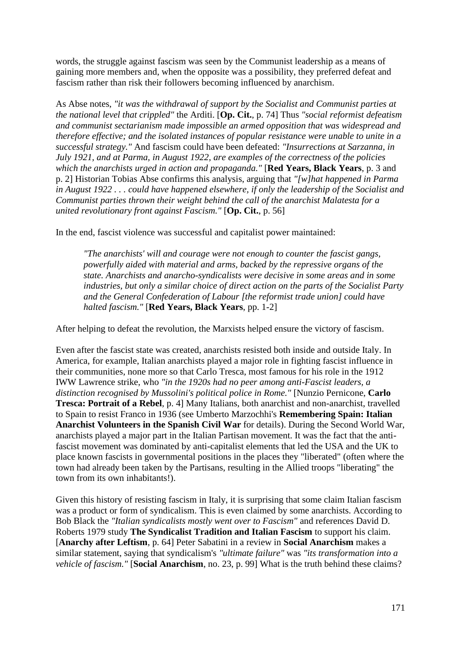words, the struggle against fascism was seen by the Communist leadership as a means of gaining more members and, when the opposite was a possibility, they preferred defeat and fascism rather than risk their followers becoming influenced by anarchism.

As Abse notes, *"it was the withdrawal of support by the Socialist and Communist parties at the national level that crippled"* the Arditi. [**Op. Cit.**, p. 74] Thus *"social reformist defeatism and communist sectarianism made impossible an armed opposition that was widespread and therefore effective; and the isolated instances of popular resistance were unable to unite in a successful strategy."* And fascism could have been defeated: *"Insurrections at Sarzanna, in July 1921, and at Parma, in August 1922, are examples of the correctness of the policies which the anarchists urged in action and propaganda."* [**Red Years, Black Years**, p. 3 and p. 2] Historian Tobias Abse confirms this analysis, arguing that *"[w]hat happened in Parma in August 1922 . . . could have happened elsewhere, if only the leadership of the Socialist and Communist parties thrown their weight behind the call of the anarchist Malatesta for a united revolutionary front against Fascism."* [**Op. Cit.**, p. 56]

In the end, fascist violence was successful and capitalist power maintained:

*"The anarchists' will and courage were not enough to counter the fascist gangs, powerfully aided with material and arms, backed by the repressive organs of the state. Anarchists and anarcho-syndicalists were decisive in some areas and in some industries, but only a similar choice of direct action on the parts of the Socialist Party and the General Confederation of Labour [the reformist trade union] could have halted fascism."* [**Red Years, Black Years**, pp. 1-2]

After helping to defeat the revolution, the Marxists helped ensure the victory of fascism.

Even after the fascist state was created, anarchists resisted both inside and outside Italy. In America, for example, Italian anarchists played a major role in fighting fascist influence in their communities, none more so that Carlo Tresca, most famous for his role in the 1912 IWW Lawrence strike, who *"in the 1920s had no peer among anti-Fascist leaders, a distinction recognised by Mussolini's political police in Rome."* [Nunzio Pernicone, **Carlo Tresca: Portrait of a Rebel**, p. 4] Many Italians, both anarchist and non-anarchist, travelled to Spain to resist Franco in 1936 (see Umberto Marzochhi's **Remembering Spain: Italian Anarchist Volunteers in the Spanish Civil War** for details). During the Second World War, anarchists played a major part in the Italian Partisan movement. It was the fact that the antifascist movement was dominated by anti-capitalist elements that led the USA and the UK to place known fascists in governmental positions in the places they "liberated" (often where the town had already been taken by the Partisans, resulting in the Allied troops "liberating" the town from its own inhabitants!).

Given this history of resisting fascism in Italy, it is surprising that some claim Italian fascism was a product or form of syndicalism. This is even claimed by some anarchists. According to Bob Black the *"Italian syndicalists mostly went over to Fascism"* and references David D. Roberts 1979 study **The Syndicalist Tradition and Italian Fascism** to support his claim. [**Anarchy after Leftism**, p. 64] Peter Sabatini in a review in **Social Anarchism** makes a similar statement, saying that syndicalism's *"ultimate failure"* was *"its transformation into a vehicle of fascism."* [**Social Anarchism**, no. 23, p. 99] What is the truth behind these claims?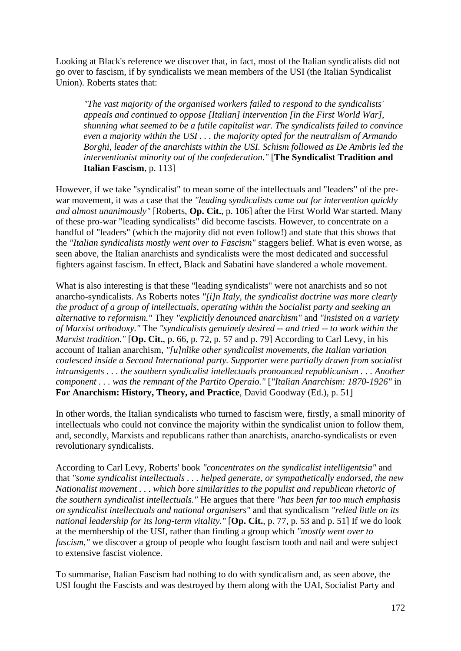Looking at Black's reference we discover that, in fact, most of the Italian syndicalists did not go over to fascism, if by syndicalists we mean members of the USI (the Italian Syndicalist Union). Roberts states that:

*"The vast majority of the organised workers failed to respond to the syndicalists' appeals and continued to oppose [Italian] intervention [in the First World War], shunning what seemed to be a futile capitalist war. The syndicalists failed to convince even a majority within the USI . . . the majority opted for the neutralism of Armando Borghi, leader of the anarchists within the USI. Schism followed as De Ambris led the interventionist minority out of the confederation."* [**The Syndicalist Tradition and Italian Fascism**, p. 113]

However, if we take "syndicalist" to mean some of the intellectuals and "leaders" of the prewar movement, it was a case that the *"leading syndicalists came out for intervention quickly and almost unanimously"* [Roberts, **Op. Cit.**, p. 106] after the First World War started. Many of these pro-war "leading syndicalists" did become fascists. However, to concentrate on a handful of "leaders" (which the majority did not even follow!) and state that this shows that the *"Italian syndicalists mostly went over to Fascism"* staggers belief. What is even worse, as seen above, the Italian anarchists and syndicalists were the most dedicated and successful fighters against fascism. In effect, Black and Sabatini have slandered a whole movement.

What is also interesting is that these "leading syndicalists" were not anarchists and so not anarcho-syndicalists. As Roberts notes *"[i]n Italy, the syndicalist doctrine was more clearly the product of a group of intellectuals, operating within the Socialist party and seeking an alternative to reformism."* They *"explicitly denounced anarchism"* and *"insisted on a variety of Marxist orthodoxy."* The *"syndicalists genuinely desired -- and tried -- to work within the Marxist tradition."* [**Op. Cit.**, p. 66, p. 72, p. 57 and p. 79] According to Carl Levy, in his account of Italian anarchism, *"[u]nlike other syndicalist movements, the Italian variation coalesced inside a Second International party. Supporter were partially drawn from socialist intransigents . . . the southern syndicalist intellectuals pronounced republicanism . . . Another component . . . was the remnant of the Partito Operaio."* [*"Italian Anarchism: 1870-1926"* in **For Anarchism: History, Theory, and Practice**, David Goodway (Ed.), p. 51]

In other words, the Italian syndicalists who turned to fascism were, firstly, a small minority of intellectuals who could not convince the majority within the syndicalist union to follow them, and, secondly, Marxists and republicans rather than anarchists, anarcho-syndicalists or even revolutionary syndicalists.

According to Carl Levy, Roberts' book *"concentrates on the syndicalist intelligentsia"* and that *"some syndicalist intellectuals . . . helped generate, or sympathetically endorsed, the new Nationalist movement . . . which bore similarities to the populist and republican rhetoric of the southern syndicalist intellectuals."* He argues that there *"has been far too much emphasis on syndicalist intellectuals and national organisers"* and that syndicalism *"relied little on its national leadership for its long-term vitality."* [**Op. Cit.**, p. 77, p. 53 and p. 51] If we do look at the membership of the USI, rather than finding a group which *"mostly went over to fascism,"* we discover a group of people who fought fascism tooth and nail and were subject to extensive fascist violence.

To summarise, Italian Fascism had nothing to do with syndicalism and, as seen above, the USI fought the Fascists and was destroyed by them along with the UAI, Socialist Party and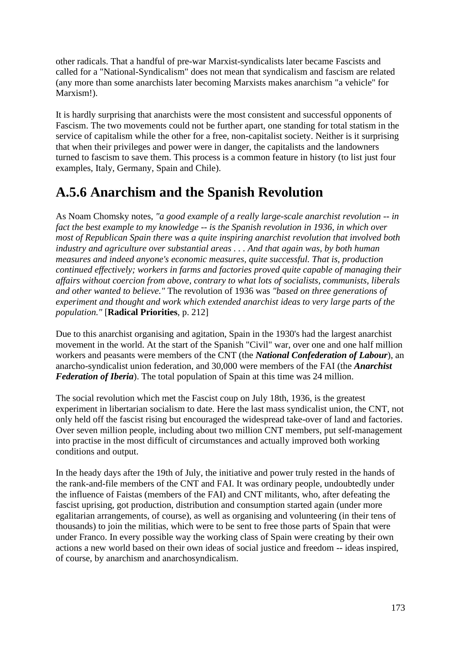other radicals. That a handful of pre-war Marxist-syndicalists later became Fascists and called for a "National-Syndicalism" does not mean that syndicalism and fascism are related (any more than some anarchists later becoming Marxists makes anarchism "a vehicle" for Marxism!).

It is hardly surprising that anarchists were the most consistent and successful opponents of Fascism. The two movements could not be further apart, one standing for total statism in the service of capitalism while the other for a free, non-capitalist society. Neither is it surprising that when their privileges and power were in danger, the capitalists and the landowners turned to fascism to save them. This process is a common feature in history (to list just four examples, Italy, Germany, Spain and Chile).

## **A.5.6 Anarchism and the Spanish Revolution**

As Noam Chomsky notes, *"a good example of a really large-scale anarchist revolution -- in fact the best example to my knowledge -- is the Spanish revolution in 1936, in which over most of Republican Spain there was a quite inspiring anarchist revolution that involved both industry and agriculture over substantial areas . . . And that again was, by both human measures and indeed anyone's economic measures, quite successful. That is, production continued effectively; workers in farms and factories proved quite capable of managing their affairs without coercion from above, contrary to what lots of socialists, communists, liberals and other wanted to believe."* The revolution of 1936 was *"based on three generations of experiment and thought and work which extended anarchist ideas to very large parts of the population."* [**Radical Priorities**, p. 212]

Due to this anarchist organising and agitation, Spain in the 1930's had the largest anarchist movement in the world. At the start of the Spanish "Civil" war, over one and one half million workers and peasants were members of the CNT (the *National Confederation of Labour*), an anarcho-syndicalist union federation, and 30,000 were members of the FAI (the *Anarchist Federation of Iberia*). The total population of Spain at this time was 24 million.

The social revolution which met the Fascist coup on July 18th, 1936, is the greatest experiment in libertarian socialism to date. Here the last mass syndicalist union, the CNT, not only held off the fascist rising but encouraged the widespread take-over of land and factories. Over seven million people, including about two million CNT members, put self-management into practise in the most difficult of circumstances and actually improved both working conditions and output.

In the heady days after the 19th of July, the initiative and power truly rested in the hands of the rank-and-file members of the CNT and FAI. It was ordinary people, undoubtedly under the influence of Faistas (members of the FAI) and CNT militants, who, after defeating the fascist uprising, got production, distribution and consumption started again (under more egalitarian arrangements, of course), as well as organising and volunteering (in their tens of thousands) to join the militias, which were to be sent to free those parts of Spain that were under Franco. In every possible way the working class of Spain were creating by their own actions a new world based on their own ideas of social justice and freedom -- ideas inspired, of course, by anarchism and anarchosyndicalism.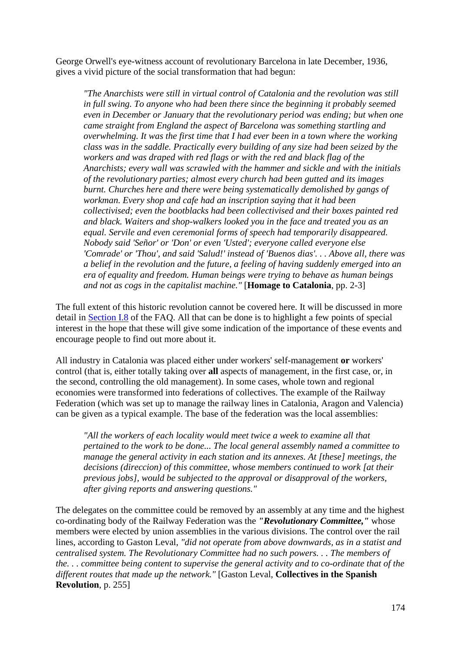George Orwell's eye-witness account of revolutionary Barcelona in late December, 1936, gives a vivid picture of the social transformation that had begun:

*"The Anarchists were still in virtual control of Catalonia and the revolution was still in full swing. To anyone who had been there since the beginning it probably seemed even in December or January that the revolutionary period was ending; but when one came straight from England the aspect of Barcelona was something startling and overwhelming. It was the first time that I had ever been in a town where the working class was in the saddle. Practically every building of any size had been seized by the workers and was draped with red flags or with the red and black flag of the Anarchists; every wall was scrawled with the hammer and sickle and with the initials of the revolutionary parties; almost every church had been gutted and its images burnt. Churches here and there were being systematically demolished by gangs of workman. Every shop and cafe had an inscription saying that it had been collectivised; even the bootblacks had been collectivised and their boxes painted red and black. Waiters and shop-walkers looked you in the face and treated you as an equal. Servile and even ceremonial forms of speech had temporarily disappeared. Nobody said 'Señor' or 'Don' or even 'Usted'; everyone called everyone else 'Comrade' or 'Thou', and said 'Salud!' instead of 'Buenos dias'. . . Above all, there was a belief in the revolution and the future, a feeling of having suddenly emerged into an era of equality and freedom. Human beings were trying to behave as human beings and not as cogs in the capitalist machine."* [**Homage to Catalonia**, pp. 2-3]

The full extent of this historic revolution cannot be covered here. It will be discussed in more detail in [Section I.8](sectionI.html#seci8) of the FAQ. All that can be done is to highlight a few points of special interest in the hope that these will give some indication of the importance of these events and encourage people to find out more about it.

All industry in Catalonia was placed either under workers' self-management **or** workers' control (that is, either totally taking over **all** aspects of management, in the first case, or, in the second, controlling the old management). In some cases, whole town and regional economies were transformed into federations of collectives. The example of the Railway Federation (which was set up to manage the railway lines in Catalonia, Aragon and Valencia) can be given as a typical example. The base of the federation was the local assemblies:

*"All the workers of each locality would meet twice a week to examine all that pertained to the work to be done... The local general assembly named a committee to manage the general activity in each station and its annexes. At [these] meetings, the decisions (direccion) of this committee, whose members continued to work [at their previous jobs], would be subjected to the approval or disapproval of the workers, after giving reports and answering questions."* 

The delegates on the committee could be removed by an assembly at any time and the highest co-ordinating body of the Railway Federation was the *"Revolutionary Committee,"* whose members were elected by union assemblies in the various divisions. The control over the rail lines, according to Gaston Leval, *"did not operate from above downwards, as in a statist and centralised system. The Revolutionary Committee had no such powers. . . The members of the. . . committee being content to supervise the general activity and to co-ordinate that of the different routes that made up the network."* [Gaston Leval, **Collectives in the Spanish Revolution**, p. 255]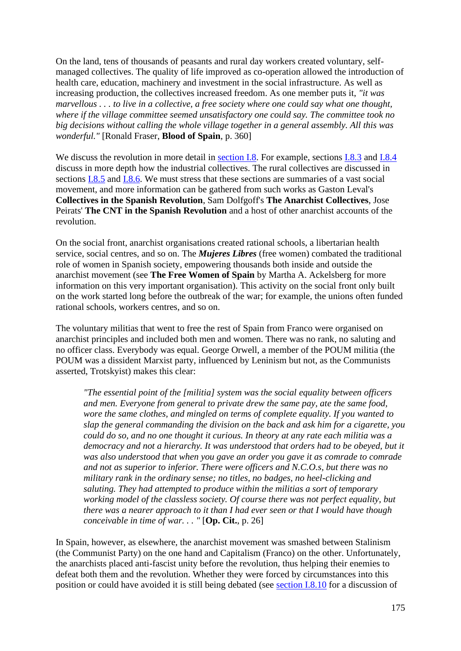On the land, tens of thousands of peasants and rural day workers created voluntary, selfmanaged collectives. The quality of life improved as co-operation allowed the introduction of health care, education, machinery and investment in the social infrastructure. As well as increasing production, the collectives increased freedom. As one member puts it, *"it was marvellous . . . to live in a collective, a free society where one could say what one thought, where if the village committee seemed unsatisfactory one could say. The committee took no big decisions without calling the whole village together in a general assembly. All this was wonderful."* [Ronald Fraser, **Blood of Spain**, p. 360]

We discuss the revolution in more detail in [section I.8.](sectionI.html#seci8) For example, sections [I.8.3](sectionI.html#seci83) and [I.8.4](sectionI.html#seci84) discuss in more depth how the industrial collectives. The rural collectives are discussed in sections [I.8.5](sectionI.html#seci85) and [I.8.6.](sectionI.html#seci86) We must stress that these sections are summaries of a vast social movement, and more information can be gathered from such works as Gaston Leval's **Collectives in the Spanish Revolution**, Sam Dolfgoff's **The Anarchist Collectives**, Jose Peirats' **The CNT in the Spanish Revolution** and a host of other anarchist accounts of the revolution.

On the social front, anarchist organisations created rational schools, a libertarian health service, social centres, and so on. The *Mujeres Libres* (free women) combated the traditional role of women in Spanish society, empowering thousands both inside and outside the anarchist movement (see **The Free Women of Spain** by Martha A. Ackelsberg for more information on this very important organisation). This activity on the social front only built on the work started long before the outbreak of the war; for example, the unions often funded rational schools, workers centres, and so on.

The voluntary militias that went to free the rest of Spain from Franco were organised on anarchist principles and included both men and women. There was no rank, no saluting and no officer class. Everybody was equal. George Orwell, a member of the POUM militia (the POUM was a dissident Marxist party, influenced by Leninism but not, as the Communists asserted, Trotskyist) makes this clear:

*"The essential point of the [militia] system was the social equality between officers and men. Everyone from general to private drew the same pay, ate the same food, wore the same clothes, and mingled on terms of complete equality. If you wanted to slap the general commanding the division on the back and ask him for a cigarette, you could do so, and no one thought it curious. In theory at any rate each militia was a democracy and not a hierarchy. It was understood that orders had to be obeyed, but it was also understood that when you gave an order you gave it as comrade to comrade and not as superior to inferior. There were officers and N.C.O.s, but there was no military rank in the ordinary sense; no titles, no badges, no heel-clicking and saluting. They had attempted to produce within the militias a sort of temporary working model of the classless society. Of course there was not perfect equality, but there was a nearer approach to it than I had ever seen or that I would have though conceivable in time of war. . . "* [**Op. Cit.**, p. 26]

In Spain, however, as elsewhere, the anarchist movement was smashed between Stalinism (the Communist Party) on the one hand and Capitalism (Franco) on the other. Unfortunately, the anarchists placed anti-fascist unity before the revolution, thus helping their enemies to defeat both them and the revolution. Whether they were forced by circumstances into this position or could have avoided it is still being debated (see [section I.8.10](sectionI.html#seci810) for a discussion of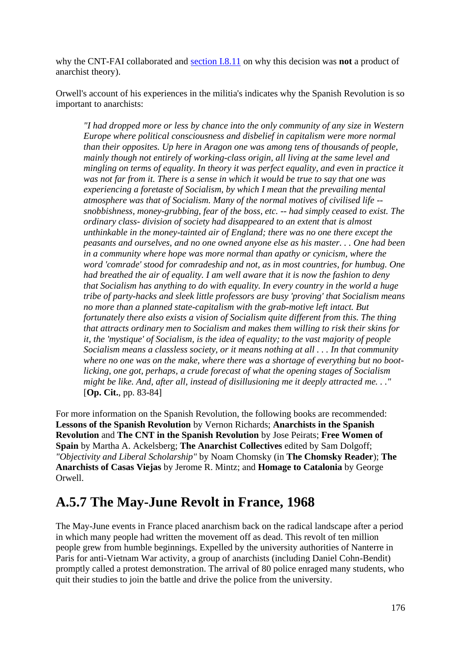why the CNT-FAI collaborated and [section I.8.11](sectionI.html#seci811) on why this decision was **not** a product of anarchist theory).

Orwell's account of his experiences in the militia's indicates why the Spanish Revolution is so important to anarchists:

*"I had dropped more or less by chance into the only community of any size in Western Europe where political consciousness and disbelief in capitalism were more normal than their opposites. Up here in Aragon one was among tens of thousands of people, mainly though not entirely of working-class origin, all living at the same level and mingling on terms of equality. In theory it was perfect equality, and even in practice it was not far from it. There is a sense in which it would be true to say that one was experiencing a foretaste of Socialism, by which I mean that the prevailing mental atmosphere was that of Socialism. Many of the normal motives of civilised life - snobbishness, money-grubbing, fear of the boss, etc. -- had simply ceased to exist. The ordinary class- division of society had disappeared to an extent that is almost unthinkable in the money-tainted air of England; there was no one there except the peasants and ourselves, and no one owned anyone else as his master. . . One had been in a community where hope was more normal than apathy or cynicism, where the word 'comrade' stood for comradeship and not, as in most countries, for humbug. One had breathed the air of equality. I am well aware that it is now the fashion to deny that Socialism has anything to do with equality. In every country in the world a huge tribe of party-hacks and sleek little professors are busy 'proving' that Socialism means no more than a planned state-capitalism with the grab-motive left intact. But fortunately there also exists a vision of Socialism quite different from this. The thing that attracts ordinary men to Socialism and makes them willing to risk their skins for it, the 'mystique' of Socialism, is the idea of equality; to the vast majority of people Socialism means a classless society, or it means nothing at all . . . In that community where no one was on the make, where there was a shortage of everything but no bootlicking, one got, perhaps, a crude forecast of what the opening stages of Socialism might be like. And, after all, instead of disillusioning me it deeply attracted me. . ."* [**Op. Cit.**, pp. 83-84]

For more information on the Spanish Revolution, the following books are recommended: **Lessons of the Spanish Revolution** by Vernon Richards; **Anarchists in the Spanish Revolution** and **The CNT in the Spanish Revolution** by Jose Peirats; **Free Women of Spain** by Martha A. Ackelsberg; **The Anarchist Collectives** edited by Sam Dolgoff; *"Objectivity and Liberal Scholarship"* by Noam Chomsky (in **The Chomsky Reader**); **The Anarchists of Casas Viejas** by Jerome R. Mintz; and **Homage to Catalonia** by George Orwell.

## **A.5.7 The May-June Revolt in France, 1968**

The May-June events in France placed anarchism back on the radical landscape after a period in which many people had written the movement off as dead. This revolt of ten million people grew from humble beginnings. Expelled by the university authorities of Nanterre in Paris for anti-Vietnam War activity, a group of anarchists (including Daniel Cohn-Bendit) promptly called a protest demonstration. The arrival of 80 police enraged many students, who quit their studies to join the battle and drive the police from the university.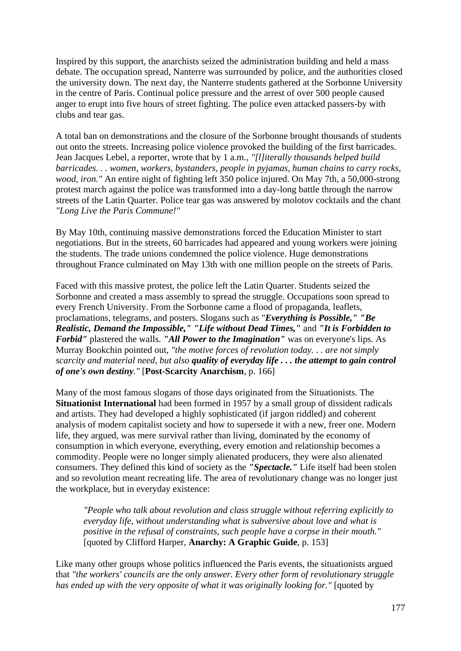Inspired by this support, the anarchists seized the administration building and held a mass debate. The occupation spread, Nanterre was surrounded by police, and the authorities closed the university down. The next day, the Nanterre students gathered at the Sorbonne University in the centre of Paris. Continual police pressure and the arrest of over 500 people caused anger to erupt into five hours of street fighting. The police even attacked passers-by with clubs and tear gas.

A total ban on demonstrations and the closure of the Sorbonne brought thousands of students out onto the streets. Increasing police violence provoked the building of the first barricades. Jean Jacques Lebel, a reporter, wrote that by 1 a.m., *"[l]iterally thousands helped build barricades. . . women, workers, bystanders, people in pyjamas, human chains to carry rocks, wood, iron."* An entire night of fighting left 350 police injured. On May 7th, a 50,000-strong protest march against the police was transformed into a day-long battle through the narrow streets of the Latin Quarter. Police tear gas was answered by molotov cocktails and the chant *"Long Live the Paris Commune!"*

By May 10th, continuing massive demonstrations forced the Education Minister to start negotiations. But in the streets, 60 barricades had appeared and young workers were joining the students. The trade unions condemned the police violence. Huge demonstrations throughout France culminated on May 13th with one million people on the streets of Paris.

Faced with this massive protest, the police left the Latin Quarter. Students seized the Sorbonne and created a mass assembly to spread the struggle. Occupations soon spread to every French University. From the Sorbonne came a flood of propaganda, leaflets, proclamations, telegrams, and posters. Slogans such as "*Everything is Possible," "Be Realistic, Demand the Impossible," "Life without Dead Times,"* and *"It is Forbidden to Forbid''* plastered the walls. *"All Power to the Imagination"* was on everyone's lips. As Murray Bookchin pointed out, *"the motive forces of revolution today. . . are not simply scarcity and material need, but also quality of everyday life . . . the attempt to gain control of one's own destiny."* [**Post-Scarcity Anarchism**, p. 166]

Many of the most famous slogans of those days originated from the Situationists. The **Situationist International** had been formed in 1957 by a small group of dissident radicals and artists. They had developed a highly sophisticated (if jargon riddled) and coherent analysis of modern capitalist society and how to supersede it with a new, freer one. Modern life, they argued, was mere survival rather than living, dominated by the economy of consumption in which everyone, everything, every emotion and relationship becomes a commodity. People were no longer simply alienated producers, they were also alienated consumers. They defined this kind of society as the *"Spectacle."* Life itself had been stolen and so revolution meant recreating life. The area of revolutionary change was no longer just the workplace, but in everyday existence:

*"People who talk about revolution and class struggle without referring explicitly to everyday life, without understanding what is subversive about love and what is positive in the refusal of constraints, such people have a corpse in their mouth."* [quoted by Clifford Harper, **Anarchy: A Graphic Guide**, p. 153]

Like many other groups whose politics influenced the Paris events, the situationists argued that *"the workers' councils are the only answer. Every other form of revolutionary struggle has ended up with the very opposite of what it was originally looking for."* [quoted by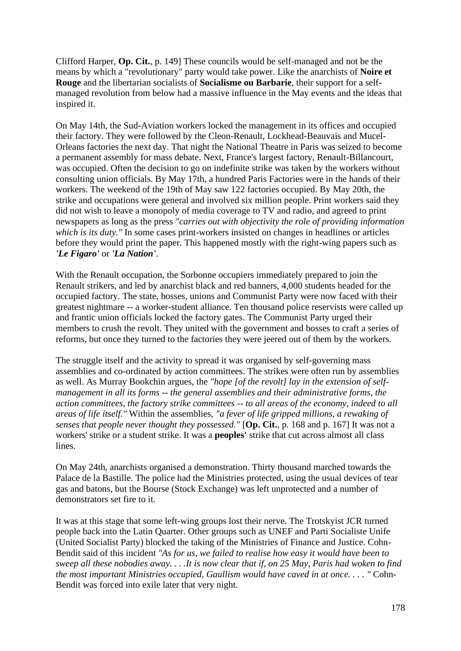Clifford Harper, **Op. Cit.**, p. 149] These councils would be self-managed and not be the means by which a "revolutionary" party would take power. Like the anarchists of **Noire et Rouge** and the libertarian socialists of **Socialisme ou Barbarie**, their support for a selfmanaged revolution from below had a massive influence in the May events and the ideas that inspired it.

On May 14th, the Sud-Aviation workers locked the management in its offices and occupied their factory. They were followed by the Cleon-Renault, Lockhead-Beauvais and Mucel-Orleans factories the next day. That night the National Theatre in Paris was seized to become a permanent assembly for mass debate. Next, France's largest factory, Renault-Billancourt, was occupied. Often the decision to go on indefinite strike was taken by the workers without consulting union officials. By May 17th, a hundred Paris Factories were in the hands of their workers. The weekend of the 19th of May saw 122 factories occupied. By May 20th, the strike and occupations were general and involved six million people. Print workers said they did not wish to leave a monopoly of media coverage to TV and radio, and agreed to print newspapers as long as the press *"carries out with objectivity the role of providing information which is its duty."* In some cases print-workers insisted on changes in headlines or articles before they would print the paper. This happened mostly with the right-wing papers such as *'Le Figaro'* or *'La Nation'*.

With the Renault occupation, the Sorbonne occupiers immediately prepared to join the Renault strikers, and led by anarchist black and red banners, 4,000 students headed for the occupied factory. The state, bosses, unions and Communist Party were now faced with their greatest nightmare -- a worker-student alliance. Ten thousand police reservists were called up and frantic union officials locked the factory gates. The Communist Party urged their members to crush the revolt. They united with the government and bosses to craft a series of reforms, but once they turned to the factories they were jeered out of them by the workers.

The struggle itself and the activity to spread it was organised by self-governing mass assemblies and co-ordinated by action committees. The strikes were often run by assemblies as well. As Murray Bookchin argues, the *"hope [of the revolt] lay in the extension of selfmanagement in all its forms -- the general assemblies and their administrative forms, the action committees, the factory strike committees -- to all areas of the economy, indeed to all areas of life itself."* Within the assemblies, *"a fever of life gripped millions, a rewaking of senses that people never thought they possessed."* [**Op. Cit.**, p. 168 and p. 167] It was not a workers' strike or a student strike. It was a **peoples'** strike that cut across almost all class lines.

On May 24th, anarchists organised a demonstration. Thirty thousand marched towards the Palace de la Bastille. The police had the Ministries protected, using the usual devices of tear gas and batons, but the Bourse (Stock Exchange) was left unprotected and a number of demonstrators set fire to it.

It was at this stage that some left-wing groups lost their nerve. The Trotskyist JCR turned people back into the Latin Quarter. Other groups such as UNEF and Parti Socialiste Unife (United Socialist Party) blocked the taking of the Ministries of Finance and Justice. Cohn-Bendit said of this incident *"As for us, we failed to realise how easy it would have been to sweep all these nobodies away. . . .It is now clear that if, on 25 May, Paris had woken to find the most important Ministries occupied, Gaullism would have caved in at once. . . . "* Cohn-Bendit was forced into exile later that very night.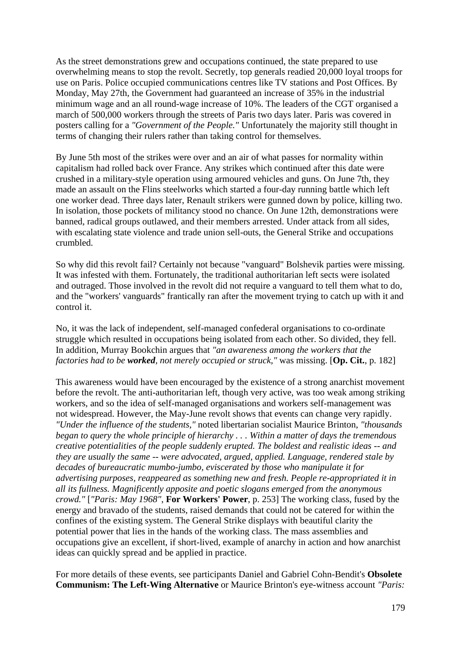As the street demonstrations grew and occupations continued, the state prepared to use overwhelming means to stop the revolt. Secretly, top generals readied 20,000 loyal troops for use on Paris. Police occupied communications centres like TV stations and Post Offices. By Monday, May 27th, the Government had guaranteed an increase of 35% in the industrial minimum wage and an all round-wage increase of 10%. The leaders of the CGT organised a march of 500,000 workers through the streets of Paris two days later. Paris was covered in posters calling for a *"Government of the People."* Unfortunately the majority still thought in terms of changing their rulers rather than taking control for themselves.

By June 5th most of the strikes were over and an air of what passes for normality within capitalism had rolled back over France. Any strikes which continued after this date were crushed in a military-style operation using armoured vehicles and guns. On June 7th, they made an assault on the Flins steelworks which started a four-day running battle which left one worker dead. Three days later, Renault strikers were gunned down by police, killing two. In isolation, those pockets of militancy stood no chance. On June 12th, demonstrations were banned, radical groups outlawed, and their members arrested. Under attack from all sides, with escalating state violence and trade union sell-outs, the General Strike and occupations crumbled.

So why did this revolt fail? Certainly not because "vanguard" Bolshevik parties were missing. It was infested with them. Fortunately, the traditional authoritarian left sects were isolated and outraged. Those involved in the revolt did not require a vanguard to tell them what to do, and the "workers' vanguards" frantically ran after the movement trying to catch up with it and control it.

No, it was the lack of independent, self-managed confederal organisations to co-ordinate struggle which resulted in occupations being isolated from each other. So divided, they fell. In addition, Murray Bookchin argues that *"an awareness among the workers that the factories had to be worked, not merely occupied or struck,"* was missing. [**Op. Cit.**, p. 182]

This awareness would have been encouraged by the existence of a strong anarchist movement before the revolt. The anti-authoritarian left, though very active, was too weak among striking workers, and so the idea of self-managed organisations and workers self-management was not widespread. However, the May-June revolt shows that events can change very rapidly. *"Under the influence of the students,"* noted libertarian socialist Maurice Brinton, *"thousands began to query the whole principle of hierarchy . . . Within a matter of days the tremendous creative potentialities of the people suddenly erupted. The boldest and realistic ideas -- and they are usually the same -- were advocated, argued, applied. Language, rendered stale by decades of bureaucratic mumbo-jumbo, eviscerated by those who manipulate it for advertising purposes, reappeared as something new and fresh. People re-appropriated it in all its fullness. Magnificently apposite and poetic slogans emerged from the anonymous crowd."* [*"Paris: May 1968"*, **For Workers' Power**, p. 253] The working class, fused by the energy and bravado of the students, raised demands that could not be catered for within the confines of the existing system. The General Strike displays with beautiful clarity the potential power that lies in the hands of the working class. The mass assemblies and occupations give an excellent, if short-lived, example of anarchy in action and how anarchist ideas can quickly spread and be applied in practice.

For more details of these events, see participants Daniel and Gabriel Cohn-Bendit's **Obsolete Communism: The Left-Wing Alternative** or Maurice Brinton's eye-witness account *"Paris:*